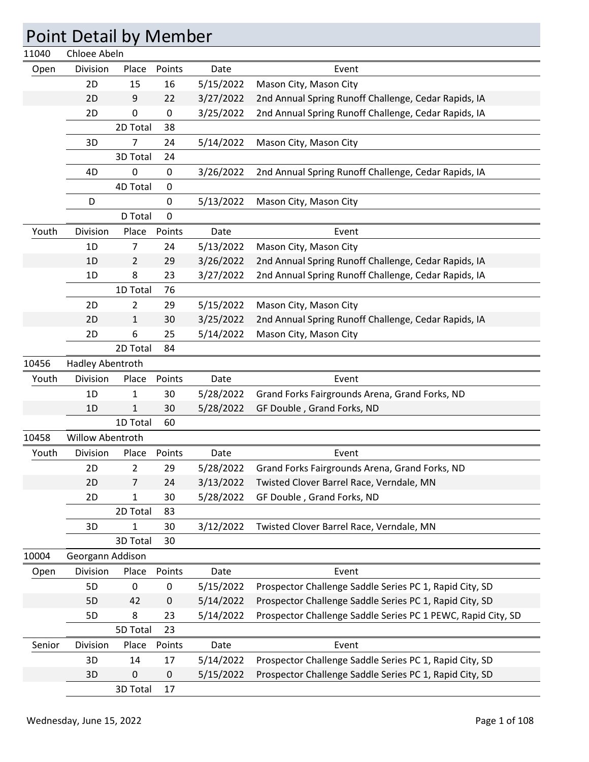|        | <b>Point Detail by Member</b> |                |                  |           |                                                              |
|--------|-------------------------------|----------------|------------------|-----------|--------------------------------------------------------------|
| 11040  | Chloee Abeln                  |                |                  |           |                                                              |
| Open   | Division                      | Place          | Points           | Date      | Event                                                        |
|        | 2D                            | 15             | 16               | 5/15/2022 | Mason City, Mason City                                       |
|        | 2D                            | 9              | 22               | 3/27/2022 | 2nd Annual Spring Runoff Challenge, Cedar Rapids, IA         |
|        | 2D                            | 0              | $\mathbf 0$      | 3/25/2022 | 2nd Annual Spring Runoff Challenge, Cedar Rapids, IA         |
|        |                               | 2D Total       | 38               |           |                                                              |
|        | 3D                            | 7              | 24               | 5/14/2022 | Mason City, Mason City                                       |
|        |                               | 3D Total       | 24               |           |                                                              |
|        | 4D                            | 0              | $\boldsymbol{0}$ | 3/26/2022 | 2nd Annual Spring Runoff Challenge, Cedar Rapids, IA         |
|        |                               | 4D Total       | 0                |           |                                                              |
|        | D                             |                | $\mathbf 0$      | 5/13/2022 | Mason City, Mason City                                       |
|        |                               | D Total        | 0                |           |                                                              |
| Youth  | Division                      | Place          | Points           | Date      | Event                                                        |
|        | 1D                            | 7              | 24               | 5/13/2022 | Mason City, Mason City                                       |
|        | 1D                            | 2              | 29               | 3/26/2022 | 2nd Annual Spring Runoff Challenge, Cedar Rapids, IA         |
|        | 1D                            | 8              | 23               | 3/27/2022 | 2nd Annual Spring Runoff Challenge, Cedar Rapids, IA         |
|        |                               | 1D Total       | 76               |           |                                                              |
|        | 2D                            | 2              | 29               | 5/15/2022 | Mason City, Mason City                                       |
|        | 2D                            | 1              | 30               | 3/25/2022 | 2nd Annual Spring Runoff Challenge, Cedar Rapids, IA         |
|        | 2D                            | 6              | 25               | 5/14/2022 | Mason City, Mason City                                       |
|        |                               | 2D Total       | 84               |           |                                                              |
| 10456  | Hadley Abentroth              |                |                  |           |                                                              |
| Youth  | Division                      | Place          | Points           | Date      | Event                                                        |
|        | 1D                            | 1              | 30               | 5/28/2022 | Grand Forks Fairgrounds Arena, Grand Forks, ND               |
|        | 1D                            | $\mathbf{1}$   | 30               | 5/28/2022 | GF Double, Grand Forks, ND                                   |
|        |                               | 1D Total       | 60               |           |                                                              |
| 10458  | Willow Abentroth              |                |                  |           |                                                              |
| Youth  | Division                      | Place          | Points           | Date      | Event                                                        |
|        | 2D                            | $\overline{2}$ | 29               | 5/28/2022 | Grand Forks Fairgrounds Arena, Grand Forks, ND               |
|        | 2D                            | 7              | 24               | 3/13/2022 | Twisted Clover Barrel Race, Verndale, MN                     |
|        | 2D                            | 1              | 30               | 5/28/2022 | GF Double, Grand Forks, ND                                   |
|        |                               | 2D Total       | 83               |           |                                                              |
|        | 3D                            | 1              | 30               | 3/12/2022 | Twisted Clover Barrel Race, Verndale, MN                     |
|        |                               | 3D Total       | 30               |           |                                                              |
| 10004  | Georgann Addison              |                |                  |           |                                                              |
| Open   | Division                      | Place          | Points           | Date      | Event                                                        |
|        | 5D                            | $\pmb{0}$      | $\pmb{0}$        | 5/15/2022 | Prospector Challenge Saddle Series PC 1, Rapid City, SD      |
|        | 5D                            | 42             | 0                | 5/14/2022 | Prospector Challenge Saddle Series PC 1, Rapid City, SD      |
|        | 5D                            | 8              | 23               | 5/14/2022 | Prospector Challenge Saddle Series PC 1 PEWC, Rapid City, SD |
|        |                               | 5D Total       | 23               |           |                                                              |
| Senior | Division                      | Place          | Points           | Date      | Event                                                        |
|        | 3D                            | 14             | 17               | 5/14/2022 | Prospector Challenge Saddle Series PC 1, Rapid City, SD      |
|        | 3D                            | $\pmb{0}$      | $\mathbf 0$      | 5/15/2022 | Prospector Challenge Saddle Series PC 1, Rapid City, SD      |
|        |                               | 3D Total       | 17               |           |                                                              |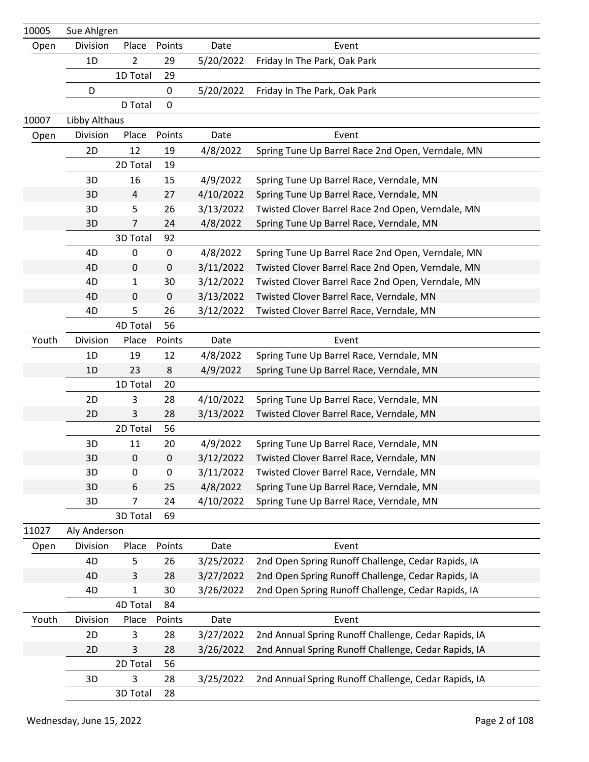| 10005 | Sue Ahlgren   |                |             |           |                                                      |
|-------|---------------|----------------|-------------|-----------|------------------------------------------------------|
| Open  | Division      | Place          | Points      | Date      | Event                                                |
|       | 1D            | $\overline{2}$ | 29          | 5/20/2022 | Friday In The Park, Oak Park                         |
|       |               | 1D Total       | 29          |           |                                                      |
|       | D             |                | 0           | 5/20/2022 | Friday In The Park, Oak Park                         |
|       |               | D Total        | $\mathbf 0$ |           |                                                      |
| 10007 | Libby Althaus |                |             |           |                                                      |
| Open  | Division      | Place          | Points      | Date      | Event                                                |
|       | 2D            | 12             | 19          | 4/8/2022  | Spring Tune Up Barrel Race 2nd Open, Verndale, MN    |
|       |               | 2D Total       | 19          |           |                                                      |
|       | 3D            | 16             | 15          | 4/9/2022  | Spring Tune Up Barrel Race, Verndale, MN             |
|       | 3D            | $\overline{4}$ | 27          | 4/10/2022 | Spring Tune Up Barrel Race, Verndale, MN             |
|       | 3D            | 5              | 26          | 3/13/2022 | Twisted Clover Barrel Race 2nd Open, Verndale, MN    |
|       | 3D            | $\overline{7}$ | 24          | 4/8/2022  | Spring Tune Up Barrel Race, Verndale, MN             |
|       |               | 3D Total       | 92          |           |                                                      |
|       | 4D            | 0              | 0           | 4/8/2022  | Spring Tune Up Barrel Race 2nd Open, Verndale, MN    |
|       | 4D            | 0              | $\pmb{0}$   | 3/11/2022 | Twisted Clover Barrel Race 2nd Open, Verndale, MN    |
|       | 4D            | 1              | 30          | 3/12/2022 | Twisted Clover Barrel Race 2nd Open, Verndale, MN    |
|       | 4D            | 0              | $\pmb{0}$   | 3/13/2022 | Twisted Clover Barrel Race, Verndale, MN             |
|       | 4D            | 5              | 26          | 3/12/2022 | Twisted Clover Barrel Race, Verndale, MN             |
|       |               | 4D Total       | 56          |           |                                                      |
| Youth | Division      | Place          | Points      | Date      | Event                                                |
|       | 1D            | 19             | 12          | 4/8/2022  | Spring Tune Up Barrel Race, Verndale, MN             |
|       | 1D            | 23             | 8           | 4/9/2022  | Spring Tune Up Barrel Race, Verndale, MN             |
|       |               | 1D Total       | 20          |           |                                                      |
|       | 2D            | 3              | 28          | 4/10/2022 | Spring Tune Up Barrel Race, Verndale, MN             |
|       | 2D            | 3              | 28          | 3/13/2022 | Twisted Clover Barrel Race, Verndale, MN             |
|       |               | 2D Total       | 56          |           |                                                      |
|       | 3D            | 11             | 20          | 4/9/2022  | Spring Tune Up Barrel Race, Verndale, MN             |
|       | 3D            | 0              | $\pmb{0}$   | 3/12/2022 | Twisted Clover Barrel Race, Verndale, MN             |
|       | 3D            | 0              | 0           | 3/11/2022 | Twisted Clover Barrel Race, Verndale, MN             |
|       | 3D            | 6              | 25          | 4/8/2022  | Spring Tune Up Barrel Race, Verndale, MN             |
|       | 3D            | 7              | 24          | 4/10/2022 | Spring Tune Up Barrel Race, Verndale, MN             |
|       |               | 3D Total       | 69          |           |                                                      |
| 11027 | Aly Anderson  |                |             |           |                                                      |
| Open  | Division      | Place          | Points      | Date      | Event                                                |
|       | 4D            | 5              | 26          | 3/25/2022 | 2nd Open Spring Runoff Challenge, Cedar Rapids, IA   |
|       | 4D            | 3              | 28          | 3/27/2022 | 2nd Open Spring Runoff Challenge, Cedar Rapids, IA   |
|       | 4D            | 1              | 30          | 3/26/2022 | 2nd Open Spring Runoff Challenge, Cedar Rapids, IA   |
|       |               | 4D Total       | 84          |           |                                                      |
| Youth | Division      | Place          | Points      | Date      | Event                                                |
|       | 2D            | 3              | 28          | 3/27/2022 | 2nd Annual Spring Runoff Challenge, Cedar Rapids, IA |
|       | 2D            | 3              | 28          | 3/26/2022 | 2nd Annual Spring Runoff Challenge, Cedar Rapids, IA |
|       |               | 2D Total       | 56          |           |                                                      |
|       | 3D            | 3              | 28          | 3/25/2022 | 2nd Annual Spring Runoff Challenge, Cedar Rapids, IA |
|       |               | 3D Total       | 28          |           |                                                      |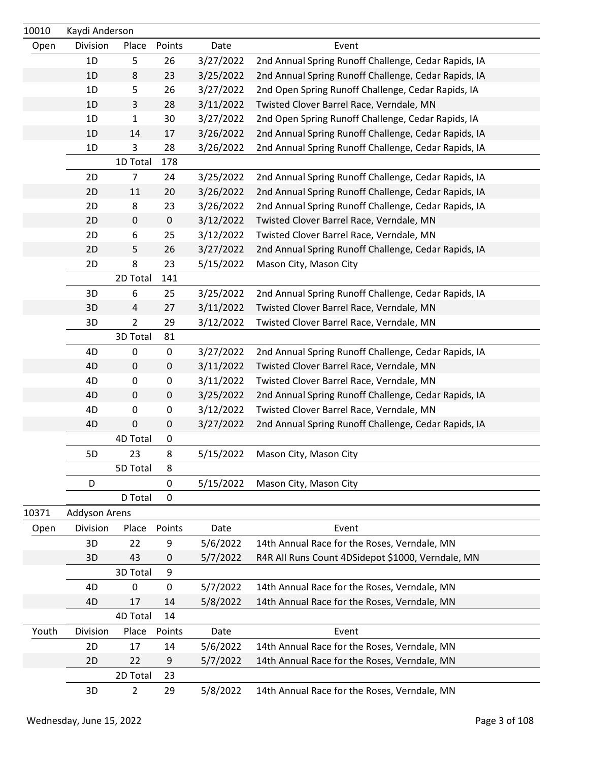| 10010 | Kaydi Anderson |                |        |           |                                                      |
|-------|----------------|----------------|--------|-----------|------------------------------------------------------|
| Open  | Division       | Place          | Points | Date      | Event                                                |
|       | 1D             | 5              | 26     | 3/27/2022 | 2nd Annual Spring Runoff Challenge, Cedar Rapids, IA |
|       | 1D             | 8              | 23     | 3/25/2022 | 2nd Annual Spring Runoff Challenge, Cedar Rapids, IA |
|       | 1D             | 5              | 26     | 3/27/2022 | 2nd Open Spring Runoff Challenge, Cedar Rapids, IA   |
|       | 1D             | $\mathbf{3}$   | 28     | 3/11/2022 | Twisted Clover Barrel Race, Verndale, MN             |
|       | 1D             | 1              | 30     | 3/27/2022 | 2nd Open Spring Runoff Challenge, Cedar Rapids, IA   |
|       | 1D             | 14             | 17     | 3/26/2022 | 2nd Annual Spring Runoff Challenge, Cedar Rapids, IA |
|       | 1D             | 3              | 28     | 3/26/2022 | 2nd Annual Spring Runoff Challenge, Cedar Rapids, IA |
|       |                | 1D Total       | 178    |           |                                                      |
|       | 2D             | $\overline{7}$ | 24     | 3/25/2022 | 2nd Annual Spring Runoff Challenge, Cedar Rapids, IA |
|       | 2D             | 11             | 20     | 3/26/2022 | 2nd Annual Spring Runoff Challenge, Cedar Rapids, IA |
|       | 2D             | 8              | 23     | 3/26/2022 | 2nd Annual Spring Runoff Challenge, Cedar Rapids, IA |
|       | 2D             | $\pmb{0}$      | 0      | 3/12/2022 | Twisted Clover Barrel Race, Verndale, MN             |
|       | 2D             | 6              | 25     | 3/12/2022 | Twisted Clover Barrel Race, Verndale, MN             |
|       | 2D             | 5              | 26     | 3/27/2022 | 2nd Annual Spring Runoff Challenge, Cedar Rapids, IA |
|       | 2D             | 8              | 23     | 5/15/2022 | Mason City, Mason City                               |
|       |                | 2D Total       | 141    |           |                                                      |
|       | 3D             | 6              | 25     | 3/25/2022 | 2nd Annual Spring Runoff Challenge, Cedar Rapids, IA |
|       | 3D             | $\overline{4}$ | 27     | 3/11/2022 | Twisted Clover Barrel Race, Verndale, MN             |
|       | 3D             | $\overline{2}$ | 29     | 3/12/2022 | Twisted Clover Barrel Race, Verndale, MN             |
|       |                | 3D Total       | 81     |           |                                                      |
|       | 4D             | $\pmb{0}$      | 0      | 3/27/2022 | 2nd Annual Spring Runoff Challenge, Cedar Rapids, IA |
|       | 4D             | $\pmb{0}$      | 0      | 3/11/2022 | Twisted Clover Barrel Race, Verndale, MN             |
|       | 4D             | $\pmb{0}$      | 0      | 3/11/2022 | Twisted Clover Barrel Race, Verndale, MN             |
|       | 4D             | $\pmb{0}$      | 0      | 3/25/2022 | 2nd Annual Spring Runoff Challenge, Cedar Rapids, IA |
|       | 4D             | $\pmb{0}$      | 0      | 3/12/2022 | Twisted Clover Barrel Race, Verndale, MN             |
|       | 4D             | $\pmb{0}$      | 0      | 3/27/2022 | 2nd Annual Spring Runoff Challenge, Cedar Rapids, IA |
|       |                | 4D Total       | 0      |           |                                                      |
|       | 5D             | 23             | 8      | 5/15/2022 | Mason City, Mason City                               |
|       |                | 5D Total       | 8      |           |                                                      |
|       | D              |                | 0      | 5/15/2022 | Mason City, Mason City                               |
|       |                | D Total        | 0      |           |                                                      |
| 10371 | Addyson Arens  |                |        |           |                                                      |
| Open  | Division       | Place          | Points | Date      | Event                                                |
|       | 3D             | 22             | 9      | 5/6/2022  | 14th Annual Race for the Roses, Verndale, MN         |
|       | 3D             | 43             | 0      | 5/7/2022  | R4R All Runs Count 4DSidepot \$1000, Verndale, MN    |
|       |                | 3D Total       | 9      |           |                                                      |
|       | 4D             | $\mathbf 0$    | 0      | 5/7/2022  | 14th Annual Race for the Roses, Verndale, MN         |
|       | 4D             | 17             | 14     | 5/8/2022  | 14th Annual Race for the Roses, Verndale, MN         |
|       |                | 4D Total       | 14     |           |                                                      |
| Youth | Division       | Place          | Points | Date      | Event                                                |
|       | 2D             | 17             | 14     | 5/6/2022  | 14th Annual Race for the Roses, Verndale, MN         |
|       | 2D             | 22             | 9      | 5/7/2022  | 14th Annual Race for the Roses, Verndale, MN         |
|       |                | 2D Total       | 23     |           |                                                      |
|       | 3D             | $\overline{2}$ | 29     | 5/8/2022  | 14th Annual Race for the Roses, Verndale, MN         |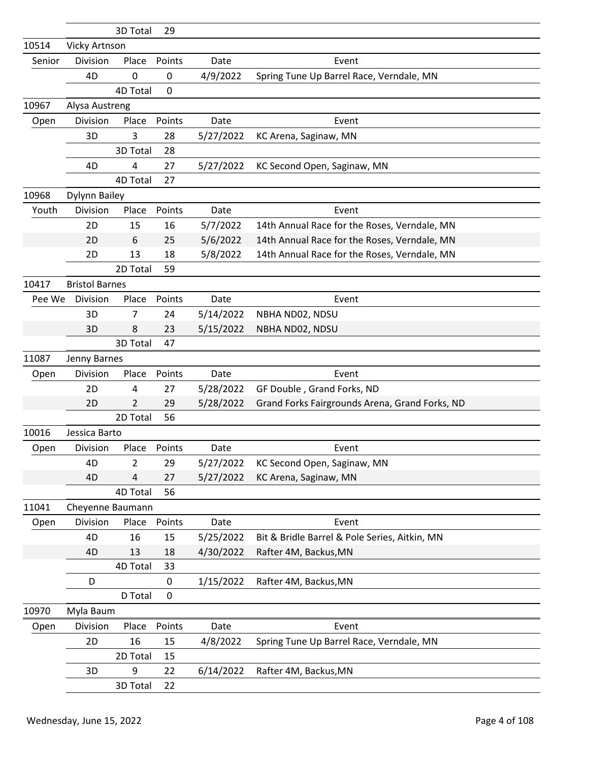|        |                       | 3D Total        | 29          |           |                                                |
|--------|-----------------------|-----------------|-------------|-----------|------------------------------------------------|
| 10514  | Vicky Artnson         |                 |             |           |                                                |
| Senior | Division              | Place           | Points      | Date      | Event                                          |
|        | 4D                    | 0               | 0           | 4/9/2022  | Spring Tune Up Barrel Race, Verndale, MN       |
|        |                       | <b>4D Total</b> | $\mathbf 0$ |           |                                                |
| 10967  | Alysa Austreng        |                 |             |           |                                                |
| Open   | Division              | Place           | Points      | Date      | Event                                          |
|        | 3D                    | 3               | 28          | 5/27/2022 | KC Arena, Saginaw, MN                          |
|        |                       | 3D Total        | 28          |           |                                                |
|        | 4D                    | 4               | 27          | 5/27/2022 | KC Second Open, Saginaw, MN                    |
|        |                       | 4D Total        | 27          |           |                                                |
| 10968  | Dylynn Bailey         |                 |             |           |                                                |
| Youth  | Division              | Place           | Points      | Date      | Event                                          |
|        | 2D                    | 15              | 16          | 5/7/2022  | 14th Annual Race for the Roses, Verndale, MN   |
|        | 2D                    | 6               | 25          | 5/6/2022  | 14th Annual Race for the Roses, Verndale, MN   |
|        | 2D                    | 13              | 18          | 5/8/2022  | 14th Annual Race for the Roses, Verndale, MN   |
|        |                       | 2D Total        | 59          |           |                                                |
| 10417  | <b>Bristol Barnes</b> |                 |             |           |                                                |
| Pee We | Division              | Place           | Points      | Date      | Event                                          |
|        | 3D                    | 7               | 24          | 5/14/2022 | NBHA ND02, NDSU                                |
|        | 3D                    | 8               | 23          | 5/15/2022 | NBHA ND02, NDSU                                |
|        |                       | 3D Total        | 47          |           |                                                |
| 11087  | Jenny Barnes          |                 |             |           |                                                |
| Open   | Division              | Place           | Points      | Date      | Event                                          |
|        | 2D                    | 4               | 27          | 5/28/2022 | GF Double, Grand Forks, ND                     |
|        | 2D                    | 2               | 29          | 5/28/2022 | Grand Forks Fairgrounds Arena, Grand Forks, ND |
|        |                       | 2D Total        | 56          |           |                                                |
| 10016  | Jessica Barto         |                 |             |           |                                                |
| Open   | Division              | Place           | Points      | Date      | Event                                          |
|        | 4D                    | $\overline{2}$  | 29          | 5/27/2022 | KC Second Open, Saginaw, MN                    |
|        | 4D                    | 4               | 27          | 5/27/2022 | KC Arena, Saginaw, MN                          |
|        |                       | 4D Total        | 56          |           |                                                |
| 11041  | Cheyenne Baumann      |                 |             |           |                                                |
| Open   | Division              | Place           | Points      | Date      | Event                                          |
|        | 4D                    | 16              | 15          | 5/25/2022 | Bit & Bridle Barrel & Pole Series, Aitkin, MN  |
|        | 4D                    | 13              | 18          | 4/30/2022 | Rafter 4M, Backus, MN                          |
|        |                       | 4D Total        | 33          |           |                                                |
|        | D                     |                 | $\mathbf 0$ | 1/15/2022 | Rafter 4M, Backus, MN                          |
|        |                       | D Total         | $\mathbf 0$ |           |                                                |
| 10970  | Myla Baum             |                 |             |           |                                                |
| Open   | Division              | Place           | Points      | Date      | Event                                          |
|        | 2D                    | 16              | 15          | 4/8/2022  | Spring Tune Up Barrel Race, Verndale, MN       |
|        |                       | 2D Total        | 15          |           |                                                |
|        | 3D                    | 9               | 22          | 6/14/2022 | Rafter 4M, Backus, MN                          |
|        |                       | 3D Total        | 22          |           |                                                |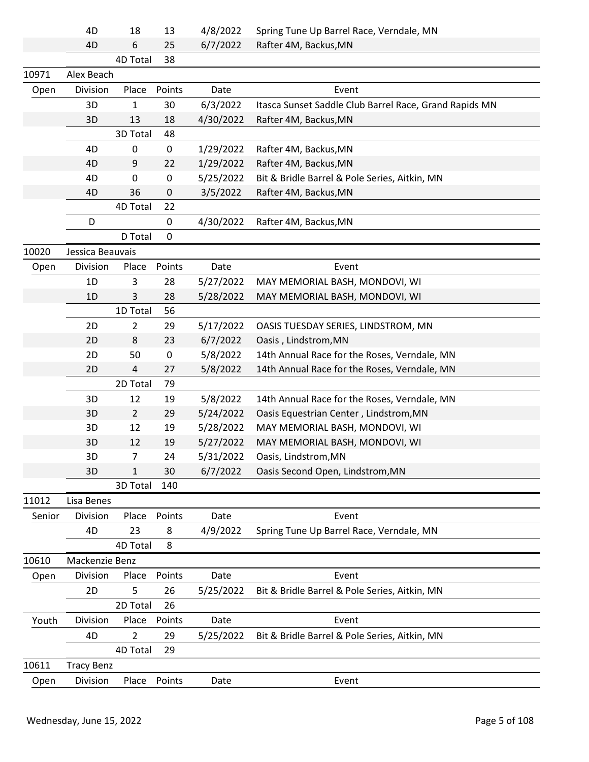|        | 4D                | 18             | 13     | 4/8/2022  | Spring Tune Up Barrel Race, Verndale, MN               |
|--------|-------------------|----------------|--------|-----------|--------------------------------------------------------|
|        | 4D                | 6              | 25     | 6/7/2022  | Rafter 4M, Backus, MN                                  |
|        |                   | 4D Total       | 38     |           |                                                        |
| 10971  | Alex Beach        |                |        |           |                                                        |
| Open   | Division          | Place          | Points | Date      | Event                                                  |
|        | 3D                | 1              | 30     | 6/3/2022  | Itasca Sunset Saddle Club Barrel Race, Grand Rapids MN |
|        | 3D                | 13             | 18     | 4/30/2022 | Rafter 4M, Backus, MN                                  |
|        |                   | 3D Total       | 48     |           |                                                        |
|        | 4D                | 0              | 0      | 1/29/2022 | Rafter 4M, Backus, MN                                  |
|        | 4D                | 9              | 22     | 1/29/2022 | Rafter 4M, Backus, MN                                  |
|        | 4D                | 0              | 0      | 5/25/2022 | Bit & Bridle Barrel & Pole Series, Aitkin, MN          |
|        | 4D                | 36             | 0      | 3/5/2022  | Rafter 4M, Backus, MN                                  |
|        |                   | 4D Total       | 22     |           |                                                        |
|        | D                 |                | 0      | 4/30/2022 | Rafter 4M, Backus, MN                                  |
|        |                   | D Total        | 0      |           |                                                        |
| 10020  | Jessica Beauvais  |                |        |           |                                                        |
| Open   | Division          | Place          | Points | Date      | Event                                                  |
|        | 1D                | 3              | 28     | 5/27/2022 | MAY MEMORIAL BASH, MONDOVI, WI                         |
|        | 1D                | 3              | 28     | 5/28/2022 | MAY MEMORIAL BASH, MONDOVI, WI                         |
|        |                   | 1D Total       | 56     |           |                                                        |
|        | 2D                | $\overline{2}$ | 29     | 5/17/2022 | OASIS TUESDAY SERIES, LINDSTROM, MN                    |
|        | 2D                | 8              | 23     | 6/7/2022  | Oasis, Lindstrom, MN                                   |
|        | 2D                | 50             | 0      | 5/8/2022  | 14th Annual Race for the Roses, Verndale, MN           |
|        | 2D                | 4              | 27     | 5/8/2022  | 14th Annual Race for the Roses, Verndale, MN           |
|        |                   | 2D Total       | 79     |           |                                                        |
|        | 3D                | 12             | 19     | 5/8/2022  | 14th Annual Race for the Roses, Verndale, MN           |
|        | 3D                | $\overline{2}$ | 29     | 5/24/2022 | Oasis Equestrian Center, Lindstrom, MN                 |
|        | 3D                | 12             | 19     | 5/28/2022 | MAY MEMORIAL BASH, MONDOVI, WI                         |
|        | 3D                | 12             | 19     | 5/27/2022 | MAY MEMORIAL BASH, MONDOVI, WI                         |
|        | 3D                | 7              | 24     | 5/31/2022 | Oasis, Lindstrom, MN                                   |
|        | 3D                | 1              | 30     | 6/7/2022  | Oasis Second Open, Lindstrom, MN                       |
|        |                   | 3D Total       | 140    |           |                                                        |
| 11012  | Lisa Benes        |                |        |           |                                                        |
| Senior | Division          | Place          | Points | Date      | Event                                                  |
|        | 4D                | 23             | 8      | 4/9/2022  | Spring Tune Up Barrel Race, Verndale, MN               |
|        |                   | 4D Total       | 8      |           |                                                        |
| 10610  | Mackenzie Benz    |                |        |           |                                                        |
| Open   | Division          | Place          | Points | Date      | Event                                                  |
|        | 2D                | 5              | 26     | 5/25/2022 | Bit & Bridle Barrel & Pole Series, Aitkin, MN          |
|        |                   | 2D Total       | 26     |           |                                                        |
| Youth  | Division          | Place          | Points | Date      | Event                                                  |
|        | 4D                | $\overline{2}$ | 29     | 5/25/2022 | Bit & Bridle Barrel & Pole Series, Aitkin, MN          |
|        |                   | 4D Total       | 29     |           |                                                        |
| 10611  | <b>Tracy Benz</b> |                |        |           |                                                        |
| Open   | Division          | Place          | Points | Date      | Event                                                  |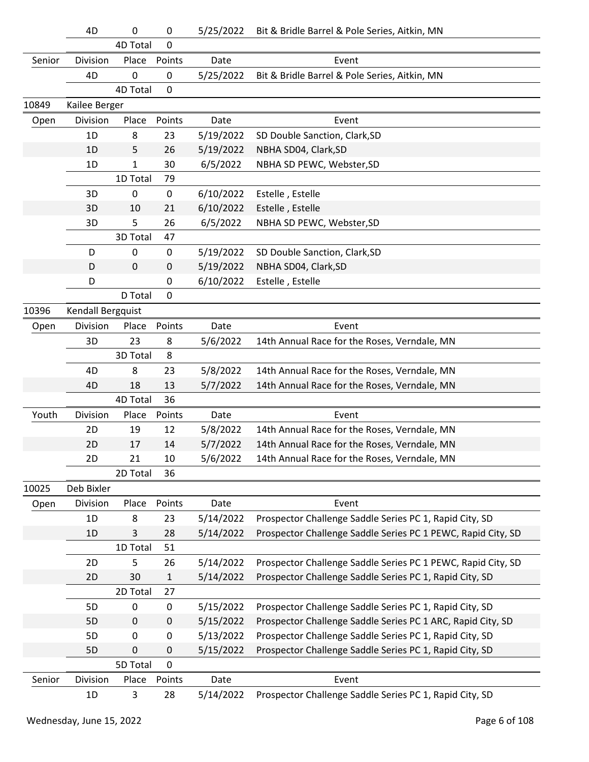|        | 4D                | 0            | $\mathbf 0$      | 5/25/2022 | Bit & Bridle Barrel & Pole Series, Aitkin, MN                |
|--------|-------------------|--------------|------------------|-----------|--------------------------------------------------------------|
|        |                   | 4D Total     | $\mathbf 0$      |           |                                                              |
| Senior | Division          | Place        | Points           | Date      | Event                                                        |
|        | 4D                | 0            | 0                | 5/25/2022 | Bit & Bridle Barrel & Pole Series, Aitkin, MN                |
|        |                   | 4D Total     | $\mathbf 0$      |           |                                                              |
| 10849  | Kailee Berger     |              |                  |           |                                                              |
| Open   | Division          | Place        | Points           | Date      | Event                                                        |
|        | 1D                | 8            | 23               | 5/19/2022 | SD Double Sanction, Clark, SD                                |
|        | 1D                | 5            | 26               | 5/19/2022 | NBHA SD04, Clark, SD                                         |
|        | 1D                | $\mathbf{1}$ | 30               | 6/5/2022  | NBHA SD PEWC, Webster, SD                                    |
|        |                   | 1D Total     | 79               |           |                                                              |
|        | 3D                | 0            | $\pmb{0}$        | 6/10/2022 | Estelle, Estelle                                             |
|        | 3D                | 10           | 21               | 6/10/2022 | Estelle, Estelle                                             |
|        | 3D                | 5            | 26               | 6/5/2022  | NBHA SD PEWC, Webster, SD                                    |
|        |                   | 3D Total     | 47               |           |                                                              |
|        | D                 | 0            | $\boldsymbol{0}$ | 5/19/2022 | SD Double Sanction, Clark, SD                                |
|        | D                 | 0            | 0                | 5/19/2022 | NBHA SD04, Clark, SD                                         |
|        | D                 |              | 0                | 6/10/2022 | Estelle, Estelle                                             |
|        |                   | D Total      | $\mathbf 0$      |           |                                                              |
| 10396  | Kendall Bergquist |              |                  |           |                                                              |
| Open   | Division          | Place        | Points           | Date      | Event                                                        |
|        | 3D                | 23           | 8                | 5/6/2022  | 14th Annual Race for the Roses, Verndale, MN                 |
|        |                   | 3D Total     | 8                |           |                                                              |
|        | 4D                | 8            | 23               | 5/8/2022  | 14th Annual Race for the Roses, Verndale, MN                 |
|        | 4D                | 18           | 13               | 5/7/2022  | 14th Annual Race for the Roses, Verndale, MN                 |
|        |                   | 4D Total     | 36               |           |                                                              |
| Youth  | Division          | Place        | Points           | Date      | Event                                                        |
|        | 2D                | 19           | 12               | 5/8/2022  | 14th Annual Race for the Roses, Verndale, MN                 |
|        | 2D                | 17           | 14               | 5/7/2022  | 14th Annual Race for the Roses, Verndale, MN                 |
|        | 2D                | 21           | 10               | 5/6/2022  | 14th Annual Race for the Roses, Verndale, MN                 |
|        |                   | 2D Total     | 36               |           |                                                              |
| 10025  | Deb Bixler        |              |                  |           |                                                              |
| Open   | Division          | Place        | Points           | Date      | Event                                                        |
|        | 1D                | 8            | 23               | 5/14/2022 | Prospector Challenge Saddle Series PC 1, Rapid City, SD      |
|        | 1D                | 3            | 28               | 5/14/2022 | Prospector Challenge Saddle Series PC 1 PEWC, Rapid City, SD |
|        |                   | 1D Total     | 51               |           |                                                              |
|        | 2D                | 5            | 26               | 5/14/2022 | Prospector Challenge Saddle Series PC 1 PEWC, Rapid City, SD |
|        | 2D                | 30           | 1                | 5/14/2022 | Prospector Challenge Saddle Series PC 1, Rapid City, SD      |
|        |                   | 2D Total     | 27               |           |                                                              |
|        | 5D                | 0            | 0                | 5/15/2022 | Prospector Challenge Saddle Series PC 1, Rapid City, SD      |
|        | 5D                | $\pmb{0}$    | $\pmb{0}$        | 5/15/2022 | Prospector Challenge Saddle Series PC 1 ARC, Rapid City, SD  |
|        | 5D                | 0            | 0                | 5/13/2022 | Prospector Challenge Saddle Series PC 1, Rapid City, SD      |
|        | 5D                | $\mathbf 0$  | 0                | 5/15/2022 | Prospector Challenge Saddle Series PC 1, Rapid City, SD      |
|        |                   | 5D Total     | $\mathbf 0$      |           |                                                              |
| Senior | Division          | Place        | Points           | Date      | Event                                                        |
|        | 1D                | 3            | 28               | 5/14/2022 | Prospector Challenge Saddle Series PC 1, Rapid City, SD      |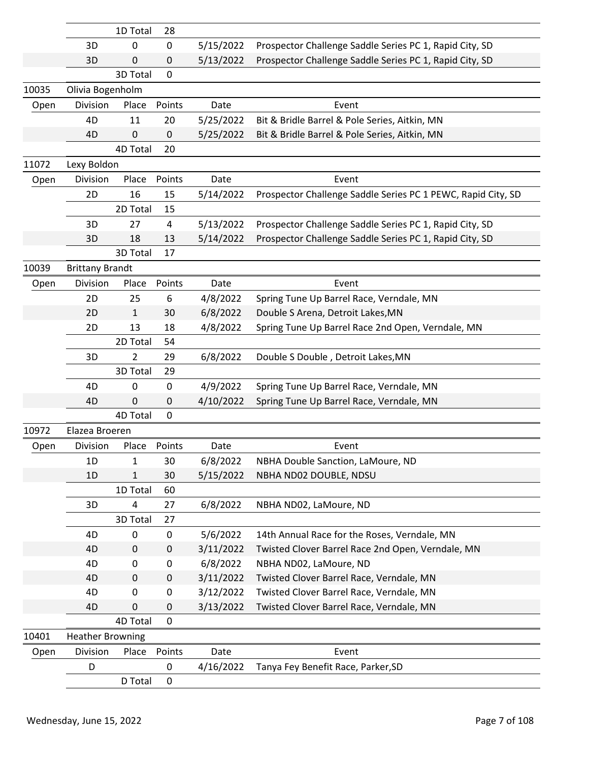|       |                         | 1D Total     | 28        |           |                                                              |
|-------|-------------------------|--------------|-----------|-----------|--------------------------------------------------------------|
|       | 3D                      | 0            | 0         | 5/15/2022 | Prospector Challenge Saddle Series PC 1, Rapid City, SD      |
|       | 3D                      | 0            | 0         | 5/13/2022 | Prospector Challenge Saddle Series PC 1, Rapid City, SD      |
|       |                         | 3D Total     | $\Omega$  |           |                                                              |
| 10035 | Olivia Bogenholm        |              |           |           |                                                              |
| Open  | Division                | Place        | Points    | Date      | Event                                                        |
|       | 4D                      | 11           | 20        | 5/25/2022 | Bit & Bridle Barrel & Pole Series, Aitkin, MN                |
|       | 4D                      | 0            | 0         | 5/25/2022 | Bit & Bridle Barrel & Pole Series, Aitkin, MN                |
|       |                         | 4D Total     | 20        |           |                                                              |
| 11072 | Lexy Boldon             |              |           |           |                                                              |
| Open  | Division                | Place        | Points    | Date      | Event                                                        |
|       | 2D                      | 16           | 15        | 5/14/2022 | Prospector Challenge Saddle Series PC 1 PEWC, Rapid City, SD |
|       |                         | 2D Total     | 15        |           |                                                              |
|       | 3D                      | 27           | 4         | 5/13/2022 | Prospector Challenge Saddle Series PC 1, Rapid City, SD      |
|       | 3D                      | 18           | 13        | 5/14/2022 | Prospector Challenge Saddle Series PC 1, Rapid City, SD      |
|       |                         | 3D Total     | 17        |           |                                                              |
| 10039 | <b>Brittany Brandt</b>  |              |           |           |                                                              |
| Open  | Division                | Place        | Points    | Date      | Event                                                        |
|       | 2D                      | 25           | 6         | 4/8/2022  | Spring Tune Up Barrel Race, Verndale, MN                     |
|       | 2D                      | $\mathbf{1}$ | 30        | 6/8/2022  | Double S Arena, Detroit Lakes, MN                            |
|       | 2D                      | 13           | 18        | 4/8/2022  | Spring Tune Up Barrel Race 2nd Open, Verndale, MN            |
|       |                         | 2D Total     | 54        |           |                                                              |
|       | 3D                      | 2            | 29        | 6/8/2022  | Double S Double, Detroit Lakes, MN                           |
|       |                         | 3D Total     | 29        |           |                                                              |
|       | 4D                      | 0            | 0         | 4/9/2022  | Spring Tune Up Barrel Race, Verndale, MN                     |
|       | 4D                      | 0            | 0         | 4/10/2022 | Spring Tune Up Barrel Race, Verndale, MN                     |
|       |                         | 4D Total     | 0         |           |                                                              |
| 10972 | Elazea Broeren          |              |           |           |                                                              |
| Open  | Division                | Place        | Points    | Date      | Event                                                        |
|       | 1D                      | 1            | 30        | 6/8/2022  | NBHA Double Sanction, LaMoure, ND                            |
|       | 1D                      | 1            | 30        | 5/15/2022 | NBHA ND02 DOUBLE, NDSU                                       |
|       |                         | 1D Total     | 60        |           |                                                              |
|       | 3D                      | 4            | 27        | 6/8/2022  | NBHA ND02, LaMoure, ND                                       |
|       |                         | 3D Total     | 27        |           |                                                              |
|       | 4D                      | $\mathbf 0$  | 0         | 5/6/2022  | 14th Annual Race for the Roses, Verndale, MN                 |
|       | 4D                      | 0            | $\pmb{0}$ | 3/11/2022 | Twisted Clover Barrel Race 2nd Open, Verndale, MN            |
|       | 4D                      | 0            | 0         | 6/8/2022  | NBHA ND02, LaMoure, ND                                       |
|       | 4D                      | 0            | $\pmb{0}$ | 3/11/2022 | Twisted Clover Barrel Race, Verndale, MN                     |
|       | 4D                      | 0            | 0         | 3/12/2022 | Twisted Clover Barrel Race, Verndale, MN                     |
|       | 4D                      | 0            | $\pmb{0}$ | 3/13/2022 | Twisted Clover Barrel Race, Verndale, MN                     |
|       |                         | 4D Total     | 0         |           |                                                              |
| 10401 | <b>Heather Browning</b> |              |           |           |                                                              |
| Open  | Division                | Place        | Points    | Date      | Event                                                        |
|       | D                       |              | 0         | 4/16/2022 | Tanya Fey Benefit Race, Parker, SD                           |
|       |                         | D Total      | 0         |           |                                                              |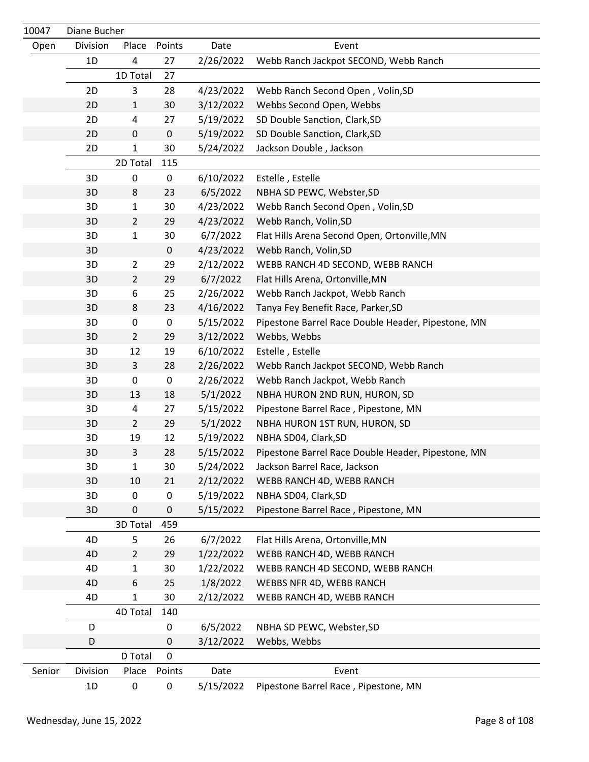| 10047  | Diane Bucher |                |             |           |                                                    |
|--------|--------------|----------------|-------------|-----------|----------------------------------------------------|
| Open   | Division     | Place          | Points      | Date      | Event                                              |
|        | 1D           | 4              | 27          | 2/26/2022 | Webb Ranch Jackpot SECOND, Webb Ranch              |
|        |              | 1D Total       | 27          |           |                                                    |
|        | 2D           | 3              | 28          | 4/23/2022 | Webb Ranch Second Open, Volin, SD                  |
|        | 2D           | 1              | 30          | 3/12/2022 | Webbs Second Open, Webbs                           |
|        | 2D           | 4              | 27          | 5/19/2022 | SD Double Sanction, Clark, SD                      |
|        | 2D           | 0              | $\mathbf 0$ | 5/19/2022 | SD Double Sanction, Clark, SD                      |
|        | 2D           | 1              | 30          | 5/24/2022 | Jackson Double, Jackson                            |
|        |              | 2D Total       | 115         |           |                                                    |
|        | 3D           | $\pmb{0}$      | $\pmb{0}$   | 6/10/2022 | Estelle, Estelle                                   |
|        | 3D           | 8              | 23          | 6/5/2022  | NBHA SD PEWC, Webster, SD                          |
|        | 3D           | 1              | 30          | 4/23/2022 | Webb Ranch Second Open, Volin, SD                  |
|        | 3D           | $\overline{2}$ | 29          | 4/23/2022 | Webb Ranch, Volin, SD                              |
|        | 3D           | $\mathbf 1$    | 30          | 6/7/2022  | Flat Hills Arena Second Open, Ortonville, MN       |
|        | 3D           |                | $\mathbf 0$ | 4/23/2022 | Webb Ranch, Volin, SD                              |
|        | 3D           | $\overline{2}$ | 29          | 2/12/2022 | WEBB RANCH 4D SECOND, WEBB RANCH                   |
|        | 3D           | $\overline{2}$ | 29          | 6/7/2022  | Flat Hills Arena, Ortonville, MN                   |
|        | 3D           | 6              | 25          | 2/26/2022 | Webb Ranch Jackpot, Webb Ranch                     |
|        | 3D           | 8              | 23          | 4/16/2022 | Tanya Fey Benefit Race, Parker, SD                 |
|        | 3D           | 0              | $\pmb{0}$   | 5/15/2022 | Pipestone Barrel Race Double Header, Pipestone, MN |
|        | 3D           | $\overline{2}$ | 29          | 3/12/2022 | Webbs, Webbs                                       |
|        | 3D           | 12             | 19          | 6/10/2022 | Estelle, Estelle                                   |
|        | 3D           | 3              | 28          | 2/26/2022 | Webb Ranch Jackpot SECOND, Webb Ranch              |
|        | 3D           | 0              | $\pmb{0}$   | 2/26/2022 | Webb Ranch Jackpot, Webb Ranch                     |
|        | 3D           | 13             | 18          | 5/1/2022  | NBHA HURON 2ND RUN, HURON, SD                      |
|        | 3D           | 4              | 27          | 5/15/2022 | Pipestone Barrel Race, Pipestone, MN               |
|        | 3D           | $\overline{2}$ | 29          | 5/1/2022  | NBHA HURON 1ST RUN, HURON, SD                      |
|        | 3D           | 19             | 12          | 5/19/2022 | NBHA SD04, Clark, SD                               |
|        | 3D           | 3              | 28          | 5/15/2022 | Pipestone Barrel Race Double Header, Pipestone, MN |
|        | 3D           | $\mathbf{1}$   | 30          | 5/24/2022 | Jackson Barrel Race, Jackson                       |
|        | 3D           | 10             | 21          | 2/12/2022 | WEBB RANCH 4D, WEBB RANCH                          |
|        | 3D           | 0              | $\pmb{0}$   | 5/19/2022 | NBHA SD04, Clark, SD                               |
|        | 3D           | 0              | 0           | 5/15/2022 | Pipestone Barrel Race, Pipestone, MN               |
|        |              | 3D Total       | 459         |           |                                                    |
|        | 4D           | 5              | 26          | 6/7/2022  | Flat Hills Arena, Ortonville, MN                   |
|        | 4D           | $\overline{2}$ | 29          | 1/22/2022 | WEBB RANCH 4D, WEBB RANCH                          |
|        | 4D           | 1              | 30          | 1/22/2022 | WEBB RANCH 4D SECOND, WEBB RANCH                   |
|        | 4D           | 6              | 25          | 1/8/2022  | WEBBS NFR 4D, WEBB RANCH                           |
|        | 4D           | 1              | 30          | 2/12/2022 | WEBB RANCH 4D, WEBB RANCH                          |
|        |              | 4D Total       | 140         |           |                                                    |
|        | D            |                | 0           | 6/5/2022  | NBHA SD PEWC, Webster, SD                          |
|        | D            |                | 0           | 3/12/2022 | Webbs, Webbs                                       |
|        |              | D Total        | $\mathbf 0$ |           |                                                    |
| Senior | Division     | Place          | Points      | Date      | Event                                              |
|        | 1D           | $\pmb{0}$      | 0           | 5/15/2022 | Pipestone Barrel Race, Pipestone, MN               |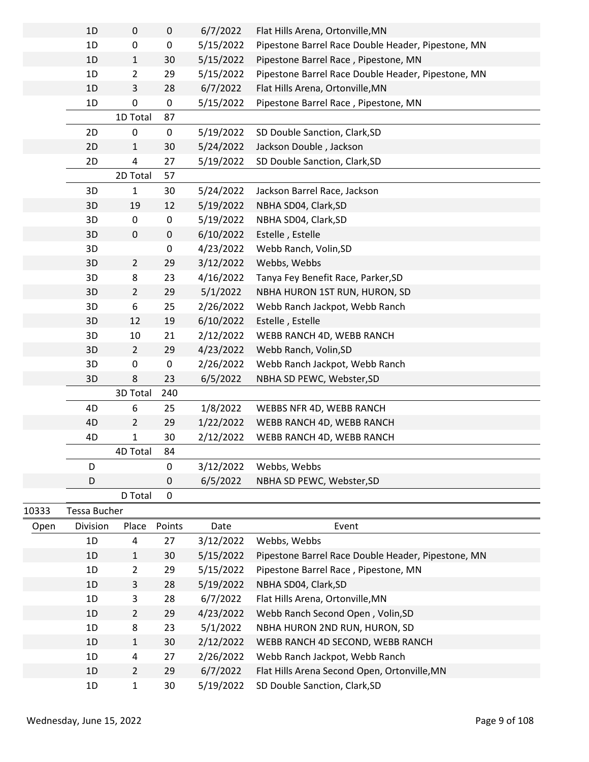|       | 1D           | $\pmb{0}$      | $\pmb{0}$   | 6/7/2022  | Flat Hills Arena, Ortonville, MN                   |
|-------|--------------|----------------|-------------|-----------|----------------------------------------------------|
|       | 1D           | $\pmb{0}$      | 0           | 5/15/2022 | Pipestone Barrel Race Double Header, Pipestone, MN |
|       | 1D           | $\mathbf 1$    | 30          | 5/15/2022 | Pipestone Barrel Race, Pipestone, MN               |
|       | 1D           | $\overline{2}$ | 29          | 5/15/2022 | Pipestone Barrel Race Double Header, Pipestone, MN |
|       | 1D           | 3              | 28          | 6/7/2022  | Flat Hills Arena, Ortonville, MN                   |
|       | 1D           | 0              | 0           | 5/15/2022 | Pipestone Barrel Race, Pipestone, MN               |
|       |              | 1D Total       | 87          |           |                                                    |
|       | 2D           | 0              | $\pmb{0}$   | 5/19/2022 | SD Double Sanction, Clark, SD                      |
|       | 2D           | $\mathbf{1}$   | 30          | 5/24/2022 | Jackson Double, Jackson                            |
|       | 2D           | $\pmb{4}$      | 27          | 5/19/2022 | SD Double Sanction, Clark, SD                      |
|       |              | 2D Total       | 57          |           |                                                    |
|       | 3D           | $\mathbf{1}$   | 30          | 5/24/2022 | Jackson Barrel Race, Jackson                       |
|       | 3D           | 19             | 12          | 5/19/2022 | NBHA SD04, Clark, SD                               |
|       | 3D           | 0              | 0           | 5/19/2022 | NBHA SD04, Clark, SD                               |
|       | 3D           | $\pmb{0}$      | 0           | 6/10/2022 | Estelle, Estelle                                   |
|       | 3D           |                | 0           | 4/23/2022 | Webb Ranch, Volin, SD                              |
|       | 3D           | $\overline{2}$ | 29          | 3/12/2022 | Webbs, Webbs                                       |
|       | 3D           | 8              | 23          | 4/16/2022 | Tanya Fey Benefit Race, Parker, SD                 |
|       | 3D           | $\overline{2}$ | 29          | 5/1/2022  | NBHA HURON 1ST RUN, HURON, SD                      |
|       | 3D           | 6              | 25          | 2/26/2022 | Webb Ranch Jackpot, Webb Ranch                     |
|       | 3D           | 12             | 19          | 6/10/2022 | Estelle, Estelle                                   |
|       | 3D           | 10             | 21          | 2/12/2022 | WEBB RANCH 4D, WEBB RANCH                          |
|       | 3D           | $\overline{2}$ | 29          | 4/23/2022 | Webb Ranch, Volin, SD                              |
|       | 3D           | 0              | 0           | 2/26/2022 | Webb Ranch Jackpot, Webb Ranch                     |
|       | 3D           | 8              | 23          | 6/5/2022  | NBHA SD PEWC, Webster, SD                          |
|       |              | 3D Total       | 240         |           |                                                    |
|       | 4D           | 6              | 25          | 1/8/2022  | WEBBS NFR 4D, WEBB RANCH                           |
|       | 4D           | $\overline{2}$ | 29          | 1/22/2022 | WEBB RANCH 4D, WEBB RANCH                          |
|       | 4D           | $\mathbf{1}$   | 30          | 2/12/2022 | WEBB RANCH 4D, WEBB RANCH                          |
|       |              | 4D Total       | 84          |           |                                                    |
|       | D            |                | $\mathsf 0$ | 3/12/2022 | Webbs, Webbs                                       |
|       | D            |                | 0           | 6/5/2022  | NBHA SD PEWC, Webster, SD                          |
|       |              | D Total        | 0           |           |                                                    |
| 10333 | Tessa Bucher |                |             |           |                                                    |

| ⊥∪ບບ | ו טאט שנטאר     |                |        |           |                                                    |
|------|-----------------|----------------|--------|-----------|----------------------------------------------------|
| Open | <b>Division</b> | Place          | Points | Date      | Event                                              |
|      | 1D              | 4              | 27     | 3/12/2022 | Webbs, Webbs                                       |
|      | 1D              | $\mathbf{1}$   | 30     | 5/15/2022 | Pipestone Barrel Race Double Header, Pipestone, MN |
|      | 1D              | 2              | 29     | 5/15/2022 | Pipestone Barrel Race, Pipestone, MN               |
|      | 1D              | 3              | 28     | 5/19/2022 | NBHA SD04, Clark, SD                               |
|      | 1D              | 3              | 28     | 6/7/2022  | Flat Hills Arena, Ortonville, MN                   |
|      | 1D              | $\overline{2}$ | 29     | 4/23/2022 | Webb Ranch Second Open, Volin, SD                  |
|      | 1D              | 8              | 23     | 5/1/2022  | NBHA HURON 2ND RUN, HURON, SD                      |
|      | 1D              | $\mathbf{1}$   | 30     | 2/12/2022 | WEBB RANCH 4D SECOND, WEBB RANCH                   |
|      | 1D              | 4              | 27     | 2/26/2022 | Webb Ranch Jackpot, Webb Ranch                     |
|      | 1D              | $\overline{2}$ | 29     | 6/7/2022  | Flat Hills Arena Second Open, Ortonville, MN       |
|      | 1D              | 1              | 30     | 5/19/2022 | SD Double Sanction, Clark, SD                      |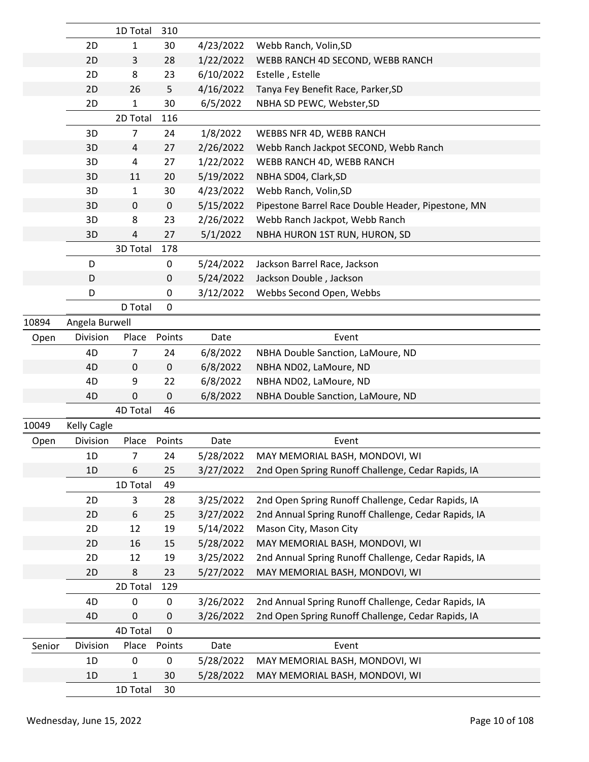|        |                    | 1D Total      | 310             |           |                                                      |
|--------|--------------------|---------------|-----------------|-----------|------------------------------------------------------|
|        | 2D<br>2D           | 1             | 30              | 4/23/2022 | Webb Ranch, Volin, SD                                |
|        |                    | 3             | 28              | 1/22/2022 | WEBB RANCH 4D SECOND, WEBB RANCH<br>Estelle, Estelle |
|        | 2D<br>2D           | 8             | 23              | 6/10/2022 |                                                      |
|        | 2D                 | 26            | 5<br>30         | 4/16/2022 | Tanya Fey Benefit Race, Parker, SD                   |
|        |                    | 1<br>2D Total | 116             | 6/5/2022  | NBHA SD PEWC, Webster, SD                            |
|        |                    |               |                 |           |                                                      |
|        | 3D                 | 7             | 24              | 1/8/2022  | WEBBS NFR 4D, WEBB RANCH                             |
|        | 3D                 | 4             | 27              | 2/26/2022 | Webb Ranch Jackpot SECOND, Webb Ranch                |
|        | 3D                 | 4             | 27              | 1/22/2022 | WEBB RANCH 4D, WEBB RANCH                            |
|        | 3D                 | 11            | 20              | 5/19/2022 | NBHA SD04, Clark, SD<br>Webb Ranch, Volin, SD        |
|        | 3D<br>3D           | 1<br>0        | 30<br>$\pmb{0}$ | 4/23/2022 |                                                      |
|        | 3D                 | 8             |                 | 5/15/2022 | Pipestone Barrel Race Double Header, Pipestone, MN   |
|        | 3D                 | 4             | 23<br>27        | 2/26/2022 | Webb Ranch Jackpot, Webb Ranch                       |
|        |                    | 3D Total      | 178             | 5/1/2022  | NBHA HURON 1ST RUN, HURON, SD                        |
|        | D                  |               | 0               |           |                                                      |
|        |                    |               |                 | 5/24/2022 | Jackson Barrel Race, Jackson                         |
|        | D<br>D             |               | 0<br>0          | 5/24/2022 | Jackson Double, Jackson                              |
|        |                    | D Total       | 0               | 3/12/2022 | Webbs Second Open, Webbs                             |
| 10894  | Angela Burwell     |               |                 |           |                                                      |
|        | Division           |               | Points          | Date      |                                                      |
| Open   |                    | Place         |                 |           | Event                                                |
|        | 4D                 | 7             | 24              | 6/8/2022  | NBHA Double Sanction, LaMoure, ND                    |
|        | 4D                 | 0             | $\pmb{0}$       | 6/8/2022  | NBHA ND02, LaMoure, ND                               |
|        | 4D                 | 9             | 22              | 6/8/2022  | NBHA ND02, LaMoure, ND                               |
|        | 4D                 | 0             | 0               | 6/8/2022  | NBHA Double Sanction, LaMoure, ND                    |
|        |                    | 4D Total      | 46              |           |                                                      |
| 10049  | <b>Kelly Cagle</b> |               |                 |           |                                                      |
| Open   | Division           | Place         | Points          | Date      | Event                                                |
|        | 1D                 | 7             | 24              | 5/28/2022 | MAY MEMORIAL BASH, MONDOVI, WI                       |
|        | 1D                 | 6             | 25              | 3/27/2022 | 2nd Open Spring Runoff Challenge, Cedar Rapids, IA   |
|        |                    | 1D Total      | 49              |           |                                                      |
|        | 2D                 | 3             | 28              | 3/25/2022 | 2nd Open Spring Runoff Challenge, Cedar Rapids, IA   |
|        | 2D                 | 6             | 25              | 3/27/2022 | 2nd Annual Spring Runoff Challenge, Cedar Rapids, IA |
|        | 2D                 | 12            | 19              | 5/14/2022 | Mason City, Mason City                               |
|        | 2D                 | 16            | 15              | 5/28/2022 | MAY MEMORIAL BASH, MONDOVI, WI                       |
|        | 2D                 | 12            | 19              | 3/25/2022 | 2nd Annual Spring Runoff Challenge, Cedar Rapids, IA |
|        | 2D                 | 8             | 23              | 5/27/2022 | MAY MEMORIAL BASH, MONDOVI, WI                       |
|        |                    | 2D Total      | 129             |           |                                                      |
|        | 4D                 | 0             | 0               | 3/26/2022 | 2nd Annual Spring Runoff Challenge, Cedar Rapids, IA |
|        | 4D                 | 0             | 0               | 3/26/2022 | 2nd Open Spring Runoff Challenge, Cedar Rapids, IA   |
|        |                    | 4D Total      | 0               |           |                                                      |
| Senior | Division           | Place         | Points          | Date      | Event                                                |
|        | 1D                 | 0             | 0               | 5/28/2022 | MAY MEMORIAL BASH, MONDOVI, WI                       |
|        | 1D                 | 1             | 30              | 5/28/2022 | MAY MEMORIAL BASH, MONDOVI, WI                       |
|        |                    | 1D Total      | 30              |           |                                                      |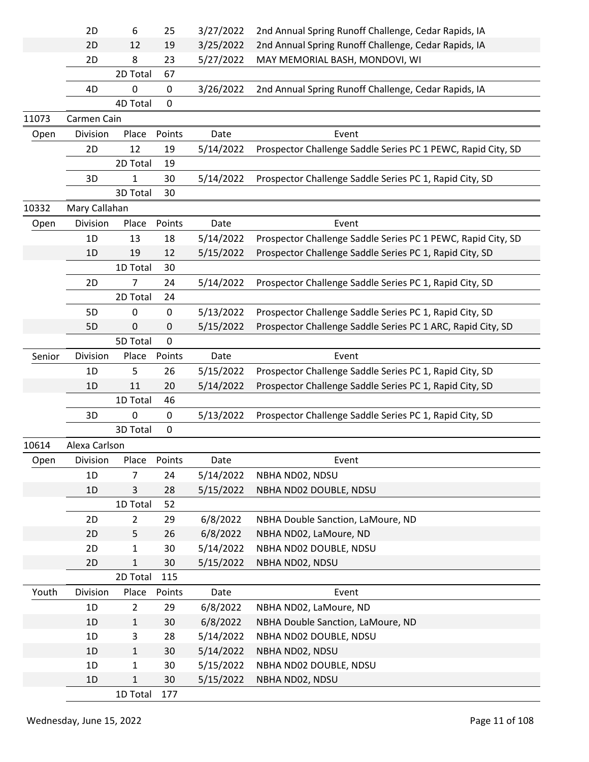|        | 2D            | 6                        | 25          | 3/27/2022 | 2nd Annual Spring Runoff Challenge, Cedar Rapids, IA         |
|--------|---------------|--------------------------|-------------|-----------|--------------------------------------------------------------|
|        | 2D            | 12                       | 19          | 3/25/2022 | 2nd Annual Spring Runoff Challenge, Cedar Rapids, IA         |
|        | 2D            | 8                        | 23          | 5/27/2022 | MAY MEMORIAL BASH, MONDOVI, WI                               |
|        |               | 2D Total                 | 67          |           |                                                              |
|        | 4D            | 0                        | 0           | 3/26/2022 | 2nd Annual Spring Runoff Challenge, Cedar Rapids, IA         |
|        |               | 4D Total                 | $\mathbf 0$ |           |                                                              |
| 11073  | Carmen Cain   |                          |             |           |                                                              |
| Open   | Division      | Place                    | Points      | Date      | Event                                                        |
|        | 2D            | 12                       | 19          | 5/14/2022 | Prospector Challenge Saddle Series PC 1 PEWC, Rapid City, SD |
|        |               | 2D Total                 | 19          |           |                                                              |
|        | 3D            | 1                        | 30          | 5/14/2022 | Prospector Challenge Saddle Series PC 1, Rapid City, SD      |
|        |               | 3D Total                 | 30          |           |                                                              |
| 10332  | Mary Callahan |                          |             |           |                                                              |
| Open   | Division      | Place                    | Points      | Date      | Event                                                        |
|        | 1D            | 13                       | 18          | 5/14/2022 | Prospector Challenge Saddle Series PC 1 PEWC, Rapid City, SD |
|        | 1D            | 19                       | 12          | 5/15/2022 | Prospector Challenge Saddle Series PC 1, Rapid City, SD      |
|        |               | 1D Total                 | 30          |           |                                                              |
|        | 2D            | $\overline{7}$           | 24          | 5/14/2022 | Prospector Challenge Saddle Series PC 1, Rapid City, SD      |
|        |               | 2D Total                 | 24          |           |                                                              |
|        | 5D            | 0                        | 0           | 5/13/2022 | Prospector Challenge Saddle Series PC 1, Rapid City, SD      |
|        | 5D            | 0                        | 0           | 5/15/2022 | Prospector Challenge Saddle Series PC 1 ARC, Rapid City, SD  |
|        |               | 5D Total                 | 0           |           |                                                              |
| Senior | Division      | Place                    | Points      | Date      | Event                                                        |
|        | 1D            | 5                        | 26          | 5/15/2022 | Prospector Challenge Saddle Series PC 1, Rapid City, SD      |
|        | 1D            | 11                       | 20          | 5/14/2022 | Prospector Challenge Saddle Series PC 1, Rapid City, SD      |
|        |               | 1D Total                 | 46          |           |                                                              |
|        | 3D            | 0                        | 0           | 5/13/2022 | Prospector Challenge Saddle Series PC 1, Rapid City, SD      |
|        |               | 3D Total                 | $\mathbf 0$ |           |                                                              |
| 10614  | Alexa Carlson |                          |             |           |                                                              |
| Open   | Division      | Place                    | Points      | Date      | Event                                                        |
|        | 1D            | $\overline{7}$           | 24          | 5/14/2022 | NBHA ND02, NDSU                                              |
|        | 1D            |                          |             |           |                                                              |
|        |               |                          |             |           |                                                              |
|        |               | 3                        | 28          | 5/15/2022 | NBHA ND02 DOUBLE, NDSU                                       |
|        |               | 1D Total                 | 52          |           |                                                              |
|        | 2D            | $\overline{2}$           | 29          | 6/8/2022  | NBHA Double Sanction, LaMoure, ND                            |
|        | 2D            | 5                        | 26          | 6/8/2022  | NBHA ND02, LaMoure, ND                                       |
|        | 2D            | 1                        | 30          | 5/14/2022 | NBHA ND02 DOUBLE, NDSU                                       |
|        | 2D            | $\mathbf{1}$             | 30          | 5/15/2022 | NBHA ND02, NDSU                                              |
|        |               | 2D Total                 | 115         |           |                                                              |
| Youth  | Division      | Place                    | Points      | Date      | Event                                                        |
|        | 1D            | $\overline{2}$           | 29          | 6/8/2022  | NBHA ND02, LaMoure, ND                                       |
|        | 1D            | $\mathbf{1}$             | 30          | 6/8/2022  | NBHA Double Sanction, LaMoure, ND                            |
|        | 1D            | 3                        | 28          | 5/14/2022 | NBHA ND02 DOUBLE, NDSU                                       |
|        | 1D            | $\mathbf{1}$             | 30          | 5/14/2022 | NBHA ND02, NDSU                                              |
|        | 1D            | $\mathbf{1}$             | 30          | 5/15/2022 | NBHA ND02 DOUBLE, NDSU                                       |
|        | 1D            | $\mathbf{1}$<br>1D Total | 30<br>177   | 5/15/2022 | NBHA ND02, NDSU                                              |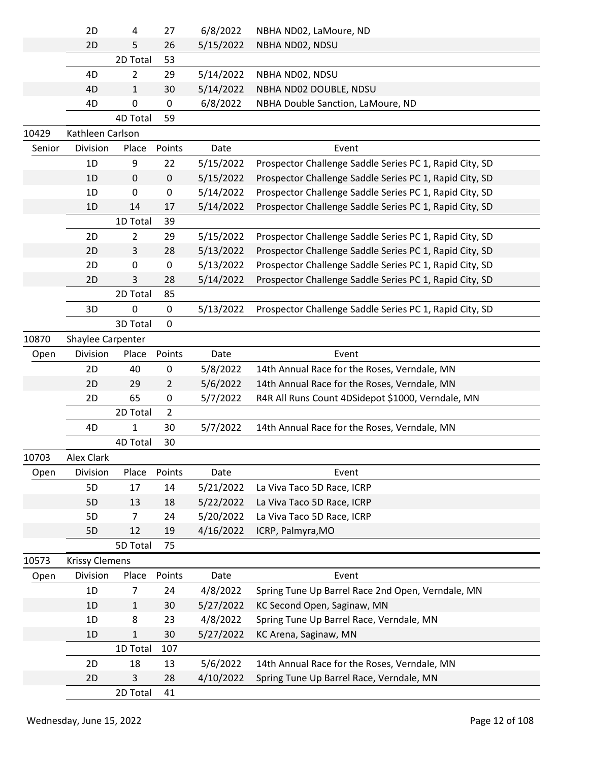|        | 2D                    | 4              | 27             | 6/8/2022  | NBHA ND02, LaMoure, ND                                  |
|--------|-----------------------|----------------|----------------|-----------|---------------------------------------------------------|
|        | 2D                    | 5              | 26             | 5/15/2022 | NBHA ND02, NDSU                                         |
|        |                       | 2D Total       | 53             |           |                                                         |
|        | 4D                    | 2              | 29             | 5/14/2022 | NBHA ND02, NDSU                                         |
|        | 4D                    | 1              | 30             | 5/14/2022 | NBHA ND02 DOUBLE, NDSU                                  |
|        | 4D                    | 0              | 0              | 6/8/2022  | NBHA Double Sanction, LaMoure, ND                       |
|        |                       | 4D Total       | 59             |           |                                                         |
| 10429  | Kathleen Carlson      |                |                |           |                                                         |
| Senior | Division              | Place          | Points         | Date      | Event                                                   |
|        | 1D                    | 9              | 22             | 5/15/2022 | Prospector Challenge Saddle Series PC 1, Rapid City, SD |
|        | 1D                    | $\mathbf 0$    | $\pmb{0}$      | 5/15/2022 | Prospector Challenge Saddle Series PC 1, Rapid City, SD |
|        | 1D                    | 0              | 0              | 5/14/2022 | Prospector Challenge Saddle Series PC 1, Rapid City, SD |
|        | 1D                    | 14             | 17             | 5/14/2022 | Prospector Challenge Saddle Series PC 1, Rapid City, SD |
|        |                       | 1D Total       | 39             |           |                                                         |
|        | 2D                    | 2              | 29             | 5/15/2022 | Prospector Challenge Saddle Series PC 1, Rapid City, SD |
|        | 2D                    | 3              | 28             | 5/13/2022 | Prospector Challenge Saddle Series PC 1, Rapid City, SD |
|        | 2D                    | 0              | 0              | 5/13/2022 | Prospector Challenge Saddle Series PC 1, Rapid City, SD |
|        | 2D                    | 3              | 28             | 5/14/2022 | Prospector Challenge Saddle Series PC 1, Rapid City, SD |
|        |                       | 2D Total       | 85             |           |                                                         |
|        | 3D                    | 0              | 0              | 5/13/2022 | Prospector Challenge Saddle Series PC 1, Rapid City, SD |
|        |                       | 3D Total       | $\mathbf 0$    |           |                                                         |
| 10870  | Shaylee Carpenter     |                |                |           |                                                         |
| Open   | Division              | Place          | Points         | Date      | Event                                                   |
|        | 2D                    | 40             | 0              | 5/8/2022  | 14th Annual Race for the Roses, Verndale, MN            |
|        | 2D                    | 29             | $\overline{2}$ | 5/6/2022  | 14th Annual Race for the Roses, Verndale, MN            |
|        | 2D                    | 65             | 0              | 5/7/2022  | R4R All Runs Count 4DSidepot \$1000, Verndale, MN       |
|        |                       | 2D Total       | $\overline{2}$ |           |                                                         |
|        | 4D                    | 1              | 30             | 5/7/2022  | 14th Annual Race for the Roses, Verndale, MN            |
|        |                       | 4D Total       | 30             |           |                                                         |
| 10703  | <b>Alex Clark</b>     |                |                |           |                                                         |
| Open   | Division              | Place          | Points         | Date      | Event                                                   |
|        | 5D                    | 17             | 14             | 5/21/2022 | La Viva Taco 5D Race, ICRP                              |
|        | 5D                    | 13             | 18             | 5/22/2022 | La Viva Taco 5D Race, ICRP                              |
|        | 5D                    | $\overline{7}$ | 24             | 5/20/2022 | La Viva Taco 5D Race, ICRP                              |
|        | 5D                    | 12             | 19             | 4/16/2022 | ICRP, Palmyra, MO                                       |
|        |                       | 5D Total       | 75             |           |                                                         |
| 10573  | <b>Krissy Clemens</b> |                |                |           |                                                         |
| Open   | Division              | Place          | Points         | Date      | Event                                                   |
|        | 1D                    | $\overline{7}$ | 24             | 4/8/2022  | Spring Tune Up Barrel Race 2nd Open, Verndale, MN       |
|        | 1D                    | $\mathbf{1}$   | 30             | 5/27/2022 | KC Second Open, Saginaw, MN                             |
|        | 1D                    | 8              | 23             | 4/8/2022  | Spring Tune Up Barrel Race, Verndale, MN                |
|        | 1D                    | $\mathbf{1}$   | 30             | 5/27/2022 | KC Arena, Saginaw, MN                                   |
|        |                       | 1D Total       | 107            |           |                                                         |
|        | 2D                    | 18             | 13             | 5/6/2022  | 14th Annual Race for the Roses, Verndale, MN            |
|        | 2D                    | 3              | 28             | 4/10/2022 | Spring Tune Up Barrel Race, Verndale, MN                |
|        |                       | 2D Total       | 41             |           |                                                         |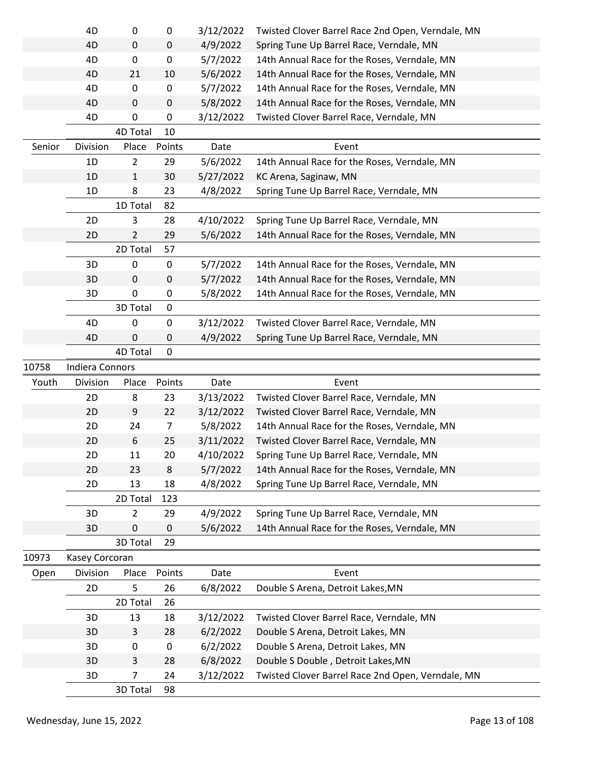|        | 4D                     | 0              | 0              | 3/12/2022 | Twisted Clover Barrel Race 2nd Open, Verndale, MN |
|--------|------------------------|----------------|----------------|-----------|---------------------------------------------------|
|        | 4D                     | 0              | $\pmb{0}$      | 4/9/2022  | Spring Tune Up Barrel Race, Verndale, MN          |
|        | 4D                     | 0              | 0              | 5/7/2022  | 14th Annual Race for the Roses, Verndale, MN      |
|        | 4D                     | 21             | 10             | 5/6/2022  | 14th Annual Race for the Roses, Verndale, MN      |
|        | 4D                     | 0              | 0              | 5/7/2022  | 14th Annual Race for the Roses, Verndale, MN      |
|        | 4D                     | 0              | $\pmb{0}$      | 5/8/2022  | 14th Annual Race for the Roses, Verndale, MN      |
|        | 4D                     | 0              | 0              | 3/12/2022 | Twisted Clover Barrel Race, Verndale, MN          |
|        |                        | 4D Total       | 10             |           |                                                   |
| Senior | Division               | Place          | Points         | Date      | Event                                             |
|        | 1D                     | $\overline{2}$ | 29             | 5/6/2022  | 14th Annual Race for the Roses, Verndale, MN      |
|        | 1D                     | 1              | 30             | 5/27/2022 | KC Arena, Saginaw, MN                             |
|        | 1D                     | 8              | 23             | 4/8/2022  | Spring Tune Up Barrel Race, Verndale, MN          |
|        |                        | 1D Total       | 82             |           |                                                   |
|        | 2D                     | 3              | 28             | 4/10/2022 | Spring Tune Up Barrel Race, Verndale, MN          |
|        | 2D                     | $\overline{2}$ | 29             | 5/6/2022  | 14th Annual Race for the Roses, Verndale, MN      |
|        |                        | 2D Total       | 57             |           |                                                   |
|        | 3D                     | 0              | 0              | 5/7/2022  | 14th Annual Race for the Roses, Verndale, MN      |
|        | 3D                     | 0              | 0              | 5/7/2022  | 14th Annual Race for the Roses, Verndale, MN      |
|        | 3D                     | 0              | 0              | 5/8/2022  | 14th Annual Race for the Roses, Verndale, MN      |
|        |                        | 3D Total       | 0              |           |                                                   |
|        | 4D                     | 0              | $\pmb{0}$      | 3/12/2022 | Twisted Clover Barrel Race, Verndale, MN          |
|        | 4D                     | 0              | 0              | 4/9/2022  | Spring Tune Up Barrel Race, Verndale, MN          |
|        |                        | 4D Total       | $\mathbf{0}$   |           |                                                   |
| 10758  | <b>Indiera Connors</b> |                |                |           |                                                   |
| Youth  | Division               | Place          | Points         | Date      | Event                                             |
|        | 2D                     | 8              | 23             | 3/13/2022 | Twisted Clover Barrel Race, Verndale, MN          |
|        | 2D                     | 9              | 22             | 3/12/2022 | Twisted Clover Barrel Race, Verndale, MN          |
|        | 2D                     | 24             | $\overline{7}$ | 5/8/2022  | 14th Annual Race for the Roses, Verndale, MN      |
|        | 2D                     | 6              | 25             | 3/11/2022 | Twisted Clover Barrel Race, Verndale, MN          |
|        | 2D                     | 11             | 20             | 4/10/2022 | Spring Tune Up Barrel Race, Verndale, MN          |
|        | 2D                     | 23             | 8              | 5/7/2022  | 14th Annual Race for the Roses, Verndale, MN      |
|        | 2D                     | 13             | 18             | 4/8/2022  | Spring Tune Up Barrel Race, Verndale, MN          |
|        |                        | 2D Total       | 123            |           |                                                   |
|        | 3D                     | $\overline{2}$ | 29             | 4/9/2022  | Spring Tune Up Barrel Race, Verndale, MN          |
|        | 3D                     | 0              | 0              | 5/6/2022  | 14th Annual Race for the Roses, Verndale, MN      |
|        |                        | 3D Total       | 29             |           |                                                   |
| 10973  | Kasey Corcoran         |                |                |           |                                                   |
| Open   | Division               | Place          | Points         | Date      | Event                                             |
|        | 2D                     | 5              | 26             | 6/8/2022  | Double S Arena, Detroit Lakes, MN                 |
|        |                        | 2D Total       | 26             |           |                                                   |
|        | 3D                     | 13             | 18             | 3/12/2022 | Twisted Clover Barrel Race, Verndale, MN          |
|        | 3D                     | 3              | 28             | 6/2/2022  | Double S Arena, Detroit Lakes, MN                 |
|        | 3D                     | $\mathbf 0$    | 0              | 6/2/2022  | Double S Arena, Detroit Lakes, MN                 |
|        | 3D                     | 3              | 28             | 6/8/2022  | Double S Double, Detroit Lakes, MN                |
|        | 3D                     | 7              | 24             | 3/12/2022 | Twisted Clover Barrel Race 2nd Open, Verndale, MN |
|        |                        | 3D Total       | 98             |           |                                                   |
|        |                        |                |                |           |                                                   |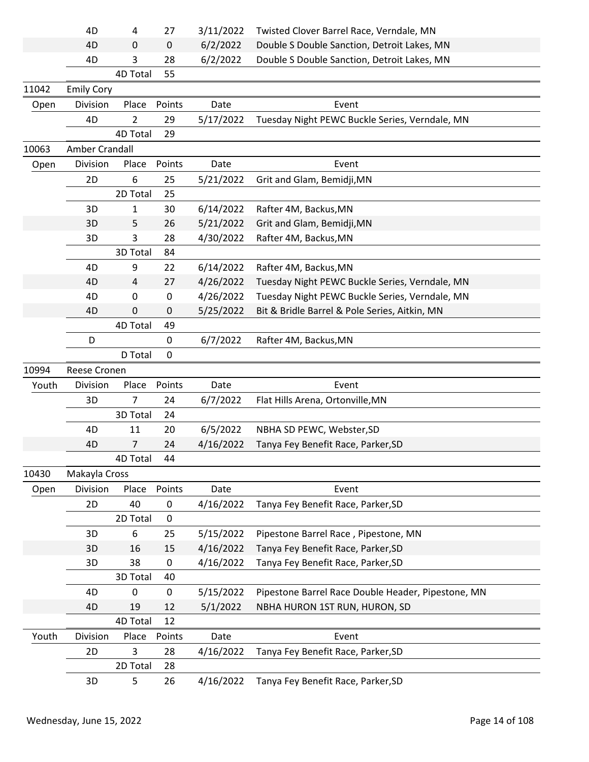|       | 4D                | 4         | 27               | 3/11/2022 | Twisted Clover Barrel Race, Verndale, MN           |  |
|-------|-------------------|-----------|------------------|-----------|----------------------------------------------------|--|
|       | 4D                | 0         | $\mathbf 0$      | 6/2/2022  | Double S Double Sanction, Detroit Lakes, MN        |  |
|       | 4D                | 3         | 28               | 6/2/2022  | Double S Double Sanction, Detroit Lakes, MN        |  |
|       |                   | 4D Total  | 55               |           |                                                    |  |
| 11042 | <b>Emily Cory</b> |           |                  |           |                                                    |  |
| Open  | Division          | Place     | Points           | Date      | Event                                              |  |
|       | 4D                | 2         | 29               | 5/17/2022 | Tuesday Night PEWC Buckle Series, Verndale, MN     |  |
|       |                   | 4D Total  | 29               |           |                                                    |  |
| 10063 | Amber Crandall    |           |                  |           |                                                    |  |
| Open  | Division          | Place     | Points           | Date      | Event                                              |  |
|       | 2D                | 6         | 25               | 5/21/2022 | Grit and Glam, Bemidji, MN                         |  |
|       |                   | 2D Total  | 25               |           |                                                    |  |
|       | 3D                | 1         | 30               | 6/14/2022 | Rafter 4M, Backus, MN                              |  |
|       | 3D                | 5         | 26               | 5/21/2022 | Grit and Glam, Bemidji, MN                         |  |
|       | 3D                | 3         | 28               | 4/30/2022 | Rafter 4M, Backus, MN                              |  |
|       |                   | 3D Total  | 84               |           |                                                    |  |
|       | 4D                | 9         | 22               | 6/14/2022 | Rafter 4M, Backus, MN                              |  |
|       | 4D                | 4         | 27               | 4/26/2022 | Tuesday Night PEWC Buckle Series, Verndale, MN     |  |
|       | 4D                | $\pmb{0}$ | $\boldsymbol{0}$ | 4/26/2022 | Tuesday Night PEWC Buckle Series, Verndale, MN     |  |
|       | 4D                | 0         | $\mathbf 0$      | 5/25/2022 | Bit & Bridle Barrel & Pole Series, Aitkin, MN      |  |
|       |                   | 4D Total  | 49               |           |                                                    |  |
|       | D                 |           | $\mathbf 0$      | 6/7/2022  | Rafter 4M, Backus, MN                              |  |
|       |                   | D Total   | $\mathbf 0$      |           |                                                    |  |
|       |                   |           |                  |           |                                                    |  |
| 10994 | Reese Cronen      |           |                  |           |                                                    |  |
| Youth | Division          | Place     | Points           | Date      | Event                                              |  |
|       | 3D                | 7         | 24               | 6/7/2022  | Flat Hills Arena, Ortonville, MN                   |  |
|       |                   | 3D Total  | 24               |           |                                                    |  |
|       | 4D                | 11        | 20               | 6/5/2022  | NBHA SD PEWC, Webster, SD                          |  |
|       | 4D                | 7         | 24               | 4/16/2022 | Tanya Fey Benefit Race, Parker, SD                 |  |
|       |                   | 4D Total  | 44               |           |                                                    |  |
| 10430 | Makayla Cross     |           |                  |           |                                                    |  |
| Open  | Division          | Place     | Points           | Date      | Event                                              |  |
|       | 2D                | 40        | $\pmb{0}$        | 4/16/2022 | Tanya Fey Benefit Race, Parker, SD                 |  |
|       |                   | 2D Total  | $\mathbf 0$      |           |                                                    |  |
|       | 3D                | 6         | 25               | 5/15/2022 | Pipestone Barrel Race, Pipestone, MN               |  |
|       | 3D                | 16        | 15               | 4/16/2022 | Tanya Fey Benefit Race, Parker, SD                 |  |
|       | 3D                | 38        | $\mathbf 0$      | 4/16/2022 | Tanya Fey Benefit Race, Parker, SD                 |  |
|       |                   | 3D Total  | 40               |           |                                                    |  |
|       | 4D                | 0         | $\mathbf 0$      | 5/15/2022 | Pipestone Barrel Race Double Header, Pipestone, MN |  |
|       | 4D                | 19        | 12               | 5/1/2022  | NBHA HURON 1ST RUN, HURON, SD                      |  |
|       |                   | 4D Total  | 12               |           |                                                    |  |
| Youth | Division          | Place     | Points           | Date      | Event                                              |  |
|       | 2D                | 3         | 28               | 4/16/2022 | Tanya Fey Benefit Race, Parker, SD                 |  |
|       |                   | 2D Total  | 28               |           |                                                    |  |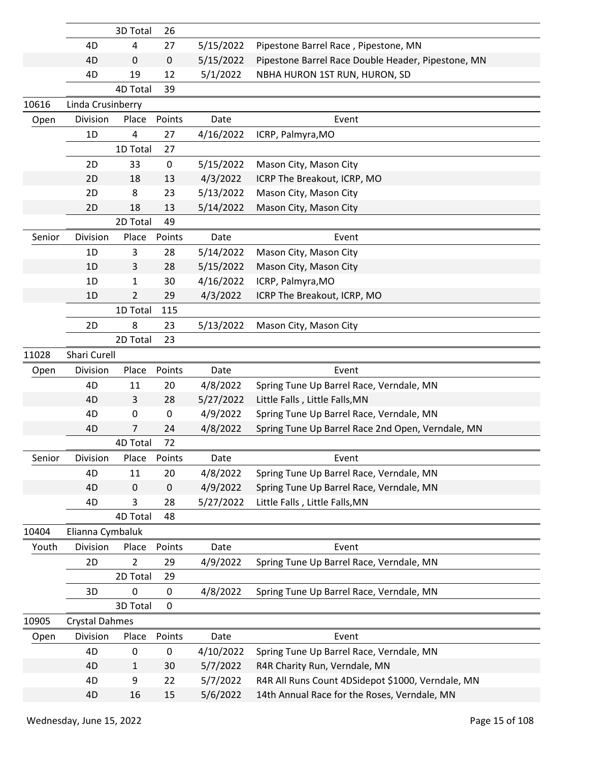|        |                       | 3D Total       | 26          |                      |                                                                                                   |  |
|--------|-----------------------|----------------|-------------|----------------------|---------------------------------------------------------------------------------------------------|--|
|        | 4D                    | 4              | 27          | 5/15/2022            | Pipestone Barrel Race, Pipestone, MN                                                              |  |
|        | 4D                    | $\mathbf 0$    | $\pmb{0}$   | 5/15/2022            | Pipestone Barrel Race Double Header, Pipestone, MN                                                |  |
|        | 4D                    | 19             | 12          | 5/1/2022             | NBHA HURON 1ST RUN, HURON, SD                                                                     |  |
|        |                       | 4D Total       | 39          |                      |                                                                                                   |  |
| 10616  | Linda Crusinberry     |                |             |                      |                                                                                                   |  |
| Open   | Division              | Place          | Points      | Date                 | Event                                                                                             |  |
|        | 1D                    | 4              | 27          | 4/16/2022            | ICRP, Palmyra, MO                                                                                 |  |
|        |                       | 1D Total       | 27          |                      |                                                                                                   |  |
|        | 2D                    | 33             | $\mathbf 0$ | 5/15/2022            | Mason City, Mason City                                                                            |  |
|        | 2D                    | 18             | 13          | 4/3/2022             | ICRP The Breakout, ICRP, MO                                                                       |  |
|        | 2D                    | 8              | 23          | 5/13/2022            | Mason City, Mason City                                                                            |  |
|        | 2D                    | 18             | 13          | 5/14/2022            | Mason City, Mason City                                                                            |  |
|        |                       | 2D Total       | 49          |                      |                                                                                                   |  |
| Senior | Division              | Place          | Points      | Date                 | Event                                                                                             |  |
|        | 1D                    | 3              | 28          | 5/14/2022            | Mason City, Mason City                                                                            |  |
|        | 1D                    | 3              | 28          | 5/15/2022            | Mason City, Mason City                                                                            |  |
|        | 1D                    | 1              | 30          | 4/16/2022            | ICRP, Palmyra, MO                                                                                 |  |
|        | 1D                    | 2              | 29          | 4/3/2022             | ICRP The Breakout, ICRP, MO                                                                       |  |
|        |                       | 1D Total       | 115         |                      |                                                                                                   |  |
|        | 2D                    | 8              | 23          | 5/13/2022            | Mason City, Mason City                                                                            |  |
|        |                       | 2D Total       | 23          |                      |                                                                                                   |  |
| 11028  | Shari Curell          |                |             |                      |                                                                                                   |  |
| Open   | Division              | Place          | Points      | Date                 | Event                                                                                             |  |
|        | 4D                    | 11             | 20          | 4/8/2022             | Spring Tune Up Barrel Race, Verndale, MN                                                          |  |
|        | 4D                    | 3              | 28          | 5/27/2022            | Little Falls, Little Falls, MN                                                                    |  |
|        | 4D                    | 0              | $\pmb{0}$   | 4/9/2022             | Spring Tune Up Barrel Race, Verndale, MN                                                          |  |
|        | 4D                    | 7              | 24          | 4/8/2022             | Spring Tune Up Barrel Race 2nd Open, Verndale, MN                                                 |  |
|        |                       | 4D Total       | 72          |                      |                                                                                                   |  |
| Senior | Division              | Place          | Points      | Date                 | Event                                                                                             |  |
|        | 4D                    | 11             | 20          | 4/8/2022             | Spring Tune Up Barrel Race, Verndale, MN                                                          |  |
|        | 4D                    | $\mathbf 0$    | 0           | 4/9/2022             | Spring Tune Up Barrel Race, Verndale, MN                                                          |  |
|        | 4D                    | 3              | 28          | 5/27/2022            | Little Falls, Little Falls, MN                                                                    |  |
|        |                       | 4D Total       | 48          |                      |                                                                                                   |  |
| 10404  | Elianna Cymbaluk      |                |             |                      |                                                                                                   |  |
| Youth  | Division              | Place          | Points      | Date                 | Event                                                                                             |  |
|        | 2D                    | $\overline{2}$ | 29          | 4/9/2022             | Spring Tune Up Barrel Race, Verndale, MN                                                          |  |
|        |                       |                |             |                      |                                                                                                   |  |
|        |                       | 2D Total       | 29          |                      |                                                                                                   |  |
|        | 3D                    | $\pmb{0}$      | 0           | 4/8/2022             | Spring Tune Up Barrel Race, Verndale, MN                                                          |  |
|        |                       | 3D Total       | 0           |                      |                                                                                                   |  |
| 10905  | <b>Crystal Dahmes</b> |                |             |                      |                                                                                                   |  |
| Open   | Division              | Place          | Points      | Date                 | Event                                                                                             |  |
|        | 4D                    | 0              | 0           | 4/10/2022            | Spring Tune Up Barrel Race, Verndale, MN                                                          |  |
|        | 4D                    | $\mathbf{1}$   | 30          | 5/7/2022             | R4R Charity Run, Verndale, MN                                                                     |  |
|        | 4D                    | 9              | 22          | 5/7/2022<br>5/6/2022 | R4R All Runs Count 4DSidepot \$1000, Verndale, MN<br>14th Annual Race for the Roses, Verndale, MN |  |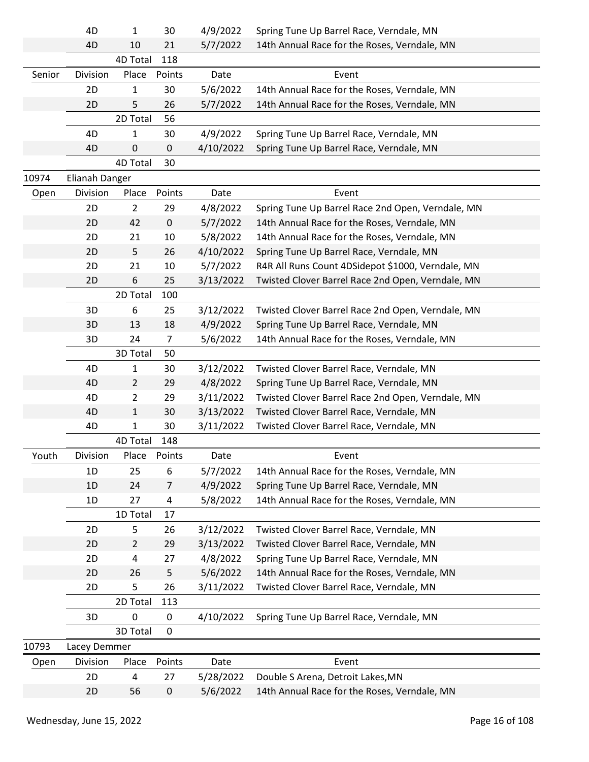|        | 4D             | 1              | 30             | 4/9/2022  | Spring Tune Up Barrel Race, Verndale, MN          |
|--------|----------------|----------------|----------------|-----------|---------------------------------------------------|
|        | 4D             | 10             | 21             | 5/7/2022  | 14th Annual Race for the Roses, Verndale, MN      |
|        |                | 4D Total       | 118            |           |                                                   |
| Senior | Division       | Place          | Points         | Date      | Event                                             |
|        | 2D             | 1              | 30             | 5/6/2022  | 14th Annual Race for the Roses, Verndale, MN      |
|        | 2D             | 5              | 26             | 5/7/2022  | 14th Annual Race for the Roses, Verndale, MN      |
|        |                | 2D Total       | 56             |           |                                                   |
|        | 4D             | 1              | 30             | 4/9/2022  | Spring Tune Up Barrel Race, Verndale, MN          |
|        | 4D             | 0              | 0              | 4/10/2022 | Spring Tune Up Barrel Race, Verndale, MN          |
|        |                | 4D Total       | 30             |           |                                                   |
| 10974  | Elianah Danger |                |                |           |                                                   |
| Open   | Division       | Place          | Points         | Date      | Event                                             |
|        | 2D             | $\overline{2}$ | 29             | 4/8/2022  | Spring Tune Up Barrel Race 2nd Open, Verndale, MN |
|        | 2D             | 42             | $\mathbf 0$    | 5/7/2022  | 14th Annual Race for the Roses, Verndale, MN      |
|        | 2D             | 21             | 10             | 5/8/2022  | 14th Annual Race for the Roses, Verndale, MN      |
|        | 2D             | 5              | 26             | 4/10/2022 | Spring Tune Up Barrel Race, Verndale, MN          |
|        | 2D             | 21             | 10             | 5/7/2022  | R4R All Runs Count 4DSidepot \$1000, Verndale, MN |
|        | 2D             | 6              | 25             | 3/13/2022 | Twisted Clover Barrel Race 2nd Open, Verndale, MN |
|        |                | 2D Total       | 100            |           |                                                   |
|        | 3D             | 6              | 25             | 3/12/2022 | Twisted Clover Barrel Race 2nd Open, Verndale, MN |
|        | 3D             | 13             | 18             | 4/9/2022  | Spring Tune Up Barrel Race, Verndale, MN          |
|        | 3D             | 24             | $\overline{7}$ | 5/6/2022  | 14th Annual Race for the Roses, Verndale, MN      |
|        |                | 3D Total       | 50             |           |                                                   |
|        | 4D             | 1              | 30             | 3/12/2022 | Twisted Clover Barrel Race, Verndale, MN          |
|        | 4D             | $\overline{2}$ | 29             | 4/8/2022  | Spring Tune Up Barrel Race, Verndale, MN          |
|        | 4D             | $\overline{2}$ | 29             | 3/11/2022 | Twisted Clover Barrel Race 2nd Open, Verndale, MN |
|        | 4D             | 1              | 30             | 3/13/2022 | Twisted Clover Barrel Race, Verndale, MN          |
|        | 4D             | 1              | 30             | 3/11/2022 | Twisted Clover Barrel Race, Verndale, MN          |
|        |                | 4D Total       | 148            |           |                                                   |
| Youth  | Division       | Place Points   |                | Date      | Event                                             |
|        | 1D             | 25             | 6              | 5/7/2022  | 14th Annual Race for the Roses, Verndale, MN      |
|        | 1D             | 24             | $\overline{7}$ | 4/9/2022  | Spring Tune Up Barrel Race, Verndale, MN          |
|        | 1D             | 27             | 4              | 5/8/2022  | 14th Annual Race for the Roses, Verndale, MN      |
|        |                | 1D Total       | 17             |           |                                                   |
|        | 2D             | 5              | 26             | 3/12/2022 | Twisted Clover Barrel Race, Verndale, MN          |
|        | 2D             | $\overline{2}$ | 29             | 3/13/2022 | Twisted Clover Barrel Race, Verndale, MN          |
|        | 2D             | 4              | 27             | 4/8/2022  | Spring Tune Up Barrel Race, Verndale, MN          |
|        | 2D             | 26             | 5              | 5/6/2022  | 14th Annual Race for the Roses, Verndale, MN      |
|        | 2D             | 5              | 26             | 3/11/2022 | Twisted Clover Barrel Race, Verndale, MN          |
|        |                | 2D Total       | 113            |           |                                                   |
|        | 3D             | 0              | 0              | 4/10/2022 | Spring Tune Up Barrel Race, Verndale, MN          |
|        |                | 3D Total       | 0              |           |                                                   |
| 10793  | Lacey Demmer   |                |                |           |                                                   |
| Open   | Division       | Place          | Points         | Date      | Event                                             |
|        | 2D             | 4              | 27             | 5/28/2022 | Double S Arena, Detroit Lakes, MN                 |
|        | 2D             | 56             | $\pmb{0}$      | 5/6/2022  | 14th Annual Race for the Roses, Verndale, MN      |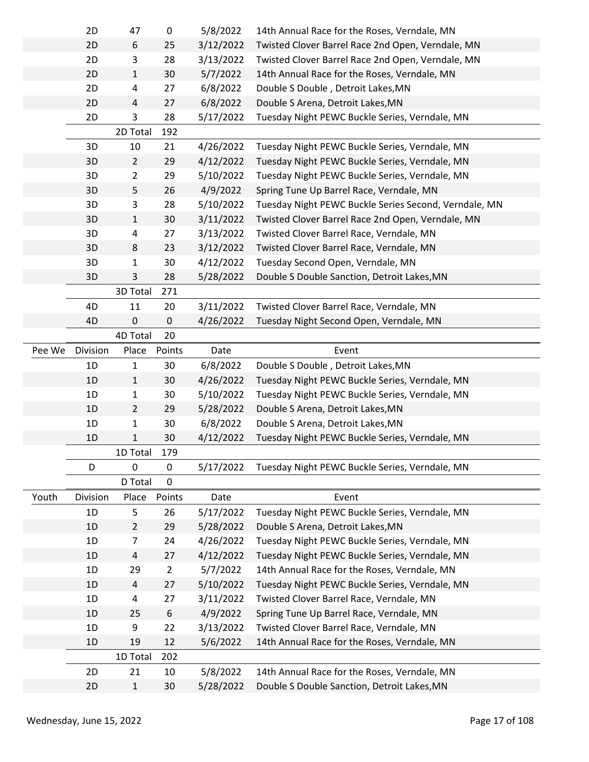|        | 2D       | 47             | 0                | 5/8/2022  | 14th Annual Race for the Roses, Verndale, MN          |
|--------|----------|----------------|------------------|-----------|-------------------------------------------------------|
|        | 2D       | 6              | 25               | 3/12/2022 | Twisted Clover Barrel Race 2nd Open, Verndale, MN     |
|        | 2D       | 3              | 28               | 3/13/2022 | Twisted Clover Barrel Race 2nd Open, Verndale, MN     |
|        | 2D       | $\mathbf{1}$   | 30               | 5/7/2022  | 14th Annual Race for the Roses, Verndale, MN          |
|        | 2D       | 4              | 27               | 6/8/2022  | Double S Double, Detroit Lakes, MN                    |
|        | 2D       | 4              | 27               | 6/8/2022  | Double S Arena, Detroit Lakes, MN                     |
|        | 2D       | 3              | 28               | 5/17/2022 | Tuesday Night PEWC Buckle Series, Verndale, MN        |
|        |          | 2D Total       | 192              |           |                                                       |
|        | 3D       | 10             | 21               | 4/26/2022 | Tuesday Night PEWC Buckle Series, Verndale, MN        |
|        | 3D       | $\overline{2}$ | 29               | 4/12/2022 | Tuesday Night PEWC Buckle Series, Verndale, MN        |
|        | 3D       | $\overline{2}$ | 29               | 5/10/2022 | Tuesday Night PEWC Buckle Series, Verndale, MN        |
|        | 3D       | 5              | 26               | 4/9/2022  | Spring Tune Up Barrel Race, Verndale, MN              |
|        | 3D       | 3              | 28               | 5/10/2022 | Tuesday Night PEWC Buckle Series Second, Verndale, MN |
|        | 3D       | $\mathbf{1}$   | 30               | 3/11/2022 | Twisted Clover Barrel Race 2nd Open, Verndale, MN     |
|        | 3D       | 4              | 27               | 3/13/2022 | Twisted Clover Barrel Race, Verndale, MN              |
|        | 3D       | 8              | 23               | 3/12/2022 | Twisted Clover Barrel Race, Verndale, MN              |
|        | 3D       | 1              | 30               | 4/12/2022 | Tuesday Second Open, Verndale, MN                     |
|        | 3D       | 3              | 28               | 5/28/2022 | Double S Double Sanction, Detroit Lakes, MN           |
|        |          | 3D Total       | 271              |           |                                                       |
|        | 4D       | 11             | 20               | 3/11/2022 | Twisted Clover Barrel Race, Verndale, MN              |
|        | 4D       | 0              | 0                | 4/26/2022 | Tuesday Night Second Open, Verndale, MN               |
|        |          | 4D Total       | 20               |           |                                                       |
| Pee We | Division | Place          | Points           | Date      | Event                                                 |
|        | 1D       | 1              | 30               | 6/8/2022  | Double S Double, Detroit Lakes, MN                    |
|        | 1D       | $\mathbf{1}$   | 30               | 4/26/2022 | Tuesday Night PEWC Buckle Series, Verndale, MN        |
|        | 1D       | 1              | 30               | 5/10/2022 | Tuesday Night PEWC Buckle Series, Verndale, MN        |
|        |          |                |                  | 5/28/2022 | Double S Arena, Detroit Lakes, MN                     |
|        | 1D       | $\overline{2}$ | 29               |           |                                                       |
|        | 1D       | 1              | 30               | 6/8/2022  | Double S Arena, Detroit Lakes, MN                     |
|        | 1D       | 1              | 30               | 4/12/2022 | Tuesday Night PEWC Buckle Series, Verndale, MN        |
|        |          | 1D Total       | 179              |           |                                                       |
|        | D        | 0              | 0                | 5/17/2022 | Tuesday Night PEWC Buckle Series, Verndale, MN        |
|        |          | D Total        | 0                |           |                                                       |
| Youth  | Division | Place          | Points           | Date      | Event                                                 |
|        | 1D       | 5              | 26               | 5/17/2022 | Tuesday Night PEWC Buckle Series, Verndale, MN        |
|        | 1D       | $\overline{2}$ | 29               | 5/28/2022 | Double S Arena, Detroit Lakes, MN                     |
|        | 1D       | $\overline{7}$ | 24               | 4/26/2022 | Tuesday Night PEWC Buckle Series, Verndale, MN        |
|        | 1D       | 4              | 27               | 4/12/2022 | Tuesday Night PEWC Buckle Series, Verndale, MN        |
|        | 1D       | 29             | $\overline{2}$   | 5/7/2022  | 14th Annual Race for the Roses, Verndale, MN          |
|        | 1D       | $\overline{4}$ | 27               | 5/10/2022 | Tuesday Night PEWC Buckle Series, Verndale, MN        |
|        | 1D       | 4              | 27               | 3/11/2022 | Twisted Clover Barrel Race, Verndale, MN              |
|        | 1D       | 25             | $\boldsymbol{6}$ | 4/9/2022  | Spring Tune Up Barrel Race, Verndale, MN              |
|        | 1D       | 9              | 22               | 3/13/2022 | Twisted Clover Barrel Race, Verndale, MN              |
|        | 1D       | 19             | 12               | 5/6/2022  | 14th Annual Race for the Roses, Verndale, MN          |
|        |          | 1D Total       | 202              |           |                                                       |
|        | 2D       | 21             | 10               | 5/8/2022  | 14th Annual Race for the Roses, Verndale, MN          |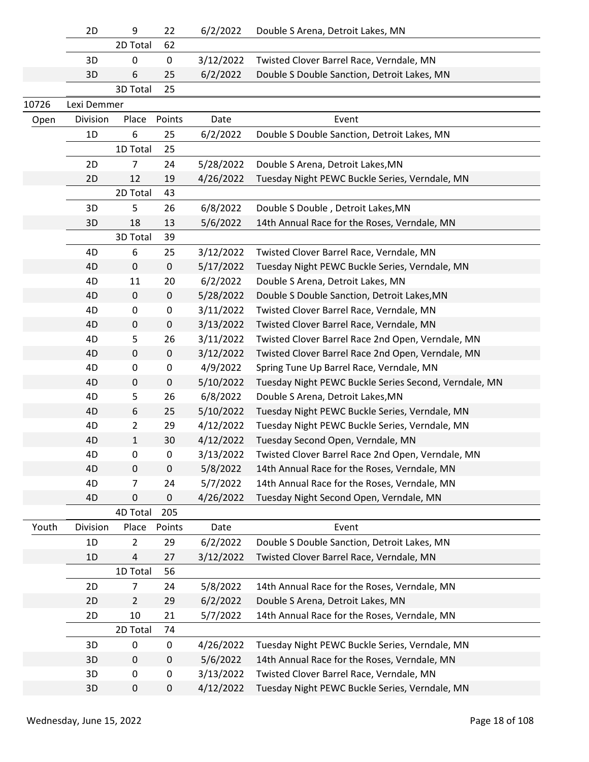|       | 2D          | 9              | 22               | 6/2/2022  | Double S Arena, Detroit Lakes, MN                     |
|-------|-------------|----------------|------------------|-----------|-------------------------------------------------------|
|       |             | 2D Total       | 62               |           |                                                       |
|       | 3D          | 0              | $\pmb{0}$        | 3/12/2022 | Twisted Clover Barrel Race, Verndale, MN              |
|       | 3D          | 6              | 25               | 6/2/2022  | Double S Double Sanction, Detroit Lakes, MN           |
|       |             | 3D Total       | 25               |           |                                                       |
| 10726 | Lexi Demmer |                |                  |           |                                                       |
| Open  | Division    | Place          | Points           | Date      | Event                                                 |
|       | 1D          | 6              | 25               | 6/2/2022  | Double S Double Sanction, Detroit Lakes, MN           |
|       |             | 1D Total       | 25               |           |                                                       |
|       | 2D          | $\overline{7}$ | 24               | 5/28/2022 | Double S Arena, Detroit Lakes, MN                     |
|       | 2D          | 12             | 19               | 4/26/2022 | Tuesday Night PEWC Buckle Series, Verndale, MN        |
|       |             | 2D Total       | 43               |           |                                                       |
|       | 3D          | 5              | 26               | 6/8/2022  | Double S Double, Detroit Lakes, MN                    |
|       | 3D          | 18             | 13               | 5/6/2022  | 14th Annual Race for the Roses, Verndale, MN          |
|       |             | 3D Total       | 39               |           |                                                       |
|       | 4D          | 6              | 25               | 3/12/2022 | Twisted Clover Barrel Race, Verndale, MN              |
|       | 4D          | $\pmb{0}$      | $\pmb{0}$        | 5/17/2022 | Tuesday Night PEWC Buckle Series, Verndale, MN        |
|       | 4D          | 11             | 20               | 6/2/2022  | Double S Arena, Detroit Lakes, MN                     |
|       | 4D          | $\pmb{0}$      | $\pmb{0}$        | 5/28/2022 | Double S Double Sanction, Detroit Lakes, MN           |
|       | 4D          | 0              | $\pmb{0}$        | 3/11/2022 | Twisted Clover Barrel Race, Verndale, MN              |
|       | 4D          | 0              | $\pmb{0}$        | 3/13/2022 | Twisted Clover Barrel Race, Verndale, MN              |
|       | 4D          | 5              | 26               | 3/11/2022 | Twisted Clover Barrel Race 2nd Open, Verndale, MN     |
|       | 4D          | 0              | $\mathbf 0$      | 3/12/2022 | Twisted Clover Barrel Race 2nd Open, Verndale, MN     |
|       | 4D          | 0              | $\pmb{0}$        | 4/9/2022  | Spring Tune Up Barrel Race, Verndale, MN              |
|       | 4D          | 0              | $\pmb{0}$        | 5/10/2022 | Tuesday Night PEWC Buckle Series Second, Verndale, MN |
|       | 4D          | 5              | 26               | 6/8/2022  | Double S Arena, Detroit Lakes, MN                     |
|       | 4D          | 6              | 25               | 5/10/2022 | Tuesday Night PEWC Buckle Series, Verndale, MN        |
|       | 4D          | $\overline{2}$ | 29               | 4/12/2022 | Tuesday Night PEWC Buckle Series, Verndale, MN        |
|       | 4D          | $\mathbf{1}$   | 30               | 4/12/2022 | Tuesday Second Open, Verndale, MN                     |
|       | 4D          | 0              | 0                | 3/13/2022 | Twisted Clover Barrel Race 2nd Open, Verndale, MN     |
|       | 4D          | $\pmb{0}$      | 0                | 5/8/2022  | 14th Annual Race for the Roses, Verndale, MN          |
|       | 4D          | 7              | 24               | 5/7/2022  | 14th Annual Race for the Roses, Verndale, MN          |
|       | 4D          | 0              | 0                | 4/26/2022 | Tuesday Night Second Open, Verndale, MN               |
|       |             | 4D Total       | 205              |           |                                                       |
| Youth | Division    | Place          | Points           | Date      | Event                                                 |
|       | 1D          | $\overline{2}$ | 29               | 6/2/2022  | Double S Double Sanction, Detroit Lakes, MN           |
|       | 1D          | 4              | 27               | 3/12/2022 | Twisted Clover Barrel Race, Verndale, MN              |
|       |             | 1D Total       | 56               |           |                                                       |
|       | 2D          | $\overline{7}$ | 24               | 5/8/2022  | 14th Annual Race for the Roses, Verndale, MN          |
|       | 2D          | $\overline{2}$ | 29               | 6/2/2022  | Double S Arena, Detroit Lakes, MN                     |
|       | 2D          | 10             | 21               | 5/7/2022  | 14th Annual Race for the Roses, Verndale, MN          |
|       |             | 2D Total       | 74               |           |                                                       |
|       | 3D          | $\mathbf 0$    | 0                | 4/26/2022 | Tuesday Night PEWC Buckle Series, Verndale, MN        |
|       | 3D          | 0              | $\boldsymbol{0}$ | 5/6/2022  | 14th Annual Race for the Roses, Verndale, MN          |
|       | 3D          | 0              | $\pmb{0}$        | 3/13/2022 | Twisted Clover Barrel Race, Verndale, MN              |
|       | 3D          | 0              | $\boldsymbol{0}$ | 4/12/2022 | Tuesday Night PEWC Buckle Series, Verndale, MN        |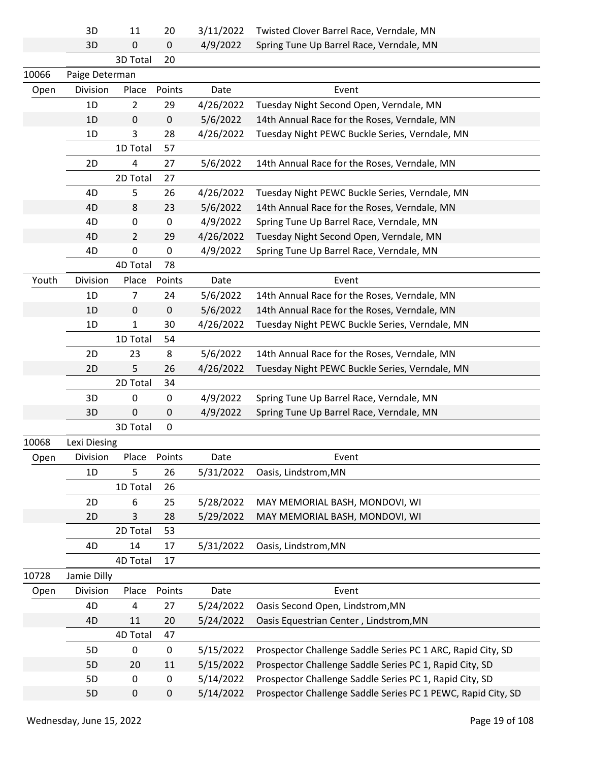|       | 3D             | 11             | 20          | 3/11/2022 | Twisted Clover Barrel Race, Verndale, MN                     |
|-------|----------------|----------------|-------------|-----------|--------------------------------------------------------------|
|       | 3D             | 0              | 0           | 4/9/2022  | Spring Tune Up Barrel Race, Verndale, MN                     |
|       |                | 3D Total       | 20          |           |                                                              |
| 10066 | Paige Determan |                |             |           |                                                              |
| Open  | Division       | Place          | Points      | Date      | Event                                                        |
|       | 1D             | $\overline{2}$ | 29          | 4/26/2022 | Tuesday Night Second Open, Verndale, MN                      |
|       | 1D             | $\pmb{0}$      | $\pmb{0}$   | 5/6/2022  | 14th Annual Race for the Roses, Verndale, MN                 |
|       | 1D             | 3              | 28          | 4/26/2022 | Tuesday Night PEWC Buckle Series, Verndale, MN               |
|       |                | 1D Total       | 57          |           |                                                              |
|       | 2D             | 4              | 27          | 5/6/2022  | 14th Annual Race for the Roses, Verndale, MN                 |
|       |                | 2D Total       | 27          |           |                                                              |
|       | 4D             | 5              | 26          | 4/26/2022 | Tuesday Night PEWC Buckle Series, Verndale, MN               |
|       | 4D             | 8              | 23          | 5/6/2022  | 14th Annual Race for the Roses, Verndale, MN                 |
|       | 4D             | 0              | 0           | 4/9/2022  | Spring Tune Up Barrel Race, Verndale, MN                     |
|       | 4D             | 2              | 29          | 4/26/2022 | Tuesday Night Second Open, Verndale, MN                      |
|       | 4D             | $\pmb{0}$      | $\pmb{0}$   | 4/9/2022  | Spring Tune Up Barrel Race, Verndale, MN                     |
|       |                | 4D Total       | 78          |           |                                                              |
| Youth | Division       | Place          | Points      | Date      | Event                                                        |
|       | 1D             | 7              | 24          | 5/6/2022  | 14th Annual Race for the Roses, Verndale, MN                 |
|       | 1D             | 0              | $\mathbf 0$ | 5/6/2022  | 14th Annual Race for the Roses, Verndale, MN                 |
|       | 1D             | 1              | 30          | 4/26/2022 | Tuesday Night PEWC Buckle Series, Verndale, MN               |
|       |                | 1D Total       | 54          |           |                                                              |
|       | 2D             | 23             | 8           | 5/6/2022  | 14th Annual Race for the Roses, Verndale, MN                 |
|       | 2D             | 5              | 26          | 4/26/2022 | Tuesday Night PEWC Buckle Series, Verndale, MN               |
|       |                | 2D Total       | 34          |           |                                                              |
|       | 3D             | 0              | 0           | 4/9/2022  | Spring Tune Up Barrel Race, Verndale, MN                     |
|       | 3D             | $\mathbf 0$    | 0           | 4/9/2022  | Spring Tune Up Barrel Race, Verndale, MN                     |
|       |                | 3D Total       | $\mathbf 0$ |           |                                                              |
| 10068 | Lexi Diesing   |                |             |           |                                                              |
| Open  | Division       | Place Points   |             | Date      | Event                                                        |
|       | 1D             | 5              | 26          | 5/31/2022 | Oasis, Lindstrom, MN                                         |
|       |                | 1D Total       | 26          |           |                                                              |
|       | 2D             | 6              | 25          | 5/28/2022 | MAY MEMORIAL BASH, MONDOVI, WI                               |
|       | 2D             | 3              | 28          | 5/29/2022 | MAY MEMORIAL BASH, MONDOVI, WI                               |
|       |                | 2D Total       | 53          |           |                                                              |
|       | 4D             | 14             | 17          | 5/31/2022 | Oasis, Lindstrom, MN                                         |
|       |                | 4D Total       | 17          |           |                                                              |
| 10728 | Jamie Dilly    |                |             |           |                                                              |
| Open  | Division       | Place          | Points      | Date      | Event                                                        |
|       | 4D             | 4              | 27          | 5/24/2022 | Oasis Second Open, Lindstrom, MN                             |
|       | 4D             | 11             | 20          | 5/24/2022 | Oasis Equestrian Center, Lindstrom, MN                       |
|       |                | 4D Total       | 47          |           |                                                              |
|       | 5D             | 0              | $\pmb{0}$   | 5/15/2022 | Prospector Challenge Saddle Series PC 1 ARC, Rapid City, SD  |
|       | 5D             | 20             | 11          | 5/15/2022 | Prospector Challenge Saddle Series PC 1, Rapid City, SD      |
|       | 5D             | 0              | $\pmb{0}$   | 5/14/2022 | Prospector Challenge Saddle Series PC 1, Rapid City, SD      |
|       | 5D             | $\pmb{0}$      | $\pmb{0}$   | 5/14/2022 | Prospector Challenge Saddle Series PC 1 PEWC, Rapid City, SD |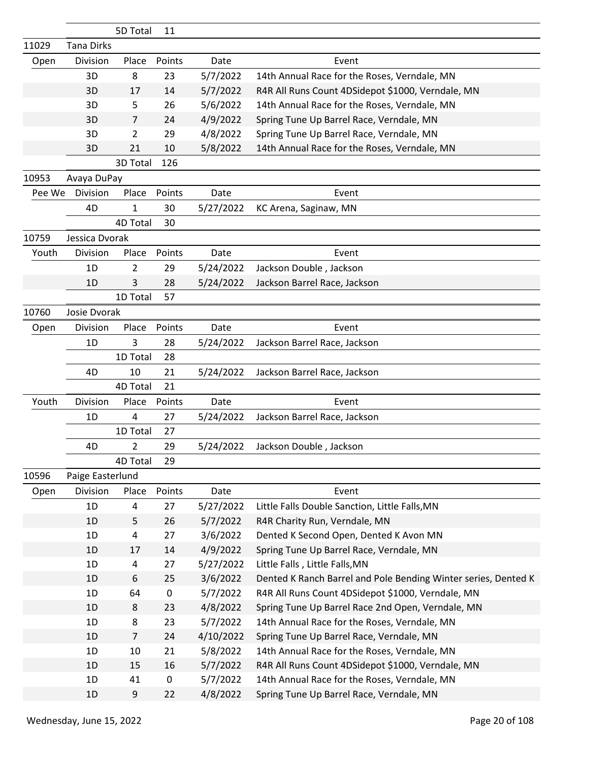|        |                   | 5D Total       | 11          |           |                                                                |
|--------|-------------------|----------------|-------------|-----------|----------------------------------------------------------------|
| 11029  | <b>Tana Dirks</b> |                |             |           |                                                                |
| Open   | Division          | Place          | Points      | Date      | Event                                                          |
|        | 3D                | 8              | 23          | 5/7/2022  | 14th Annual Race for the Roses, Verndale, MN                   |
|        | 3D                | 17             | 14          | 5/7/2022  | R4R All Runs Count 4DSidepot \$1000, Verndale, MN              |
|        | 3D                | 5              | 26          | 5/6/2022  | 14th Annual Race for the Roses, Verndale, MN                   |
|        | 3D                | 7              | 24          | 4/9/2022  | Spring Tune Up Barrel Race, Verndale, MN                       |
|        | 3D                | 2              | 29          | 4/8/2022  | Spring Tune Up Barrel Race, Verndale, MN                       |
|        | 3D                | 21             | 10          | 5/8/2022  | 14th Annual Race for the Roses, Verndale, MN                   |
|        |                   | 3D Total       | 126         |           |                                                                |
| 10953  | Avaya DuPay       |                |             |           |                                                                |
| Pee We | Division          | Place          | Points      | Date      | Event                                                          |
|        | 4D                | $\mathbf{1}$   | 30          | 5/27/2022 | KC Arena, Saginaw, MN                                          |
|        |                   | 4D Total       | 30          |           |                                                                |
| 10759  | Jessica Dvorak    |                |             |           |                                                                |
| Youth  | Division          | Place          | Points      | Date      | Event                                                          |
|        | 1D                | $\overline{2}$ | 29          | 5/24/2022 | Jackson Double, Jackson                                        |
|        | 1D                | 3              | 28          | 5/24/2022 | Jackson Barrel Race, Jackson                                   |
|        |                   | 1D Total       | 57          |           |                                                                |
| 10760  | Josie Dvorak      |                |             |           |                                                                |
| Open   | Division          | Place          | Points      | Date      | Event                                                          |
|        | 1D                | 3              | 28          | 5/24/2022 | Jackson Barrel Race, Jackson                                   |
|        |                   | 1D Total       | 28          |           |                                                                |
|        | 4D                | 10             | 21          | 5/24/2022 | Jackson Barrel Race, Jackson                                   |
|        |                   | 4D Total       | 21          |           |                                                                |
| Youth  | Division          | Place          | Points      | Date      | Event                                                          |
|        | 1D                | 4              | 27          | 5/24/2022 | Jackson Barrel Race, Jackson                                   |
|        |                   | 1D Total       | 27          |           |                                                                |
|        | 4D                | $\overline{2}$ | 29          | 5/24/2022 | Jackson Double, Jackson                                        |
|        |                   | 4D Total       | 29          |           |                                                                |
| 10596  | Paige Easterlund  |                |             |           |                                                                |
| Open   | Division          | Place          | Points      | Date      | Event                                                          |
|        | 1D                | 4              | 27          | 5/27/2022 | Little Falls Double Sanction, Little Falls, MN                 |
|        | 1D                | 5              | 26          | 5/7/2022  | R4R Charity Run, Verndale, MN                                  |
|        | 1D                | 4              | 27          | 3/6/2022  | Dented K Second Open, Dented K Avon MN                         |
|        | 1D                | 17             | 14          | 4/9/2022  | Spring Tune Up Barrel Race, Verndale, MN                       |
|        | 1D                | 4              | 27          | 5/27/2022 | Little Falls, Little Falls, MN                                 |
|        | 1D                | 6              | 25          | 3/6/2022  | Dented K Ranch Barrel and Pole Bending Winter series, Dented K |
|        | 1D                | 64             | $\mathbf 0$ | 5/7/2022  | R4R All Runs Count 4DSidepot \$1000, Verndale, MN              |
|        | 1D                | 8              | 23          | 4/8/2022  | Spring Tune Up Barrel Race 2nd Open, Verndale, MN              |
|        | 1D                | 8              | 23          | 5/7/2022  | 14th Annual Race for the Roses, Verndale, MN                   |
|        | 1D                | $\overline{7}$ | 24          | 4/10/2022 | Spring Tune Up Barrel Race, Verndale, MN                       |
|        | 1D                | 10             | 21          | 5/8/2022  | 14th Annual Race for the Roses, Verndale, MN                   |
|        | 1D                | 15             | 16          | 5/7/2022  | R4R All Runs Count 4DSidepot \$1000, Verndale, MN              |
|        | 1D                | 41             | 0           | 5/7/2022  | 14th Annual Race for the Roses, Verndale, MN                   |
|        | 1D                | 9              | 22          | 4/8/2022  | Spring Tune Up Barrel Race, Verndale, MN                       |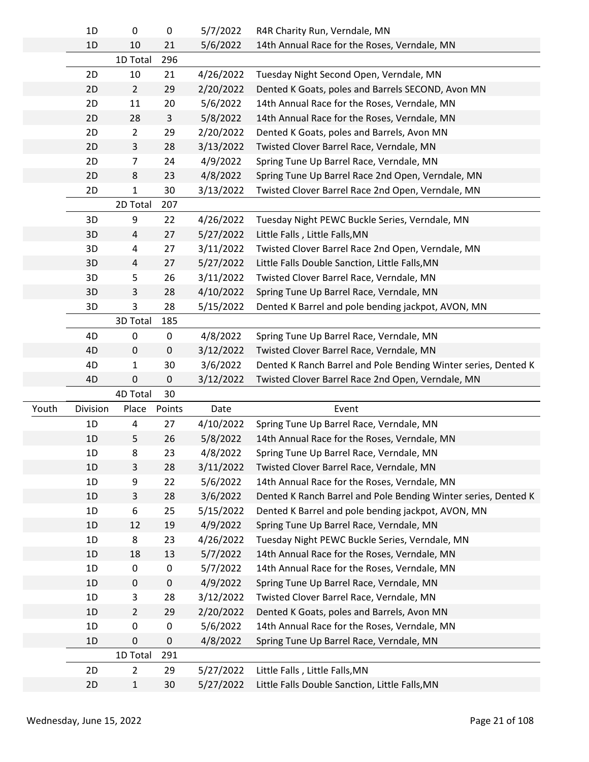|       | 1D             | 0                              | 0           | 5/7/2022               | R4R Charity Run, Verndale, MN                                                            |
|-------|----------------|--------------------------------|-------------|------------------------|------------------------------------------------------------------------------------------|
|       | 1D             | 10                             | 21          | 5/6/2022               | 14th Annual Race for the Roses, Verndale, MN                                             |
|       |                | 1D Total                       | 296         |                        |                                                                                          |
|       | 2D             | 10                             | 21          | 4/26/2022              | Tuesday Night Second Open, Verndale, MN                                                  |
|       | 2D             | $\overline{2}$                 | 29          | 2/20/2022              | Dented K Goats, poles and Barrels SECOND, Avon MN                                        |
|       | 2D             | $11\,$                         | 20          | 5/6/2022               | 14th Annual Race for the Roses, Verndale, MN                                             |
|       | 2D             | 28                             | 3           | 5/8/2022               | 14th Annual Race for the Roses, Verndale, MN                                             |
|       | 2D             | $\overline{2}$                 | 29          | 2/20/2022              | Dented K Goats, poles and Barrels, Avon MN                                               |
|       | 2D             | 3                              | 28          | 3/13/2022              | Twisted Clover Barrel Race, Verndale, MN                                                 |
|       | 2D             | $\overline{7}$                 | 24          | 4/9/2022               | Spring Tune Up Barrel Race, Verndale, MN                                                 |
|       | 2D             | 8                              | 23          | 4/8/2022               | Spring Tune Up Barrel Race 2nd Open, Verndale, MN                                        |
|       | 2D             | 1                              | 30          | 3/13/2022              | Twisted Clover Barrel Race 2nd Open, Verndale, MN                                        |
|       |                | 2D Total                       | 207         |                        |                                                                                          |
|       | 3D             | 9                              | 22          | 4/26/2022              | Tuesday Night PEWC Buckle Series, Verndale, MN                                           |
|       | 3D             | 4                              | 27          | 5/27/2022              | Little Falls, Little Falls, MN                                                           |
|       | 3D             | 4                              | 27          | 3/11/2022              | Twisted Clover Barrel Race 2nd Open, Verndale, MN                                        |
|       | 3D             | 4                              | 27          | 5/27/2022              | Little Falls Double Sanction, Little Falls, MN                                           |
|       | 3D             | 5                              | 26          | 3/11/2022              | Twisted Clover Barrel Race, Verndale, MN                                                 |
|       | 3D             | 3                              | 28          | 4/10/2022              | Spring Tune Up Barrel Race, Verndale, MN                                                 |
|       | 3D             | 3                              | 28          | 5/15/2022              | Dented K Barrel and pole bending jackpot, AVON, MN                                       |
|       |                | 3D Total                       | 185         |                        |                                                                                          |
|       | 4D             | 0                              | 0           | 4/8/2022               | Spring Tune Up Barrel Race, Verndale, MN                                                 |
|       | 4D             | $\pmb{0}$                      | $\mathbf 0$ | 3/12/2022              | Twisted Clover Barrel Race, Verndale, MN                                                 |
|       | 4D             | 1                              | 30          | 3/6/2022               | Dented K Ranch Barrel and Pole Bending Winter series, Dented K                           |
|       | 4D             | $\mathbf 0$                    | $\pmb{0}$   | 3/12/2022              | Twisted Clover Barrel Race 2nd Open, Verndale, MN                                        |
|       |                | 4D Total                       | 30          |                        |                                                                                          |
| Youth | Division       | Place                          | Points      | Date                   | Event                                                                                    |
|       | 1D             | 4                              | 27          | 4/10/2022              | Spring Tune Up Barrel Race, Verndale, MN                                                 |
|       | 1D             | 5                              | 26          | 5/8/2022               | 14th Annual Race for the Roses, Verndale, MN                                             |
|       | 1 <sub>D</sub> | 8                              | 23          | 4/8/2022               | Spring Tune Up Barrel Race, Verndale, MN                                                 |
|       | 1D             | 3                              |             |                        |                                                                                          |
|       |                |                                | 28          |                        |                                                                                          |
|       | 1D             |                                | 22          | 3/11/2022              | Twisted Clover Barrel Race, Verndale, MN<br>14th Annual Race for the Roses, Verndale, MN |
|       | 1D             | 9                              |             | 5/6/2022               |                                                                                          |
|       | 1D             | 3                              | 28          | 3/6/2022               | Dented K Ranch Barrel and Pole Bending Winter series, Dented K                           |
|       | 1D             | 6                              | 25          | 5/15/2022<br>4/9/2022  | Dented K Barrel and pole bending jackpot, AVON, MN                                       |
|       | 1D             | 12                             | 19          |                        | Spring Tune Up Barrel Race, Verndale, MN                                                 |
|       |                | 8                              | 23          | 4/26/2022              | Tuesday Night PEWC Buckle Series, Verndale, MN                                           |
|       | 1D<br>1D       | 18                             | 13          | 5/7/2022               | 14th Annual Race for the Roses, Verndale, MN                                             |
|       |                | 0                              | 0           | 5/7/2022               | 14th Annual Race for the Roses, Verndale, MN                                             |
|       | 1D<br>1D       | $\mathbf 0$                    | 0           | 4/9/2022               | Spring Tune Up Barrel Race, Verndale, MN                                                 |
|       |                | 3                              | 28          | 3/12/2022              | Twisted Clover Barrel Race, Verndale, MN                                                 |
|       | 1D             | $\overline{2}$                 | 29          | 2/20/2022              | Dented K Goats, poles and Barrels, Avon MN                                               |
|       | 1D             | 0                              | 0           | 5/6/2022               | 14th Annual Race for the Roses, Verndale, MN                                             |
|       | 1D             | 0                              | $\pmb{0}$   | 4/8/2022               | Spring Tune Up Barrel Race, Verndale, MN                                                 |
|       |                | 1D Total                       | 291         |                        |                                                                                          |
|       | 2D<br>2D       | $\overline{2}$<br>$\mathbf{1}$ | 29<br>30    | 5/27/2022<br>5/27/2022 | Little Falls, Little Falls, MN<br>Little Falls Double Sanction, Little Falls, MN         |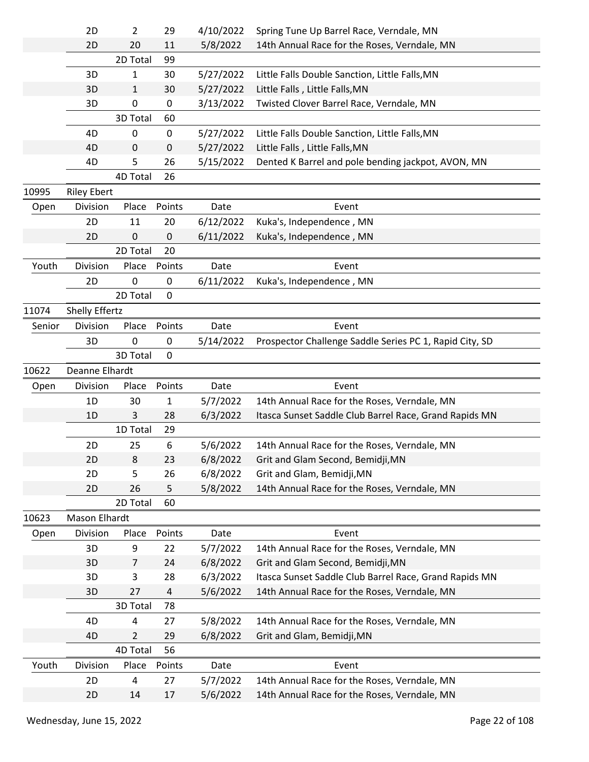|        | 2D                 | $\overline{2}$ | 29          | 4/10/2022            | Spring Tune Up Barrel Race, Verndale, MN                                                     |  |
|--------|--------------------|----------------|-------------|----------------------|----------------------------------------------------------------------------------------------|--|
|        | 2D                 | 20             | 11          | 5/8/2022             | 14th Annual Race for the Roses, Verndale, MN                                                 |  |
|        |                    | 2D Total       | 99          |                      |                                                                                              |  |
|        | 3D                 | 1              | 30          | 5/27/2022            | Little Falls Double Sanction, Little Falls, MN                                               |  |
|        | 3D                 | 1              | 30          | 5/27/2022            | Little Falls, Little Falls, MN                                                               |  |
|        | 3D                 | $\pmb{0}$      | 0           | 3/13/2022            | Twisted Clover Barrel Race, Verndale, MN                                                     |  |
|        |                    | 3D Total       | 60          |                      |                                                                                              |  |
|        | 4D                 | 0              | 0           | 5/27/2022            | Little Falls Double Sanction, Little Falls, MN                                               |  |
|        | 4D                 | 0              | 0           | 5/27/2022            | Little Falls, Little Falls, MN                                                               |  |
|        | 4D                 | 5              | 26          | 5/15/2022            | Dented K Barrel and pole bending jackpot, AVON, MN                                           |  |
|        |                    | 4D Total       | 26          |                      |                                                                                              |  |
| 10995  | <b>Riley Ebert</b> |                |             |                      |                                                                                              |  |
| Open   | Division           | Place          | Points      | Date                 | Event                                                                                        |  |
|        | 2D                 | 11             | 20          | 6/12/2022            | Kuka's, Independence, MN                                                                     |  |
|        | 2D                 | $\mathbf 0$    | 0           | 6/11/2022            | Kuka's, Independence, MN                                                                     |  |
|        |                    | 2D Total       | 20          |                      |                                                                                              |  |
| Youth  | Division           | Place          | Points      | Date                 | Event                                                                                        |  |
|        | 2D                 | 0              | 0           | 6/11/2022            | Kuka's, Independence, MN                                                                     |  |
|        |                    | 2D Total       | $\mathbf 0$ |                      |                                                                                              |  |
| 11074  | Shelly Effertz     |                |             |                      |                                                                                              |  |
| Senior | Division           | Place          | Points      | Date                 | Event                                                                                        |  |
|        | 3D                 | 0              | 0           | 5/14/2022            | Prospector Challenge Saddle Series PC 1, Rapid City, SD                                      |  |
|        |                    | 3D Total       | 0           |                      |                                                                                              |  |
| 10622  | Deanne Elhardt     |                |             |                      |                                                                                              |  |
| Open   | Division           | Place          | Points      | Date                 | Event                                                                                        |  |
|        | 1D                 | 30             | 1           | 5/7/2022             | 14th Annual Race for the Roses, Verndale, MN                                                 |  |
|        | 1D                 | 3              | 28          | 6/3/2022             | Itasca Sunset Saddle Club Barrel Race, Grand Rapids MN                                       |  |
|        |                    | 1D Total       | 29          |                      |                                                                                              |  |
|        | 2D                 | 25             | 6           | 5/6/2022             | 14th Annual Race for the Roses, Verndale, MN                                                 |  |
|        | 2D                 | 8              | 23          | 6/8/2022             | Grit and Glam Second, Bemidji, MN                                                            |  |
|        | 2D                 | 5              | 26          | 6/8/2022             | Grit and Glam, Bemidji, MN                                                                   |  |
|        | 2D                 | 26             | 5           | 5/8/2022             | 14th Annual Race for the Roses, Verndale, MN                                                 |  |
|        |                    | 2D Total       | 60          |                      |                                                                                              |  |
| 10623  | Mason Elhardt      |                |             |                      |                                                                                              |  |
| Open   | Division           | Place          | Points      | Date                 | Event                                                                                        |  |
|        | 3D                 | 9              | 22          | 5/7/2022             | 14th Annual Race for the Roses, Verndale, MN                                                 |  |
|        | 3D                 | $\overline{7}$ |             |                      |                                                                                              |  |
|        |                    |                |             |                      |                                                                                              |  |
|        | 3D                 | 3              | 24          | 6/8/2022             | Grit and Glam Second, Bemidji, MN                                                            |  |
|        |                    | 27             | 28          | 6/3/2022             | Itasca Sunset Saddle Club Barrel Race, Grand Rapids MN                                       |  |
|        | 3D                 |                | 4<br>78     | 5/6/2022             | 14th Annual Race for the Roses, Verndale, MN                                                 |  |
|        | 4D                 | 3D Total<br>4  |             |                      |                                                                                              |  |
|        | 4D                 | $\overline{2}$ | 27          | 5/8/2022             | 14th Annual Race for the Roses, Verndale, MN                                                 |  |
|        |                    | 4D Total       | 29<br>56    | 6/8/2022             | Grit and Glam, Bemidji, MN                                                                   |  |
| Youth  | Division           | Place          | Points      | Date                 | Event                                                                                        |  |
|        | 2D                 | 4              |             |                      |                                                                                              |  |
|        | 2D                 | 14             | 27<br>17    | 5/7/2022<br>5/6/2022 | 14th Annual Race for the Roses, Verndale, MN<br>14th Annual Race for the Roses, Verndale, MN |  |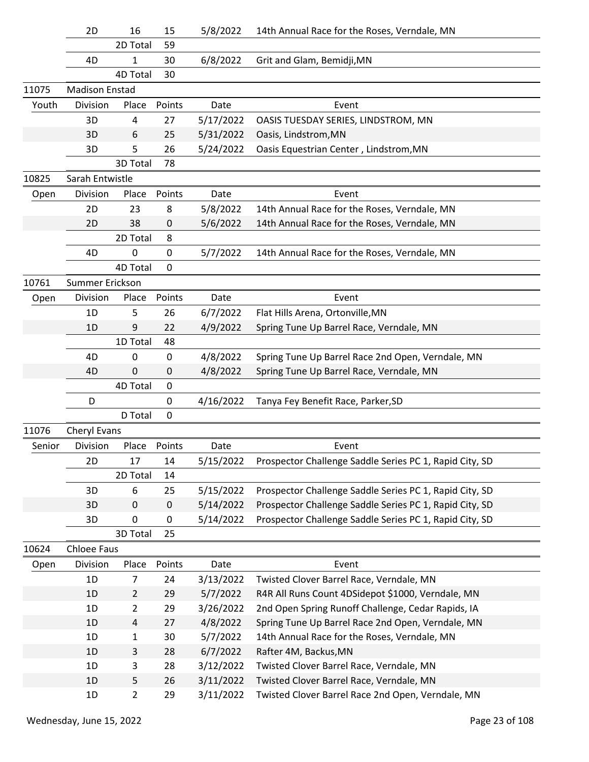|        | 2D                    | 16             | 15          | 5/8/2022  | 14th Annual Race for the Roses, Verndale, MN            |
|--------|-----------------------|----------------|-------------|-----------|---------------------------------------------------------|
|        |                       | 2D Total       | 59          |           |                                                         |
|        | 4D                    | 1              | 30          | 6/8/2022  | Grit and Glam, Bemidji, MN                              |
|        |                       | 4D Total       | 30          |           |                                                         |
| 11075  | <b>Madison Enstad</b> |                |             |           |                                                         |
| Youth  | Division              | Place          | Points      | Date      | Event                                                   |
|        | 3D                    | 4              | 27          | 5/17/2022 | OASIS TUESDAY SERIES, LINDSTROM, MN                     |
|        | 3D                    | 6              | 25          | 5/31/2022 | Oasis, Lindstrom, MN                                    |
|        | 3D                    | 5              | 26          | 5/24/2022 | Oasis Equestrian Center, Lindstrom, MN                  |
|        |                       | 3D Total       | 78          |           |                                                         |
| 10825  | Sarah Entwistle       |                |             |           |                                                         |
| Open   | Division              | Place          | Points      | Date      | Event                                                   |
|        | 2D                    | 23             | 8           | 5/8/2022  | 14th Annual Race for the Roses, Verndale, MN            |
|        | 2D                    | 38             | 0           | 5/6/2022  | 14th Annual Race for the Roses, Verndale, MN            |
|        |                       | 2D Total       | 8           |           |                                                         |
|        | 4D                    | 0              | 0           | 5/7/2022  | 14th Annual Race for the Roses, Verndale, MN            |
|        |                       | 4D Total       | 0           |           |                                                         |
| 10761  | Summer Erickson       |                |             |           |                                                         |
| Open   | Division              | Place          | Points      | Date      | Event                                                   |
|        | 1D                    | 5              | 26          | 6/7/2022  | Flat Hills Arena, Ortonville, MN                        |
|        | 1D                    | 9              | 22          | 4/9/2022  | Spring Tune Up Barrel Race, Verndale, MN                |
|        |                       | 1D Total       | 48          |           |                                                         |
|        | 4D                    | 0              | 0           | 4/8/2022  | Spring Tune Up Barrel Race 2nd Open, Verndale, MN       |
|        | 4D                    | 0              | 0           | 4/8/2022  | Spring Tune Up Barrel Race, Verndale, MN                |
|        |                       | 4D Total       | $\mathbf 0$ |           |                                                         |
|        | D                     |                | 0           | 4/16/2022 | Tanya Fey Benefit Race, Parker, SD                      |
|        |                       | D Total        | $\mathbf 0$ |           |                                                         |
| 11076  | Cheryl Evans          |                |             |           |                                                         |
| Senior | Division              | Place          | Points      | Date      | Event                                                   |
|        | 2D                    | 17             | 14          | 5/15/2022 | Prospector Challenge Saddle Series PC 1, Rapid City, SD |
|        |                       | 2D Total       | 14          |           |                                                         |
|        | 3D                    | 6              | 25          | 5/15/2022 | Prospector Challenge Saddle Series PC 1, Rapid City, SD |
|        | 3D                    | $\mathbf 0$    | $\mathbf 0$ | 5/14/2022 | Prospector Challenge Saddle Series PC 1, Rapid City, SD |
|        | 3D                    | 0              | $\pmb{0}$   | 5/14/2022 | Prospector Challenge Saddle Series PC 1, Rapid City, SD |
|        |                       | 3D Total       | 25          |           |                                                         |
| 10624  | <b>Chloee Faus</b>    |                |             |           |                                                         |
| Open   | Division              | Place          | Points      | Date      | Event                                                   |
|        | 1D                    | 7              | 24          | 3/13/2022 | Twisted Clover Barrel Race, Verndale, MN                |
|        | 1D                    | $\overline{2}$ | 29          | 5/7/2022  | R4R All Runs Count 4DSidepot \$1000, Verndale, MN       |
|        | 1D                    | $\overline{2}$ | 29          | 3/26/2022 | 2nd Open Spring Runoff Challenge, Cedar Rapids, IA      |
|        | 1D                    | 4              | 27          | 4/8/2022  | Spring Tune Up Barrel Race 2nd Open, Verndale, MN       |
|        | 1D                    | $\mathbf{1}$   | 30          | 5/7/2022  | 14th Annual Race for the Roses, Verndale, MN            |
|        | 1D                    | 3              | 28          | 6/7/2022  | Rafter 4M, Backus, MN                                   |
|        | 1D                    | 3              | 28          | 3/12/2022 | Twisted Clover Barrel Race, Verndale, MN                |
|        | 1D                    | 5              | 26          | 3/11/2022 | Twisted Clover Barrel Race, Verndale, MN                |
|        | $1D$                  | $\overline{2}$ | 29          | 3/11/2022 | Twisted Clover Barrel Race 2nd Open, Verndale, MN       |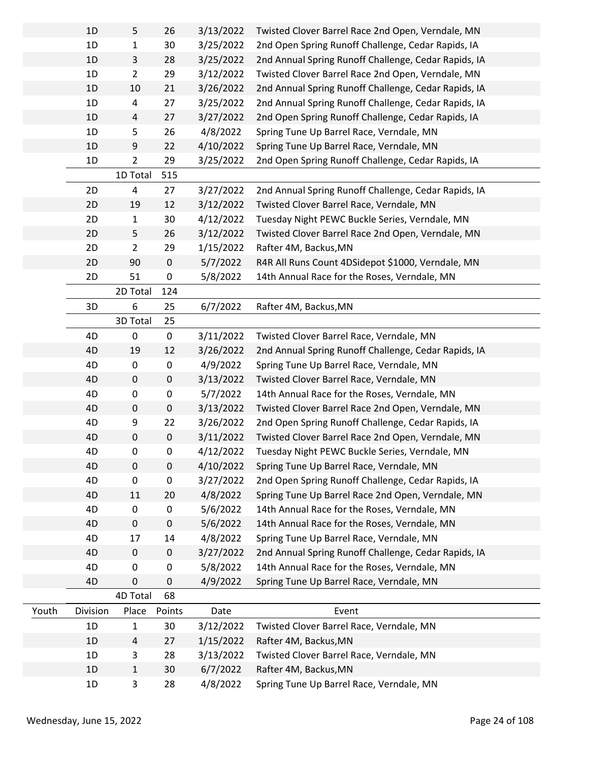|       | 1D       | 5              | 26        | 3/13/2022 | Twisted Clover Barrel Race 2nd Open, Verndale, MN    |
|-------|----------|----------------|-----------|-----------|------------------------------------------------------|
|       | 1D       | $\mathbf{1}$   | 30        | 3/25/2022 | 2nd Open Spring Runoff Challenge, Cedar Rapids, IA   |
|       | 1D       | 3              | 28        | 3/25/2022 | 2nd Annual Spring Runoff Challenge, Cedar Rapids, IA |
|       | 1D       | $\overline{2}$ | 29        | 3/12/2022 | Twisted Clover Barrel Race 2nd Open, Verndale, MN    |
|       | 1D       | 10             | 21        | 3/26/2022 | 2nd Annual Spring Runoff Challenge, Cedar Rapids, IA |
|       | 1D       | 4              | 27        | 3/25/2022 | 2nd Annual Spring Runoff Challenge, Cedar Rapids, IA |
|       | 1D       | 4              | 27        | 3/27/2022 | 2nd Open Spring Runoff Challenge, Cedar Rapids, IA   |
|       | 1D       | 5              | 26        | 4/8/2022  | Spring Tune Up Barrel Race, Verndale, MN             |
|       | 1D       | 9              | 22        | 4/10/2022 | Spring Tune Up Barrel Race, Verndale, MN             |
|       | 1D       | $\overline{2}$ | 29        | 3/25/2022 | 2nd Open Spring Runoff Challenge, Cedar Rapids, IA   |
|       |          | 1D Total       | 515       |           |                                                      |
|       | 2D       | 4              | 27        | 3/27/2022 | 2nd Annual Spring Runoff Challenge, Cedar Rapids, IA |
|       | 2D       | 19             | 12        | 3/12/2022 | Twisted Clover Barrel Race, Verndale, MN             |
|       | 2D       | $\mathbf{1}$   | 30        | 4/12/2022 | Tuesday Night PEWC Buckle Series, Verndale, MN       |
|       | 2D       | 5              | 26        | 3/12/2022 | Twisted Clover Barrel Race 2nd Open, Verndale, MN    |
|       | 2D       | $\overline{2}$ | 29        | 1/15/2022 | Rafter 4M, Backus, MN                                |
|       | 2D       | 90             | $\pmb{0}$ | 5/7/2022  | R4R All Runs Count 4DSidepot \$1000, Verndale, MN    |
|       | 2D       | 51             | 0         | 5/8/2022  | 14th Annual Race for the Roses, Verndale, MN         |
|       |          | 2D Total       | 124       |           |                                                      |
|       | 3D       | 6              | 25        | 6/7/2022  | Rafter 4M, Backus, MN                                |
|       |          | 3D Total       | 25        |           |                                                      |
|       | 4D       | $\pmb{0}$      | 0         | 3/11/2022 | Twisted Clover Barrel Race, Verndale, MN             |
|       | 4D       | 19             | 12        | 3/26/2022 | 2nd Annual Spring Runoff Challenge, Cedar Rapids, IA |
|       | 4D       | 0              | 0         | 4/9/2022  | Spring Tune Up Barrel Race, Verndale, MN             |
|       | 4D       | 0              | 0         | 3/13/2022 | Twisted Clover Barrel Race, Verndale, MN             |
|       | 4D       | 0              | 0         | 5/7/2022  | 14th Annual Race for the Roses, Verndale, MN         |
|       | 4D       | $\pmb{0}$      | $\pmb{0}$ | 3/13/2022 | Twisted Clover Barrel Race 2nd Open, Verndale, MN    |
|       | 4D       | 9              | 22        | 3/26/2022 | 2nd Open Spring Runoff Challenge, Cedar Rapids, IA   |
|       | 4D       | 0              | $\pmb{0}$ | 3/11/2022 | Twisted Clover Barrel Race 2nd Open, Verndale, MN    |
|       | 4D       | 0              | 0         | 4/12/2022 | Tuesday Night PEWC Buckle Series, Verndale, MN       |
|       | 4D       | $\pmb{0}$      | 0         | 4/10/2022 | Spring Tune Up Barrel Race, Verndale, MN             |
|       | 4D       | $\pmb{0}$      | 0         | 3/27/2022 | 2nd Open Spring Runoff Challenge, Cedar Rapids, IA   |
|       | 4D       | 11             | 20        | 4/8/2022  | Spring Tune Up Barrel Race 2nd Open, Verndale, MN    |
|       | 4D       | 0              | 0         | 5/6/2022  | 14th Annual Race for the Roses, Verndale, MN         |
|       | 4D       | $\pmb{0}$      | $\pmb{0}$ | 5/6/2022  | 14th Annual Race for the Roses, Verndale, MN         |
|       | 4D       | 17             | 14        | 4/8/2022  | Spring Tune Up Barrel Race, Verndale, MN             |
|       | 4D       | $\mathbf 0$    | $\pmb{0}$ | 3/27/2022 | 2nd Annual Spring Runoff Challenge, Cedar Rapids, IA |
|       | 4D       | 0              | 0         | 5/8/2022  | 14th Annual Race for the Roses, Verndale, MN         |
|       | 4D       | 0              | 0         | 4/9/2022  | Spring Tune Up Barrel Race, Verndale, MN             |
|       |          | 4D Total       | 68        |           |                                                      |
| Youth | Division | Place          | Points    | Date      | Event                                                |
|       | 1D       | $\mathbf{1}$   | 30        | 3/12/2022 | Twisted Clover Barrel Race, Verndale, MN             |
|       | 1D       | $\overline{4}$ | 27        | 1/15/2022 | Rafter 4M, Backus, MN                                |
|       | 1D       | 3              | 28        | 3/13/2022 | Twisted Clover Barrel Race, Verndale, MN             |
|       | 1D       | $\mathbf{1}$   | 30        | 6/7/2022  | Rafter 4M, Backus, MN                                |
|       | 1D       | 3              | 28        | 4/8/2022  | Spring Tune Up Barrel Race, Verndale, MN             |
|       |          |                |           |           |                                                      |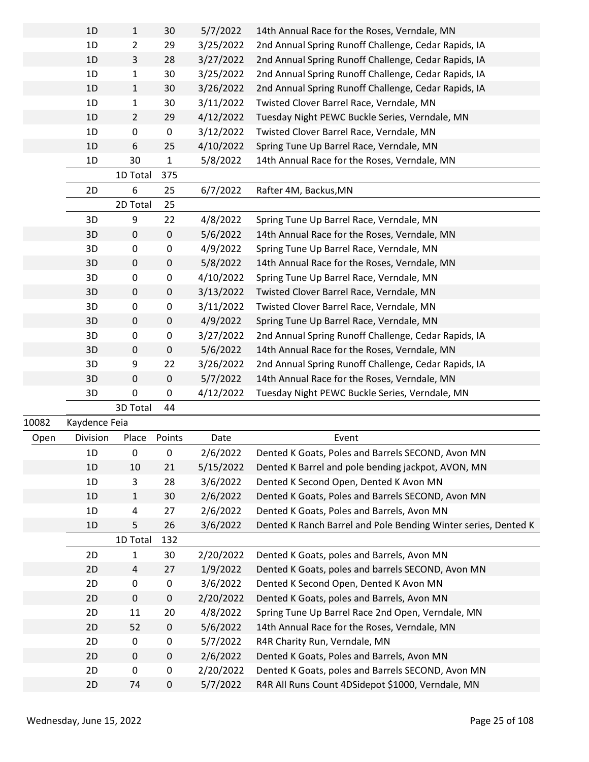|       | 1D            | $\mathbf{1}$   | 30        | 5/7/2022  | 14th Annual Race for the Roses, Verndale, MN                   |
|-------|---------------|----------------|-----------|-----------|----------------------------------------------------------------|
|       | 1D            | $\overline{2}$ | 29        | 3/25/2022 | 2nd Annual Spring Runoff Challenge, Cedar Rapids, IA           |
|       | 1D            | 3              | 28        | 3/27/2022 | 2nd Annual Spring Runoff Challenge, Cedar Rapids, IA           |
|       | 1D            | $\mathbf{1}$   | 30        | 3/25/2022 | 2nd Annual Spring Runoff Challenge, Cedar Rapids, IA           |
|       | 1D            | $\mathbf{1}$   | 30        | 3/26/2022 | 2nd Annual Spring Runoff Challenge, Cedar Rapids, IA           |
|       | 1D            | $\mathbf{1}$   | 30        | 3/11/2022 | Twisted Clover Barrel Race, Verndale, MN                       |
|       | 1D            | $\overline{2}$ | 29        | 4/12/2022 | Tuesday Night PEWC Buckle Series, Verndale, MN                 |
|       | 1D            | 0              | 0         | 3/12/2022 | Twisted Clover Barrel Race, Verndale, MN                       |
|       | 1D            | 6              | 25        | 4/10/2022 | Spring Tune Up Barrel Race, Verndale, MN                       |
|       | 1D            | 30             | 1         | 5/8/2022  | 14th Annual Race for the Roses, Verndale, MN                   |
|       |               | 1D Total       | 375       |           |                                                                |
|       | 2D            | 6              | 25        | 6/7/2022  | Rafter 4M, Backus, MN                                          |
|       |               | 2D Total       | 25        |           |                                                                |
|       | 3D            | 9              | 22        | 4/8/2022  | Spring Tune Up Barrel Race, Verndale, MN                       |
|       | 3D            | 0              | $\pmb{0}$ | 5/6/2022  | 14th Annual Race for the Roses, Verndale, MN                   |
|       | 3D            | 0              | 0         | 4/9/2022  | Spring Tune Up Barrel Race, Verndale, MN                       |
|       | 3D            | 0              | $\pmb{0}$ | 5/8/2022  | 14th Annual Race for the Roses, Verndale, MN                   |
|       | 3D            | 0              | 0         | 4/10/2022 | Spring Tune Up Barrel Race, Verndale, MN                       |
|       | 3D            | 0              | $\pmb{0}$ | 3/13/2022 | Twisted Clover Barrel Race, Verndale, MN                       |
|       | 3D            | 0              | 0         | 3/11/2022 | Twisted Clover Barrel Race, Verndale, MN                       |
|       | 3D            | 0              | $\pmb{0}$ | 4/9/2022  | Spring Tune Up Barrel Race, Verndale, MN                       |
|       | 3D            | 0              | 0         | 3/27/2022 | 2nd Annual Spring Runoff Challenge, Cedar Rapids, IA           |
|       | 3D            | 0              | $\pmb{0}$ | 5/6/2022  | 14th Annual Race for the Roses, Verndale, MN                   |
|       | 3D            | 9              | 22        | 3/26/2022 | 2nd Annual Spring Runoff Challenge, Cedar Rapids, IA           |
|       | 3D            | 0              | $\pmb{0}$ | 5/7/2022  | 14th Annual Race for the Roses, Verndale, MN                   |
|       | 3D            | 0              | 0         | 4/12/2022 | Tuesday Night PEWC Buckle Series, Verndale, MN                 |
|       |               | 3D Total       | 44        |           |                                                                |
| 10082 | Kaydence Feia |                |           |           |                                                                |
| Open  | Division      | Place          | Points    | Date      | Event                                                          |
|       | 1D            | 0              | 0         | 2/6/2022  | Dented K Goats, Poles and Barrels SECOND, Avon MN              |
|       | 1D            | 10             | 21        | 5/15/2022 | Dented K Barrel and pole bending jackpot, AVON, MN             |
|       | 1D            | 3              | 28        | 3/6/2022  | Dented K Second Open, Dented K Avon MN                         |
|       | 1D            | $\mathbf{1}$   | 30        | 2/6/2022  | Dented K Goats, Poles and Barrels SECOND, Avon MN              |
|       | 1D            | 4              | 27        | 2/6/2022  | Dented K Goats, Poles and Barrels, Avon MN                     |
|       | 1D            | 5              | 26        | 3/6/2022  | Dented K Ranch Barrel and Pole Bending Winter series, Dented K |
|       |               | 1D Total       | 132       |           |                                                                |
|       | 2D            | 1              | 30        | 2/20/2022 | Dented K Goats, poles and Barrels, Avon MN                     |
|       | 2D            | 4              | 27        | 1/9/2022  | Dented K Goats, poles and barrels SECOND, Avon MN              |
|       | 2D            | 0              | 0         | 3/6/2022  | Dented K Second Open, Dented K Avon MN                         |
|       | 2D            | 0              | 0         | 2/20/2022 | Dented K Goats, poles and Barrels, Avon MN                     |
|       | 2D            | 11             | 20        | 4/8/2022  | Spring Tune Up Barrel Race 2nd Open, Verndale, MN              |
|       | 2D            | 52             | 0         | 5/6/2022  | 14th Annual Race for the Roses, Verndale, MN                   |
|       | 2D            | 0              | 0         | 5/7/2022  | R4R Charity Run, Verndale, MN                                  |
|       | 2D            | 0              | 0         | 2/6/2022  | Dented K Goats, Poles and Barrels, Avon MN                     |
|       | 2D            | 0              | 0         | 2/20/2022 | Dented K Goats, poles and Barrels SECOND, Avon MN              |
|       | 2D            | 74             | 0         | 5/7/2022  | R4R All Runs Count 4DSidepot \$1000, Verndale, MN              |
|       |               |                |           |           |                                                                |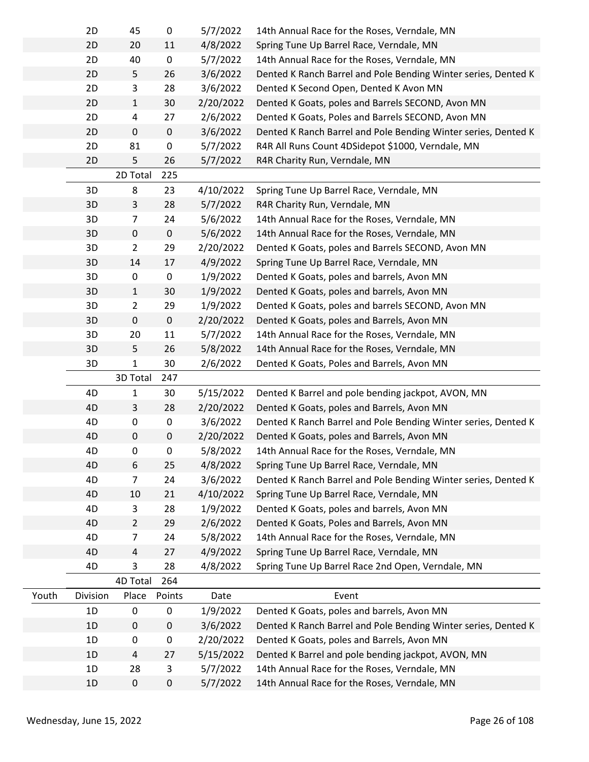|       | 2D       | 45                | $\pmb{0}$   | 5/7/2022  | 14th Annual Race for the Roses, Verndale, MN                   |
|-------|----------|-------------------|-------------|-----------|----------------------------------------------------------------|
|       | 2D       | 20                | 11          | 4/8/2022  | Spring Tune Up Barrel Race, Verndale, MN                       |
|       | 2D       | 40                | $\pmb{0}$   | 5/7/2022  | 14th Annual Race for the Roses, Verndale, MN                   |
|       | 2D       | 5                 | 26          | 3/6/2022  | Dented K Ranch Barrel and Pole Bending Winter series, Dented K |
|       | 2D       | 3                 | 28          | 3/6/2022  | Dented K Second Open, Dented K Avon MN                         |
|       | 2D       | $\mathbf{1}$      | 30          | 2/20/2022 | Dented K Goats, poles and Barrels SECOND, Avon MN              |
|       | 2D       | 4                 | 27          | 2/6/2022  | Dented K Goats, Poles and Barrels SECOND, Avon MN              |
|       | 2D       | $\pmb{0}$         | $\pmb{0}$   | 3/6/2022  | Dented K Ranch Barrel and Pole Bending Winter series, Dented K |
|       | 2D       | 81                | $\pmb{0}$   | 5/7/2022  | R4R All Runs Count 4DSidepot \$1000, Verndale, MN              |
|       | 2D       | 5                 | 26          | 5/7/2022  | R4R Charity Run, Verndale, MN                                  |
|       |          | 2D Total          | 225         |           |                                                                |
|       | 3D       | 8                 | 23          | 4/10/2022 | Spring Tune Up Barrel Race, Verndale, MN                       |
|       | 3D       | 3                 | 28          | 5/7/2022  | R4R Charity Run, Verndale, MN                                  |
|       | 3D       | $\overline{7}$    | 24          | 5/6/2022  | 14th Annual Race for the Roses, Verndale, MN                   |
|       | 3D       | $\pmb{0}$         | $\pmb{0}$   | 5/6/2022  | 14th Annual Race for the Roses, Verndale, MN                   |
|       | 3D       | $\overline{2}$    | 29          | 2/20/2022 | Dented K Goats, poles and Barrels SECOND, Avon MN              |
|       | 3D       | 14                | 17          | 4/9/2022  | Spring Tune Up Barrel Race, Verndale, MN                       |
|       | 3D       | 0                 | $\pmb{0}$   | 1/9/2022  | Dented K Goats, poles and barrels, Avon MN                     |
|       | 3D       | $\mathbf{1}$      | 30          | 1/9/2022  | Dented K Goats, poles and barrels, Avon MN                     |
|       | 3D       | $\overline{2}$    | 29          | 1/9/2022  | Dented K Goats, poles and barrels SECOND, Avon MN              |
|       | 3D       | $\pmb{0}$         | $\pmb{0}$   | 2/20/2022 | Dented K Goats, poles and Barrels, Avon MN                     |
|       | 3D       | 20                | $11\,$      | 5/7/2022  | 14th Annual Race for the Roses, Verndale, MN                   |
|       |          |                   | 26          |           |                                                                |
|       | 3D<br>3D | 5<br>$\mathbf{1}$ | 30          | 5/8/2022  | 14th Annual Race for the Roses, Verndale, MN                   |
|       |          |                   | 247         | 2/6/2022  | Dented K Goats, Poles and Barrels, Avon MN                     |
|       |          | 3D Total          |             |           |                                                                |
|       | 4D       | $\mathbf{1}$      | 30          | 5/15/2022 | Dented K Barrel and pole bending jackpot, AVON, MN             |
|       |          |                   |             |           | Dented K Goats, poles and Barrels, Avon MN                     |
|       | 4D       | 3                 | 28          | 2/20/2022 |                                                                |
|       | 4D       | $\pmb{0}$         | $\pmb{0}$   | 3/6/2022  | Dented K Ranch Barrel and Pole Bending Winter series, Dented K |
|       | 4D       | $\pmb{0}$         | $\pmb{0}$   | 2/20/2022 | Dented K Goats, poles and Barrels, Avon MN                     |
|       | 4D       | 0                 | 0           | 5/8/2022  | 14th Annual Race for the Roses, Verndale, MN                   |
|       | 4D       | 6                 | 25          | 4/8/2022  | Spring Tune Up Barrel Race, Verndale, MN                       |
|       | 4D       | $\overline{7}$    | 24          | 3/6/2022  | Dented K Ranch Barrel and Pole Bending Winter series, Dented K |
|       | 4D       | 10                | 21          | 4/10/2022 | Spring Tune Up Barrel Race, Verndale, MN                       |
|       | 4D       | 3                 | 28          | 1/9/2022  | Dented K Goats, poles and barrels, Avon MN                     |
|       | 4D       | $\overline{2}$    | 29          | 2/6/2022  | Dented K Goats, Poles and Barrels, Avon MN                     |
|       | 4D       | $\overline{7}$    | 24          | 5/8/2022  | 14th Annual Race for the Roses, Verndale, MN                   |
|       | 4D       | 4                 | 27          | 4/9/2022  | Spring Tune Up Barrel Race, Verndale, MN                       |
|       | 4D       | 3                 | 28          | 4/8/2022  | Spring Tune Up Barrel Race 2nd Open, Verndale, MN              |
|       |          | 4D Total          | 264         |           |                                                                |
| Youth | Division | Place             | Points      | Date      | Event                                                          |
|       | 1D       | $\pmb{0}$         | $\pmb{0}$   | 1/9/2022  | Dented K Goats, poles and barrels, Avon MN                     |
|       | 1D       | 0                 | $\pmb{0}$   | 3/6/2022  | Dented K Ranch Barrel and Pole Bending Winter series, Dented K |
|       | 1D       | 0                 | $\pmb{0}$   | 2/20/2022 | Dented K Goats, poles and Barrels, Avon MN                     |
|       | 1D       | 4                 | 27          | 5/15/2022 | Dented K Barrel and pole bending jackpot, AVON, MN             |
|       | 1D       | 28                | $\mathsf 3$ | 5/7/2022  | 14th Annual Race for the Roses, Verndale, MN                   |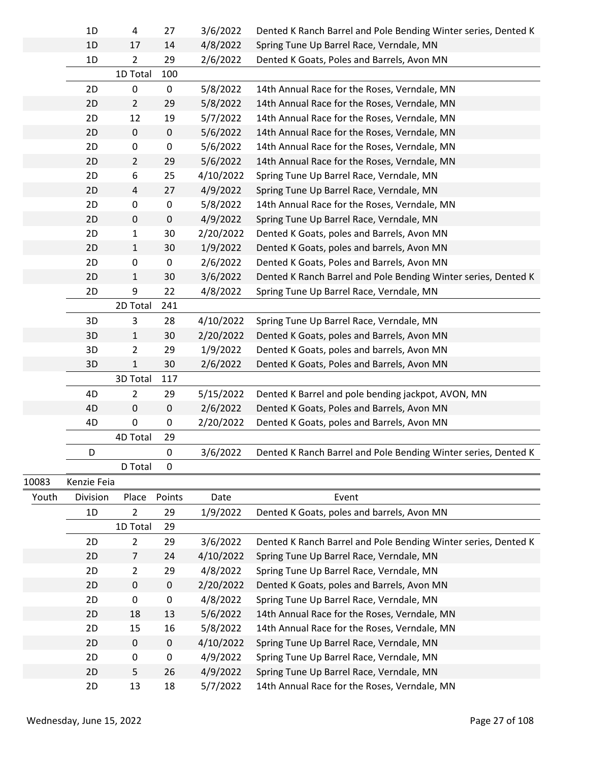|       | 1D          | 4              | 27        | 3/6/2022  | Dented K Ranch Barrel and Pole Bending Winter series, Dented K |
|-------|-------------|----------------|-----------|-----------|----------------------------------------------------------------|
|       | 1D          | 17             | 14        | 4/8/2022  | Spring Tune Up Barrel Race, Verndale, MN                       |
|       | 1D          | $\overline{2}$ | 29        | 2/6/2022  | Dented K Goats, Poles and Barrels, Avon MN                     |
|       |             | 1D Total       | 100       |           |                                                                |
|       | 2D          | 0              | 0         | 5/8/2022  | 14th Annual Race for the Roses, Verndale, MN                   |
|       | 2D          | $\overline{2}$ | 29        | 5/8/2022  | 14th Annual Race for the Roses, Verndale, MN                   |
|       | 2D          | 12             | 19        | 5/7/2022  | 14th Annual Race for the Roses, Verndale, MN                   |
|       | 2D          | $\pmb{0}$      | $\pmb{0}$ | 5/6/2022  | 14th Annual Race for the Roses, Verndale, MN                   |
|       | 2D          | 0              | $\pmb{0}$ | 5/6/2022  | 14th Annual Race for the Roses, Verndale, MN                   |
|       | 2D          | $\overline{2}$ | 29        | 5/6/2022  | 14th Annual Race for the Roses, Verndale, MN                   |
|       | 2D          | 6              | 25        | 4/10/2022 | Spring Tune Up Barrel Race, Verndale, MN                       |
|       | 2D          | $\overline{4}$ | 27        | 4/9/2022  | Spring Tune Up Barrel Race, Verndale, MN                       |
|       | 2D          | 0              | $\pmb{0}$ | 5/8/2022  | 14th Annual Race for the Roses, Verndale, MN                   |
|       | 2D          | $\pmb{0}$      | $\pmb{0}$ | 4/9/2022  | Spring Tune Up Barrel Race, Verndale, MN                       |
|       | 2D          | $\mathbf{1}$   | 30        | 2/20/2022 | Dented K Goats, poles and Barrels, Avon MN                     |
|       | 2D          | $\mathbf{1}$   | 30        | 1/9/2022  | Dented K Goats, poles and barrels, Avon MN                     |
|       | 2D          | 0              | $\pmb{0}$ | 2/6/2022  | Dented K Goats, Poles and Barrels, Avon MN                     |
|       | 2D          | 1              | 30        | 3/6/2022  | Dented K Ranch Barrel and Pole Bending Winter series, Dented K |
|       | 2D          | 9              | 22        | 4/8/2022  | Spring Tune Up Barrel Race, Verndale, MN                       |
|       |             | 2D Total       | 241       |           |                                                                |
|       | 3D          | 3              | 28        | 4/10/2022 | Spring Tune Up Barrel Race, Verndale, MN                       |
|       | 3D          | $\mathbf{1}$   | 30        | 2/20/2022 | Dented K Goats, poles and Barrels, Avon MN                     |
|       | 3D          | $\overline{2}$ | 29        | 1/9/2022  | Dented K Goats, poles and barrels, Avon MN                     |
|       | 3D          | $\mathbf{1}$   | 30        | 2/6/2022  | Dented K Goats, Poles and Barrels, Avon MN                     |
|       |             | 3D Total       | 117       |           |                                                                |
|       | 4D          | $\overline{2}$ | 29        | 5/15/2022 | Dented K Barrel and pole bending jackpot, AVON, MN             |
|       | 4D          | $\pmb{0}$      | $\pmb{0}$ | 2/6/2022  | Dented K Goats, Poles and Barrels, Avon MN                     |
|       | 4D          | $\pmb{0}$      | 0         | 2/20/2022 | Dented K Goats, poles and Barrels, Avon MN                     |
|       |             | 4D Total       | 29        |           |                                                                |
|       | D           |                | $\pmb{0}$ | 3/6/2022  | Dented K Ranch Barrel and Pole Bending Winter series, Dented K |
|       |             | D Total        | 0         |           |                                                                |
| 10083 | Kenzie Feia |                |           |           |                                                                |
| Youth | Division    | Place          | Points    | Date      | Event                                                          |
|       | 1D          | $\overline{2}$ | 29        | 1/9/2022  | Dented K Goats, poles and barrels, Avon MN                     |
|       |             | 1D Total       | 29        |           |                                                                |
|       | 2D          | $\overline{2}$ | 29        | 3/6/2022  | Dented K Ranch Barrel and Pole Bending Winter series, Dented K |
|       | 2D          | 7              | 24        | 4/10/2022 | Spring Tune Up Barrel Race, Verndale, MN                       |
|       | 2D          | $\overline{2}$ | 29        | 4/8/2022  | Spring Tune Up Barrel Race, Verndale, MN                       |
|       | 2D          | 0              | $\pmb{0}$ | 2/20/2022 | Dented K Goats, poles and Barrels, Avon MN                     |
|       | 2D          | $\pmb{0}$      | $\pmb{0}$ | 4/8/2022  | Spring Tune Up Barrel Race, Verndale, MN                       |
|       | 2D          | 18             | 13        | 5/6/2022  | 14th Annual Race for the Roses, Verndale, MN                   |
|       | 2D          | 15             | 16        | 5/8/2022  | 14th Annual Race for the Roses, Verndale, MN                   |
|       | 2D          | $\mathbf 0$    | $\pmb{0}$ | 4/10/2022 | Spring Tune Up Barrel Race, Verndale, MN                       |
|       | 2D          | 0              | $\pmb{0}$ | 4/9/2022  | Spring Tune Up Barrel Race, Verndale, MN                       |
|       | 2D          | 5              | 26        | 4/9/2022  | Spring Tune Up Barrel Race, Verndale, MN                       |
|       | 2D          | 13             | 18        | 5/7/2022  | 14th Annual Race for the Roses, Verndale, MN                   |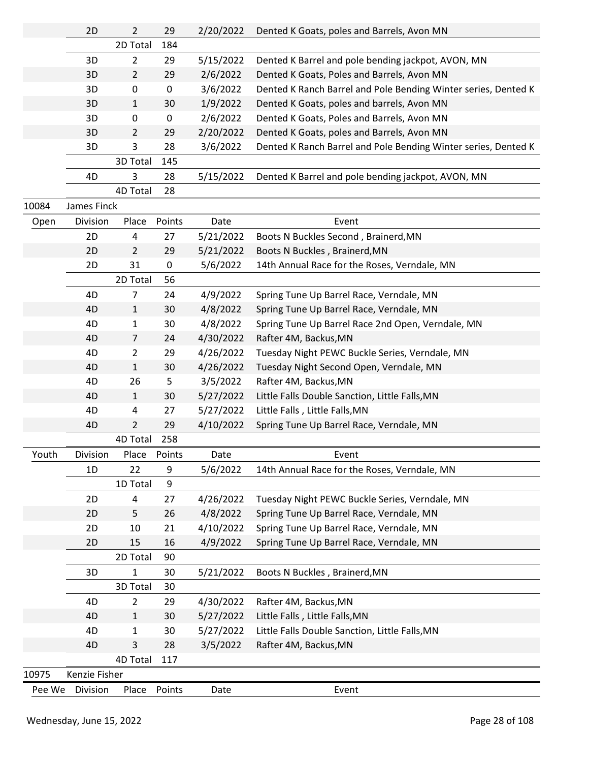|        | 2D            | $\overline{2}$ | 29     | 2/20/2022 | Dented K Goats, poles and Barrels, Avon MN                     |
|--------|---------------|----------------|--------|-----------|----------------------------------------------------------------|
|        |               | 2D Total       | 184    |           |                                                                |
|        | 3D            | $\overline{2}$ | 29     | 5/15/2022 | Dented K Barrel and pole bending jackpot, AVON, MN             |
|        | 3D            | $\overline{2}$ | 29     | 2/6/2022  | Dented K Goats, Poles and Barrels, Avon MN                     |
|        | 3D            | 0              | 0      | 3/6/2022  | Dented K Ranch Barrel and Pole Bending Winter series, Dented K |
|        | 3D            | $\mathbf{1}$   | 30     | 1/9/2022  | Dented K Goats, poles and barrels, Avon MN                     |
|        | 3D            | 0              | 0      | 2/6/2022  | Dented K Goats, Poles and Barrels, Avon MN                     |
|        | 3D            | $\overline{2}$ | 29     | 2/20/2022 | Dented K Goats, poles and Barrels, Avon MN                     |
|        | 3D            | 3              | 28     | 3/6/2022  | Dented K Ranch Barrel and Pole Bending Winter series, Dented K |
|        |               | 3D Total       | 145    |           |                                                                |
|        | 4D            | 3              | 28     | 5/15/2022 | Dented K Barrel and pole bending jackpot, AVON, MN             |
|        |               | 4D Total       | 28     |           |                                                                |
| 10084  | James Finck   |                |        |           |                                                                |
| Open   | Division      | Place          | Points | Date      | Event                                                          |
|        | 2D            | 4              | 27     | 5/21/2022 | Boots N Buckles Second, Brainerd, MN                           |
|        | 2D            | $\overline{2}$ | 29     | 5/21/2022 | Boots N Buckles, Brainerd, MN                                  |
|        | 2D            | 31             | 0      | 5/6/2022  | 14th Annual Race for the Roses, Verndale, MN                   |
|        |               | 2D Total       | 56     |           |                                                                |
|        | 4D            | $\overline{7}$ | 24     | 4/9/2022  | Spring Tune Up Barrel Race, Verndale, MN                       |
|        | 4D            | $\mathbf{1}$   | 30     | 4/8/2022  | Spring Tune Up Barrel Race, Verndale, MN                       |
|        | 4D            | $\mathbf{1}$   | 30     | 4/8/2022  | Spring Tune Up Barrel Race 2nd Open, Verndale, MN              |
|        | 4D            | $\overline{7}$ | 24     | 4/30/2022 | Rafter 4M, Backus, MN                                          |
|        | 4D            | $\overline{2}$ | 29     | 4/26/2022 | Tuesday Night PEWC Buckle Series, Verndale, MN                 |
|        | 4D            | $\mathbf{1}$   | 30     | 4/26/2022 | Tuesday Night Second Open, Verndale, MN                        |
|        | 4D            | 26             | 5      | 3/5/2022  | Rafter 4M, Backus, MN                                          |
|        | 4D            | $\mathbf{1}$   | 30     | 5/27/2022 | Little Falls Double Sanction, Little Falls, MN                 |
|        | 4D            | 4              | 27     | 5/27/2022 | Little Falls, Little Falls, MN                                 |
|        | 4D            | $\overline{2}$ | 29     | 4/10/2022 | Spring Tune Up Barrel Race, Verndale, MN                       |
|        |               | 4D Total       | 258    |           |                                                                |
| Youth  | Division      | Place          | Points | Date      | Event                                                          |
|        | 1D            | 22             | 9      | 5/6/2022  | 14th Annual Race for the Roses, Verndale, MN                   |
|        |               | 1D Total       | 9      |           |                                                                |
|        | 2D            | 4              | 27     | 4/26/2022 | Tuesday Night PEWC Buckle Series, Verndale, MN                 |
|        | 2D            | 5              | 26     | 4/8/2022  | Spring Tune Up Barrel Race, Verndale, MN                       |
|        | 2D            | 10             | 21     | 4/10/2022 | Spring Tune Up Barrel Race, Verndale, MN                       |
|        | 2D            | 15             | 16     | 4/9/2022  | Spring Tune Up Barrel Race, Verndale, MN                       |
|        |               | 2D Total       | 90     |           |                                                                |
|        | 3D            | 1              | 30     | 5/21/2022 | Boots N Buckles, Brainerd, MN                                  |
|        |               | 3D Total       | 30     |           |                                                                |
|        | 4D            | 2              | 29     | 4/30/2022 | Rafter 4M, Backus, MN                                          |
|        | 4D            | 1              | 30     | 5/27/2022 | Little Falls, Little Falls, MN                                 |
|        | 4D            | 1              | 30     | 5/27/2022 | Little Falls Double Sanction, Little Falls, MN                 |
|        | 4D            | 3              | 28     | 3/5/2022  | Rafter 4M, Backus, MN                                          |
|        |               | 4D Total       | 117    |           |                                                                |
| 10975  | Kenzie Fisher |                |        |           |                                                                |
| Pee We | Division      | Place          | Points | Date      | Event                                                          |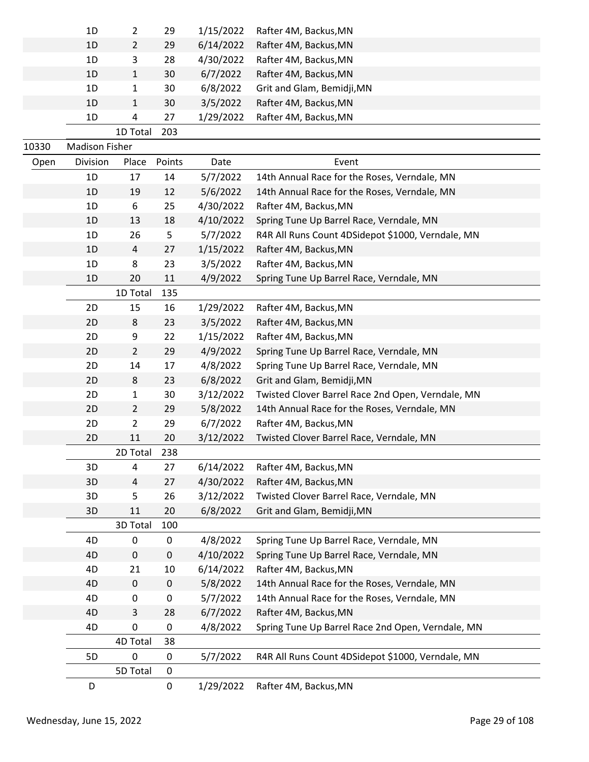|       | 1D                    | 2              | 29     | 1/15/2022 | Rafter 4M, Backus, MN                             |
|-------|-----------------------|----------------|--------|-----------|---------------------------------------------------|
|       | 1D                    | 2              | 29     | 6/14/2022 | Rafter 4M, Backus, MN                             |
|       | 1D                    | 3              | 28     | 4/30/2022 | Rafter 4M, Backus, MN                             |
|       | 1D                    | $\mathbf{1}$   | 30     | 6/7/2022  | Rafter 4M, Backus, MN                             |
|       | 1D                    | 1              | 30     | 6/8/2022  | Grit and Glam, Bemidji, MN                        |
|       | 1 <sub>D</sub>        | 1              | 30     | 3/5/2022  | Rafter 4M, Backus, MN                             |
|       | 1D                    | 4              | 27     | 1/29/2022 | Rafter 4M, Backus, MN                             |
|       |                       | 1D Total       | 203    |           |                                                   |
| 10330 | <b>Madison Fisher</b> |                |        |           |                                                   |
| Open  | Division              | Place          | Points | Date      | Event                                             |
|       | 1D                    | 17             | 14     | 5/7/2022  | 14th Annual Race for the Roses, Verndale, MN      |
|       | 1D                    | 19             | 12     | 5/6/2022  | 14th Annual Race for the Roses, Verndale, MN      |
|       | 1D                    | 6              | 25     | 4/30/2022 | Rafter 4M, Backus, MN                             |
|       | 1D                    | 13             | 18     | 4/10/2022 | Spring Tune Up Barrel Race, Verndale, MN          |
|       | 1D                    | 26             | 5      | 5/7/2022  | R4R All Runs Count 4DSidepot \$1000, Verndale, MN |
|       | 1D                    | 4              | 27     | 1/15/2022 | Rafter 4M, Backus, MN                             |
|       | 1D                    | 8              | 23     | 3/5/2022  | Rafter 4M, Backus, MN                             |
|       | 1D                    | 20             | 11     | 4/9/2022  | Spring Tune Up Barrel Race, Verndale, MN          |
|       |                       | 1D Total       | 135    |           |                                                   |
|       | 2D                    | 15             | 16     | 1/29/2022 | Rafter 4M, Backus, MN                             |
|       | 2D                    | 8              | 23     | 3/5/2022  | Rafter 4M, Backus, MN                             |
|       | 2D                    | 9              | 22     | 1/15/2022 | Rafter 4M, Backus, MN                             |
|       | 2D                    | $\overline{2}$ | 29     | 4/9/2022  | Spring Tune Up Barrel Race, Verndale, MN          |
|       | 2D                    | 14             | 17     | 4/8/2022  | Spring Tune Up Barrel Race, Verndale, MN          |
|       | 2D                    | 8              | 23     | 6/8/2022  | Grit and Glam, Bemidji, MN                        |
|       | 2D                    | $\mathbf{1}$   | 30     | 3/12/2022 | Twisted Clover Barrel Race 2nd Open, Verndale, MN |
|       | 2D                    | $\overline{2}$ | 29     | 5/8/2022  | 14th Annual Race for the Roses, Verndale, MN      |
|       | 2D                    | $\overline{2}$ | 29     | 6/7/2022  | Rafter 4M, Backus, MN                             |
|       | 2D                    | 11             | 20     | 3/12/2022 | Twisted Clover Barrel Race, Verndale, MN          |
|       |                       | 2D Total       | 238    |           |                                                   |
|       | 3D                    | 4              | 27     | 6/14/2022 | Rafter 4M, Backus, MN                             |
|       | 3D                    | 4              | 27     | 4/30/2022 | Rafter 4M, Backus, MN                             |
|       | 3D                    | 5              | 26     | 3/12/2022 | Twisted Clover Barrel Race, Verndale, MN          |
|       | 3D                    | 11             | 20     | 6/8/2022  | Grit and Glam, Bemidji, MN                        |
|       |                       | 3D Total       | 100    |           |                                                   |
|       | 4D                    | 0              | 0      | 4/8/2022  | Spring Tune Up Barrel Race, Verndale, MN          |
|       | 4D                    | 0              | 0      | 4/10/2022 | Spring Tune Up Barrel Race, Verndale, MN          |
|       | 4D                    | 21             | 10     | 6/14/2022 | Rafter 4M, Backus, MN                             |
|       | 4D                    | 0              | 0      | 5/8/2022  | 14th Annual Race for the Roses, Verndale, MN      |
|       | 4D                    | 0              | 0      | 5/7/2022  | 14th Annual Race for the Roses, Verndale, MN      |
|       | 4D                    | 3              | 28     | 6/7/2022  | Rafter 4M, Backus, MN                             |
|       | 4D                    | 0              | 0      | 4/8/2022  | Spring Tune Up Barrel Race 2nd Open, Verndale, MN |
|       |                       | 4D Total       | 38     |           |                                                   |
|       | 5D                    | 0              | 0      | 5/7/2022  | R4R All Runs Count 4DSidepot \$1000, Verndale, MN |
|       |                       | 5D Total       | 0      |           |                                                   |
|       | D                     |                | 0      | 1/29/2022 | Rafter 4M, Backus, MN                             |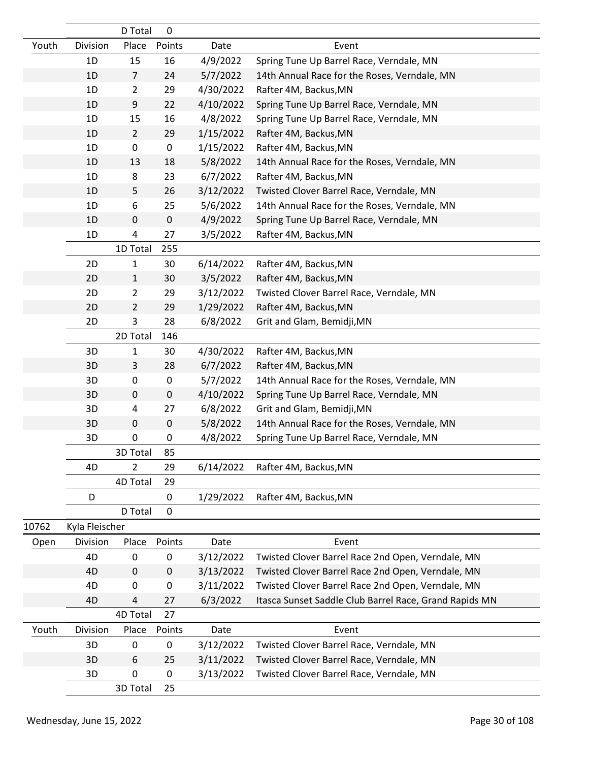|       |                | D Total        | 0           |           |                                                        |
|-------|----------------|----------------|-------------|-----------|--------------------------------------------------------|
| Youth | Division       | Place          | Points      | Date      | Event                                                  |
|       | 1D             | 15             | 16          | 4/9/2022  | Spring Tune Up Barrel Race, Verndale, MN               |
|       | 1D             | 7              | 24          | 5/7/2022  | 14th Annual Race for the Roses, Verndale, MN           |
|       | 1D             | $\overline{2}$ | 29          | 4/30/2022 | Rafter 4M, Backus, MN                                  |
|       | 1D             | 9              | 22          | 4/10/2022 | Spring Tune Up Barrel Race, Verndale, MN               |
|       | 1D             | 15             | 16          | 4/8/2022  | Spring Tune Up Barrel Race, Verndale, MN               |
|       | 1D             | $\overline{2}$ | 29          | 1/15/2022 | Rafter 4M, Backus, MN                                  |
|       | 1D             | 0              | $\pmb{0}$   | 1/15/2022 | Rafter 4M, Backus, MN                                  |
|       | 1D             | 13             | 18          | 5/8/2022  | 14th Annual Race for the Roses, Verndale, MN           |
|       | 1D             | 8              | 23          | 6/7/2022  | Rafter 4M, Backus, MN                                  |
|       | 1D             | 5              | 26          | 3/12/2022 | Twisted Clover Barrel Race, Verndale, MN               |
|       | 1D             | 6              | 25          | 5/6/2022  | 14th Annual Race for the Roses, Verndale, MN           |
|       | 1D             | 0              | $\pmb{0}$   | 4/9/2022  | Spring Tune Up Barrel Race, Verndale, MN               |
|       | 1D             | 4              | 27          | 3/5/2022  | Rafter 4M, Backus, MN                                  |
|       |                | 1D Total       | 255         |           |                                                        |
|       | 2D             | 1              | 30          | 6/14/2022 | Rafter 4M, Backus, MN                                  |
|       | 2D             | 1              | 30          | 3/5/2022  | Rafter 4M, Backus, MN                                  |
|       | 2D             | $\overline{2}$ | 29          | 3/12/2022 | Twisted Clover Barrel Race, Verndale, MN               |
|       | 2D             | 2              | 29          | 1/29/2022 | Rafter 4M, Backus, MN                                  |
|       | 2D             | 3              | 28          | 6/8/2022  | Grit and Glam, Bemidji, MN                             |
|       |                | 2D Total       | 146         |           |                                                        |
|       | 3D             | 1              | 30          | 4/30/2022 | Rafter 4M, Backus, MN                                  |
|       | 3D             | 3              | 28          | 6/7/2022  | Rafter 4M, Backus, MN                                  |
|       | 3D             | 0              | 0           | 5/7/2022  | 14th Annual Race for the Roses, Verndale, MN           |
|       | 3D             | 0              | $\mathbf 0$ | 4/10/2022 | Spring Tune Up Barrel Race, Verndale, MN               |
|       | 3D             | 4              | 27          | 6/8/2022  | Grit and Glam, Bemidji, MN                             |
|       | 3D             | 0              | 0           | 5/8/2022  | 14th Annual Race for the Roses, Verndale, MN           |
|       | 3D             | 0              | 0           | 4/8/2022  | Spring Tune Up Barrel Race, Verndale, MN               |
|       |                | 3D Total       | 85          |           |                                                        |
|       | 4D             | $\overline{2}$ | 29          | 6/14/2022 | Rafter 4M, Backus, MN                                  |
|       |                | 4D Total       | 29          |           |                                                        |
|       | D              |                | 0           | 1/29/2022 | Rafter 4M, Backus, MN                                  |
|       |                | D Total        | 0           |           |                                                        |
| 10762 | Kyla Fleischer |                |             |           |                                                        |
| Open  | Division       | Place          | Points      | Date      | Event                                                  |
|       | 4D             | $\pmb{0}$      | 0           | 3/12/2022 | Twisted Clover Barrel Race 2nd Open, Verndale, MN      |
|       | 4D             | 0              | $\pmb{0}$   | 3/13/2022 | Twisted Clover Barrel Race 2nd Open, Verndale, MN      |
|       | 4D             | 0              | 0           | 3/11/2022 | Twisted Clover Barrel Race 2nd Open, Verndale, MN      |
|       | 4D             | 4              | 27          | 6/3/2022  | Itasca Sunset Saddle Club Barrel Race, Grand Rapids MN |
|       |                | 4D Total       | 27          |           |                                                        |
| Youth | Division       | Place          | Points      | Date      | Event                                                  |
|       | 3D             | 0              | 0           | 3/12/2022 | Twisted Clover Barrel Race, Verndale, MN               |
|       | 3D             | 6              | 25          | 3/11/2022 | Twisted Clover Barrel Race, Verndale, MN               |
|       | 3D             | 0              | 0           | 3/13/2022 | Twisted Clover Barrel Race, Verndale, MN               |
|       |                | 3D Total       | 25          |           |                                                        |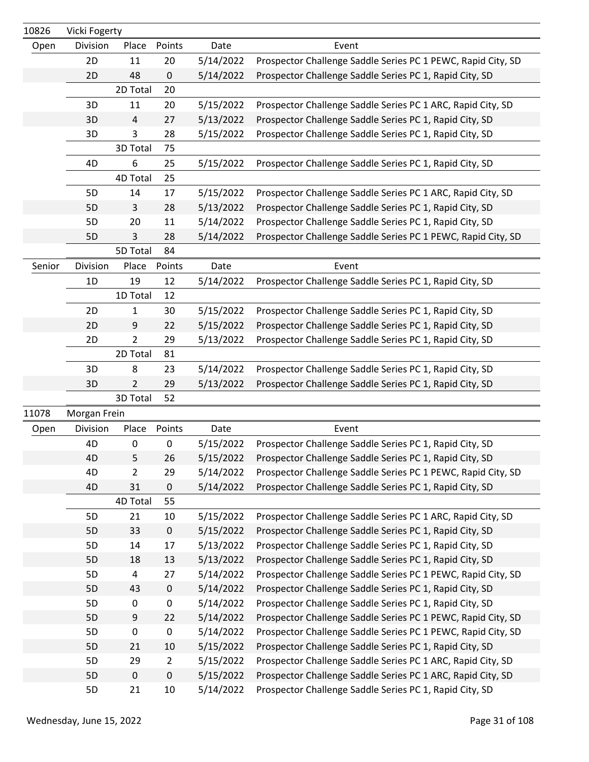| 10826  | Vicki Fogerty |             |                |           |                                                              |
|--------|---------------|-------------|----------------|-----------|--------------------------------------------------------------|
| Open   | Division      | Place       | Points         | Date      | Event                                                        |
|        | 2D            | 11          | 20             | 5/14/2022 | Prospector Challenge Saddle Series PC 1 PEWC, Rapid City, SD |
|        | 2D            | 48          | $\pmb{0}$      | 5/14/2022 | Prospector Challenge Saddle Series PC 1, Rapid City, SD      |
|        |               | 2D Total    | 20             |           |                                                              |
|        | 3D            | 11          | 20             | 5/15/2022 | Prospector Challenge Saddle Series PC 1 ARC, Rapid City, SD  |
|        | 3D            | 4           | 27             | 5/13/2022 | Prospector Challenge Saddle Series PC 1, Rapid City, SD      |
|        | 3D            | 3           | 28             | 5/15/2022 | Prospector Challenge Saddle Series PC 1, Rapid City, SD      |
|        |               | 3D Total    | 75             |           |                                                              |
|        | 4D            | 6           | 25             | 5/15/2022 | Prospector Challenge Saddle Series PC 1, Rapid City, SD      |
|        |               | 4D Total    | 25             |           |                                                              |
|        | 5D            | 14          | 17             | 5/15/2022 | Prospector Challenge Saddle Series PC 1 ARC, Rapid City, SD  |
|        | 5D            | 3           | 28             | 5/13/2022 | Prospector Challenge Saddle Series PC 1, Rapid City, SD      |
|        | 5D            | 20          | 11             | 5/14/2022 | Prospector Challenge Saddle Series PC 1, Rapid City, SD      |
|        | 5D            | 3           | 28             | 5/14/2022 | Prospector Challenge Saddle Series PC 1 PEWC, Rapid City, SD |
|        |               | 5D Total    | 84             |           |                                                              |
| Senior | Division      | Place       | Points         | Date      | Event                                                        |
|        | 1D            | 19          | 12             | 5/14/2022 | Prospector Challenge Saddle Series PC 1, Rapid City, SD      |
|        |               | 1D Total    | 12             |           |                                                              |
|        | 2D            | 1           | 30             | 5/15/2022 | Prospector Challenge Saddle Series PC 1, Rapid City, SD      |
|        | 2D            | 9           | 22             | 5/15/2022 | Prospector Challenge Saddle Series PC 1, Rapid City, SD      |
|        | 2D            | 2           | 29             | 5/13/2022 | Prospector Challenge Saddle Series PC 1, Rapid City, SD      |
|        |               | 2D Total    | 81             |           |                                                              |
|        | 3D            | 8           | 23             | 5/14/2022 | Prospector Challenge Saddle Series PC 1, Rapid City, SD      |
|        | 3D            | 2           | 29             | 5/13/2022 | Prospector Challenge Saddle Series PC 1, Rapid City, SD      |
|        |               | 3D Total    | 52             |           |                                                              |
| 11078  | Morgan Frein  |             |                |           |                                                              |
| Open   | Division      | Place       | Points         | Date      | Event                                                        |
|        | 4D            | 0           | 0              | 5/15/2022 | Prospector Challenge Saddle Series PC 1, Rapid City, SD      |
|        | 4D            | 5           | 26             | 5/15/2022 | Prospector Challenge Saddle Series PC 1, Rapid City, SD      |
|        | 4D            | 2           | 29             | 5/14/2022 | Prospector Challenge Saddle Series PC 1 PEWC, Rapid City, SD |
|        | 4D            | 31          | $\pmb{0}$      | 5/14/2022 | Prospector Challenge Saddle Series PC 1, Rapid City, SD      |
|        |               | 4D Total    | 55             |           |                                                              |
|        | 5D            | 21          | 10             | 5/15/2022 | Prospector Challenge Saddle Series PC 1 ARC, Rapid City, SD  |
|        | 5D            | 33          | $\pmb{0}$      | 5/15/2022 | Prospector Challenge Saddle Series PC 1, Rapid City, SD      |
|        | 5D            | 14          | 17             | 5/13/2022 | Prospector Challenge Saddle Series PC 1, Rapid City, SD      |
|        | 5D            | 18          | 13             | 5/13/2022 | Prospector Challenge Saddle Series PC 1, Rapid City, SD      |
|        | 5D            | 4           | 27             | 5/14/2022 | Prospector Challenge Saddle Series PC 1 PEWC, Rapid City, SD |
|        | 5D            | 43          | $\pmb{0}$      | 5/14/2022 | Prospector Challenge Saddle Series PC 1, Rapid City, SD      |
|        | 5D            | 0           | 0              | 5/14/2022 | Prospector Challenge Saddle Series PC 1, Rapid City, SD      |
|        | 5D            | 9           | 22             | 5/14/2022 | Prospector Challenge Saddle Series PC 1 PEWC, Rapid City, SD |
|        | 5D            | 0           | $\pmb{0}$      | 5/14/2022 | Prospector Challenge Saddle Series PC 1 PEWC, Rapid City, SD |
|        | 5D            | 21          | 10             | 5/15/2022 | Prospector Challenge Saddle Series PC 1, Rapid City, SD      |
|        | 5D            | 29          | $\overline{2}$ | 5/15/2022 | Prospector Challenge Saddle Series PC 1 ARC, Rapid City, SD  |
|        | 5D            | $\mathbf 0$ | $\pmb{0}$      | 5/15/2022 | Prospector Challenge Saddle Series PC 1 ARC, Rapid City, SD  |
|        | 5D            | 21          | 10             | 5/14/2022 | Prospector Challenge Saddle Series PC 1, Rapid City, SD      |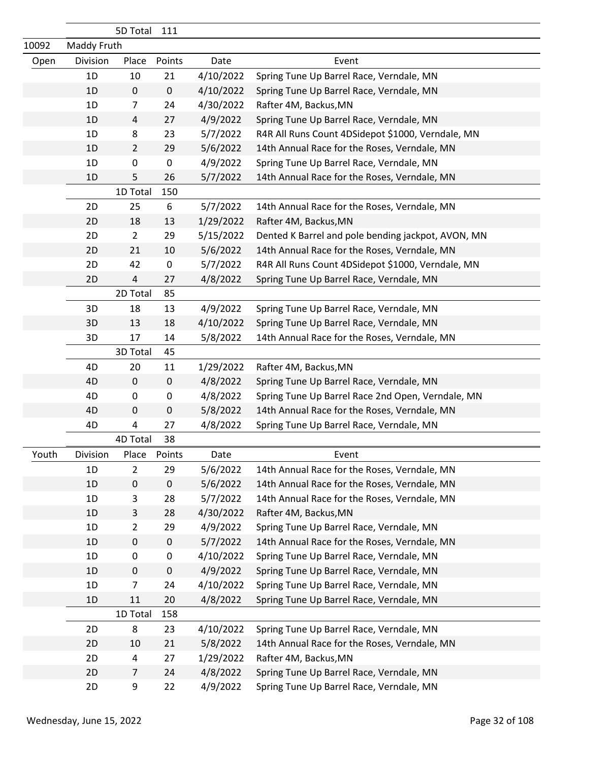|       | 5D Total    |                | 111       |           |                                                    |
|-------|-------------|----------------|-----------|-----------|----------------------------------------------------|
| 10092 | Maddy Fruth |                |           |           |                                                    |
| Open  | Division    | Place          | Points    | Date      | Event                                              |
|       | 1D          | 10             | 21        | 4/10/2022 | Spring Tune Up Barrel Race, Verndale, MN           |
|       | 1D          | $\pmb{0}$      | $\pmb{0}$ | 4/10/2022 | Spring Tune Up Barrel Race, Verndale, MN           |
|       | 1D          | 7              | 24        | 4/30/2022 | Rafter 4M, Backus, MN                              |
|       | 1D          | $\overline{4}$ | 27        | 4/9/2022  | Spring Tune Up Barrel Race, Verndale, MN           |
|       | 1D          | 8              | 23        | 5/7/2022  | R4R All Runs Count 4DSidepot \$1000, Verndale, MN  |
|       | 1D          | $\overline{2}$ | 29        | 5/6/2022  | 14th Annual Race for the Roses, Verndale, MN       |
|       | 1D          | 0              | $\pmb{0}$ | 4/9/2022  | Spring Tune Up Barrel Race, Verndale, MN           |
|       | 1D          | 5              | 26        | 5/7/2022  | 14th Annual Race for the Roses, Verndale, MN       |
|       |             | 1D Total       | 150       |           |                                                    |
|       | 2D          | 25             | 6         | 5/7/2022  | 14th Annual Race for the Roses, Verndale, MN       |
|       | 2D          | 18             | 13        | 1/29/2022 | Rafter 4M, Backus, MN                              |
|       | 2D          | $\overline{2}$ | 29        | 5/15/2022 | Dented K Barrel and pole bending jackpot, AVON, MN |
|       | 2D          | 21             | 10        | 5/6/2022  | 14th Annual Race for the Roses, Verndale, MN       |
|       | 2D          | 42             | $\pmb{0}$ | 5/7/2022  | R4R All Runs Count 4DSidepot \$1000, Verndale, MN  |
|       | 2D          | 4              | 27        | 4/8/2022  | Spring Tune Up Barrel Race, Verndale, MN           |
|       |             | 2D Total       | 85        |           |                                                    |
|       | 3D          | 18             | 13        | 4/9/2022  | Spring Tune Up Barrel Race, Verndale, MN           |
|       | 3D          | 13             | 18        | 4/10/2022 | Spring Tune Up Barrel Race, Verndale, MN           |
|       | 3D          | 17             | 14        | 5/8/2022  | 14th Annual Race for the Roses, Verndale, MN       |
|       |             | 3D Total       | 45        |           |                                                    |
|       | 4D          | 20             | 11        | 1/29/2022 | Rafter 4M, Backus, MN                              |
|       | 4D          | $\mathbf 0$    | $\pmb{0}$ | 4/8/2022  | Spring Tune Up Barrel Race, Verndale, MN           |
|       | 4D          | 0              | 0         | 4/8/2022  | Spring Tune Up Barrel Race 2nd Open, Verndale, MN  |
|       | 4D          | $\pmb{0}$      | 0         | 5/8/2022  | 14th Annual Race for the Roses, Verndale, MN       |
|       | 4D          | 4              | 27        | 4/8/2022  | Spring Tune Up Barrel Race, Verndale, MN           |
|       |             | 4D Total       | 38        |           |                                                    |
| Youth | Division    | Place          | Points    | Date      | Event                                              |
|       | 1D          | $\overline{2}$ | 29        | 5/6/2022  | 14th Annual Race for the Roses, Verndale, MN       |
|       | 1D          | $\pmb{0}$      | $\pmb{0}$ | 5/6/2022  | 14th Annual Race for the Roses, Verndale, MN       |
|       | 1D          | 3              | 28        | 5/7/2022  | 14th Annual Race for the Roses, Verndale, MN       |
|       | 1D          | 3              | 28        | 4/30/2022 | Rafter 4M, Backus, MN                              |
|       | 1D          | $\overline{2}$ | 29        | 4/9/2022  | Spring Tune Up Barrel Race, Verndale, MN           |
|       | 1D          | $\pmb{0}$      | $\pmb{0}$ | 5/7/2022  | 14th Annual Race for the Roses, Verndale, MN       |
|       | 1D          | 0              | 0         | 4/10/2022 | Spring Tune Up Barrel Race, Verndale, MN           |
|       | 1D          | $\mathbf 0$    | $\pmb{0}$ | 4/9/2022  | Spring Tune Up Barrel Race, Verndale, MN           |
|       | 1D          | 7              | 24        | 4/10/2022 | Spring Tune Up Barrel Race, Verndale, MN           |
|       | 1D          | 11             | 20        | 4/8/2022  | Spring Tune Up Barrel Race, Verndale, MN           |
|       |             | 1D Total       | 158       |           |                                                    |
|       | 2D          | 8              | 23        | 4/10/2022 | Spring Tune Up Barrel Race, Verndale, MN           |
|       | 2D          | 10             | 21        | 5/8/2022  | 14th Annual Race for the Roses, Verndale, MN       |
|       | 2D          | 4              | 27        | 1/29/2022 | Rafter 4M, Backus, MN                              |
|       | 2D          | 7              | 24        | 4/8/2022  | Spring Tune Up Barrel Race, Verndale, MN           |
|       | 2D          | 9              | 22        | 4/9/2022  | Spring Tune Up Barrel Race, Verndale, MN           |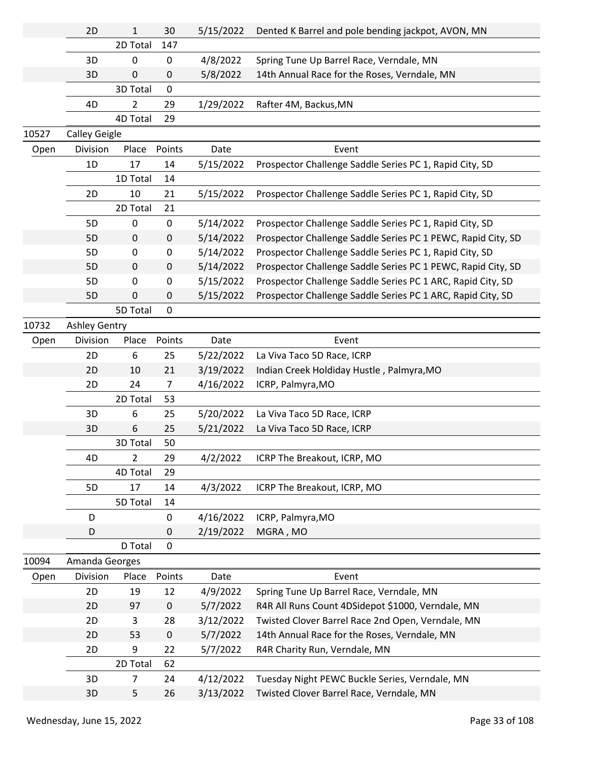|       | 2D                   | $\mathbf{1}$   | 30             | 5/15/2022 | Dented K Barrel and pole bending jackpot, AVON, MN           |
|-------|----------------------|----------------|----------------|-----------|--------------------------------------------------------------|
|       |                      | 2D Total       | 147            |           |                                                              |
|       | 3D                   | 0              | $\pmb{0}$      | 4/8/2022  | Spring Tune Up Barrel Race, Verndale, MN                     |
|       | 3D                   | 0              | 0              | 5/8/2022  | 14th Annual Race for the Roses, Verndale, MN                 |
|       |                      | 3D Total       | 0              |           |                                                              |
|       | 4D                   | 2              | 29             | 1/29/2022 | Rafter 4M, Backus, MN                                        |
|       |                      | 4D Total       | 29             |           |                                                              |
| 10527 | <b>Calley Geigle</b> |                |                |           |                                                              |
| Open  | Division             | Place          | Points         | Date      | Event                                                        |
|       | 1D                   | 17             | 14             | 5/15/2022 | Prospector Challenge Saddle Series PC 1, Rapid City, SD      |
|       |                      | 1D Total       | 14             |           |                                                              |
|       | 2D                   | 10             | 21             | 5/15/2022 | Prospector Challenge Saddle Series PC 1, Rapid City, SD      |
|       |                      | 2D Total       | 21             |           |                                                              |
|       | 5D                   | $\mathbf{0}$   | 0              | 5/14/2022 | Prospector Challenge Saddle Series PC 1, Rapid City, SD      |
|       | 5D                   | 0              | $\pmb{0}$      | 5/14/2022 | Prospector Challenge Saddle Series PC 1 PEWC, Rapid City, SD |
|       | 5D                   | 0              | 0              | 5/14/2022 | Prospector Challenge Saddle Series PC 1, Rapid City, SD      |
|       | 5D                   | 0              | $\pmb{0}$      | 5/14/2022 | Prospector Challenge Saddle Series PC 1 PEWC, Rapid City, SD |
|       | 5D                   | 0              | 0              | 5/15/2022 | Prospector Challenge Saddle Series PC 1 ARC, Rapid City, SD  |
|       | 5D                   | $\mathbf{0}$   | 0              | 5/15/2022 | Prospector Challenge Saddle Series PC 1 ARC, Rapid City, SD  |
|       |                      | 5D Total       | 0              |           |                                                              |
| 10732 | <b>Ashley Gentry</b> |                |                |           |                                                              |
| Open  | Division             | Place          | Points         | Date      | Event                                                        |
|       | 2D                   | 6              | 25             | 5/22/2022 | La Viva Taco 5D Race, ICRP                                   |
|       | 2D                   | 10             | 21             | 3/19/2022 | Indian Creek Holdiday Hustle, Palmyra, MO                    |
|       | 2D                   | 24             | $\overline{7}$ | 4/16/2022 | ICRP, Palmyra, MO                                            |
|       |                      | 2D Total       | 53             |           |                                                              |
|       | 3D                   | 6              | 25             | 5/20/2022 | La Viva Taco 5D Race, ICRP                                   |
|       | 3D                   | 6              | 25             | 5/21/2022 | La Viva Taco 5D Race, ICRP                                   |
|       |                      | 3D Total       | 50             |           |                                                              |
|       | 4D                   | $\overline{2}$ | 29             | 4/2/2022  | ICRP The Breakout, ICRP, MO                                  |
|       |                      | 4D Total       | 29             |           |                                                              |
|       | 5D                   | 17             | 14             | 4/3/2022  | ICRP The Breakout, ICRP, MO                                  |
|       |                      | 5D Total       | 14             |           |                                                              |
|       | D                    |                | 0              | 4/16/2022 | ICRP, Palmyra, MO                                            |
|       | D                    |                | 0              | 2/19/2022 | MGRA, MO                                                     |
|       |                      | D Total        | 0              |           |                                                              |
| 10094 | Amanda Georges       |                |                |           |                                                              |
| Open  | Division             | Place          | Points         | Date      | Event                                                        |
|       | 2D                   | 19             | 12             | 4/9/2022  | Spring Tune Up Barrel Race, Verndale, MN                     |
|       | 2D                   | 97             | $\pmb{0}$      | 5/7/2022  | R4R All Runs Count 4DSidepot \$1000, Verndale, MN            |
|       | 2D                   | 3              | 28             | 3/12/2022 | Twisted Clover Barrel Race 2nd Open, Verndale, MN            |
|       | 2D                   | 53             | $\pmb{0}$      | 5/7/2022  | 14th Annual Race for the Roses, Verndale, MN                 |
|       | 2D                   | 9              | 22             | 5/7/2022  | R4R Charity Run, Verndale, MN                                |
|       |                      | 2D Total       | 62             |           |                                                              |
|       | 3D                   | 7              | 24             | 4/12/2022 | Tuesday Night PEWC Buckle Series, Verndale, MN               |
|       | 3D                   | 5              | 26             | 3/13/2022 | Twisted Clover Barrel Race, Verndale, MN                     |
|       |                      |                |                |           |                                                              |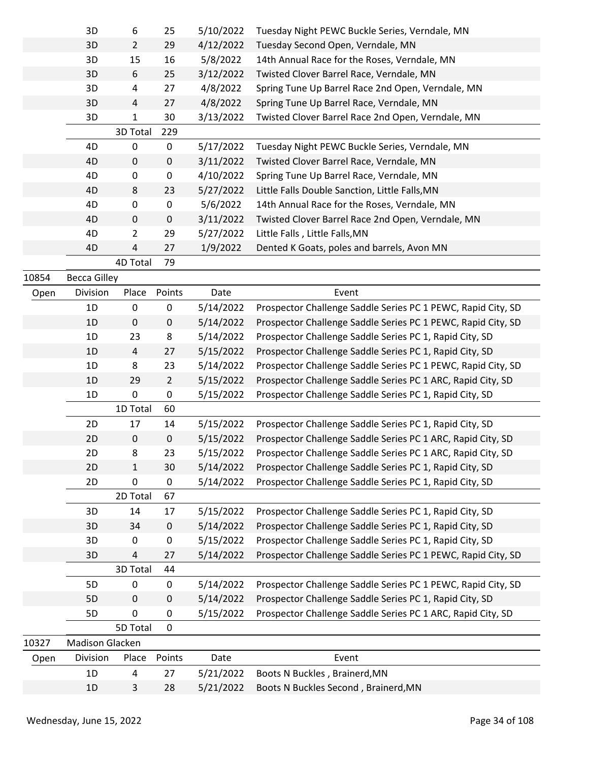|       | 3D                  | 6              | 25               | 5/10/2022 | Tuesday Night PEWC Buckle Series, Verndale, MN               |
|-------|---------------------|----------------|------------------|-----------|--------------------------------------------------------------|
|       | 3D                  | $\overline{2}$ | 29               | 4/12/2022 | Tuesday Second Open, Verndale, MN                            |
|       | 3D                  | 15             | 16               | 5/8/2022  | 14th Annual Race for the Roses, Verndale, MN                 |
|       | 3D                  | 6              | 25               | 3/12/2022 | Twisted Clover Barrel Race, Verndale, MN                     |
|       | 3D                  | 4              | 27               | 4/8/2022  | Spring Tune Up Barrel Race 2nd Open, Verndale, MN            |
|       | 3D                  | $\sqrt{4}$     | 27               | 4/8/2022  | Spring Tune Up Barrel Race, Verndale, MN                     |
|       | 3D                  | 1              | 30               | 3/13/2022 | Twisted Clover Barrel Race 2nd Open, Verndale, MN            |
|       |                     | 3D Total       | 229              |           |                                                              |
|       | 4D                  | 0              | 0                | 5/17/2022 | Tuesday Night PEWC Buckle Series, Verndale, MN               |
|       | 4D                  | $\mathbf 0$    | $\pmb{0}$        | 3/11/2022 | Twisted Clover Barrel Race, Verndale, MN                     |
|       | 4D                  | 0              | $\pmb{0}$        | 4/10/2022 | Spring Tune Up Barrel Race, Verndale, MN                     |
|       | 4D                  | 8              | 23               | 5/27/2022 | Little Falls Double Sanction, Little Falls, MN               |
|       | 4D                  | 0              | $\pmb{0}$        | 5/6/2022  | 14th Annual Race for the Roses, Verndale, MN                 |
|       | 4D                  | $\mathbf 0$    | $\pmb{0}$        | 3/11/2022 | Twisted Clover Barrel Race 2nd Open, Verndale, MN            |
|       | 4D                  | $\overline{2}$ | 29               | 5/27/2022 | Little Falls, Little Falls, MN                               |
|       | 4D                  | 4              | 27               | 1/9/2022  | Dented K Goats, poles and barrels, Avon MN                   |
|       |                     | 4D Total       | 79               |           |                                                              |
| 10854 | <b>Becca Gilley</b> |                |                  |           |                                                              |
| Open  | Division            | Place          | Points           | Date      | Event                                                        |
|       | 1D                  | 0              | 0                | 5/14/2022 | Prospector Challenge Saddle Series PC 1 PEWC, Rapid City, SD |
|       | 1D                  | $\mathbf 0$    | $\mathbf 0$      | 5/14/2022 | Prospector Challenge Saddle Series PC 1 PEWC, Rapid City, SD |
|       | 1D                  | 23             | 8                | 5/14/2022 | Prospector Challenge Saddle Series PC 1, Rapid City, SD      |
|       | 1D                  | $\overline{4}$ | 27               | 5/15/2022 | Prospector Challenge Saddle Series PC 1, Rapid City, SD      |
|       | 1D                  | 8              | 23               | 5/14/2022 | Prospector Challenge Saddle Series PC 1 PEWC, Rapid City, SD |
|       | 1D                  | 29             | $\overline{2}$   | 5/15/2022 | Prospector Challenge Saddle Series PC 1 ARC, Rapid City, SD  |
|       | 1D                  | $\mathbf 0$    | $\pmb{0}$        | 5/15/2022 | Prospector Challenge Saddle Series PC 1, Rapid City, SD      |
|       |                     | 1D Total       | 60               |           |                                                              |
|       | 2D                  | 17             | 14               | 5/15/2022 | Prospector Challenge Saddle Series PC 1, Rapid City, SD      |
|       | 2D                  | $\pmb{0}$      | $\boldsymbol{0}$ | 5/15/2022 | Prospector Challenge Saddle Series PC 1 ARC, Rapid City, SD  |
|       | 2D.                 | 8              | 23               | 5/15/2022 | Prospector Challenge Saddle Series PC 1 ARC, Rapid City, SD  |
|       | 2D                  | $\mathbf{1}$   | 30               | 5/14/2022 | Prospector Challenge Saddle Series PC 1, Rapid City, SD      |
|       | 2D                  | 0              | $\mathbf 0$      | 5/14/2022 | Prospector Challenge Saddle Series PC 1, Rapid City, SD      |
|       |                     | 2D Total       | 67               |           |                                                              |
|       | 3D                  | 14             | 17               | 5/15/2022 | Prospector Challenge Saddle Series PC 1, Rapid City, SD      |
|       | 3D                  | 34             | $\mathbf 0$      | 5/14/2022 | Prospector Challenge Saddle Series PC 1, Rapid City, SD      |
|       | 3D                  | $\mathbf 0$    | $\pmb{0}$        | 5/15/2022 | Prospector Challenge Saddle Series PC 1, Rapid City, SD      |
|       | 3D                  | 4              | 27               | 5/14/2022 | Prospector Challenge Saddle Series PC 1 PEWC, Rapid City, SD |
|       |                     | 3D Total       | 44               |           |                                                              |
|       | 5D                  | 0              | 0                | 5/14/2022 | Prospector Challenge Saddle Series PC 1 PEWC, Rapid City, SD |
|       | 5D                  | $\mathbf 0$    | $\boldsymbol{0}$ | 5/14/2022 | Prospector Challenge Saddle Series PC 1, Rapid City, SD      |
|       | 5D                  | 0              | 0                | 5/15/2022 | Prospector Challenge Saddle Series PC 1 ARC, Rapid City, SD  |
|       |                     | 5D Total       | 0                |           |                                                              |
| 10327 | Madison Glacken     |                |                  |           |                                                              |
| Open  | Division            | Place          | Points           | Date      | Event                                                        |
|       | 1D                  | 4              | 27               | 5/21/2022 | Boots N Buckles, Brainerd, MN                                |
|       | 1D                  | 3              | 28               | 5/21/2022 | Boots N Buckles Second, Brainerd, MN                         |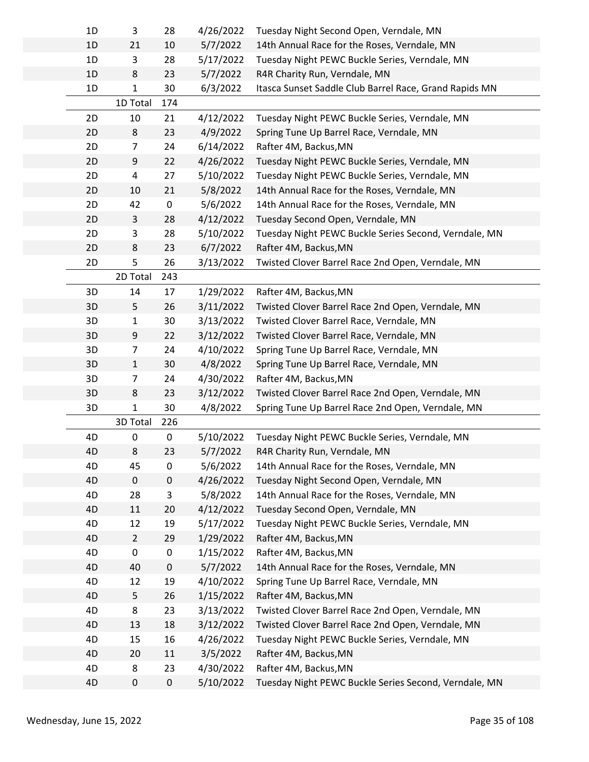| 1D | 3              | 28  | 4/26/2022 | Tuesday Night Second Open, Verndale, MN                |
|----|----------------|-----|-----------|--------------------------------------------------------|
| 1D | 21             | 10  | 5/7/2022  | 14th Annual Race for the Roses, Verndale, MN           |
| 1D | 3              | 28  | 5/17/2022 | Tuesday Night PEWC Buckle Series, Verndale, MN         |
| 1D | 8              | 23  | 5/7/2022  | R4R Charity Run, Verndale, MN                          |
| 1D | 1              | 30  | 6/3/2022  | Itasca Sunset Saddle Club Barrel Race, Grand Rapids MN |
|    | 1D Total       | 174 |           |                                                        |
| 2D | 10             | 21  | 4/12/2022 | Tuesday Night PEWC Buckle Series, Verndale, MN         |
| 2D | $\,8\,$        | 23  | 4/9/2022  | Spring Tune Up Barrel Race, Verndale, MN               |
| 2D | $\overline{7}$ | 24  | 6/14/2022 | Rafter 4M, Backus, MN                                  |
| 2D | 9              | 22  | 4/26/2022 | Tuesday Night PEWC Buckle Series, Verndale, MN         |
| 2D | 4              | 27  | 5/10/2022 | Tuesday Night PEWC Buckle Series, Verndale, MN         |
| 2D | 10             | 21  | 5/8/2022  | 14th Annual Race for the Roses, Verndale, MN           |
| 2D | 42             | 0   | 5/6/2022  | 14th Annual Race for the Roses, Verndale, MN           |
| 2D | 3              | 28  | 4/12/2022 | Tuesday Second Open, Verndale, MN                      |
| 2D | 3              | 28  | 5/10/2022 | Tuesday Night PEWC Buckle Series Second, Verndale, MN  |
| 2D | 8              | 23  | 6/7/2022  | Rafter 4M, Backus, MN                                  |
| 2D | 5              | 26  | 3/13/2022 | Twisted Clover Barrel Race 2nd Open, Verndale, MN      |
|    | 2D Total       | 243 |           |                                                        |
| 3D | 14             | 17  | 1/29/2022 | Rafter 4M, Backus, MN                                  |
| 3D | 5              | 26  | 3/11/2022 | Twisted Clover Barrel Race 2nd Open, Verndale, MN      |
| 3D | $\mathbf{1}$   | 30  | 3/13/2022 | Twisted Clover Barrel Race, Verndale, MN               |
| 3D | 9              | 22  | 3/12/2022 | Twisted Clover Barrel Race, Verndale, MN               |
| 3D | $\overline{7}$ | 24  | 4/10/2022 | Spring Tune Up Barrel Race, Verndale, MN               |
| 3D | $\mathbf{1}$   | 30  | 4/8/2022  | Spring Tune Up Barrel Race, Verndale, MN               |
| 3D | 7              | 24  | 4/30/2022 | Rafter 4M, Backus, MN                                  |
| 3D | 8              | 23  | 3/12/2022 | Twisted Clover Barrel Race 2nd Open, Verndale, MN      |
| 3D | $\mathbf{1}$   | 30  | 4/8/2022  | Spring Tune Up Barrel Race 2nd Open, Verndale, MN      |
|    | 3D Total       | 226 |           |                                                        |
| 4D | 0              | 0   | 5/10/2022 | Tuesday Night PEWC Buckle Series, Verndale, MN         |
| 4D | 8              | 23  | 5/7/2022  | R4R Charity Run, Verndale, MN                          |
| 4D | 45             | 0   | 5/6/2022  | 14th Annual Race for the Roses, Verndale, MN           |
| 4D | $\mathbf 0$    | 0   | 4/26/2022 | Tuesday Night Second Open, Verndale, MN                |
| 4D | 28             | 3   | 5/8/2022  | 14th Annual Race for the Roses, Verndale, MN           |
| 4D | 11             | 20  | 4/12/2022 | Tuesday Second Open, Verndale, MN                      |
| 4D | 12             | 19  | 5/17/2022 | Tuesday Night PEWC Buckle Series, Verndale, MN         |
| 4D | $\overline{2}$ | 29  | 1/29/2022 | Rafter 4M, Backus, MN                                  |
| 4D | 0              | 0   | 1/15/2022 | Rafter 4M, Backus, MN                                  |
| 4D | 40             | 0   | 5/7/2022  | 14th Annual Race for the Roses, Verndale, MN           |
| 4D | 12             | 19  | 4/10/2022 | Spring Tune Up Barrel Race, Verndale, MN               |
| 4D | 5              | 26  | 1/15/2022 | Rafter 4M, Backus, MN                                  |
| 4D | 8              | 23  | 3/13/2022 | Twisted Clover Barrel Race 2nd Open, Verndale, MN      |
| 4D | 13             | 18  | 3/12/2022 | Twisted Clover Barrel Race 2nd Open, Verndale, MN      |
| 4D | 15             | 16  | 4/26/2022 | Tuesday Night PEWC Buckle Series, Verndale, MN         |
| 4D | 20             | 11  | 3/5/2022  | Rafter 4M, Backus, MN                                  |
| 4D | 8              | 23  | 4/30/2022 | Rafter 4M, Backus, MN                                  |
| 4D | 0              | 0   | 5/10/2022 | Tuesday Night PEWC Buckle Series Second, Verndale, MN  |
|    |                |     |           |                                                        |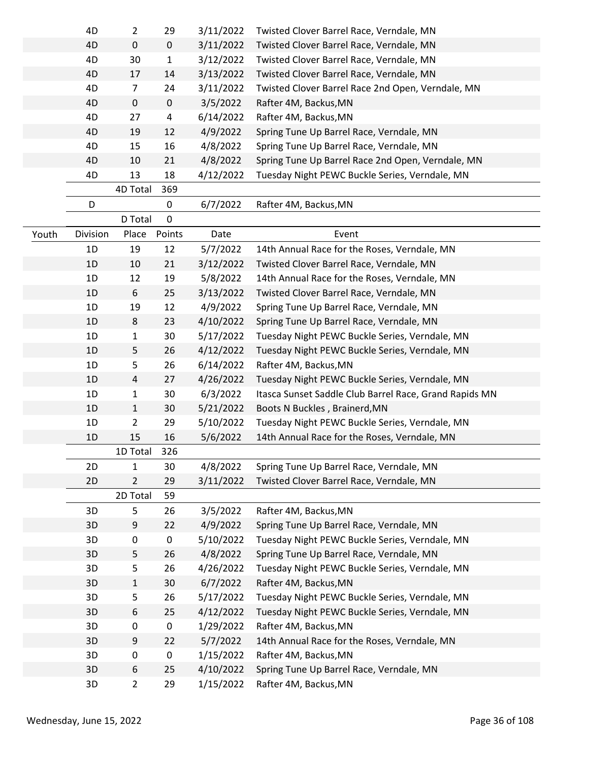|       | 4D       | $\overline{2}$ | 29          | 3/11/2022 | Twisted Clover Barrel Race, Verndale, MN               |
|-------|----------|----------------|-------------|-----------|--------------------------------------------------------|
|       | 4D       | $\mathbf 0$    | $\mathsf 0$ | 3/11/2022 | Twisted Clover Barrel Race, Verndale, MN               |
|       | 4D       | 30             | 1           | 3/12/2022 | Twisted Clover Barrel Race, Verndale, MN               |
|       | 4D       | 17             | 14          | 3/13/2022 | Twisted Clover Barrel Race, Verndale, MN               |
|       | 4D       | 7              | 24          | 3/11/2022 | Twisted Clover Barrel Race 2nd Open, Verndale, MN      |
|       | 4D       | $\mathbf 0$    | $\mathsf 0$ | 3/5/2022  | Rafter 4M, Backus, MN                                  |
|       | 4D       | 27             | 4           | 6/14/2022 | Rafter 4M, Backus, MN                                  |
|       | 4D       | 19             | 12          | 4/9/2022  | Spring Tune Up Barrel Race, Verndale, MN               |
|       | 4D       | 15             | 16          | 4/8/2022  | Spring Tune Up Barrel Race, Verndale, MN               |
|       | 4D       | 10             | 21          | 4/8/2022  | Spring Tune Up Barrel Race 2nd Open, Verndale, MN      |
|       | 4D       | 13             | 18          | 4/12/2022 | Tuesday Night PEWC Buckle Series, Verndale, MN         |
|       |          | 4D Total       | 369         |           |                                                        |
|       | D        |                | 0           | 6/7/2022  | Rafter 4M, Backus, MN                                  |
|       |          | D Total        | $\mathbf 0$ |           |                                                        |
| Youth | Division | Place          | Points      | Date      | Event                                                  |
|       | 1D       | 19             | 12          | 5/7/2022  | 14th Annual Race for the Roses, Verndale, MN           |
|       | 1D       | 10             | 21          | 3/12/2022 | Twisted Clover Barrel Race, Verndale, MN               |
|       | 1D       | 12             | 19          | 5/8/2022  | 14th Annual Race for the Roses, Verndale, MN           |
|       | 1D       | 6              | 25          | 3/13/2022 | Twisted Clover Barrel Race, Verndale, MN               |
|       | 1D       | 19             | 12          | 4/9/2022  | Spring Tune Up Barrel Race, Verndale, MN               |
|       | 1D       | 8              | 23          | 4/10/2022 | Spring Tune Up Barrel Race, Verndale, MN               |
|       | 1D       | 1              | 30          | 5/17/2022 | Tuesday Night PEWC Buckle Series, Verndale, MN         |
|       | 1D       | 5              | 26          | 4/12/2022 | Tuesday Night PEWC Buckle Series, Verndale, MN         |
|       | 1D       | 5              | 26          | 6/14/2022 | Rafter 4M, Backus, MN                                  |
|       | 1D       | 4              | 27          | 4/26/2022 | Tuesday Night PEWC Buckle Series, Verndale, MN         |
|       | 1D       | 1              | 30          | 6/3/2022  | Itasca Sunset Saddle Club Barrel Race, Grand Rapids MN |
|       | 1D       | 1              | 30          | 5/21/2022 | Boots N Buckles, Brainerd, MN                          |
|       | 1D       | 2              | 29          | 5/10/2022 | Tuesday Night PEWC Buckle Series, Verndale, MN         |
|       | 1D       | 15             | 16          | 5/6/2022  | 14th Annual Race for the Roses, Verndale, MN           |
|       |          | 1D Total       | 326         |           |                                                        |
|       | 2D       | 1              | 30          | 4/8/2022  | Spring Tune Up Barrel Race, Verndale, MN               |
|       | 2D       | 2              | 29          | 3/11/2022 | Twisted Clover Barrel Race, Verndale, MN               |
|       |          | 2D Total       | 59          |           |                                                        |
|       | 3D       | 5              | 26          | 3/5/2022  | Rafter 4M, Backus, MN                                  |
|       | 3D       | 9              | 22          | 4/9/2022  | Spring Tune Up Barrel Race, Verndale, MN               |
|       | 3D       | 0              | $\pmb{0}$   | 5/10/2022 | Tuesday Night PEWC Buckle Series, Verndale, MN         |
|       | 3D       | 5              | 26          | 4/8/2022  | Spring Tune Up Barrel Race, Verndale, MN               |
|       | 3D       | 5              | 26          | 4/26/2022 | Tuesday Night PEWC Buckle Series, Verndale, MN         |
|       | 3D       | $\mathbf{1}$   | 30          | 6/7/2022  | Rafter 4M, Backus, MN                                  |
|       | 3D       | 5              | 26          | 5/17/2022 | Tuesday Night PEWC Buckle Series, Verndale, MN         |
|       | 3D       | 6              | 25          | 4/12/2022 | Tuesday Night PEWC Buckle Series, Verndale, MN         |
|       | 3D       | 0              | 0           | 1/29/2022 | Rafter 4M, Backus, MN                                  |
|       |          |                |             |           |                                                        |
|       | 3D       | 9              | 22          | 5/7/2022  | 14th Annual Race for the Roses, Verndale, MN           |
|       | 3D       | 0              | $\mathbf 0$ | 1/15/2022 | Rafter 4M, Backus, MN                                  |
|       | 3D       | 6              | 25          | 4/10/2022 | Spring Tune Up Barrel Race, Verndale, MN               |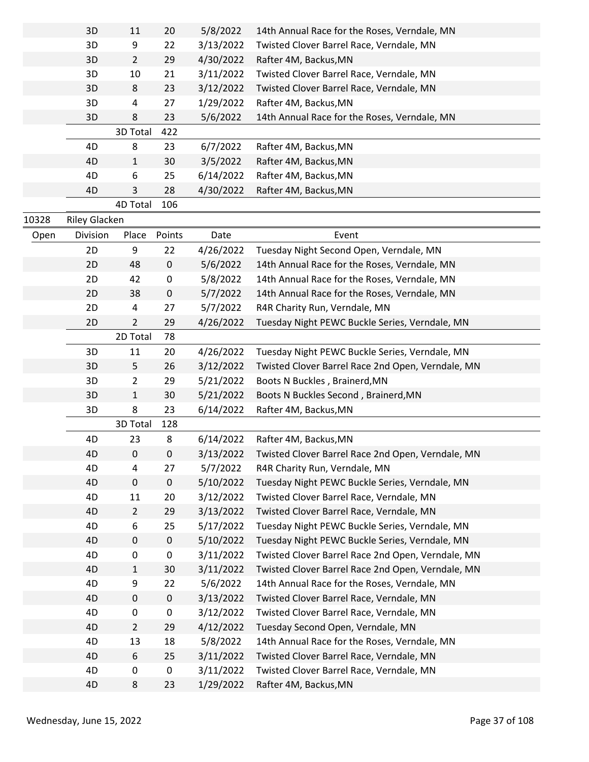|       | 3D            | 11             | 20        | 5/8/2022  | 14th Annual Race for the Roses, Verndale, MN      |
|-------|---------------|----------------|-----------|-----------|---------------------------------------------------|
|       | 3D            | 9              | 22        | 3/13/2022 | Twisted Clover Barrel Race, Verndale, MN          |
|       | 3D            | $\overline{2}$ | 29        | 4/30/2022 | Rafter 4M, Backus, MN                             |
|       | 3D            | 10             | 21        | 3/11/2022 | Twisted Clover Barrel Race, Verndale, MN          |
|       | 3D            | 8              | 23        | 3/12/2022 | Twisted Clover Barrel Race, Verndale, MN          |
|       | 3D            | 4              | 27        | 1/29/2022 | Rafter 4M, Backus, MN                             |
|       | 3D            | 8              | 23        | 5/6/2022  | 14th Annual Race for the Roses, Verndale, MN      |
|       |               | 3D Total       | 422       |           |                                                   |
|       | 4D            | 8              | 23        | 6/7/2022  | Rafter 4M, Backus, MN                             |
|       | 4D            | 1              | 30        | 3/5/2022  | Rafter 4M, Backus, MN                             |
|       | 4D            | 6              | 25        | 6/14/2022 | Rafter 4M, Backus, MN                             |
|       | 4D            | 3              | 28        | 4/30/2022 | Rafter 4M, Backus, MN                             |
|       |               | 4D Total       | 106       |           |                                                   |
| 10328 | Riley Glacken |                |           |           |                                                   |
| Open  | Division      | Place          | Points    | Date      | Event                                             |
|       | 2D            | 9              | 22        | 4/26/2022 | Tuesday Night Second Open, Verndale, MN           |
|       | 2D            | 48             | $\pmb{0}$ | 5/6/2022  | 14th Annual Race for the Roses, Verndale, MN      |
|       | 2D            | 42             | 0         | 5/8/2022  | 14th Annual Race for the Roses, Verndale, MN      |
|       | 2D            | 38             | 0         | 5/7/2022  | 14th Annual Race for the Roses, Verndale, MN      |
|       | 2D            | 4              | 27        | 5/7/2022  | R4R Charity Run, Verndale, MN                     |
|       | 2D            | $\overline{2}$ | 29        | 4/26/2022 | Tuesday Night PEWC Buckle Series, Verndale, MN    |
|       |               | 2D Total       | 78        |           |                                                   |
|       | 3D            | 11             | 20        | 4/26/2022 | Tuesday Night PEWC Buckle Series, Verndale, MN    |
|       | 3D            | 5              | 26        | 3/12/2022 | Twisted Clover Barrel Race 2nd Open, Verndale, MN |
|       | 3D            | $\overline{2}$ | 29        | 5/21/2022 | Boots N Buckles, Brainerd, MN                     |
|       | 3D            | $\mathbf{1}$   | 30        | 5/21/2022 | Boots N Buckles Second, Brainerd, MN              |
|       | 3D            | 8              | 23        | 6/14/2022 | Rafter 4M, Backus, MN                             |
|       |               | 3D Total       | 128       |           |                                                   |
|       | 4D            | 23             | 8         | 6/14/2022 | Rafter 4M, Backus, MN                             |
|       | 4D            | 0              | 0         | 3/13/2022 | Twisted Clover Barrel Race 2nd Open, Verndale, MN |
|       | 4D            |                | 27        | 5/7/2022  | R4R Charity Run, Verndale, MN                     |
|       | 4D            | 4<br>0         | $\pmb{0}$ |           |                                                   |
|       |               |                |           | 5/10/2022 | Tuesday Night PEWC Buckle Series, Verndale, MN    |
|       | 4D            | 11             | 20        | 3/12/2022 | Twisted Clover Barrel Race, Verndale, MN          |
|       | 4D            | $\overline{2}$ | 29        | 3/13/2022 | Twisted Clover Barrel Race, Verndale, MN          |
|       | 4D            | 6              | 25        | 5/17/2022 | Tuesday Night PEWC Buckle Series, Verndale, MN    |
|       | 4D            | 0              | 0         | 5/10/2022 | Tuesday Night PEWC Buckle Series, Verndale, MN    |
|       | 4D            | 0              | 0         | 3/11/2022 | Twisted Clover Barrel Race 2nd Open, Verndale, MN |
|       | 4D            | $\mathbf{1}$   | 30        | 3/11/2022 | Twisted Clover Barrel Race 2nd Open, Verndale, MN |
|       | 4D            | 9              | 22        | 5/6/2022  | 14th Annual Race for the Roses, Verndale, MN      |
|       | 4D            | 0              | 0         | 3/13/2022 | Twisted Clover Barrel Race, Verndale, MN          |
|       | 4D            | 0              | 0         | 3/12/2022 | Twisted Clover Barrel Race, Verndale, MN          |
|       | 4D            | $\overline{2}$ | 29        | 4/12/2022 | Tuesday Second Open, Verndale, MN                 |
|       | 4D            | 13             | 18        | 5/8/2022  | 14th Annual Race for the Roses, Verndale, MN      |
|       | 4D            | 6              | 25        | 3/11/2022 | Twisted Clover Barrel Race, Verndale, MN          |
|       | 4D            | 0              | 0         | 3/11/2022 | Twisted Clover Barrel Race, Verndale, MN          |
|       | 4D            | 8              | 23        | 1/29/2022 | Rafter 4M, Backus, MN                             |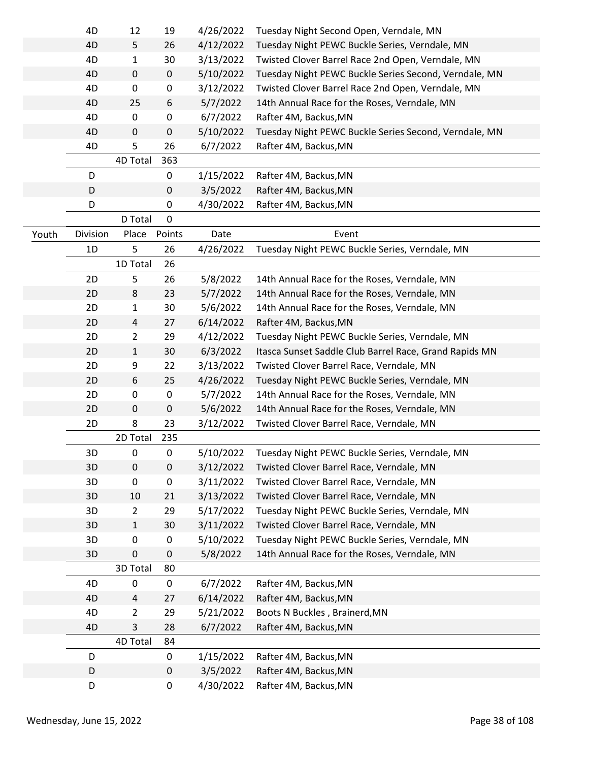|       | 4D       | 12             | 19        | 4/26/2022 | Tuesday Night Second Open, Verndale, MN                |
|-------|----------|----------------|-----------|-----------|--------------------------------------------------------|
|       | 4D       | 5              | 26        | 4/12/2022 | Tuesday Night PEWC Buckle Series, Verndale, MN         |
|       | 4D       | $\mathbf{1}$   | 30        | 3/13/2022 | Twisted Clover Barrel Race 2nd Open, Verndale, MN      |
|       | 4D       | 0              | 0         | 5/10/2022 | Tuesday Night PEWC Buckle Series Second, Verndale, MN  |
|       | 4D       | $\pmb{0}$      | 0         | 3/12/2022 | Twisted Clover Barrel Race 2nd Open, Verndale, MN      |
|       | 4D       | 25             | 6         | 5/7/2022  | 14th Annual Race for the Roses, Verndale, MN           |
|       | 4D       | 0              | 0         | 6/7/2022  | Rafter 4M, Backus, MN                                  |
|       | 4D       | 0              | 0         | 5/10/2022 | Tuesday Night PEWC Buckle Series Second, Verndale, MN  |
|       | 4D       | 5              | 26        | 6/7/2022  | Rafter 4M, Backus, MN                                  |
|       |          | 4D Total       | 363       |           |                                                        |
|       | D        |                | 0         | 1/15/2022 | Rafter 4M, Backus, MN                                  |
|       | D        |                | 0         | 3/5/2022  | Rafter 4M, Backus, MN                                  |
|       | D        |                | 0         | 4/30/2022 | Rafter 4M, Backus, MN                                  |
|       |          | D Total        | 0         |           |                                                        |
| Youth | Division | Place          | Points    | Date      | Event                                                  |
|       | 1D       | 5              | 26        | 4/26/2022 | Tuesday Night PEWC Buckle Series, Verndale, MN         |
|       |          | 1D Total       | 26        |           |                                                        |
|       | 2D       | 5              | 26        | 5/8/2022  | 14th Annual Race for the Roses, Verndale, MN           |
|       | 2D       | 8              | 23        | 5/7/2022  | 14th Annual Race for the Roses, Verndale, MN           |
|       | 2D       | $\mathbf 1$    | 30        | 5/6/2022  | 14th Annual Race for the Roses, Verndale, MN           |
|       | 2D       | 4              | 27        | 6/14/2022 | Rafter 4M, Backus, MN                                  |
|       | 2D       | $\overline{2}$ | 29        | 4/12/2022 | Tuesday Night PEWC Buckle Series, Verndale, MN         |
|       | 2D       | $\mathbf{1}$   | 30        | 6/3/2022  | Itasca Sunset Saddle Club Barrel Race, Grand Rapids MN |
|       | 2D       | 9              | 22        | 3/13/2022 | Twisted Clover Barrel Race, Verndale, MN               |
|       | 2D       | 6              | 25        | 4/26/2022 | Tuesday Night PEWC Buckle Series, Verndale, MN         |
|       | 2D       | 0              | $\pmb{0}$ | 5/7/2022  | 14th Annual Race for the Roses, Verndale, MN           |
|       | 2D       | 0              | 0         | 5/6/2022  | 14th Annual Race for the Roses, Verndale, MN           |
|       | 2D       | 8              | 23        | 3/12/2022 | Twisted Clover Barrel Race, Verndale, MN               |
|       |          | 2D Total       | 235       |           |                                                        |
|       | 3D       | $\pmb{0}$      | 0         | 5/10/2022 | Tuesday Night PEWC Buckle Series, Verndale, MN         |
|       | 3D       | 0              | 0         | 3/12/2022 | Twisted Clover Barrel Race, Verndale, MN               |
|       | 3D       | 0              | $\pmb{0}$ | 3/11/2022 | Twisted Clover Barrel Race, Verndale, MN               |
|       | 3D       | 10             | 21        | 3/13/2022 | Twisted Clover Barrel Race, Verndale, MN               |
|       | 3D       | $\overline{2}$ | 29        | 5/17/2022 | Tuesday Night PEWC Buckle Series, Verndale, MN         |
|       | 3D       | $\mathbf{1}$   | 30        | 3/11/2022 | Twisted Clover Barrel Race, Verndale, MN               |
|       | 3D       | 0              | $\pmb{0}$ | 5/10/2022 | Tuesday Night PEWC Buckle Series, Verndale, MN         |
|       | 3D       | $\pmb{0}$      | 0         | 5/8/2022  | 14th Annual Race for the Roses, Verndale, MN           |
|       |          | 3D Total       | 80        |           |                                                        |
|       | 4D       | 0              | 0         | 6/7/2022  | Rafter 4M, Backus, MN                                  |
|       | 4D       | 4              | 27        | 6/14/2022 | Rafter 4M, Backus, MN                                  |
|       | 4D       | $\overline{2}$ | 29        | 5/21/2022 | Boots N Buckles, Brainerd, MN                          |
|       | 4D       | 3              | 28        | 6/7/2022  | Rafter 4M, Backus, MN                                  |
|       |          | 4D Total       | 84        |           |                                                        |
|       | D        |                | 0         | 1/15/2022 | Rafter 4M, Backus, MN                                  |
|       | D        |                | $\pmb{0}$ | 3/5/2022  | Rafter 4M, Backus, MN                                  |
|       | D        |                | 0         | 4/30/2022 | Rafter 4M, Backus, MN                                  |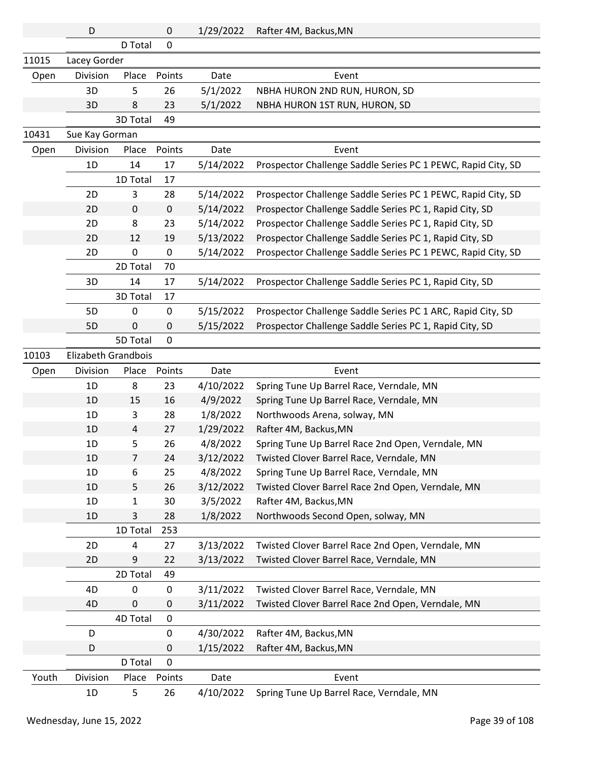|       | D                   |                | 0            | 1/29/2022         | Rafter 4M, Backus, MN                                        |
|-------|---------------------|----------------|--------------|-------------------|--------------------------------------------------------------|
|       |                     | D Total        | $\mathbf 0$  |                   |                                                              |
| 11015 | Lacey Gorder        |                |              |                   |                                                              |
| Open  | Division            | Place          | Points       | Date              | Event                                                        |
|       | 3D                  | 5              | 26           | 5/1/2022          | NBHA HURON 2ND RUN, HURON, SD                                |
|       | 3D                  | 8              | 23           | 5/1/2022          | NBHA HURON 1ST RUN, HURON, SD                                |
|       |                     | 3D Total       | 49           |                   |                                                              |
| 10431 | Sue Kay Gorman      |                |              |                   |                                                              |
| Open  | Division            | Place          | Points       | Date              | Event                                                        |
|       | 1D                  | 14             | 17           | 5/14/2022         | Prospector Challenge Saddle Series PC 1 PEWC, Rapid City, SD |
|       |                     | 1D Total       | 17           |                   |                                                              |
|       | 2D                  | 3              | 28           | 5/14/2022         | Prospector Challenge Saddle Series PC 1 PEWC, Rapid City, SD |
|       | 2D                  | $\mathbf 0$    | $\mathbf 0$  | 5/14/2022         | Prospector Challenge Saddle Series PC 1, Rapid City, SD      |
|       | 2D                  | 8              | 23           | 5/14/2022         | Prospector Challenge Saddle Series PC 1, Rapid City, SD      |
|       | 2D                  | 12             | 19           | 5/13/2022         | Prospector Challenge Saddle Series PC 1, Rapid City, SD      |
|       | 2D                  | 0              | 0            | 5/14/2022         | Prospector Challenge Saddle Series PC 1 PEWC, Rapid City, SD |
|       |                     | 2D Total       | 70           |                   |                                                              |
|       | 3D                  | 14             | 17           | 5/14/2022         | Prospector Challenge Saddle Series PC 1, Rapid City, SD      |
|       |                     | 3D Total       | 17           |                   |                                                              |
|       | 5D                  | 0              | 0            | 5/15/2022         | Prospector Challenge Saddle Series PC 1 ARC, Rapid City, SD  |
|       | 5D                  | 0              | 0            | 5/15/2022         | Prospector Challenge Saddle Series PC 1, Rapid City, SD      |
|       |                     | 5D Total       | $\mathbf 0$  |                   |                                                              |
| 10103 | Elizabeth Grandbois |                |              |                   |                                                              |
|       |                     |                |              |                   |                                                              |
| Open  | Division            | Place          | Points       | Date              | Event                                                        |
|       | 1D                  | 8              | 23           | 4/10/2022         | Spring Tune Up Barrel Race, Verndale, MN                     |
|       | 1D                  | 15             | 16           | 4/9/2022          | Spring Tune Up Barrel Race, Verndale, MN                     |
|       | 1D                  | 3              | 28           | 1/8/2022          | Northwoods Arena, solway, MN                                 |
|       | 1D                  | 4              | 27           | 1/29/2022         | Rafter 4M, Backus, MN                                        |
|       | 1D                  | 5              | 26           | 4/8/2022          | Spring Tune Up Barrel Race 2nd Open, Verndale, MN            |
|       | 1D                  | $\overline{7}$ | 24           | 3/12/2022         | Twisted Clover Barrel Race, Verndale, MN                     |
|       | 1D                  | 6              | 25           | 4/8/2022          | Spring Tune Up Barrel Race, Verndale, MN                     |
|       | 1D                  | 5              | 26           | 3/12/2022         | Twisted Clover Barrel Race 2nd Open, Verndale, MN            |
|       | 1D                  | $\mathbf{1}$   | 30           | 3/5/2022          | Rafter 4M, Backus, MN                                        |
|       | 1D                  | 3              | 28           | 1/8/2022          | Northwoods Second Open, solway, MN                           |
|       |                     | 1D Total       | 253          |                   |                                                              |
|       | 2D                  | 4              | 27           | 3/13/2022         | Twisted Clover Barrel Race 2nd Open, Verndale, MN            |
|       | 2D                  | 9              | 22           | 3/13/2022         | Twisted Clover Barrel Race, Verndale, MN                     |
|       |                     | 2D Total       | 49           |                   |                                                              |
|       | 4D                  | 0              | 0            | 3/11/2022         | Twisted Clover Barrel Race, Verndale, MN                     |
|       | 4D                  | 0              | 0            | 3/11/2022         | Twisted Clover Barrel Race 2nd Open, Verndale, MN            |
|       |                     | 4D Total       | 0            |                   |                                                              |
|       | D                   |                | 0            | 4/30/2022         | Rafter 4M, Backus, MN                                        |
|       | D                   |                | 0            | 1/15/2022         | Rafter 4M, Backus, MN                                        |
|       |                     | D Total        | 0            |                   |                                                              |
| Youth | Division            | Place          | Points<br>26 | Date<br>4/10/2022 | Event                                                        |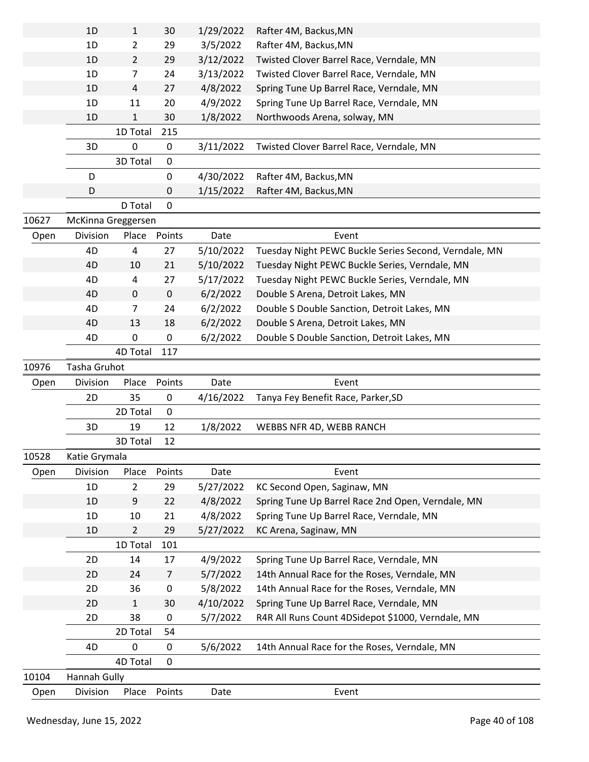| Open  | Division           | Place               | Points         | Date                  | Event                                                                                |
|-------|--------------------|---------------------|----------------|-----------------------|--------------------------------------------------------------------------------------|
| 10104 | Hannah Gully       |                     |                |                       |                                                                                      |
|       |                    | 4D Total            | 0              |                       |                                                                                      |
|       | 4D                 | 0                   | 0              | 5/6/2022              | 14th Annual Race for the Roses, Verndale, MN                                         |
|       |                    | 2D Total            | 54             |                       |                                                                                      |
|       | 2D                 | 38                  | 0              | 5/7/2022              | R4R All Runs Count 4DSidepot \$1000, Verndale, MN                                    |
|       | 2D                 | $\mathbf{1}$        | 30             | 4/10/2022             | Spring Tune Up Barrel Race, Verndale, MN                                             |
|       | 2D                 | 36                  | 0              | 5/8/2022              | 14th Annual Race for the Roses, Verndale, MN                                         |
|       | 2D                 | 24                  | $\overline{7}$ | 5/7/2022              | 14th Annual Race for the Roses, Verndale, MN                                         |
|       | 2D                 | 14                  | 17             | 4/9/2022              | Spring Tune Up Barrel Race, Verndale, MN                                             |
|       |                    | 1D Total            | 101            |                       |                                                                                      |
|       | 1D                 | $\overline{2}$      | 29             | 5/27/2022             | KC Arena, Saginaw, MN                                                                |
|       | 1D                 | 10                  | 21             | 4/8/2022              | Spring Tune Up Barrel Race, Verndale, MN                                             |
|       | 1D                 | 9                   | 22             | 4/8/2022              | Spring Tune Up Barrel Race 2nd Open, Verndale, MN                                    |
|       | 1D                 | $\overline{2}$      | 29             | 5/27/2022             | KC Second Open, Saginaw, MN                                                          |
| Open  | Division           | Place               | Points         | Date                  | Event                                                                                |
| 10528 | Katie Grymala      |                     |                |                       |                                                                                      |
|       |                    | 3D Total            | 12             |                       |                                                                                      |
|       | 3D                 | 19                  | 12             | 1/8/2022              | WEBBS NFR 4D, WEBB RANCH                                                             |
|       |                    | 2D Total            | $\mathbf 0$    |                       |                                                                                      |
|       | 2D                 | 35                  | $\pmb{0}$      | 4/16/2022             | Tanya Fey Benefit Race, Parker, SD                                                   |
| Open  | Division           | Place               | Points         | Date                  | Event                                                                                |
| 10976 | Tasha Gruhot       |                     |                |                       |                                                                                      |
|       |                    | 4D Total            | 117            |                       |                                                                                      |
|       | 4D                 | 0                   | 0              | 6/2/2022              | Double S Double Sanction, Detroit Lakes, MN                                          |
|       | 4D                 | 13                  | 18             | 6/2/2022              | Double S Arena, Detroit Lakes, MN                                                    |
|       | 4D                 | 7                   | 24             | 6/2/2022              | Double S Double Sanction, Detroit Lakes, MN                                          |
|       | 4D                 | $\mathbf 0$         | $\mathbf 0$    | 6/2/2022              | Double S Arena, Detroit Lakes, MN                                                    |
|       | 4D                 | 4                   | 27             | 5/17/2022             | Tuesday Night PEWC Buckle Series, Verndale, MN                                       |
|       | 4D                 | 10                  | 21             | 5/10/2022             | Tuesday Night PEWC Buckle Series, Verndale, MN                                       |
|       | 4D                 | 4                   | 27             | 5/10/2022             | Tuesday Night PEWC Buckle Series Second, Verndale, MN                                |
| Open  | Division           | Place               | Points         | Date                  | Event                                                                                |
| 10627 | McKinna Greggersen |                     |                |                       |                                                                                      |
|       |                    | D Total             | $\mathbf 0$    |                       |                                                                                      |
|       | D                  |                     | 0              | 1/15/2022             | Rafter 4M, Backus, MN                                                                |
|       | D                  |                     | 0              | 4/30/2022             | Rafter 4M, Backus, MN                                                                |
|       |                    | 3D Total            | $\mathbf 0$    |                       |                                                                                      |
|       | 3D                 | 0                   | 0              | 3/11/2022             | Twisted Clover Barrel Race, Verndale, MN                                             |
|       |                    | 1D Total            | 215            |                       |                                                                                      |
|       | 1D                 | 1                   | 30             | 1/8/2022              | Northwoods Arena, solway, MN                                                         |
|       | 1D                 | 11                  | 20             | 4/9/2022              | Spring Tune Up Barrel Race, Verndale, MN                                             |
|       | 1D<br>1D           | $\overline{7}$<br>4 | 24<br>27       | 3/13/2022<br>4/8/2022 | Twisted Clover Barrel Race, Verndale, MN<br>Spring Tune Up Barrel Race, Verndale, MN |
|       | 1D                 | $\overline{2}$      | 29             | 3/12/2022             | Twisted Clover Barrel Race, Verndale, MN                                             |
|       | 1D                 | 2                   | 29             | 3/5/2022              | Rafter 4M, Backus, MN                                                                |
|       | 1D                 | $\mathbf{1}$        | 30             | 1/29/2022             | Rafter 4M, Backus, MN                                                                |
|       |                    |                     |                |                       |                                                                                      |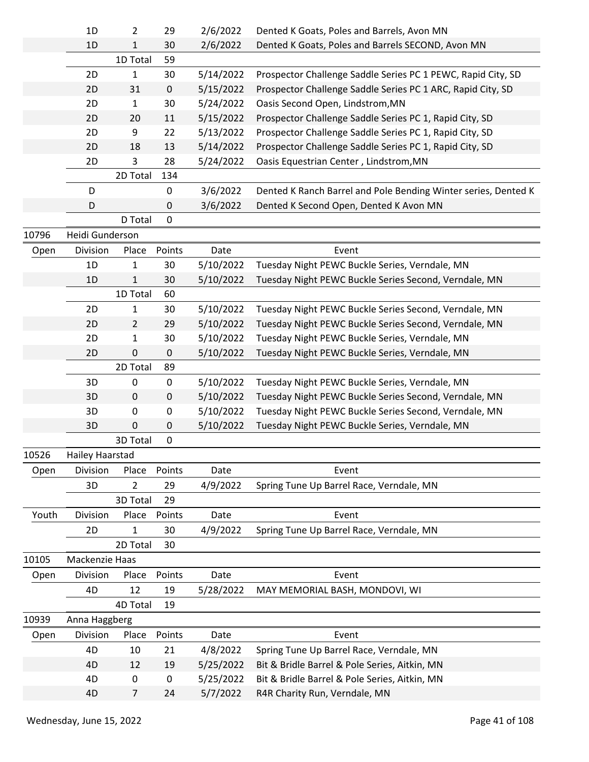|                                                  | 1D              | 2              | 29        | 2/6/2022  | Dented K Goats, Poles and Barrels, Avon MN                     |
|--------------------------------------------------|-----------------|----------------|-----------|-----------|----------------------------------------------------------------|
|                                                  | 1D              | 1              | 30        | 2/6/2022  | Dented K Goats, Poles and Barrels SECOND, Avon MN              |
|                                                  |                 | 1D Total       | 59        |           |                                                                |
| 10796<br>Open<br>10526<br>Open<br>Youth<br>10105 | 2D              | 1              | 30        | 5/14/2022 | Prospector Challenge Saddle Series PC 1 PEWC, Rapid City, SD   |
|                                                  | 2D              | 31             | $\pmb{0}$ | 5/15/2022 | Prospector Challenge Saddle Series PC 1 ARC, Rapid City, SD    |
|                                                  | 2D              | $\mathbf{1}$   | 30        | 5/24/2022 | Oasis Second Open, Lindstrom, MN                               |
|                                                  | 2D              | 20             | 11        | 5/15/2022 | Prospector Challenge Saddle Series PC 1, Rapid City, SD        |
|                                                  | 2D              | 9              | 22        | 5/13/2022 | Prospector Challenge Saddle Series PC 1, Rapid City, SD        |
|                                                  | 2D              | 18             | 13        | 5/14/2022 | Prospector Challenge Saddle Series PC 1, Rapid City, SD        |
|                                                  | 2D              | 3              | 28        | 5/24/2022 | Oasis Equestrian Center, Lindstrom, MN                         |
|                                                  |                 | 2D Total       | 134       |           |                                                                |
|                                                  | D               |                | $\pmb{0}$ | 3/6/2022  | Dented K Ranch Barrel and Pole Bending Winter series, Dented K |
|                                                  | D               |                | 0         | 3/6/2022  | Dented K Second Open, Dented K Avon MN                         |
|                                                  |                 | D Total        | 0         |           |                                                                |
|                                                  | Heidi Gunderson |                |           |           |                                                                |
|                                                  | Division        | Place          | Points    | Date      | Event                                                          |
|                                                  | 1D              | 1              | 30        | 5/10/2022 | Tuesday Night PEWC Buckle Series, Verndale, MN                 |
| Open<br>10939<br>Open                            | 1D              | 1              | 30        | 5/10/2022 | Tuesday Night PEWC Buckle Series Second, Verndale, MN          |
|                                                  |                 | 1D Total       | 60        |           |                                                                |
|                                                  | 2D              | 1              | 30        | 5/10/2022 | Tuesday Night PEWC Buckle Series Second, Verndale, MN          |
|                                                  | 2D              | $\overline{2}$ | 29        | 5/10/2022 | Tuesday Night PEWC Buckle Series Second, Verndale, MN          |
|                                                  | 2D              | 1              | 30        | 5/10/2022 | Tuesday Night PEWC Buckle Series, Verndale, MN                 |
|                                                  | 2D              | 0              | $\pmb{0}$ | 5/10/2022 | Tuesday Night PEWC Buckle Series, Verndale, MN                 |
|                                                  |                 | 2D Total       | 89        |           |                                                                |
|                                                  | 3D              | 0              | 0         | 5/10/2022 | Tuesday Night PEWC Buckle Series, Verndale, MN                 |
|                                                  | 3D              | $\pmb{0}$      | $\pmb{0}$ | 5/10/2022 | Tuesday Night PEWC Buckle Series Second, Verndale, MN          |
|                                                  | 3D              | 0              | 0         | 5/10/2022 | Tuesday Night PEWC Buckle Series Second, Verndale, MN          |
|                                                  | 3D              | 0              | 0         | 5/10/2022 | Tuesday Night PEWC Buckle Series, Verndale, MN                 |
|                                                  |                 | 3D Total       | 0         |           |                                                                |
|                                                  | Hailey Haarstad |                |           |           |                                                                |
| 3D<br>2D<br>4D                                   | Division        | Place          | Points    | Date      | Event                                                          |
|                                                  |                 | $\overline{2}$ | 29        | 4/9/2022  | Spring Tune Up Barrel Race, Verndale, MN                       |
|                                                  |                 | 3D Total       | 29        |           |                                                                |
|                                                  | Division        | Place          | Points    | Date      | Event                                                          |
|                                                  |                 | 1              | 30        | 4/9/2022  | Spring Tune Up Barrel Race, Verndale, MN                       |
|                                                  |                 | 2D Total       | 30        |           |                                                                |
|                                                  | Mackenzie Haas  |                |           |           |                                                                |
|                                                  | Division        | Place          | Points    | Date      | Event                                                          |
|                                                  |                 | 12             | 19        | 5/28/2022 | MAY MEMORIAL BASH, MONDOVI, WI                                 |
|                                                  |                 | 4D Total       | 19        |           |                                                                |
|                                                  | Anna Haggberg   |                |           |           |                                                                |
|                                                  | Division        | Place          | Points    | Date      | Event                                                          |
|                                                  | 4D              | 10             | 21        | 4/8/2022  | Spring Tune Up Barrel Race, Verndale, MN                       |
|                                                  | 4D              | 12             | 19        | 5/25/2022 | Bit & Bridle Barrel & Pole Series, Aitkin, MN                  |
|                                                  | 4D              | 0              | 0         | 5/25/2022 | Bit & Bridle Barrel & Pole Series, Aitkin, MN                  |
|                                                  | 4D              | $\overline{7}$ | 24        | 5/7/2022  | R4R Charity Run, Verndale, MN                                  |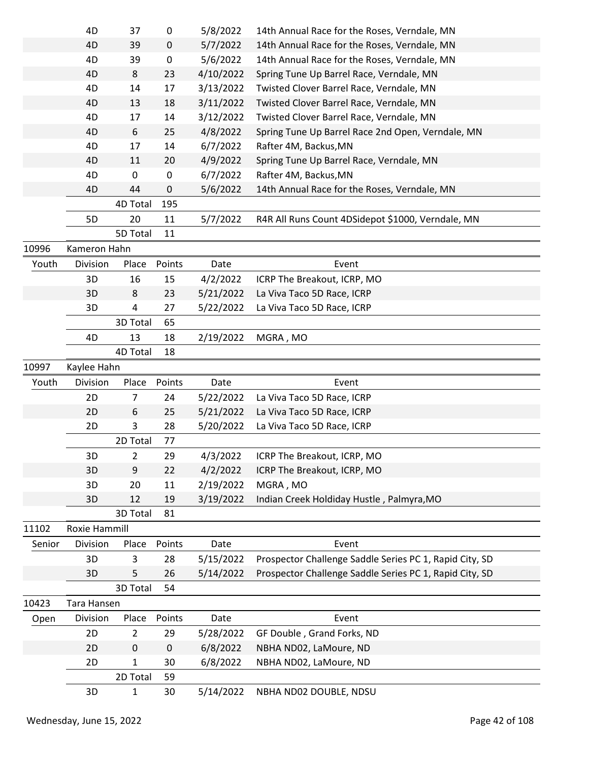|                                                     | 4D                                                                                                                                                                                                                                                                                                                                                                                                                                                                                                                                                                                                                                                                                                                                                                                                                                                                                                                                                                                                                                                                                                                                                                                                                                                                                                                                                                                                                                                                                                                                                                                                                                                                                                                                                                                                                                                                                                                                                                                                           | 39             | 0         | 5/7/2022  | 14th Annual Race for the Roses, Verndale, MN |
|-----------------------------------------------------|--------------------------------------------------------------------------------------------------------------------------------------------------------------------------------------------------------------------------------------------------------------------------------------------------------------------------------------------------------------------------------------------------------------------------------------------------------------------------------------------------------------------------------------------------------------------------------------------------------------------------------------------------------------------------------------------------------------------------------------------------------------------------------------------------------------------------------------------------------------------------------------------------------------------------------------------------------------------------------------------------------------------------------------------------------------------------------------------------------------------------------------------------------------------------------------------------------------------------------------------------------------------------------------------------------------------------------------------------------------------------------------------------------------------------------------------------------------------------------------------------------------------------------------------------------------------------------------------------------------------------------------------------------------------------------------------------------------------------------------------------------------------------------------------------------------------------------------------------------------------------------------------------------------------------------------------------------------------------------------------------------------|----------------|-----------|-----------|----------------------------------------------|
|                                                     | 4D                                                                                                                                                                                                                                                                                                                                                                                                                                                                                                                                                                                                                                                                                                                                                                                                                                                                                                                                                                                                                                                                                                                                                                                                                                                                                                                                                                                                                                                                                                                                                                                                                                                                                                                                                                                                                                                                                                                                                                                                           | 39             | 0         | 5/6/2022  | 14th Annual Race for the Roses, Verndale, MN |
|                                                     | 4D                                                                                                                                                                                                                                                                                                                                                                                                                                                                                                                                                                                                                                                                                                                                                                                                                                                                                                                                                                                                                                                                                                                                                                                                                                                                                                                                                                                                                                                                                                                                                                                                                                                                                                                                                                                                                                                                                                                                                                                                           | 8              |           |           |                                              |
|                                                     | 4D                                                                                                                                                                                                                                                                                                                                                                                                                                                                                                                                                                                                                                                                                                                                                                                                                                                                                                                                                                                                                                                                                                                                                                                                                                                                                                                                                                                                                                                                                                                                                                                                                                                                                                                                                                                                                                                                                                                                                                                                           |                |           |           |                                              |
|                                                     | 4D<br>0<br>37<br>5/8/2022<br>14th Annual Race for the Roses, Verndale, MN<br>23<br>4/10/2022<br>Spring Tune Up Barrel Race, Verndale, MN<br>17<br>3/13/2022<br>14<br>Twisted Clover Barrel Race, Verndale, MN<br>18<br>3/11/2022<br>13<br>Twisted Clover Barrel Race, Verndale, MN<br>4D<br>14<br>3/12/2022<br>Twisted Clover Barrel Race, Verndale, MN<br>4D<br>17<br>25<br>4/8/2022<br>4D<br>6<br>Spring Tune Up Barrel Race 2nd Open, Verndale, MN<br>4D<br>14<br>6/7/2022<br>17<br>Rafter 4M, Backus, MN<br>4/9/2022<br>11<br>20<br>Spring Tune Up Barrel Race, Verndale, MN<br>4D<br>0<br>4D<br>6/7/2022<br>Rafter 4M, Backus, MN<br>0<br>0<br>4D<br>44<br>5/6/2022<br>14th Annual Race for the Roses, Verndale, MN<br>4D Total<br>195<br>20<br>11<br>R4R All Runs Count 4DSidepot \$1000, Verndale, MN<br>5D<br>5/7/2022<br>5D Total<br>11<br>Kameron Hahn<br>Division<br>Points<br>Event<br>Place<br>Date<br>3D<br>16<br>15<br>4/2/2022<br>ICRP The Breakout, ICRP, MO<br>3D<br>23<br>5/21/2022<br>8<br>La Viva Taco 5D Race, ICRP<br>3D<br>4<br>27<br>5/22/2022<br>La Viva Taco 5D Race, ICRP<br>3D Total<br>65<br>13<br>18<br>4D<br>2/19/2022<br>MGRA, MO<br>4D Total<br>18<br>Kaylee Hahn<br>Division<br>Points<br>Place<br>Date<br>Event<br>2D<br>7<br>24<br>5/22/2022<br>La Viva Taco 5D Race, ICRP<br>5/21/2022<br>2D<br>6<br>25<br>La Viva Taco 5D Race, ICRP<br>3<br>28<br>2D<br>5/20/2022<br>La Viva Taco 5D Race, ICRP<br>2D Total<br>77<br>3D<br>$\overline{2}$<br>29<br>4/3/2022<br>ICRP The Breakout, ICRP, MO<br>9<br>4/2/2022<br>3D<br>22<br>ICRP The Breakout, ICRP, MO<br>3D<br>20<br>11<br>2/19/2022<br>MGRA, MO<br>3/19/2022<br>Indian Creek Holdiday Hustle, Palmyra, MO<br>3D<br>12<br>19<br>3D Total<br>81<br>Roxie Hammill<br>Division<br>Points<br>Date<br>Place<br>Event<br>3D<br>28<br>5/15/2022<br>Prospector Challenge Saddle Series PC 1, Rapid City, SD<br>3<br>Prospector Challenge Saddle Series PC 1, Rapid City, SD<br>3D<br>5<br>26<br>5/14/2022<br>3D Total<br>54 |                |           |           |                                              |
| 10996<br>Youth<br>10997<br>Youth<br>11102<br>Senior |                                                                                                                                                                                                                                                                                                                                                                                                                                                                                                                                                                                                                                                                                                                                                                                                                                                                                                                                                                                                                                                                                                                                                                                                                                                                                                                                                                                                                                                                                                                                                                                                                                                                                                                                                                                                                                                                                                                                                                                                              |                |           |           |                                              |
|                                                     |                                                                                                                                                                                                                                                                                                                                                                                                                                                                                                                                                                                                                                                                                                                                                                                                                                                                                                                                                                                                                                                                                                                                                                                                                                                                                                                                                                                                                                                                                                                                                                                                                                                                                                                                                                                                                                                                                                                                                                                                              |                |           |           |                                              |
|                                                     |                                                                                                                                                                                                                                                                                                                                                                                                                                                                                                                                                                                                                                                                                                                                                                                                                                                                                                                                                                                                                                                                                                                                                                                                                                                                                                                                                                                                                                                                                                                                                                                                                                                                                                                                                                                                                                                                                                                                                                                                              |                |           |           |                                              |
|                                                     |                                                                                                                                                                                                                                                                                                                                                                                                                                                                                                                                                                                                                                                                                                                                                                                                                                                                                                                                                                                                                                                                                                                                                                                                                                                                                                                                                                                                                                                                                                                                                                                                                                                                                                                                                                                                                                                                                                                                                                                                              |                |           |           |                                              |
|                                                     |                                                                                                                                                                                                                                                                                                                                                                                                                                                                                                                                                                                                                                                                                                                                                                                                                                                                                                                                                                                                                                                                                                                                                                                                                                                                                                                                                                                                                                                                                                                                                                                                                                                                                                                                                                                                                                                                                                                                                                                                              |                |           |           |                                              |
|                                                     |                                                                                                                                                                                                                                                                                                                                                                                                                                                                                                                                                                                                                                                                                                                                                                                                                                                                                                                                                                                                                                                                                                                                                                                                                                                                                                                                                                                                                                                                                                                                                                                                                                                                                                                                                                                                                                                                                                                                                                                                              |                |           |           |                                              |
|                                                     |                                                                                                                                                                                                                                                                                                                                                                                                                                                                                                                                                                                                                                                                                                                                                                                                                                                                                                                                                                                                                                                                                                                                                                                                                                                                                                                                                                                                                                                                                                                                                                                                                                                                                                                                                                                                                                                                                                                                                                                                              |                |           |           |                                              |
|                                                     |                                                                                                                                                                                                                                                                                                                                                                                                                                                                                                                                                                                                                                                                                                                                                                                                                                                                                                                                                                                                                                                                                                                                                                                                                                                                                                                                                                                                                                                                                                                                                                                                                                                                                                                                                                                                                                                                                                                                                                                                              |                |           |           |                                              |
|                                                     |                                                                                                                                                                                                                                                                                                                                                                                                                                                                                                                                                                                                                                                                                                                                                                                                                                                                                                                                                                                                                                                                                                                                                                                                                                                                                                                                                                                                                                                                                                                                                                                                                                                                                                                                                                                                                                                                                                                                                                                                              |                |           |           |                                              |
|                                                     |                                                                                                                                                                                                                                                                                                                                                                                                                                                                                                                                                                                                                                                                                                                                                                                                                                                                                                                                                                                                                                                                                                                                                                                                                                                                                                                                                                                                                                                                                                                                                                                                                                                                                                                                                                                                                                                                                                                                                                                                              |                |           |           |                                              |
|                                                     |                                                                                                                                                                                                                                                                                                                                                                                                                                                                                                                                                                                                                                                                                                                                                                                                                                                                                                                                                                                                                                                                                                                                                                                                                                                                                                                                                                                                                                                                                                                                                                                                                                                                                                                                                                                                                                                                                                                                                                                                              |                |           |           |                                              |
|                                                     |                                                                                                                                                                                                                                                                                                                                                                                                                                                                                                                                                                                                                                                                                                                                                                                                                                                                                                                                                                                                                                                                                                                                                                                                                                                                                                                                                                                                                                                                                                                                                                                                                                                                                                                                                                                                                                                                                                                                                                                                              |                |           |           |                                              |
|                                                     |                                                                                                                                                                                                                                                                                                                                                                                                                                                                                                                                                                                                                                                                                                                                                                                                                                                                                                                                                                                                                                                                                                                                                                                                                                                                                                                                                                                                                                                                                                                                                                                                                                                                                                                                                                                                                                                                                                                                                                                                              |                |           |           |                                              |
|                                                     |                                                                                                                                                                                                                                                                                                                                                                                                                                                                                                                                                                                                                                                                                                                                                                                                                                                                                                                                                                                                                                                                                                                                                                                                                                                                                                                                                                                                                                                                                                                                                                                                                                                                                                                                                                                                                                                                                                                                                                                                              |                |           |           |                                              |
|                                                     |                                                                                                                                                                                                                                                                                                                                                                                                                                                                                                                                                                                                                                                                                                                                                                                                                                                                                                                                                                                                                                                                                                                                                                                                                                                                                                                                                                                                                                                                                                                                                                                                                                                                                                                                                                                                                                                                                                                                                                                                              |                |           |           |                                              |
|                                                     |                                                                                                                                                                                                                                                                                                                                                                                                                                                                                                                                                                                                                                                                                                                                                                                                                                                                                                                                                                                                                                                                                                                                                                                                                                                                                                                                                                                                                                                                                                                                                                                                                                                                                                                                                                                                                                                                                                                                                                                                              |                |           |           |                                              |
|                                                     |                                                                                                                                                                                                                                                                                                                                                                                                                                                                                                                                                                                                                                                                                                                                                                                                                                                                                                                                                                                                                                                                                                                                                                                                                                                                                                                                                                                                                                                                                                                                                                                                                                                                                                                                                                                                                                                                                                                                                                                                              |                |           |           |                                              |
|                                                     |                                                                                                                                                                                                                                                                                                                                                                                                                                                                                                                                                                                                                                                                                                                                                                                                                                                                                                                                                                                                                                                                                                                                                                                                                                                                                                                                                                                                                                                                                                                                                                                                                                                                                                                                                                                                                                                                                                                                                                                                              |                |           |           |                                              |
|                                                     |                                                                                                                                                                                                                                                                                                                                                                                                                                                                                                                                                                                                                                                                                                                                                                                                                                                                                                                                                                                                                                                                                                                                                                                                                                                                                                                                                                                                                                                                                                                                                                                                                                                                                                                                                                                                                                                                                                                                                                                                              |                |           |           |                                              |
|                                                     |                                                                                                                                                                                                                                                                                                                                                                                                                                                                                                                                                                                                                                                                                                                                                                                                                                                                                                                                                                                                                                                                                                                                                                                                                                                                                                                                                                                                                                                                                                                                                                                                                                                                                                                                                                                                                                                                                                                                                                                                              |                |           |           |                                              |
|                                                     |                                                                                                                                                                                                                                                                                                                                                                                                                                                                                                                                                                                                                                                                                                                                                                                                                                                                                                                                                                                                                                                                                                                                                                                                                                                                                                                                                                                                                                                                                                                                                                                                                                                                                                                                                                                                                                                                                                                                                                                                              |                |           |           |                                              |
|                                                     |                                                                                                                                                                                                                                                                                                                                                                                                                                                                                                                                                                                                                                                                                                                                                                                                                                                                                                                                                                                                                                                                                                                                                                                                                                                                                                                                                                                                                                                                                                                                                                                                                                                                                                                                                                                                                                                                                                                                                                                                              |                |           |           |                                              |
|                                                     |                                                                                                                                                                                                                                                                                                                                                                                                                                                                                                                                                                                                                                                                                                                                                                                                                                                                                                                                                                                                                                                                                                                                                                                                                                                                                                                                                                                                                                                                                                                                                                                                                                                                                                                                                                                                                                                                                                                                                                                                              |                |           |           |                                              |
|                                                     |                                                                                                                                                                                                                                                                                                                                                                                                                                                                                                                                                                                                                                                                                                                                                                                                                                                                                                                                                                                                                                                                                                                                                                                                                                                                                                                                                                                                                                                                                                                                                                                                                                                                                                                                                                                                                                                                                                                                                                                                              |                |           |           |                                              |
|                                                     |                                                                                                                                                                                                                                                                                                                                                                                                                                                                                                                                                                                                                                                                                                                                                                                                                                                                                                                                                                                                                                                                                                                                                                                                                                                                                                                                                                                                                                                                                                                                                                                                                                                                                                                                                                                                                                                                                                                                                                                                              |                |           |           |                                              |
|                                                     |                                                                                                                                                                                                                                                                                                                                                                                                                                                                                                                                                                                                                                                                                                                                                                                                                                                                                                                                                                                                                                                                                                                                                                                                                                                                                                                                                                                                                                                                                                                                                                                                                                                                                                                                                                                                                                                                                                                                                                                                              |                |           |           |                                              |
|                                                     |                                                                                                                                                                                                                                                                                                                                                                                                                                                                                                                                                                                                                                                                                                                                                                                                                                                                                                                                                                                                                                                                                                                                                                                                                                                                                                                                                                                                                                                                                                                                                                                                                                                                                                                                                                                                                                                                                                                                                                                                              |                |           |           |                                              |
|                                                     |                                                                                                                                                                                                                                                                                                                                                                                                                                                                                                                                                                                                                                                                                                                                                                                                                                                                                                                                                                                                                                                                                                                                                                                                                                                                                                                                                                                                                                                                                                                                                                                                                                                                                                                                                                                                                                                                                                                                                                                                              |                |           |           |                                              |
|                                                     |                                                                                                                                                                                                                                                                                                                                                                                                                                                                                                                                                                                                                                                                                                                                                                                                                                                                                                                                                                                                                                                                                                                                                                                                                                                                                                                                                                                                                                                                                                                                                                                                                                                                                                                                                                                                                                                                                                                                                                                                              |                |           |           |                                              |
|                                                     |                                                                                                                                                                                                                                                                                                                                                                                                                                                                                                                                                                                                                                                                                                                                                                                                                                                                                                                                                                                                                                                                                                                                                                                                                                                                                                                                                                                                                                                                                                                                                                                                                                                                                                                                                                                                                                                                                                                                                                                                              |                |           |           |                                              |
|                                                     |                                                                                                                                                                                                                                                                                                                                                                                                                                                                                                                                                                                                                                                                                                                                                                                                                                                                                                                                                                                                                                                                                                                                                                                                                                                                                                                                                                                                                                                                                                                                                                                                                                                                                                                                                                                                                                                                                                                                                                                                              |                |           |           |                                              |
|                                                     |                                                                                                                                                                                                                                                                                                                                                                                                                                                                                                                                                                                                                                                                                                                                                                                                                                                                                                                                                                                                                                                                                                                                                                                                                                                                                                                                                                                                                                                                                                                                                                                                                                                                                                                                                                                                                                                                                                                                                                                                              |                |           |           |                                              |
|                                                     |                                                                                                                                                                                                                                                                                                                                                                                                                                                                                                                                                                                                                                                                                                                                                                                                                                                                                                                                                                                                                                                                                                                                                                                                                                                                                                                                                                                                                                                                                                                                                                                                                                                                                                                                                                                                                                                                                                                                                                                                              |                |           |           |                                              |
|                                                     |                                                                                                                                                                                                                                                                                                                                                                                                                                                                                                                                                                                                                                                                                                                                                                                                                                                                                                                                                                                                                                                                                                                                                                                                                                                                                                                                                                                                                                                                                                                                                                                                                                                                                                                                                                                                                                                                                                                                                                                                              |                |           |           |                                              |
|                                                     |                                                                                                                                                                                                                                                                                                                                                                                                                                                                                                                                                                                                                                                                                                                                                                                                                                                                                                                                                                                                                                                                                                                                                                                                                                                                                                                                                                                                                                                                                                                                                                                                                                                                                                                                                                                                                                                                                                                                                                                                              |                |           |           |                                              |
| 10423                                               | Tara Hansen                                                                                                                                                                                                                                                                                                                                                                                                                                                                                                                                                                                                                                                                                                                                                                                                                                                                                                                                                                                                                                                                                                                                                                                                                                                                                                                                                                                                                                                                                                                                                                                                                                                                                                                                                                                                                                                                                                                                                                                                  |                |           |           |                                              |
| Open                                                | Division                                                                                                                                                                                                                                                                                                                                                                                                                                                                                                                                                                                                                                                                                                                                                                                                                                                                                                                                                                                                                                                                                                                                                                                                                                                                                                                                                                                                                                                                                                                                                                                                                                                                                                                                                                                                                                                                                                                                                                                                     | Place          | Points    | Date      | Event                                        |
|                                                     | 2D                                                                                                                                                                                                                                                                                                                                                                                                                                                                                                                                                                                                                                                                                                                                                                                                                                                                                                                                                                                                                                                                                                                                                                                                                                                                                                                                                                                                                                                                                                                                                                                                                                                                                                                                                                                                                                                                                                                                                                                                           | $\overline{2}$ | 29        | 5/28/2022 | GF Double, Grand Forks, ND                   |
|                                                     | 2D                                                                                                                                                                                                                                                                                                                                                                                                                                                                                                                                                                                                                                                                                                                                                                                                                                                                                                                                                                                                                                                                                                                                                                                                                                                                                                                                                                                                                                                                                                                                                                                                                                                                                                                                                                                                                                                                                                                                                                                                           | $\pmb{0}$      | $\pmb{0}$ | 6/8/2022  | NBHA ND02, LaMoure, ND                       |
|                                                     | 2D                                                                                                                                                                                                                                                                                                                                                                                                                                                                                                                                                                                                                                                                                                                                                                                                                                                                                                                                                                                                                                                                                                                                                                                                                                                                                                                                                                                                                                                                                                                                                                                                                                                                                                                                                                                                                                                                                                                                                                                                           | $\mathbf{1}$   | 30        | 6/8/2022  | NBHA ND02, LaMoure, ND                       |
|                                                     | 3D                                                                                                                                                                                                                                                                                                                                                                                                                                                                                                                                                                                                                                                                                                                                                                                                                                                                                                                                                                                                                                                                                                                                                                                                                                                                                                                                                                                                                                                                                                                                                                                                                                                                                                                                                                                                                                                                                                                                                                                                           | 2D Total<br>1  | 59<br>30  | 5/14/2022 | NBHA ND02 DOUBLE, NDSU                       |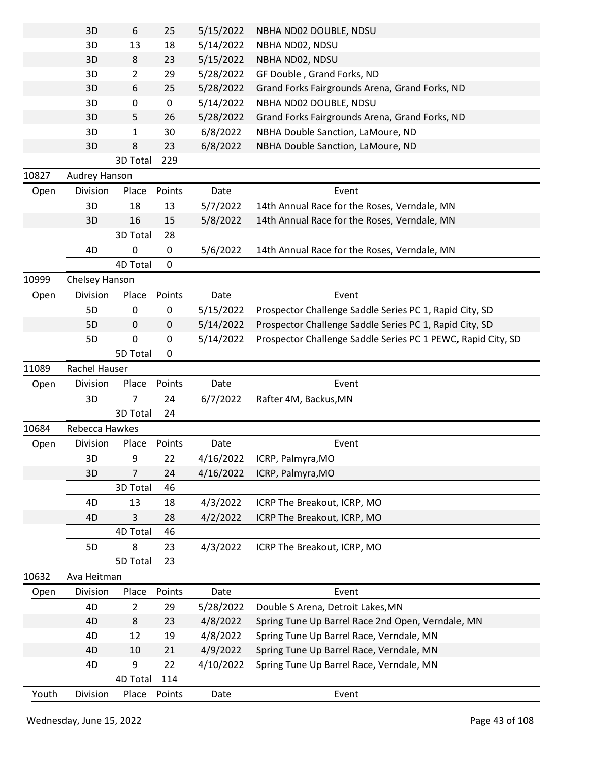|       | 3D             | 6                       | 25          | 5/15/2022 | NBHA ND02 DOUBLE, NDSU                                       |
|-------|----------------|-------------------------|-------------|-----------|--------------------------------------------------------------|
|       | 3D             | 13                      | 18          | 5/14/2022 | NBHA ND02, NDSU                                              |
|       | 3D             | 8                       | 23          | 5/15/2022 | NBHA ND02, NDSU                                              |
|       | 3D             | $\overline{2}$          | 29          | 5/28/2022 | GF Double, Grand Forks, ND                                   |
|       | 3D             | 6                       | 25          | 5/28/2022 | Grand Forks Fairgrounds Arena, Grand Forks, ND               |
|       | 3D             | 0                       | $\pmb{0}$   | 5/14/2022 | NBHA ND02 DOUBLE, NDSU                                       |
|       | 3D             | 5.                      | 26          | 5/28/2022 | Grand Forks Fairgrounds Arena, Grand Forks, ND               |
|       | 3D             | 1                       | 30          | 6/8/2022  | NBHA Double Sanction, LaMoure, ND                            |
|       | 3D             | 8                       | 23          | 6/8/2022  | NBHA Double Sanction, LaMoure, ND                            |
|       |                | 3D Total                | 229         |           |                                                              |
| 10827 | Audrey Hanson  |                         |             |           |                                                              |
| Open  | Division       | Place                   | Points      | Date      | Event                                                        |
|       | 3D             | 18                      | 13          | 5/7/2022  | 14th Annual Race for the Roses, Verndale, MN                 |
|       | 3D             | 16                      | 15          | 5/8/2022  | 14th Annual Race for the Roses, Verndale, MN                 |
|       |                | 3D Total                | 28          |           |                                                              |
|       | 4D             | 0                       | 0           | 5/6/2022  | 14th Annual Race for the Roses, Verndale, MN                 |
|       |                | <b>4D Total</b>         | 0           |           |                                                              |
| 10999 | Chelsey Hanson |                         |             |           |                                                              |
| Open  | Division       | Place                   | Points      | Date      | Event                                                        |
|       | 5 <sub>D</sub> | $\pmb{0}$               | $\pmb{0}$   | 5/15/2022 | Prospector Challenge Saddle Series PC 1, Rapid City, SD      |
|       | 5D             | 0                       | $\mathbf 0$ | 5/14/2022 | Prospector Challenge Saddle Series PC 1, Rapid City, SD      |
|       | 5D             | 0                       | 0           | 5/14/2022 | Prospector Challenge Saddle Series PC 1 PEWC, Rapid City, SD |
|       |                | 5D Total                | $\mathbf 0$ |           |                                                              |
| 11089 | Rachel Hauser  |                         |             |           |                                                              |
|       |                |                         |             |           |                                                              |
|       |                |                         |             | Date      |                                                              |
| Open  | Division       | Place<br>7              | Points      |           | Event                                                        |
|       | 3D             |                         | 24          | 6/7/2022  | Rafter 4M, Backus, MN                                        |
|       | Rebecca Hawkes | 3D Total                | 24          |           |                                                              |
| 10684 |                | Place                   | Points      | Date      | Event                                                        |
| Open  | Division       |                         |             |           |                                                              |
|       | 3D             | 9                       | 22          | 4/16/2022 | ICRP, Palmyra, MO                                            |
|       | 3D             | 7                       | 24          | 4/16/2022 | ICRP, Palmyra, MO                                            |
|       |                | 3D Total                | 46          |           |                                                              |
|       | 4D             | 13                      | 18          | 4/3/2022  | ICRP The Breakout, ICRP, MO                                  |
|       | 4D             | 3                       | 28          | 4/2/2022  | ICRP The Breakout, ICRP, MO                                  |
|       |                | 4D Total                | 46          |           |                                                              |
|       | 5D             | 8                       | 23          | 4/3/2022  | ICRP The Breakout, ICRP, MO                                  |
|       |                | 5D Total                | 23          |           |                                                              |
| 10632 | Ava Heitman    |                         |             |           |                                                              |
| Open  | Division<br>4D | Place<br>$\overline{2}$ | Points      | Date      | Event                                                        |
|       |                |                         | 29          | 5/28/2022 | Double S Arena, Detroit Lakes, MN                            |
|       | 4D             | 8                       | 23          | 4/8/2022  | Spring Tune Up Barrel Race 2nd Open, Verndale, MN            |
|       | 4D             | 12                      | 19          | 4/8/2022  | Spring Tune Up Barrel Race, Verndale, MN                     |
|       | 4D             | 10<br>9                 | 21          | 4/9/2022  | Spring Tune Up Barrel Race, Verndale, MN                     |
|       | 4D             | 4D Total                | 22<br>114   | 4/10/2022 | Spring Tune Up Barrel Race, Verndale, MN                     |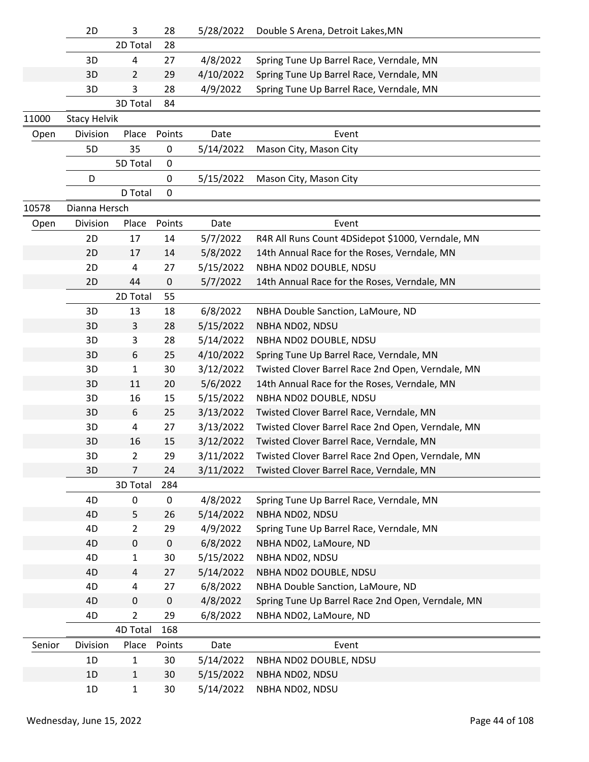|        | 2D                  | 3              | 28        | 5/28/2022 | Double S Arena, Detroit Lakes, MN                 |
|--------|---------------------|----------------|-----------|-----------|---------------------------------------------------|
|        |                     | 2D Total       | 28        |           |                                                   |
|        | 3D                  | 4              | 27        | 4/8/2022  | Spring Tune Up Barrel Race, Verndale, MN          |
|        | 3D                  | 2              | 29        | 4/10/2022 | Spring Tune Up Barrel Race, Verndale, MN          |
|        | 3D                  | 3              | 28        | 4/9/2022  | Spring Tune Up Barrel Race, Verndale, MN          |
|        |                     | 3D Total       | 84        |           |                                                   |
| 11000  | <b>Stacy Helvik</b> |                |           |           |                                                   |
| Open   | Division            | Place          | Points    | Date      | Event                                             |
|        | 5D                  | 35             | 0         | 5/14/2022 | Mason City, Mason City                            |
|        |                     | 5D Total       | $\pmb{0}$ |           |                                                   |
|        | D                   |                | 0         | 5/15/2022 | Mason City, Mason City                            |
|        |                     | D Total        | 0         |           |                                                   |
| 10578  | Dianna Hersch       |                |           |           |                                                   |
| Open   | Division            | Place          | Points    | Date      | Event                                             |
|        | 2D                  | 17             | 14        | 5/7/2022  | R4R All Runs Count 4DSidepot \$1000, Verndale, MN |
|        | 2D                  | 17             | 14        | 5/8/2022  | 14th Annual Race for the Roses, Verndale, MN      |
|        | 2D                  | 4              | 27        | 5/15/2022 | NBHA ND02 DOUBLE, NDSU                            |
|        | 2D                  | 44             | $\pmb{0}$ | 5/7/2022  | 14th Annual Race for the Roses, Verndale, MN      |
|        |                     | 2D Total       | 55        |           |                                                   |
|        | 3D                  | 13             | 18        | 6/8/2022  | NBHA Double Sanction, LaMoure, ND                 |
|        | 3D                  | 3              | 28        | 5/15/2022 | NBHA ND02, NDSU                                   |
|        | 3D                  | 3              | 28        | 5/14/2022 | NBHA ND02 DOUBLE, NDSU                            |
|        | 3D                  | 6              | 25        | 4/10/2022 | Spring Tune Up Barrel Race, Verndale, MN          |
|        | 3D                  | 1              | 30        | 3/12/2022 | Twisted Clover Barrel Race 2nd Open, Verndale, MN |
|        | 3D                  | 11             | 20        | 5/6/2022  | 14th Annual Race for the Roses, Verndale, MN      |
|        | 3D                  | 16             | 15        | 5/15/2022 | NBHA ND02 DOUBLE, NDSU                            |
|        | 3D                  | 6              | 25        | 3/13/2022 | Twisted Clover Barrel Race, Verndale, MN          |
|        | 3D                  | 4              | 27        | 3/13/2022 | Twisted Clover Barrel Race 2nd Open, Verndale, MN |
|        | 3D                  | 16             | 15        | 3/12/2022 | Twisted Clover Barrel Race, Verndale, MN          |
|        | 3D                  | 2              | 29        | 3/11/2022 | Twisted Clover Barrel Race 2nd Open, Verndale, MN |
|        | 3D                  | 7              | 24        | 3/11/2022 | Twisted Clover Barrel Race, Verndale, MN          |
|        |                     | 3D Total       | 284       |           |                                                   |
|        | 4D                  | 0              | 0         | 4/8/2022  | Spring Tune Up Barrel Race, Verndale, MN          |
|        | 4D                  | 5              | 26        | 5/14/2022 | NBHA ND02, NDSU                                   |
|        | 4D                  | $\overline{2}$ | 29        | 4/9/2022  | Spring Tune Up Barrel Race, Verndale, MN          |
|        | 4D                  | $\mathbf 0$    | $\pmb{0}$ | 6/8/2022  | NBHA ND02, LaMoure, ND                            |
|        | 4D                  | 1              | 30        | 5/15/2022 | NBHA ND02, NDSU                                   |
|        | 4D                  | 4              | 27        | 5/14/2022 | NBHA ND02 DOUBLE, NDSU                            |
|        | 4D                  | 4              | 27        | 6/8/2022  | NBHA Double Sanction, LaMoure, ND                 |
|        | 4D                  | $\pmb{0}$      | $\pmb{0}$ | 4/8/2022  | Spring Tune Up Barrel Race 2nd Open, Verndale, MN |
|        | 4D                  | $\overline{2}$ | 29        | 6/8/2022  | NBHA ND02, LaMoure, ND                            |
|        |                     | 4D Total       | 168       |           |                                                   |
| Senior | Division            | Place          | Points    | Date      | Event                                             |
|        | 1D                  | 1              | 30        | 5/14/2022 | NBHA ND02 DOUBLE, NDSU                            |
|        | 1D                  | $\mathbf{1}$   | 30        | 5/15/2022 | NBHA ND02, NDSU                                   |
|        | 1D                  | $\mathbf{1}$   | 30        | 5/14/2022 | NBHA ND02, NDSU                                   |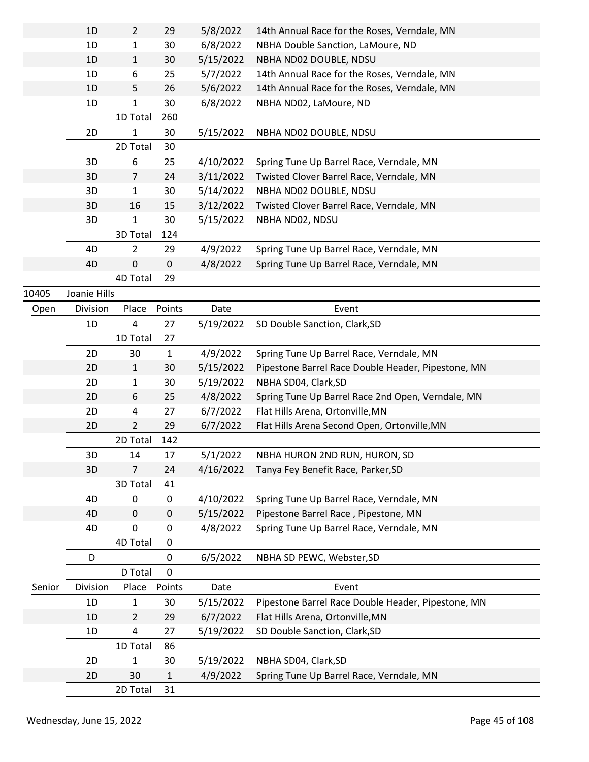|                         | 1D           | $\overline{2}$ | 29           | 5/8/2022  | 14th Annual Race for the Roses, Verndale, MN       |
|-------------------------|--------------|----------------|--------------|-----------|----------------------------------------------------|
|                         | 1D           | 1              | 30           | 6/8/2022  | NBHA Double Sanction, LaMoure, ND                  |
|                         | 1D           | $\mathbf{1}$   | 30           | 5/15/2022 | NBHA ND02 DOUBLE, NDSU                             |
| 10405<br>Open<br>Senior | 1D           | 6              | 25           | 5/7/2022  | 14th Annual Race for the Roses, Verndale, MN       |
|                         | 1D           | 5.             | 26           | 5/6/2022  | 14th Annual Race for the Roses, Verndale, MN       |
|                         | 1D           | 1              | 30           | 6/8/2022  | NBHA ND02, LaMoure, ND                             |
|                         |              | 1D Total       | 260          |           |                                                    |
|                         | 2D           | 1              | 30           | 5/15/2022 | NBHA ND02 DOUBLE, NDSU                             |
|                         |              | 2D Total       | 30           |           |                                                    |
|                         | 3D           | 6              | 25           | 4/10/2022 | Spring Tune Up Barrel Race, Verndale, MN           |
|                         | 3D           | $\overline{7}$ | 24           | 3/11/2022 | Twisted Clover Barrel Race, Verndale, MN           |
|                         | 3D           | $\mathbf{1}$   | 30           | 5/14/2022 | NBHA ND02 DOUBLE, NDSU                             |
|                         | 3D           | 16             | 15           | 3/12/2022 | Twisted Clover Barrel Race, Verndale, MN           |
|                         | 3D           | 1              | 30           | 5/15/2022 | NBHA ND02, NDSU                                    |
|                         |              | 3D Total       | 124          |           |                                                    |
|                         | 4D           | 2              | 29           | 4/9/2022  | Spring Tune Up Barrel Race, Verndale, MN           |
|                         | 4D           | 0              | $\pmb{0}$    | 4/8/2022  | Spring Tune Up Barrel Race, Verndale, MN           |
|                         |              | 4D Total       | 29           |           |                                                    |
|                         | Joanie Hills |                |              |           |                                                    |
|                         | Division     | Place          | Points       | Date      | Event                                              |
|                         | 1D           | 4              | 27           |           | SD Double Sanction, Clark, SD                      |
|                         |              | 1D Total       | 27           | 5/19/2022 |                                                    |
|                         |              |                |              |           |                                                    |
|                         | 2D           | 30             | $\mathbf{1}$ | 4/9/2022  | Spring Tune Up Barrel Race, Verndale, MN           |
|                         | 2D           | $\mathbf{1}$   | 30           | 5/15/2022 | Pipestone Barrel Race Double Header, Pipestone, MN |
|                         | 2D           | $\mathbf{1}$   | 30           | 5/19/2022 | NBHA SD04, Clark, SD                               |
|                         | 2D           | 6              | 25           | 4/8/2022  | Spring Tune Up Barrel Race 2nd Open, Verndale, MN  |
|                         | 2D           | 4              | 27           | 6/7/2022  | Flat Hills Arena, Ortonville, MN                   |
|                         | 2D           | $\overline{2}$ | 29           | 6/7/2022  | Flat Hills Arena Second Open, Ortonville, MN       |
|                         |              | 2D Total       | 142          |           |                                                    |
|                         | 3D           | 14             | 17           | 5/1/2022  | NBHA HURON 2ND RUN, HURON, SD                      |
|                         | 3D           | $\overline{7}$ | 24           | 4/16/2022 | Tanya Fey Benefit Race, Parker, SD                 |
|                         |              | 3D Total       | 41           |           |                                                    |
|                         | 4D           | 0              | 0            | 4/10/2022 | Spring Tune Up Barrel Race, Verndale, MN           |
|                         | 4D           | 0              | 0            | 5/15/2022 | Pipestone Barrel Race, Pipestone, MN               |
|                         | 4D           | 0              | 0            | 4/8/2022  | Spring Tune Up Barrel Race, Verndale, MN           |
|                         |              | 4D Total       | $\pmb{0}$    |           |                                                    |
|                         | D            |                | 0            | 6/5/2022  | NBHA SD PEWC, Webster, SD                          |
|                         |              | D Total        | 0            |           |                                                    |
|                         | Division     | Place          | Points       | Date      | Event                                              |
|                         | 1D           | 1              | 30           | 5/15/2022 | Pipestone Barrel Race Double Header, Pipestone, MN |
|                         | 1D           | $\overline{2}$ | 29           | 6/7/2022  | Flat Hills Arena, Ortonville, MN                   |
|                         | 1D           | 4              | 27           | 5/19/2022 | SD Double Sanction, Clark, SD                      |
|                         |              | 1D Total       | 86           |           |                                                    |
|                         | 2D           | 1              | 30           | 5/19/2022 | NBHA SD04, Clark, SD                               |
|                         | 2D           | 30             | 1            | 4/9/2022  | Spring Tune Up Barrel Race, Verndale, MN           |
|                         |              | 2D Total       | 31           |           |                                                    |
|                         |              |                |              |           |                                                    |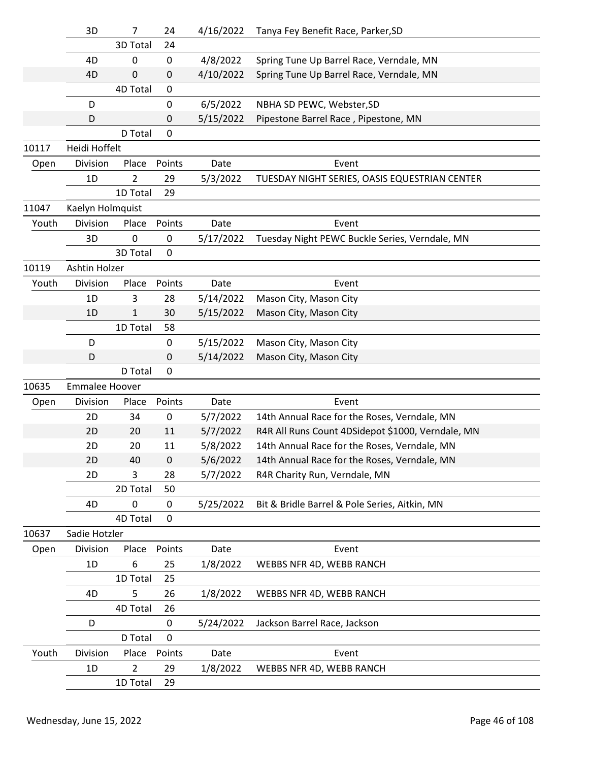|       | 3D                    | 7              | 24          | 4/16/2022 | Tanya Fey Benefit Race, Parker, SD                |
|-------|-----------------------|----------------|-------------|-----------|---------------------------------------------------|
|       |                       | 3D Total       | 24          |           |                                                   |
|       | 4D                    | 0              | $\mathbf 0$ | 4/8/2022  | Spring Tune Up Barrel Race, Verndale, MN          |
|       | 4D                    | 0              | 0           | 4/10/2022 | Spring Tune Up Barrel Race, Verndale, MN          |
|       |                       | 4D Total       | 0           |           |                                                   |
|       | D                     |                | 0           | 6/5/2022  | NBHA SD PEWC, Webster, SD                         |
|       | D                     |                | 0           | 5/15/2022 | Pipestone Barrel Race, Pipestone, MN              |
|       |                       | D Total        | $\mathbf 0$ |           |                                                   |
| 10117 | Heidi Hoffelt         |                |             |           |                                                   |
| Open  | Division              | Place          | Points      | Date      | Event                                             |
|       | 1D                    | 2              | 29          | 5/3/2022  | TUESDAY NIGHT SERIES, OASIS EQUESTRIAN CENTER     |
|       |                       | 1D Total       | 29          |           |                                                   |
| 11047 | Kaelyn Holmquist      |                |             |           |                                                   |
| Youth | Division              | Place          | Points      | Date      | Event                                             |
|       | 3D                    | 0              | $\mathbf 0$ | 5/17/2022 | Tuesday Night PEWC Buckle Series, Verndale, MN    |
|       |                       | 3D Total       | $\mathbf 0$ |           |                                                   |
| 10119 | Ashtin Holzer         |                |             |           |                                                   |
| Youth | Division              | Place          | Points      | Date      | Event                                             |
|       | 1D                    | 3              | 28          | 5/14/2022 | Mason City, Mason City                            |
|       | 1D                    | $\mathbf 1$    | 30          | 5/15/2022 | Mason City, Mason City                            |
|       |                       | 1D Total       | 58          |           |                                                   |
|       | D                     |                | $\mathbf 0$ | 5/15/2022 | Mason City, Mason City                            |
|       | D                     |                | 0           | 5/14/2022 | Mason City, Mason City                            |
|       |                       | D Total        | $\mathbf 0$ |           |                                                   |
| 10635 | <b>Emmalee Hoover</b> |                |             |           |                                                   |
| Open  | Division              | Place          | Points      | Date      | Event                                             |
|       | 2D                    | 34             | 0           | 5/7/2022  | 14th Annual Race for the Roses, Verndale, MN      |
|       | 2D                    | 20             | 11          | 5/7/2022  | R4R All Runs Count 4DSidepot \$1000, Verndale, MN |
|       | 2D                    | 20             | 11          | 5/8/2022  | 14th Annual Race for the Roses, Verndale, MN      |
|       | 2D                    | 40             | $\pmb{0}$   | 5/6/2022  | 14th Annual Race for the Roses, Verndale, MN      |
|       | 2D                    | 3              | 28          | 5/7/2022  | R4R Charity Run, Verndale, MN                     |
|       |                       | 2D Total       | 50          |           |                                                   |
|       | 4D                    | 0              | 0           | 5/25/2022 | Bit & Bridle Barrel & Pole Series, Aitkin, MN     |
|       |                       | 4D Total       | $\mathbf 0$ |           |                                                   |
| 10637 | Sadie Hotzler         |                |             |           |                                                   |
| Open  | Division              | Place          | Points      | Date      | Event                                             |
|       | 1D                    | 6              | 25          | 1/8/2022  | WEBBS NFR 4D, WEBB RANCH                          |
|       |                       | 1D Total       | 25          |           |                                                   |
|       | 4D                    | 5              | 26          | 1/8/2022  | WEBBS NFR 4D, WEBB RANCH                          |
|       |                       | 4D Total       | 26          |           |                                                   |
|       | D                     |                | 0           | 5/24/2022 | Jackson Barrel Race, Jackson                      |
|       |                       | D Total        | 0           |           |                                                   |
| Youth | Division              | Place          | Points      | Date      | Event                                             |
|       | 1D                    | $\overline{2}$ | 29          | 1/8/2022  | WEBBS NFR 4D, WEBB RANCH                          |
|       |                       | 1D Total       | 29          |           |                                                   |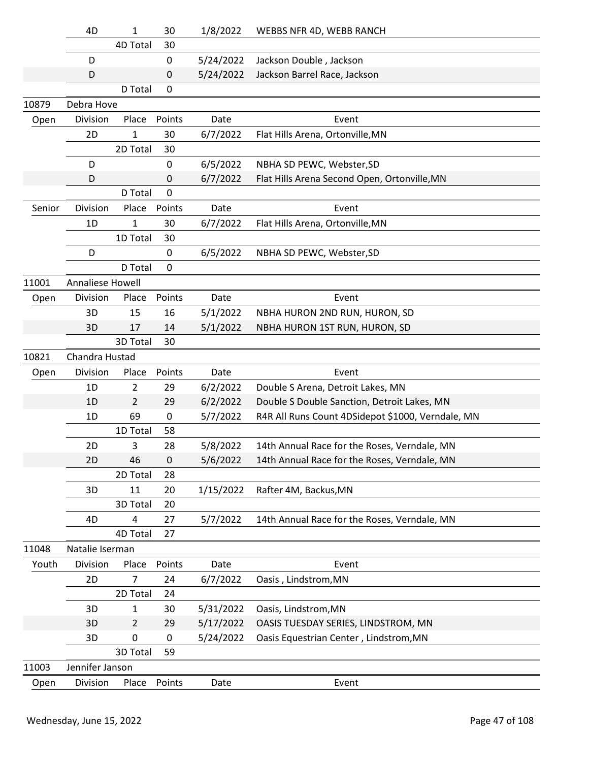|                                                                             | 4D               | 1               | 30           | 1/8/2022  | WEBBS NFR 4D, WEBB RANCH                          |
|-----------------------------------------------------------------------------|------------------|-----------------|--------------|-----------|---------------------------------------------------|
|                                                                             |                  | <b>4D Total</b> | 30           |           |                                                   |
|                                                                             | D                |                 | 0            | 5/24/2022 | Jackson Double, Jackson                           |
| 10879<br>Open<br>Senior<br>11001<br>Open<br>10821<br>Open<br>11048<br>Youth | D                |                 | 0            | 5/24/2022 | Jackson Barrel Race, Jackson                      |
|                                                                             |                  | D Total         | 0            |           |                                                   |
|                                                                             | Debra Hove       |                 |              |           |                                                   |
|                                                                             | Division         | Place           | Points       | Date      | Event                                             |
|                                                                             | 2D               | 1               | 30           | 6/7/2022  | Flat Hills Arena, Ortonville, MN                  |
|                                                                             |                  | 2D Total        | 30           |           |                                                   |
|                                                                             | D                |                 | 0            | 6/5/2022  | NBHA SD PEWC, Webster, SD                         |
|                                                                             | D                |                 | 0            | 6/7/2022  | Flat Hills Arena Second Open, Ortonville, MN      |
|                                                                             |                  | D Total         | $\mathbf{0}$ |           |                                                   |
|                                                                             | Division         | Place           | Points       | Date      | Event                                             |
|                                                                             | 1D               | $\mathbf{1}$    | 30           | 6/7/2022  | Flat Hills Arena, Ortonville, MN                  |
|                                                                             |                  | 1D Total        | 30           |           |                                                   |
|                                                                             | D                |                 | 0            | 6/5/2022  | NBHA SD PEWC, Webster, SD                         |
|                                                                             |                  | D Total         | $\mathbf 0$  |           |                                                   |
|                                                                             | Annaliese Howell |                 |              |           |                                                   |
|                                                                             | Division         | Place           | Points       | Date      | Event                                             |
|                                                                             | 3D               | 15              | 16           | 5/1/2022  | NBHA HURON 2ND RUN, HURON, SD                     |
|                                                                             | 3D               | 17              | 14           | 5/1/2022  | NBHA HURON 1ST RUN, HURON, SD                     |
|                                                                             |                  | 3D Total        | 30           |           |                                                   |
|                                                                             | Chandra Hustad   |                 |              |           |                                                   |
|                                                                             | Division         | Place           | Points       | Date      | Event                                             |
|                                                                             | 1D               | $\overline{2}$  | 29           | 6/2/2022  | Double S Arena, Detroit Lakes, MN                 |
|                                                                             | 1D               | $\overline{2}$  | 29           | 6/2/2022  | Double S Double Sanction, Detroit Lakes, MN       |
|                                                                             | 1D               | 69              | 0            | 5/7/2022  | R4R All Runs Count 4DSidepot \$1000, Verndale, MN |
|                                                                             |                  | 1D Total        | 58           |           |                                                   |
|                                                                             | 2D               | 3               | 28           | 5/8/2022  | 14th Annual Race for the Roses, Verndale, MN      |
|                                                                             | 2D               | 46              | $\pmb{0}$    | 5/6/2022  | 14th Annual Race for the Roses, Verndale, MN      |
|                                                                             |                  | 2D Total        | 28           |           |                                                   |
|                                                                             | 3D               | 11              | 20           | 1/15/2022 | Rafter 4M, Backus, MN                             |
|                                                                             |                  | 3D Total        | 20           |           |                                                   |
|                                                                             | 4D               | 4               | 27           | 5/7/2022  | 14th Annual Race for the Roses, Verndale, MN      |
|                                                                             |                  | 4D Total        | 27           |           |                                                   |
|                                                                             | Natalie Iserman  |                 |              |           |                                                   |
|                                                                             | Division         | Place           | Points       | Date      | Event                                             |
|                                                                             | 2D               | 7               | 24           | 6/7/2022  | Oasis, Lindstrom, MN                              |
|                                                                             |                  | 2D Total        | 24           |           |                                                   |
|                                                                             | 3D               | 1               | 30           | 5/31/2022 | Oasis, Lindstrom, MN                              |
|                                                                             | 3D               | $\overline{2}$  | 29           | 5/17/2022 | OASIS TUESDAY SERIES, LINDSTROM, MN               |
|                                                                             | 3D               | 0               | 0            | 5/24/2022 | Oasis Equestrian Center, Lindstrom, MN            |
|                                                                             |                  | 3D Total        | 59           |           |                                                   |
| 11003                                                                       | Jennifer Janson  |                 |              |           |                                                   |
| Open                                                                        | Division         | Place           | Points       | Date      | Event                                             |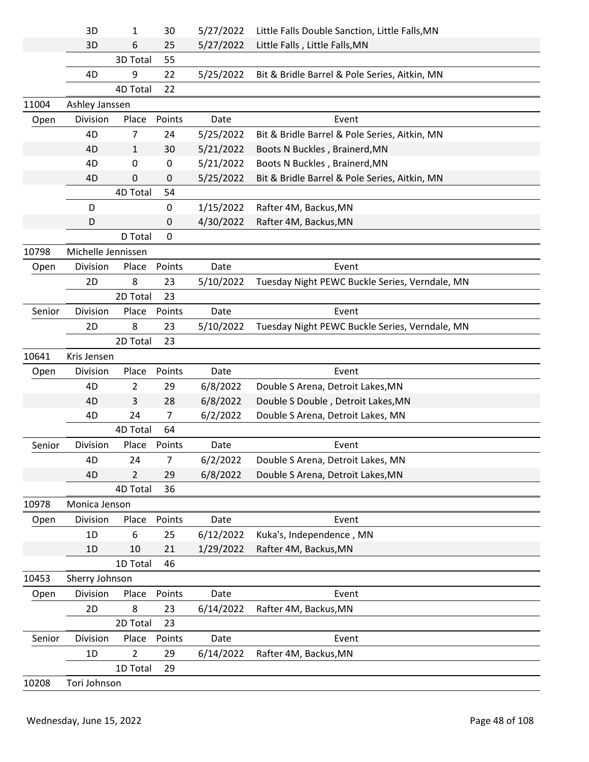|        | 3D                 | 1              | 30     | 5/27/2022 | Little Falls Double Sanction, Little Falls, MN |  |
|--------|--------------------|----------------|--------|-----------|------------------------------------------------|--|
|        | 3D                 | 6              | 25     | 5/27/2022 | Little Falls, Little Falls, MN                 |  |
|        |                    | 3D Total       | 55     |           |                                                |  |
|        | 4D                 | 9              | 22     | 5/25/2022 | Bit & Bridle Barrel & Pole Series, Aitkin, MN  |  |
|        |                    | 4D Total       | 22     |           |                                                |  |
| 11004  | Ashley Janssen     |                |        |           |                                                |  |
| Open   | Division           | Place          | Points | Date      | Event                                          |  |
|        | 4D                 | 7              | 24     | 5/25/2022 | Bit & Bridle Barrel & Pole Series, Aitkin, MN  |  |
|        | 4D                 | $\mathbf{1}$   | 30     | 5/21/2022 | Boots N Buckles, Brainerd, MN                  |  |
|        | 4D                 | 0              | 0      | 5/21/2022 | Boots N Buckles, Brainerd, MN                  |  |
|        | 4D                 | 0              | 0      | 5/25/2022 | Bit & Bridle Barrel & Pole Series, Aitkin, MN  |  |
|        |                    | 4D Total       | 54     |           |                                                |  |
|        | D                  |                | 0      | 1/15/2022 | Rafter 4M, Backus, MN                          |  |
|        | D                  |                | 0      | 4/30/2022 | Rafter 4M, Backus, MN                          |  |
|        |                    | D Total        | 0      |           |                                                |  |
| 10798  | Michelle Jennissen |                |        |           |                                                |  |
| Open   | Division           | Place          | Points | Date      | Event                                          |  |
|        | 2D                 | 8              | 23     | 5/10/2022 | Tuesday Night PEWC Buckle Series, Verndale, MN |  |
|        |                    | 2D Total       | 23     |           |                                                |  |
| Senior | Division           | Place          | Points | Date      | Event                                          |  |
|        | 2D                 | 8              | 23     | 5/10/2022 | Tuesday Night PEWC Buckle Series, Verndale, MN |  |
|        |                    | 2D Total       | 23     |           |                                                |  |
| 10641  | Kris Jensen        |                |        |           |                                                |  |
| Open   | Division           | Place          | Points | Date      | Event                                          |  |
|        | 4D                 | $\overline{2}$ | 29     | 6/8/2022  | Double S Arena, Detroit Lakes, MN              |  |
|        | 4D                 | 3              | 28     | 6/8/2022  | Double S Double, Detroit Lakes, MN             |  |
|        | 4D                 | 24             | 7      | 6/2/2022  | Double S Arena, Detroit Lakes, MN              |  |
|        |                    | 4D Total       | 64     |           |                                                |  |
| Senior | Division           | Place          | Points | Date      | Event                                          |  |
|        | 4D                 | 24             | 7      | 6/2/2022  | Double S Arena, Detroit Lakes, MN              |  |
|        | 4D                 | $\overline{2}$ | 29     | 6/8/2022  | Double S Arena, Detroit Lakes, MN              |  |
|        |                    | 4D Total       | 36     |           |                                                |  |
| 10978  | Monica Jenson      |                |        |           |                                                |  |
| Open   | Division           | Place          | Points | Date      | Event                                          |  |
|        | 1D                 | 6              | 25     | 6/12/2022 | Kuka's, Independence, MN                       |  |
|        | 1D                 | 10             | 21     | 1/29/2022 | Rafter 4M, Backus, MN                          |  |
|        |                    | 1D Total       | 46     |           |                                                |  |
| 10453  | Sherry Johnson     |                |        |           |                                                |  |
| Open   | Division           | Place          | Points | Date      | Event                                          |  |
|        | 2D                 | 8              | 23     | 6/14/2022 | Rafter 4M, Backus, MN                          |  |
|        |                    | 2D Total       | 23     |           |                                                |  |
| Senior | Division           | Place          | Points | Date      | Event                                          |  |
|        | 1D                 | 2              | 29     | 6/14/2022 | Rafter 4M, Backus, MN                          |  |
|        |                    | 1D Total       | 29     |           |                                                |  |
| 10208  | Tori Johnson       |                |        |           |                                                |  |
|        |                    |                |        |           |                                                |  |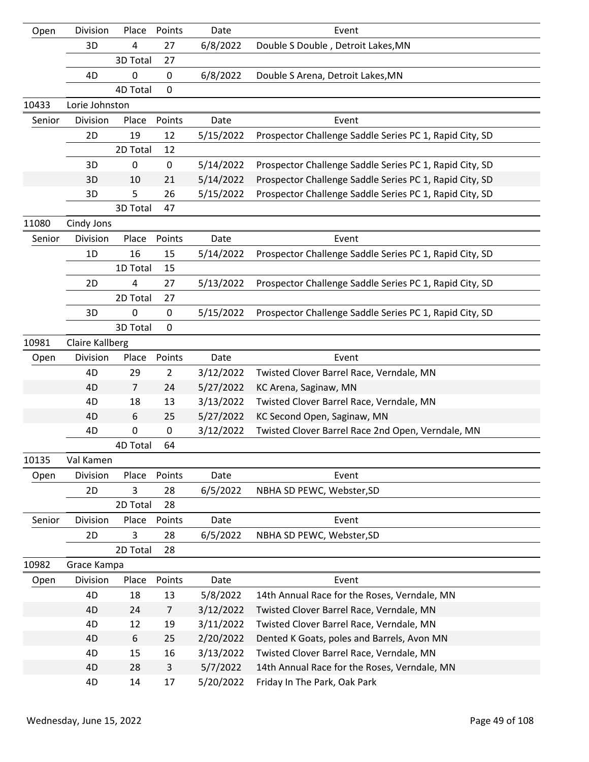| Open   | Division               | Place          | Points         | Date                   | Event                                                                   |
|--------|------------------------|----------------|----------------|------------------------|-------------------------------------------------------------------------|
|        | 3D                     | 4              | 27             | 6/8/2022               | Double S Double, Detroit Lakes, MN                                      |
|        |                        | 3D Total       | 27             |                        |                                                                         |
|        | 4D                     | 0              | 0              | 6/8/2022               | Double S Arena, Detroit Lakes, MN                                       |
|        |                        | 4D Total       | $\mathbf 0$    |                        |                                                                         |
| 10433  | Lorie Johnston         |                |                |                        |                                                                         |
| Senior | Division               | Place          | Points         | Date                   | Event                                                                   |
|        | 2D                     | 19             | 12             | 5/15/2022              | Prospector Challenge Saddle Series PC 1, Rapid City, SD                 |
|        |                        | 2D Total       | 12             |                        |                                                                         |
|        | 3D                     | $\mathbf 0$    | $\pmb{0}$      | 5/14/2022              | Prospector Challenge Saddle Series PC 1, Rapid City, SD                 |
|        | 3D                     | 10             | 21             | 5/14/2022              | Prospector Challenge Saddle Series PC 1, Rapid City, SD                 |
|        | 3D                     | 5              | 26             | 5/15/2022              | Prospector Challenge Saddle Series PC 1, Rapid City, SD                 |
|        |                        | 3D Total       | 47             |                        |                                                                         |
| 11080  | Cindy Jons             |                |                |                        |                                                                         |
| Senior | Division               | Place          | Points         | Date                   | Event                                                                   |
|        | 1D                     | 16             | 15             | 5/14/2022              | Prospector Challenge Saddle Series PC 1, Rapid City, SD                 |
|        |                        | 1D Total       | 15             |                        |                                                                         |
|        | 2D                     | 4              | 27             | 5/13/2022              | Prospector Challenge Saddle Series PC 1, Rapid City, SD                 |
|        |                        | 2D Total       | 27             |                        |                                                                         |
|        | 3D                     | 0              | 0              | 5/15/2022              | Prospector Challenge Saddle Series PC 1, Rapid City, SD                 |
|        |                        | 3D Total       | $\mathbf 0$    |                        |                                                                         |
| 10981  | <b>Claire Kallberg</b> |                |                |                        |                                                                         |
| Open   | Division               | Place          | Points         | Date                   | Event                                                                   |
|        | 4D                     | 29             | $\overline{2}$ | 3/12/2022              | Twisted Clover Barrel Race, Verndale, MN                                |
|        | 4D                     | $\overline{7}$ | 24             | 5/27/2022              | KC Arena, Saginaw, MN                                                   |
|        | 4D<br>4D               | 18<br>6        | 13<br>25       | 3/13/2022<br>5/27/2022 | Twisted Clover Barrel Race, Verndale, MN<br>KC Second Open, Saginaw, MN |
|        | 4D                     | $\pmb{0}$      | $\pmb{0}$      | 3/12/2022              | Twisted Clover Barrel Race 2nd Open, Verndale, MN                       |
|        |                        | 4D Total       | 64             |                        |                                                                         |
| 10135  | Val Kamen              |                |                |                        |                                                                         |
| Open   | Division               | Place          | Points         | Date                   | Event                                                                   |
|        | 2D                     | 3              | 28             | 6/5/2022               | NBHA SD PEWC, Webster, SD                                               |
|        |                        | 2D Total       | 28             |                        |                                                                         |
| Senior | Division               | Place          | Points         | Date                   | Event                                                                   |
|        | 2D                     | 3              | 28             | 6/5/2022               | NBHA SD PEWC, Webster, SD                                               |
|        |                        | 2D Total       | 28             |                        |                                                                         |
| 10982  | Grace Kampa            |                |                |                        |                                                                         |
| Open   | Division               | Place          | Points         | Date                   | Event                                                                   |
|        | 4D                     | 18             | 13             | 5/8/2022               | 14th Annual Race for the Roses, Verndale, MN                            |
|        | 4D                     | 24             | $\overline{7}$ | 3/12/2022              | Twisted Clover Barrel Race, Verndale, MN                                |
|        | 4D                     | 12             | 19             | 3/11/2022              | Twisted Clover Barrel Race, Verndale, MN                                |
|        | 4D                     | 6              | 25             | 2/20/2022              | Dented K Goats, poles and Barrels, Avon MN                              |
|        | 4D                     | 15             | 16             | 3/13/2022              | Twisted Clover Barrel Race, Verndale, MN                                |
|        | 4D                     | 28             | $\mathsf{3}$   | 5/7/2022               | 14th Annual Race for the Roses, Verndale, MN                            |
|        | 4D                     | 14             | 17             | 5/20/2022              | Friday In The Park, Oak Park                                            |
|        |                        |                |                |                        |                                                                         |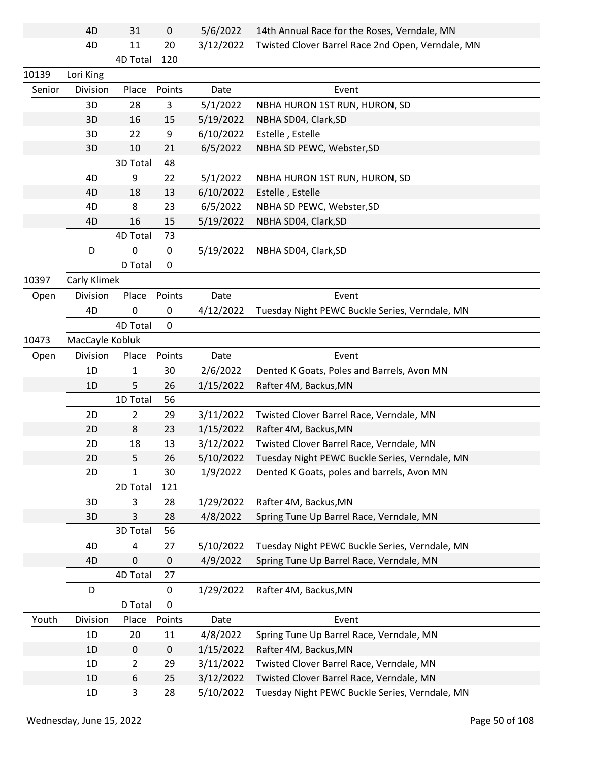|        | 4D              | 31          | $\mathbf 0$ | 5/6/2022  | 14th Annual Race for the Roses, Verndale, MN      |
|--------|-----------------|-------------|-------------|-----------|---------------------------------------------------|
|        | 4D              | 11          | 20          | 3/12/2022 | Twisted Clover Barrel Race 2nd Open, Verndale, MN |
|        |                 | 4D Total    | 120         |           |                                                   |
| 10139  | Lori King       |             |             |           |                                                   |
| Senior | Division        | Place       | Points      | Date      | Event                                             |
|        | 3D              | 28          | 3           | 5/1/2022  | NBHA HURON 1ST RUN, HURON, SD                     |
|        | 3D              | 16          | 15          | 5/19/2022 | NBHA SD04, Clark, SD                              |
|        | 3D              | 22          | 9           | 6/10/2022 | Estelle, Estelle                                  |
|        | 3D              | 10          | 21          | 6/5/2022  | NBHA SD PEWC, Webster, SD                         |
|        |                 | 3D Total    | 48          |           |                                                   |
|        | 4D              | 9           | 22          | 5/1/2022  | NBHA HURON 1ST RUN, HURON, SD                     |
|        | 4D              | 18          | 13          | 6/10/2022 | Estelle, Estelle                                  |
|        | 4D              | 8           | 23          | 6/5/2022  | NBHA SD PEWC, Webster, SD                         |
|        | 4D              | 16          | 15          | 5/19/2022 | NBHA SD04, Clark, SD                              |
|        |                 | 4D Total    | 73          |           |                                                   |
|        | D               | 0           | $\mathbf 0$ | 5/19/2022 | NBHA SD04, Clark, SD                              |
|        |                 | D Total     | 0           |           |                                                   |
| 10397  | Carly Klimek    |             |             |           |                                                   |
| Open   | Division        | Place       | Points      | Date      | Event                                             |
|        | 4D              | 0           | 0           | 4/12/2022 | Tuesday Night PEWC Buckle Series, Verndale, MN    |
|        |                 | 4D Total    | $\mathbf 0$ |           |                                                   |
| 10473  | MacCayle Kobluk |             |             |           |                                                   |
| Open   | Division        | Place       | Points      | Date      | Event                                             |
|        | 1D              | 1           | 30          | 2/6/2022  | Dented K Goats, Poles and Barrels, Avon MN        |
|        | 1 <sub>D</sub>  | 5           | 26          | 1/15/2022 | Rafter 4M, Backus, MN                             |
|        |                 | 1D Total    | 56          |           |                                                   |
|        | 2D              | 2           | 29          | 3/11/2022 | Twisted Clover Barrel Race, Verndale, MN          |
|        | 2D              | 8           | 23          | 1/15/2022 | Rafter 4M, Backus, MN                             |
|        | 2D              | 18          | 13          | 3/12/2022 | Twisted Clover Barrel Race, Verndale, MN          |
|        | 2D              | 5           | 26          | 5/10/2022 | Tuesday Night PEWC Buckle Series, Verndale, MN    |
|        | 2D              | 1           | 30          | 1/9/2022  | Dented K Goats, poles and barrels, Avon MN        |
|        |                 | 2D Total    | 121         |           |                                                   |
|        | 3D              | 3           | 28          | 1/29/2022 | Rafter 4M, Backus, MN                             |
|        | 3D              | 3           | 28          | 4/8/2022  | Spring Tune Up Barrel Race, Verndale, MN          |
|        |                 | 3D Total    | 56          |           |                                                   |
|        | 4D              | 4           | 27          | 5/10/2022 | Tuesday Night PEWC Buckle Series, Verndale, MN    |
|        | 4D              | 0           | $\mathbf 0$ | 4/9/2022  | Spring Tune Up Barrel Race, Verndale, MN          |
|        |                 | 4D Total    | 27          |           |                                                   |
|        | D               |             | $\mathbf 0$ | 1/29/2022 | Rafter 4M, Backus, MN                             |
|        |                 | D Total     | 0           |           |                                                   |
| Youth  | Division        | Place       | Points      | Date      | Event                                             |
|        | 1D              | 20          | 11          | 4/8/2022  | Spring Tune Up Barrel Race, Verndale, MN          |
|        | 1D              | $\mathbf 0$ | $\mathbf 0$ | 1/15/2022 | Rafter 4M, Backus, MN                             |
|        | 1D              | 2           | 29          | 3/11/2022 | Twisted Clover Barrel Race, Verndale, MN          |
|        | 1D              | 6           | 25          | 3/12/2022 | Twisted Clover Barrel Race, Verndale, MN          |
|        | 1D              | 3           | 28          | 5/10/2022 | Tuesday Night PEWC Buckle Series, Verndale, MN    |
|        |                 |             |             |           |                                                   |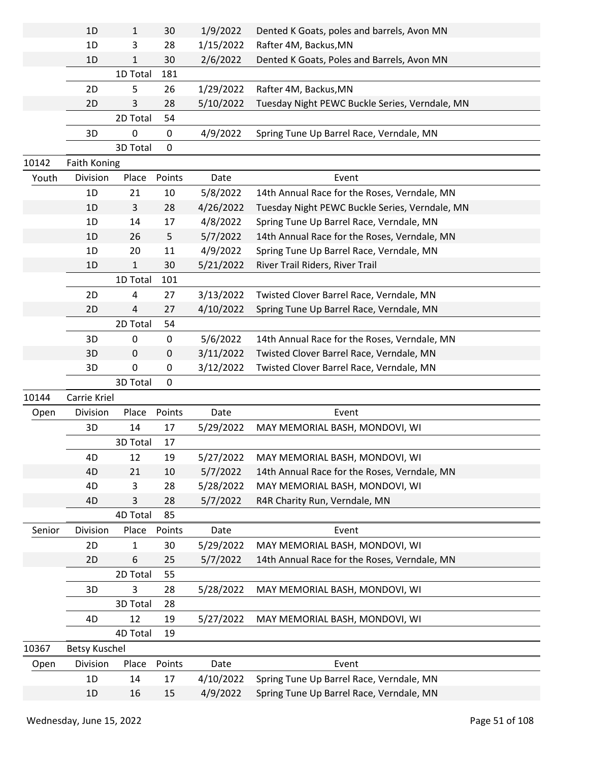|        | 1D                   | 1            | 30     | 1/9/2022  | Dented K Goats, poles and barrels, Avon MN     |  |
|--------|----------------------|--------------|--------|-----------|------------------------------------------------|--|
|        | 1D                   | 3            | 28     | 1/15/2022 | Rafter 4M, Backus, MN                          |  |
|        | 1D                   | 1            | 30     | 2/6/2022  | Dented K Goats, Poles and Barrels, Avon MN     |  |
|        |                      | 1D Total     | 181    |           |                                                |  |
|        | 2D                   | 5            | 26     | 1/29/2022 | Rafter 4M, Backus, MN                          |  |
|        | 2D                   | 3            | 28     | 5/10/2022 | Tuesday Night PEWC Buckle Series, Verndale, MN |  |
|        |                      | 2D Total     | 54     |           |                                                |  |
|        | 3D                   | 0            | 0      | 4/9/2022  | Spring Tune Up Barrel Race, Verndale, MN       |  |
|        |                      | 3D Total     | 0      |           |                                                |  |
| 10142  | <b>Faith Koning</b>  |              |        |           |                                                |  |
| Youth  | Division             | Place        | Points | Date      | Event                                          |  |
|        | 1D                   | 21           | 10     | 5/8/2022  | 14th Annual Race for the Roses, Verndale, MN   |  |
|        | 1D                   | 3            | 28     | 4/26/2022 | Tuesday Night PEWC Buckle Series, Verndale, MN |  |
|        | 1D                   | 14           | 17     | 4/8/2022  | Spring Tune Up Barrel Race, Verndale, MN       |  |
|        | 1D                   | 26           | 5      | 5/7/2022  | 14th Annual Race for the Roses, Verndale, MN   |  |
|        | 1D                   | 20           | 11     | 4/9/2022  | Spring Tune Up Barrel Race, Verndale, MN       |  |
|        | 1 <sub>D</sub>       | $\mathbf{1}$ | 30     | 5/21/2022 | River Trail Riders, River Trail                |  |
|        |                      | 1D Total     | 101    |           |                                                |  |
|        | 2D                   | 4            | 27     | 3/13/2022 | Twisted Clover Barrel Race, Verndale, MN       |  |
|        | 2D                   | 4            | 27     | 4/10/2022 | Spring Tune Up Barrel Race, Verndale, MN       |  |
|        |                      | 2D Total     | 54     |           |                                                |  |
|        | 3D                   | 0            | 0      | 5/6/2022  | 14th Annual Race for the Roses, Verndale, MN   |  |
|        | 3D                   | 0            | 0      | 3/11/2022 | Twisted Clover Barrel Race, Verndale, MN       |  |
|        | 3D                   | 0            | 0      | 3/12/2022 | Twisted Clover Barrel Race, Verndale, MN       |  |
|        |                      |              |        |           |                                                |  |
|        |                      | 3D Total     | 0      |           |                                                |  |
| 10144  | Carrie Kriel         |              |        |           |                                                |  |
| Open   | Division             | Place        | Points | Date      | Event                                          |  |
|        | 3D                   | 14           | 17     | 5/29/2022 | MAY MEMORIAL BASH, MONDOVI, WI                 |  |
|        |                      | 3D Total     | 17     |           |                                                |  |
|        | 4D                   | 12           | 19     | 5/27/2022 | MAY MEMORIAL BASH, MONDOVI, WI                 |  |
|        | 4D                   | 21           | 10     | 5/7/2022  | 14th Annual Race for the Roses, Verndale, MN   |  |
|        | 4D                   | 3            | 28     | 5/28/2022 | MAY MEMORIAL BASH, MONDOVI, WI                 |  |
|        | 4D                   | 3            | 28     | 5/7/2022  | R4R Charity Run, Verndale, MN                  |  |
|        |                      | 4D Total     | 85     |           |                                                |  |
| Senior | Division             | Place        | Points | Date      | Event                                          |  |
|        | 2D                   | 1            | 30     | 5/29/2022 | MAY MEMORIAL BASH, MONDOVI, WI                 |  |
|        | 2D                   | 6            | 25     | 5/7/2022  | 14th Annual Race for the Roses, Verndale, MN   |  |
|        |                      | 2D Total     | 55     |           |                                                |  |
|        | 3D                   | 3            | 28     | 5/28/2022 | MAY MEMORIAL BASH, MONDOVI, WI                 |  |
|        |                      | 3D Total     | 28     |           |                                                |  |
|        | 4D                   | 12           | 19     | 5/27/2022 | MAY MEMORIAL BASH, MONDOVI, WI                 |  |
|        |                      | 4D Total     | 19     |           |                                                |  |
| 10367  | <b>Betsy Kuschel</b> |              |        |           |                                                |  |
| Open   | Division             | Place        | Points | Date      | Event                                          |  |
|        | 1D                   | 14           | 17     | 4/10/2022 | Spring Tune Up Barrel Race, Verndale, MN       |  |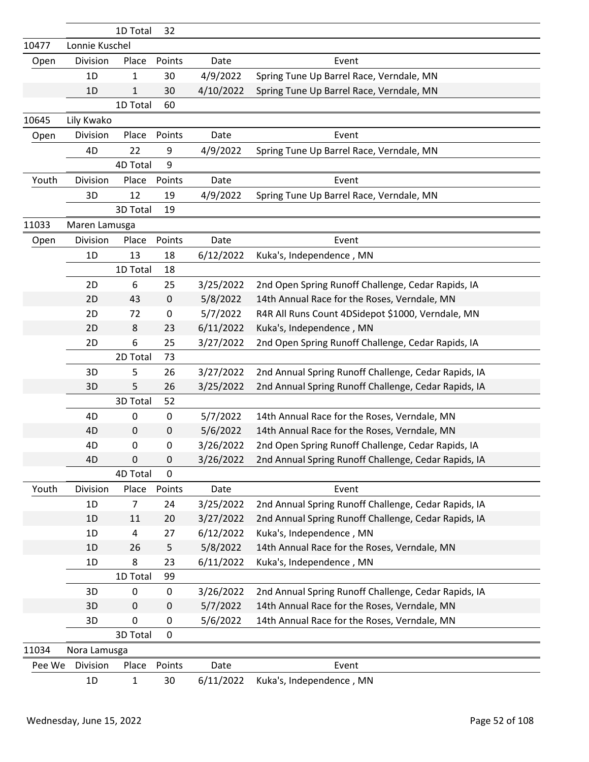|        |                | 1D Total       | 32               |           |                                                      |
|--------|----------------|----------------|------------------|-----------|------------------------------------------------------|
| 10477  | Lonnie Kuschel |                |                  |           |                                                      |
| Open   | Division       | Place          | Points           | Date      | Event                                                |
|        | 1D             | 1              | 30               | 4/9/2022  | Spring Tune Up Barrel Race, Verndale, MN             |
|        | 1D             | 1              | 30               | 4/10/2022 | Spring Tune Up Barrel Race, Verndale, MN             |
|        |                | 1D Total       | 60               |           |                                                      |
| 10645  | Lily Kwako     |                |                  |           |                                                      |
| Open   | Division       | Place          | Points           | Date      | Event                                                |
|        | 4D             | 22             | 9                | 4/9/2022  | Spring Tune Up Barrel Race, Verndale, MN             |
|        |                | 4D Total       | 9                |           |                                                      |
| Youth  | Division       | Place          | Points           | Date      | Event                                                |
|        | 3D             | 12             | 19               | 4/9/2022  | Spring Tune Up Barrel Race, Verndale, MN             |
|        |                | 3D Total       | 19               |           |                                                      |
| 11033  | Maren Lamusga  |                |                  |           |                                                      |
| Open   | Division       | Place          | Points           | Date      | Event                                                |
|        | 1D             | 13             | 18               | 6/12/2022 | Kuka's, Independence, MN                             |
|        |                | 1D Total       | 18               |           |                                                      |
|        | 2D             | 6              | 25               | 3/25/2022 | 2nd Open Spring Runoff Challenge, Cedar Rapids, IA   |
|        | 2D             | 43             | $\pmb{0}$        | 5/8/2022  | 14th Annual Race for the Roses, Verndale, MN         |
|        | 2D             | 72             | $\boldsymbol{0}$ | 5/7/2022  | R4R All Runs Count 4DSidepot \$1000, Verndale, MN    |
|        | 2D             | 8              | 23               | 6/11/2022 | Kuka's, Independence, MN                             |
|        | 2D             | 6              | 25               | 3/27/2022 | 2nd Open Spring Runoff Challenge, Cedar Rapids, IA   |
|        |                | 2D Total       | 73               |           |                                                      |
|        | 3D             | 5              | 26               | 3/27/2022 | 2nd Annual Spring Runoff Challenge, Cedar Rapids, IA |
|        | 3D             | 5              | 26               | 3/25/2022 | 2nd Annual Spring Runoff Challenge, Cedar Rapids, IA |
|        |                | 3D Total       | 52               |           |                                                      |
|        | 4D             | 0              | $\pmb{0}$        | 5/7/2022  | 14th Annual Race for the Roses, Verndale, MN         |
|        | 4D             | 0              | $\pmb{0}$        | 5/6/2022  | 14th Annual Race for the Roses, Verndale, MN         |
|        | 4D             | $\pmb{0}$      | $\boldsymbol{0}$ | 3/26/2022 | 2nd Open Spring Runoff Challenge, Cedar Rapids, IA   |
|        | 4D             | 0              | 0                | 3/26/2022 | 2nd Annual Spring Runoff Challenge, Cedar Rapids, IA |
|        |                | 4D Total       | $\mathbf 0$      |           |                                                      |
| Youth  | Division       | Place          | Points           | Date      | Event                                                |
|        | 1D             | $\overline{7}$ | 24               | 3/25/2022 | 2nd Annual Spring Runoff Challenge, Cedar Rapids, IA |
|        | 1D             | 11             | 20               | 3/27/2022 | 2nd Annual Spring Runoff Challenge, Cedar Rapids, IA |
|        | 1D             | 4              | 27               | 6/12/2022 | Kuka's, Independence, MN                             |
|        | 1D             | 26             | 5                | 5/8/2022  | 14th Annual Race for the Roses, Verndale, MN         |
|        | 1D             | 8              | 23               | 6/11/2022 | Kuka's, Independence, MN                             |
|        |                | 1D Total       | 99               |           |                                                      |
|        | 3D             | 0              | $\pmb{0}$        | 3/26/2022 | 2nd Annual Spring Runoff Challenge, Cedar Rapids, IA |
|        | 3D             | $\pmb{0}$      | $\mathbf 0$      | 5/7/2022  | 14th Annual Race for the Roses, Verndale, MN         |
|        | 3D             | $\pmb{0}$      | $\boldsymbol{0}$ | 5/6/2022  | 14th Annual Race for the Roses, Verndale, MN         |
|        |                | 3D Total       | $\mathbf 0$      |           |                                                      |
| 11034  | Nora Lamusga   |                |                  |           |                                                      |
| Pee We | Division       | Place          | Points           | Date      | Event                                                |
|        | 1D             | 1              | 30               | 6/11/2022 | Kuka's, Independence, MN                             |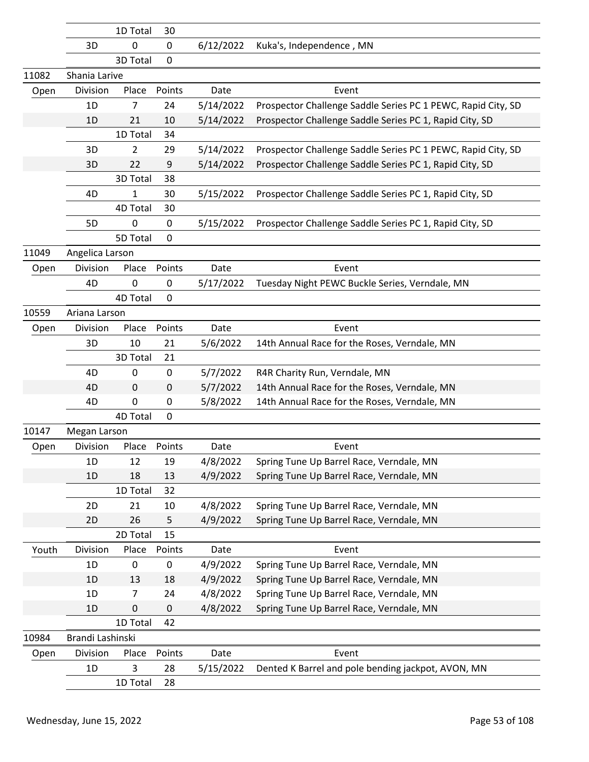|       |                  | 1D Total        | 30               |           |                                                              |
|-------|------------------|-----------------|------------------|-----------|--------------------------------------------------------------|
|       | 3D               | 0               | 0                | 6/12/2022 | Kuka's, Independence, MN                                     |
|       |                  | 3D Total        | $\mathbf 0$      |           |                                                              |
| 11082 | Shania Larive    |                 |                  |           |                                                              |
| Open  | Division         | Place           | Points           | Date      | Event                                                        |
|       | 1D               | 7               | 24               | 5/14/2022 | Prospector Challenge Saddle Series PC 1 PEWC, Rapid City, SD |
|       | 1D               | 21              | 10               | 5/14/2022 | Prospector Challenge Saddle Series PC 1, Rapid City, SD      |
|       |                  | 1D Total        | 34               |           |                                                              |
|       | 3D               | 2               | 29               | 5/14/2022 | Prospector Challenge Saddle Series PC 1 PEWC, Rapid City, SD |
|       | 3D               | 22              | 9                | 5/14/2022 | Prospector Challenge Saddle Series PC 1, Rapid City, SD      |
|       |                  | 3D Total        | 38               |           |                                                              |
|       | 4D               | $\mathbf{1}$    | 30               | 5/15/2022 | Prospector Challenge Saddle Series PC 1, Rapid City, SD      |
|       |                  | 4D Total        | 30               |           |                                                              |
|       | 5D               | 0               | $\mathbf 0$      | 5/15/2022 | Prospector Challenge Saddle Series PC 1, Rapid City, SD      |
|       |                  | 5D Total        | $\mathbf 0$      |           |                                                              |
| 11049 | Angelica Larson  |                 |                  |           |                                                              |
| Open  | Division         | Place           | Points           | Date      | Event                                                        |
|       | 4D               | 0               | $\mathbf 0$      | 5/17/2022 | Tuesday Night PEWC Buckle Series, Verndale, MN               |
|       |                  | 4D Total        | $\mathbf 0$      |           |                                                              |
| 10559 | Ariana Larson    |                 |                  |           |                                                              |
| Open  | Division         | Place           | Points           | Date      | Event                                                        |
|       | 3D               | 10              | 21               | 5/6/2022  | 14th Annual Race for the Roses, Verndale, MN                 |
|       |                  | 3D Total        | 21               |           |                                                              |
|       | 4D               | 0               | $\mathbf 0$      | 5/7/2022  | R4R Charity Run, Verndale, MN                                |
|       | 4D               | 0               | 0                | 5/7/2022  | 14th Annual Race for the Roses, Verndale, MN                 |
|       | 4D               | 0               | $\boldsymbol{0}$ | 5/8/2022  | 14th Annual Race for the Roses, Verndale, MN                 |
|       |                  | <b>4D Total</b> | $\mathbf 0$      |           |                                                              |
| 10147 | Megan Larson     |                 |                  |           |                                                              |
| Open  | Division         | Place           | Points           | Date      | Event                                                        |
|       | 1D               | 12              | 19               | 4/8/2022  | Spring Tune Up Barrel Race, Verndale, MN                     |
|       | 1D               | 18              | 13               | 4/9/2022  | Spring Tune Up Barrel Race, Verndale, MN                     |
|       |                  | 1D Total        | 32               |           |                                                              |
|       | 2D               | 21              | 10               | 4/8/2022  | Spring Tune Up Barrel Race, Verndale, MN                     |
|       | 2D               | 26              | 5                | 4/9/2022  | Spring Tune Up Barrel Race, Verndale, MN                     |
|       |                  | 2D Total        | 15               |           |                                                              |
| Youth | Division         | Place           | Points           | Date      | Event                                                        |
|       | 1D               | 0               | 0                | 4/9/2022  | Spring Tune Up Barrel Race, Verndale, MN                     |
|       | 1D               | 13              | 18               | 4/9/2022  | Spring Tune Up Barrel Race, Verndale, MN                     |
|       | 1D               | 7               | 24               | 4/8/2022  | Spring Tune Up Barrel Race, Verndale, MN                     |
|       | 1D               | 0               | $\pmb{0}$        | 4/8/2022  | Spring Tune Up Barrel Race, Verndale, MN                     |
|       |                  | 1D Total        | 42               |           |                                                              |
| 10984 | Brandi Lashinski |                 |                  |           |                                                              |
| Open  | Division         | Place           | Points           | Date      | Event                                                        |
|       | 1D               | 3               | 28               | 5/15/2022 | Dented K Barrel and pole bending jackpot, AVON, MN           |
|       |                  | 1D Total        | 28               |           |                                                              |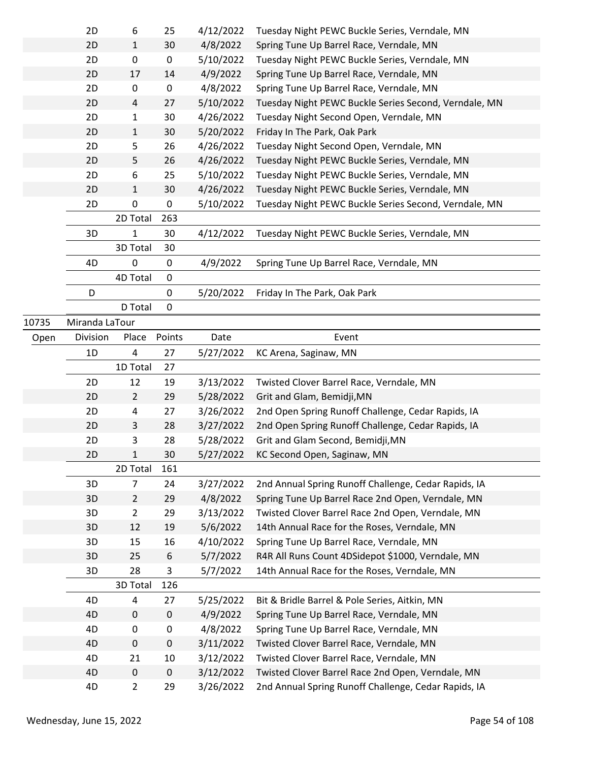|       | 2D             | 6                       | 25               | 4/12/2022 | Tuesday Night PEWC Buckle Series, Verndale, MN        |
|-------|----------------|-------------------------|------------------|-----------|-------------------------------------------------------|
|       | 2D             | 1                       | 30               | 4/8/2022  | Spring Tune Up Barrel Race, Verndale, MN              |
|       | 2D             | 0                       | $\pmb{0}$        | 5/10/2022 | Tuesday Night PEWC Buckle Series, Verndale, MN        |
|       | 2D             | 17                      | 14               | 4/9/2022  | Spring Tune Up Barrel Race, Verndale, MN              |
|       | 2D             | 0                       | $\pmb{0}$        | 4/8/2022  | Spring Tune Up Barrel Race, Verndale, MN              |
|       | 2D             | 4                       | 27               | 5/10/2022 | Tuesday Night PEWC Buckle Series Second, Verndale, MN |
|       | 2D             | 1                       | 30               | 4/26/2022 | Tuesday Night Second Open, Verndale, MN               |
|       | 2D             | 1                       | 30               | 5/20/2022 | Friday In The Park, Oak Park                          |
|       | 2D             | 5                       | 26               | 4/26/2022 | Tuesday Night Second Open, Verndale, MN               |
|       | 2D             | 5                       | 26               | 4/26/2022 | Tuesday Night PEWC Buckle Series, Verndale, MN        |
|       | 2D             | 6                       | 25               | 5/10/2022 | Tuesday Night PEWC Buckle Series, Verndale, MN        |
|       | 2D             | 1                       | 30               | 4/26/2022 | Tuesday Night PEWC Buckle Series, Verndale, MN        |
|       | 2D             | $\pmb{0}$               | $\pmb{0}$        | 5/10/2022 | Tuesday Night PEWC Buckle Series Second, Verndale, MN |
|       |                | 2D Total                | 263              |           |                                                       |
|       | 3D             | 1                       | 30               | 4/12/2022 | Tuesday Night PEWC Buckle Series, Verndale, MN        |
|       |                | 3D Total                | 30               |           |                                                       |
|       | 4D             | 0                       | $\mathbf 0$      | 4/9/2022  | Spring Tune Up Barrel Race, Verndale, MN              |
|       |                | 4D Total                | 0                |           |                                                       |
|       | D              |                         | 0                | 5/20/2022 | Friday In The Park, Oak Park                          |
|       |                | D Total                 | $\mathbf 0$      |           |                                                       |
| 10735 | Miranda LaTour |                         |                  |           |                                                       |
| Open  | Division       | Place                   | Points           | Date      | Event                                                 |
|       | 1D             | $\overline{\mathbf{4}}$ | 27               | 5/27/2022 | KC Arena, Saginaw, MN                                 |
|       |                |                         |                  |           |                                                       |
|       |                |                         | 27               |           |                                                       |
|       |                | 1D Total                |                  |           |                                                       |
|       | 2D             | 12                      | 19               | 3/13/2022 | Twisted Clover Barrel Race, Verndale, MN              |
|       | 2D             | $\overline{2}$          | 29               | 5/28/2022 | Grit and Glam, Bemidji, MN                            |
|       | 2D             | 4                       | 27               | 3/26/2022 | 2nd Open Spring Runoff Challenge, Cedar Rapids, IA    |
|       | 2D             | 3                       | 28               | 3/27/2022 | 2nd Open Spring Runoff Challenge, Cedar Rapids, IA    |
|       | 2D<br>2D       | 3<br>1                  | 28               | 5/28/2022 | Grit and Glam Second, Bemidji, MN                     |
|       |                |                         | 30               | 5/27/2022 | KC Second Open, Saginaw, MN                           |
|       |                | 2D Total                | 161              |           |                                                       |
|       | 3D             | $\overline{7}$          | 24               | 3/27/2022 | 2nd Annual Spring Runoff Challenge, Cedar Rapids, IA  |
|       | 3D             | $\overline{2}$          | 29               | 4/8/2022  | Spring Tune Up Barrel Race 2nd Open, Verndale, MN     |
|       | 3D             | $\overline{2}$          | 29               | 3/13/2022 | Twisted Clover Barrel Race 2nd Open, Verndale, MN     |
|       | 3D             | 12                      | 19               | 5/6/2022  | 14th Annual Race for the Roses, Verndale, MN          |
|       | 3D             | 15                      | 16               | 4/10/2022 | Spring Tune Up Barrel Race, Verndale, MN              |
|       | 3D             | 25                      | $\boldsymbol{6}$ | 5/7/2022  | R4R All Runs Count 4DSidepot \$1000, Verndale, MN     |
|       | 3D             | 28<br>3D Total          | 3<br>126         | 5/7/2022  | 14th Annual Race for the Roses, Verndale, MN          |
|       | 4D             | 4                       | 27               | 5/25/2022 | Bit & Bridle Barrel & Pole Series, Aitkin, MN         |
|       | 4D             | $\mathbf 0$             | $\mathbf 0$      | 4/9/2022  | Spring Tune Up Barrel Race, Verndale, MN              |
|       | 4D             | $\pmb{0}$               | $\pmb{0}$        | 4/8/2022  | Spring Tune Up Barrel Race, Verndale, MN              |
|       | 4D             | $\pmb{0}$               | $\pmb{0}$        | 3/11/2022 | Twisted Clover Barrel Race, Verndale, MN              |
|       | 4D             | 21                      | 10               | 3/12/2022 | Twisted Clover Barrel Race, Verndale, MN              |
|       | 4D             | $\mathbf 0$             | $\mathbf 0$      | 3/12/2022 | Twisted Clover Barrel Race 2nd Open, Verndale, MN     |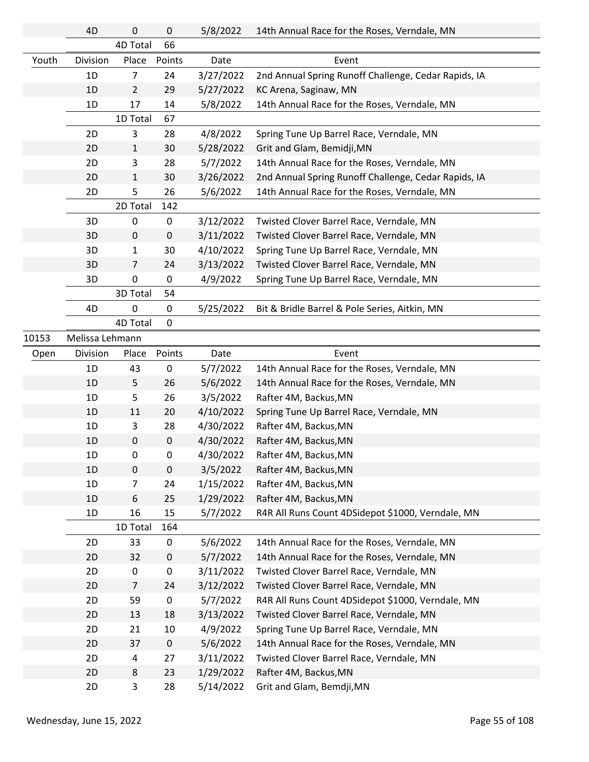|       | 4D              | 0              | $\mathbf 0$ | 5/8/2022  | 14th Annual Race for the Roses, Verndale, MN         |
|-------|-----------------|----------------|-------------|-----------|------------------------------------------------------|
|       |                 | 4D Total       | 66          |           |                                                      |
| Youth | Division        | Place          | Points      | Date      | Event                                                |
|       | 1 <sub>D</sub>  | 7              | 24          | 3/27/2022 | 2nd Annual Spring Runoff Challenge, Cedar Rapids, IA |
|       | 1D              | $\overline{2}$ | 29          | 5/27/2022 | KC Arena, Saginaw, MN                                |
|       | 1D              | 17             | 14          | 5/8/2022  | 14th Annual Race for the Roses, Verndale, MN         |
|       |                 | 1D Total       | 67          |           |                                                      |
|       | 2D              | 3              | 28          | 4/8/2022  | Spring Tune Up Barrel Race, Verndale, MN             |
|       | 2D              | $\mathbf{1}$   | 30          | 5/28/2022 | Grit and Glam, Bemidji, MN                           |
|       | 2D              | 3              | 28          | 5/7/2022  | 14th Annual Race for the Roses, Verndale, MN         |
|       | 2D              | $\mathbf{1}$   | 30          | 3/26/2022 | 2nd Annual Spring Runoff Challenge, Cedar Rapids, IA |
|       | 2D              | 5              | 26          | 5/6/2022  | 14th Annual Race for the Roses, Verndale, MN         |
|       |                 | 2D Total       | 142         |           |                                                      |
|       | 3D              | 0              | $\pmb{0}$   | 3/12/2022 | Twisted Clover Barrel Race, Verndale, MN             |
|       | 3D              | 0              | $\pmb{0}$   | 3/11/2022 | Twisted Clover Barrel Race, Verndale, MN             |
|       | 3D              | 1              | 30          | 4/10/2022 | Spring Tune Up Barrel Race, Verndale, MN             |
|       | 3D              | 7              | 24          | 3/13/2022 | Twisted Clover Barrel Race, Verndale, MN             |
|       | 3D              | 0              | $\pmb{0}$   | 4/9/2022  | Spring Tune Up Barrel Race, Verndale, MN             |
|       |                 | 3D Total       | 54          |           |                                                      |
|       | 4D              | 0              | $\mathbf 0$ | 5/25/2022 | Bit & Bridle Barrel & Pole Series, Aitkin, MN        |
|       |                 | 4D Total       | 0           |           |                                                      |
| 10153 | Melissa Lehmann |                |             |           |                                                      |
| Open  | Division        | Place          | Points      | Date      | Event                                                |
|       | 1D              | 43             | 0           | 5/7/2022  | 14th Annual Race for the Roses, Verndale, MN         |
|       | 1D              | 5              | 26          | 5/6/2022  | 14th Annual Race for the Roses, Verndale, MN         |
|       | 1D              | 5              | 26          | 3/5/2022  | Rafter 4M, Backus, MN                                |
|       | 1D              | 11             | 20          | 4/10/2022 | Spring Tune Up Barrel Race, Verndale, MN             |
|       | 1D              | 3              | 28          | 4/30/2022 | Rafter 4M, Backus, MN                                |
|       | 1D              | $\pmb{0}$      | $\pmb{0}$   | 4/30/2022 | Rafter 4M, Backus, MN                                |
|       | 1D              | U              | U           | 4/30/2022 | Rafter 4M, Backus, MN                                |
|       | 1D              | 0              | $\pmb{0}$   | 3/5/2022  | Rafter 4M, Backus, MN                                |
|       | 1D              | 7              | 24          | 1/15/2022 | Rafter 4M, Backus, MN                                |
|       | 1D              | 6              | 25          | 1/29/2022 | Rafter 4M, Backus, MN                                |
|       | 1D              | 16             | 15          | 5/7/2022  | R4R All Runs Count 4DSidepot \$1000, Verndale, MN    |
|       |                 | 1D Total       | 164         |           |                                                      |
|       | 2D              | 33             | 0           | 5/6/2022  | 14th Annual Race for the Roses, Verndale, MN         |
|       | 2D              | 32             | $\pmb{0}$   | 5/7/2022  | 14th Annual Race for the Roses, Verndale, MN         |
|       | 2D              | 0              | $\pmb{0}$   | 3/11/2022 | Twisted Clover Barrel Race, Verndale, MN             |
|       | 2D              | $\overline{7}$ | 24          | 3/12/2022 | Twisted Clover Barrel Race, Verndale, MN             |
|       | 2D              | 59             | $\pmb{0}$   | 5/7/2022  | R4R All Runs Count 4DSidepot \$1000, Verndale, MN    |
|       | 2D              | 13             | 18          | 3/13/2022 | Twisted Clover Barrel Race, Verndale, MN             |
|       | 2D              | 21             | 10          | 4/9/2022  | Spring Tune Up Barrel Race, Verndale, MN             |
|       | 2D              | 37             | $\mathbf 0$ | 5/6/2022  | 14th Annual Race for the Roses, Verndale, MN         |
|       | 2D              | 4              | 27          | 3/11/2022 | Twisted Clover Barrel Race, Verndale, MN             |
|       | 2D              | 8              | 23          | 1/29/2022 | Rafter 4M, Backus, MN                                |
|       | 2D              | 3              | 28          | 5/14/2022 | Grit and Glam, Bemdji, MN                            |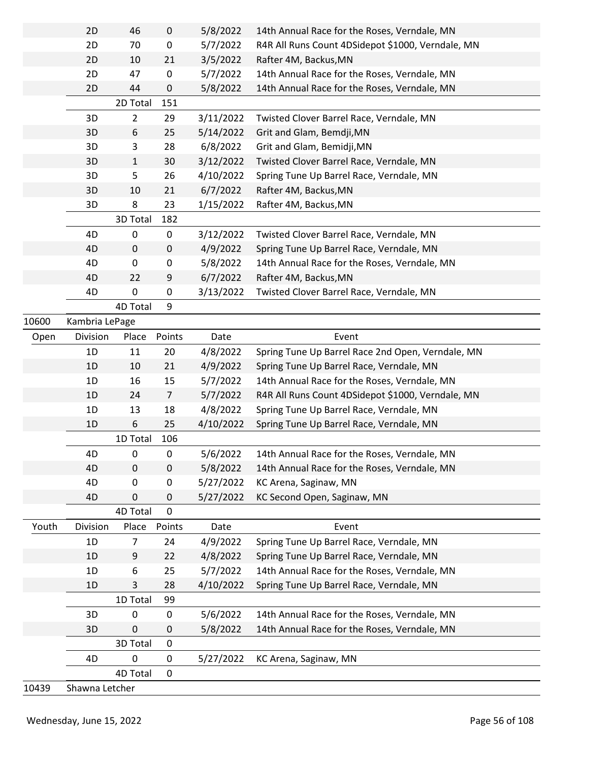|       | 2D             | 46              | $\pmb{0}$        | 5/8/2022  | 14th Annual Race for the Roses, Verndale, MN      |
|-------|----------------|-----------------|------------------|-----------|---------------------------------------------------|
|       | 2D             | 70              | $\pmb{0}$        | 5/7/2022  | R4R All Runs Count 4DSidepot \$1000, Verndale, MN |
|       | 2D             | 10              | 21               | 3/5/2022  | Rafter 4M, Backus, MN                             |
|       | 2D             | 47              | $\pmb{0}$        | 5/7/2022  | 14th Annual Race for the Roses, Verndale, MN      |
|       | 2D             | 44              | 0                | 5/8/2022  | 14th Annual Race for the Roses, Verndale, MN      |
|       |                | 2D Total        | 151              |           |                                                   |
|       | 3D             | $\overline{2}$  | 29               | 3/11/2022 | Twisted Clover Barrel Race, Verndale, MN          |
|       | 3D             | 6               | 25               | 5/14/2022 | Grit and Glam, Bemdji, MN                         |
|       | 3D             | 3               | 28               | 6/8/2022  | Grit and Glam, Bemidji, MN                        |
|       | 3D             | $\mathbf{1}$    | 30               | 3/12/2022 | Twisted Clover Barrel Race, Verndale, MN          |
|       | 3D             | 5               | 26               | 4/10/2022 | Spring Tune Up Barrel Race, Verndale, MN          |
|       | 3D             | 10              | 21               | 6/7/2022  | Rafter 4M, Backus, MN                             |
|       | 3D             | 8               | 23               | 1/15/2022 | Rafter 4M, Backus, MN                             |
|       |                | 3D Total        | 182              |           |                                                   |
|       | 4D             | 0               | $\mathbf 0$      | 3/12/2022 | Twisted Clover Barrel Race, Verndale, MN          |
|       | 4D             | $\mathbf 0$     | $\mathbf 0$      | 4/9/2022  | Spring Tune Up Barrel Race, Verndale, MN          |
|       | 4D             | 0               | $\boldsymbol{0}$ | 5/8/2022  | 14th Annual Race for the Roses, Verndale, MN      |
|       | 4D             | 22              | 9                | 6/7/2022  | Rafter 4M, Backus, MN                             |
|       | 4D             | $\pmb{0}$       | $\pmb{0}$        | 3/13/2022 | Twisted Clover Barrel Race, Verndale, MN          |
|       |                | 4D Total        | 9                |           |                                                   |
| 10600 | Kambria LePage |                 |                  |           |                                                   |
| Open  | Division       | Place           | Points           | Date      | Event                                             |
|       | 1D             | 11              | 20               | 4/8/2022  | Spring Tune Up Barrel Race 2nd Open, Verndale, MN |
|       | 1D             | 10              | 21               | 4/9/2022  | Spring Tune Up Barrel Race, Verndale, MN          |
|       | 1D             | 16              | 15               | 5/7/2022  | 14th Annual Race for the Roses, Verndale, MN      |
|       | 1D             | 24              | $\overline{7}$   | 5/7/2022  | R4R All Runs Count 4DSidepot \$1000, Verndale, MN |
|       | 1D             | 13              | 18               | 4/8/2022  | Spring Tune Up Barrel Race, Verndale, MN          |
|       | 1 <sub>D</sub> | 6               | 25               | 4/10/2022 | Spring Tune Up Barrel Race, Verndale, MN          |
|       |                | 1D Total        | 106              |           |                                                   |
|       | 4D             | 0               | 0                | 5/6/2022  | 14th Annual Race for the Roses, Verndale, MN      |
|       | 4D             | 0               | $\mathbf 0$      | 5/8/2022  | 14th Annual Race for the Roses, Verndale, MN      |
|       | 4D             | 0               | $\pmb{0}$        | 5/27/2022 | KC Arena, Saginaw, MN                             |
|       | 4D             | 0               | 0                | 5/27/2022 | KC Second Open, Saginaw, MN                       |
|       |                | <b>4D Total</b> | $\mathbf 0$      |           |                                                   |
| Youth | Division       | Place           | Points           | Date      | Event                                             |
|       | 1D             | 7               | 24               | 4/9/2022  | Spring Tune Up Barrel Race, Verndale, MN          |
|       | 1D             | 9               | 22               | 4/8/2022  | Spring Tune Up Barrel Race, Verndale, MN          |
|       | 1D             | 6               | 25               | 5/7/2022  | 14th Annual Race for the Roses, Verndale, MN      |
|       | 1D             | 3               | 28               | 4/10/2022 | Spring Tune Up Barrel Race, Verndale, MN          |
|       |                | 1D Total        | 99               |           |                                                   |
|       | 3D             | 0               | 0                | 5/6/2022  | 14th Annual Race for the Roses, Verndale, MN      |
|       | 3D             | 0               | $\mathbf 0$      | 5/8/2022  | 14th Annual Race for the Roses, Verndale, MN      |
|       |                | 3D Total        | 0                |           |                                                   |
|       | 4D             | 0               | $\mathbf 0$      | 5/27/2022 | KC Arena, Saginaw, MN                             |
|       |                | 4D Total        | $\mathbf 0$      |           |                                                   |
| 10439 | Shawna Letcher |                 |                  |           |                                                   |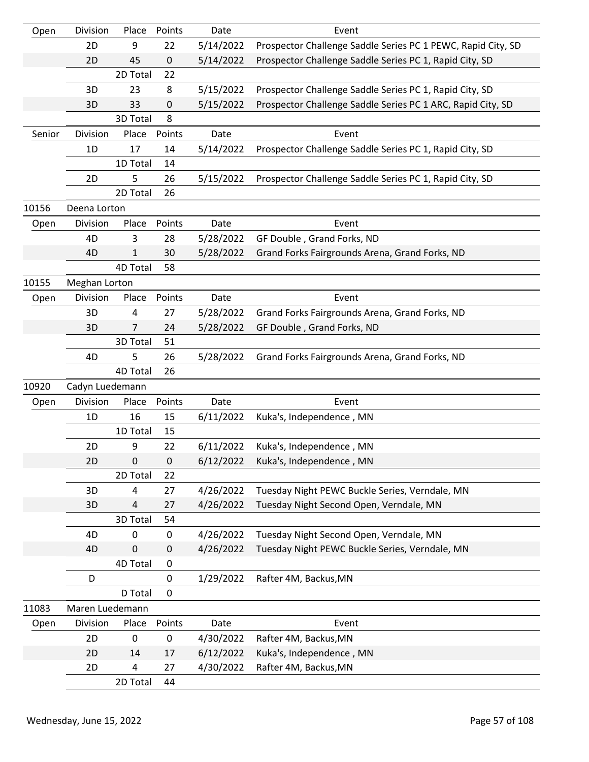| Open   | Division        | Place     | Points      | Date      | Event                                                        |
|--------|-----------------|-----------|-------------|-----------|--------------------------------------------------------------|
|        | 2D              | 9         | 22          | 5/14/2022 | Prospector Challenge Saddle Series PC 1 PEWC, Rapid City, SD |
|        | 2D              | 45        | 0           | 5/14/2022 | Prospector Challenge Saddle Series PC 1, Rapid City, SD      |
|        |                 | 2D Total  | 22          |           |                                                              |
|        | 3D              | 23        | 8           | 5/15/2022 | Prospector Challenge Saddle Series PC 1, Rapid City, SD      |
|        | 3D              | 33        | 0           | 5/15/2022 | Prospector Challenge Saddle Series PC 1 ARC, Rapid City, SD  |
|        |                 | 3D Total  | 8           |           |                                                              |
| Senior | Division        | Place     | Points      | Date      | Event                                                        |
|        | 1D              | 17        | 14          | 5/14/2022 | Prospector Challenge Saddle Series PC 1, Rapid City, SD      |
|        |                 | 1D Total  | 14          |           |                                                              |
|        | 2D              | 5         | 26          | 5/15/2022 | Prospector Challenge Saddle Series PC 1, Rapid City, SD      |
|        |                 | 2D Total  | 26          |           |                                                              |
| 10156  | Deena Lorton    |           |             |           |                                                              |
| Open   | Division        | Place     | Points      | Date      | Event                                                        |
|        | 4D              | 3         | 28          | 5/28/2022 | GF Double, Grand Forks, ND                                   |
|        | 4D              | 1         | 30          | 5/28/2022 | Grand Forks Fairgrounds Arena, Grand Forks, ND               |
|        |                 | 4D Total  | 58          |           |                                                              |
| 10155  | Meghan Lorton   |           |             |           |                                                              |
| Open   | Division        | Place     | Points      | Date      | Event                                                        |
|        | 3D              | 4         | 27          | 5/28/2022 | Grand Forks Fairgrounds Arena, Grand Forks, ND               |
|        | 3D              | 7         | 24          | 5/28/2022 | GF Double, Grand Forks, ND                                   |
|        |                 | 3D Total  | 51          |           |                                                              |
|        | 4D              | 5         | 26          | 5/28/2022 | Grand Forks Fairgrounds Arena, Grand Forks, ND               |
|        |                 | 4D Total  | 26          |           |                                                              |
| 10920  | Cadyn Luedemann |           |             |           |                                                              |
| Open   | Division        | Place     | Points      | Date      | Event                                                        |
|        | 1D              | 16        | 15          | 6/11/2022 | Kuka's, Independence, MN                                     |
|        |                 | 1D Total  | 15          |           |                                                              |
|        | 2D              | 9         | 22          | 6/11/2022 | Kuka's, Independence, MN                                     |
|        | 2D              | $\pmb{0}$ | $\pmb{0}$   | 6/12/2022 | Kuka's, Independence, MN                                     |
|        |                 | 2D Total  | 22          |           |                                                              |
|        | 3D              | 4         | 27          | 4/26/2022 | Tuesday Night PEWC Buckle Series, Verndale, MN               |
|        | 3D              | 4         | 27          | 4/26/2022 | Tuesday Night Second Open, Verndale, MN                      |
|        |                 | 3D Total  | 54          |           |                                                              |
|        | 4D              | 0         | 0           | 4/26/2022 | Tuesday Night Second Open, Verndale, MN                      |
|        | 4D              | $\pmb{0}$ | 0           | 4/26/2022 | Tuesday Night PEWC Buckle Series, Verndale, MN               |
|        |                 | 4D Total  | $\pmb{0}$   |           |                                                              |
|        | D               |           | $\mathbf 0$ | 1/29/2022 | Rafter 4M, Backus, MN                                        |
|        |                 | D Total   | $\mathbf 0$ |           |                                                              |
| 11083  | Maren Luedemann |           |             |           |                                                              |
| Open   | Division        | Place     | Points      | Date      | Event                                                        |
|        | 2D              | 0         | 0           | 4/30/2022 | Rafter 4M, Backus, MN                                        |
|        | 2D              | 14        | 17          | 6/12/2022 | Kuka's, Independence, MN                                     |
|        | 2D              | 4         | 27          | 4/30/2022 | Rafter 4M, Backus, MN                                        |
|        |                 | 2D Total  | 44          |           |                                                              |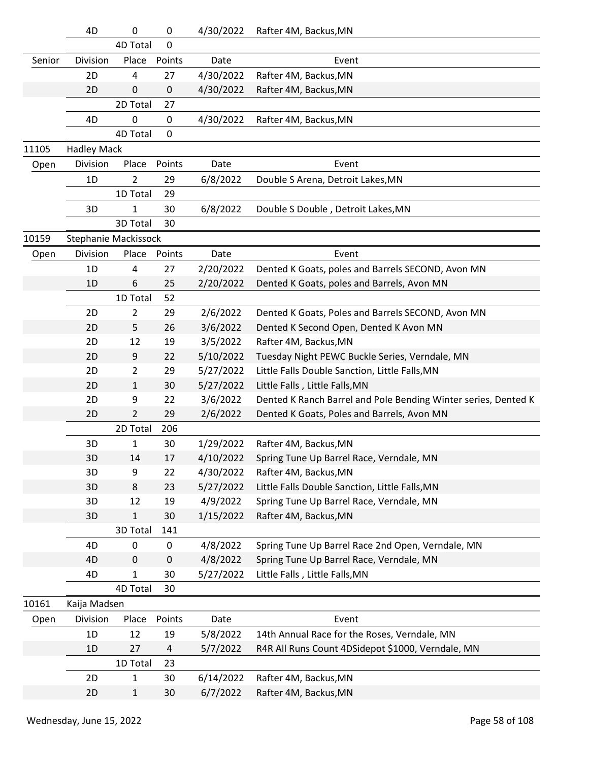|        | 4D                   | 0              | 0         | 4/30/2022 | Rafter 4M, Backus, MN                                          |
|--------|----------------------|----------------|-----------|-----------|----------------------------------------------------------------|
|        |                      | 4D Total       | 0         |           |                                                                |
| Senior | Division             | Place          | Points    | Date      | Event                                                          |
|        | 2D                   | 4              | 27        | 4/30/2022 | Rafter 4M, Backus, MN                                          |
|        | 2D                   | 0              | 0         | 4/30/2022 | Rafter 4M, Backus, MN                                          |
|        |                      | 2D Total       | 27        |           |                                                                |
|        | 4D                   | 0              | 0         | 4/30/2022 | Rafter 4M, Backus, MN                                          |
|        |                      | 4D Total       | 0         |           |                                                                |
| 11105  | <b>Hadley Mack</b>   |                |           |           |                                                                |
| Open   | Division             | Place          | Points    | Date      | Event                                                          |
|        | 1D                   | $\overline{2}$ | 29        | 6/8/2022  | Double S Arena, Detroit Lakes, MN                              |
|        |                      | 1D Total       | 29        |           |                                                                |
|        | 3D                   | 1              | 30        | 6/8/2022  | Double S Double, Detroit Lakes, MN                             |
|        |                      | 3D Total       | 30        |           |                                                                |
| 10159  | Stephanie Mackissock |                |           |           |                                                                |
| Open   | Division             | Place          | Points    | Date      | Event                                                          |
|        | 1D                   | 4              | 27        | 2/20/2022 | Dented K Goats, poles and Barrels SECOND, Avon MN              |
|        | 1D                   | 6              | 25        | 2/20/2022 | Dented K Goats, poles and Barrels, Avon MN                     |
|        |                      | 1D Total       | 52        |           |                                                                |
|        | 2D                   | $\overline{2}$ | 29        | 2/6/2022  | Dented K Goats, Poles and Barrels SECOND, Avon MN              |
|        | 2D                   | 5              | 26        | 3/6/2022  | Dented K Second Open, Dented K Avon MN                         |
|        | 2D                   | 12             | 19        | 3/5/2022  | Rafter 4M, Backus, MN                                          |
|        | 2D                   | 9              | 22        | 5/10/2022 | Tuesday Night PEWC Buckle Series, Verndale, MN                 |
|        | 2D                   | 2              | 29        | 5/27/2022 | Little Falls Double Sanction, Little Falls, MN                 |
|        | 2D                   | $\mathbf{1}$   | 30        | 5/27/2022 | Little Falls, Little Falls, MN                                 |
|        | 2D                   | 9              | 22        | 3/6/2022  | Dented K Ranch Barrel and Pole Bending Winter series, Dented K |
|        | 2D                   | 2              | 29        | 2/6/2022  | Dented K Goats, Poles and Barrels, Avon MN                     |
|        |                      | 2D Total       | 206       |           |                                                                |
|        | 3D                   | 1              | 30        | 1/29/2022 | Rafter 4M, Backus, MN                                          |
|        | 3D                   | 14             | 17        | 4/10/2022 | Spring Tune Up Barrel Race, Verndale, MN                       |
|        | 3D                   | 9              | 22        | 4/30/2022 | Rafter 4M, Backus, MN                                          |
|        | 3D                   | 8              | 23        | 5/27/2022 | Little Falls Double Sanction, Little Falls, MN                 |
|        | 3D                   | 12             | 19        | 4/9/2022  | Spring Tune Up Barrel Race, Verndale, MN                       |
|        | 3D                   | $\mathbf{1}$   | 30        | 1/15/2022 | Rafter 4M, Backus, MN                                          |
|        |                      | 3D Total       | 141       |           |                                                                |
|        | 4D                   | 0              | 0         | 4/8/2022  | Spring Tune Up Barrel Race 2nd Open, Verndale, MN              |
|        | 4D                   | $\mathbf 0$    | $\pmb{0}$ | 4/8/2022  | Spring Tune Up Barrel Race, Verndale, MN                       |
|        | 4D                   | 1              | 30        | 5/27/2022 | Little Falls, Little Falls, MN                                 |
|        |                      | 4D Total       | 30        |           |                                                                |
| 10161  | Kaija Madsen         |                |           |           |                                                                |
| Open   | Division             | Place          | Points    | Date      | Event                                                          |
|        | 1D                   | 12             | 19        | 5/8/2022  | 14th Annual Race for the Roses, Verndale, MN                   |
|        | 1D                   | 27             | 4         | 5/7/2022  | R4R All Runs Count 4DSidepot \$1000, Verndale, MN              |
|        |                      | 1D Total       | 23        |           |                                                                |
|        | 2D                   | 1              | 30        | 6/14/2022 | Rafter 4M, Backus, MN                                          |
|        | 2D                   | $\mathbf{1}$   | 30        | 6/7/2022  | Rafter 4M, Backus, MN                                          |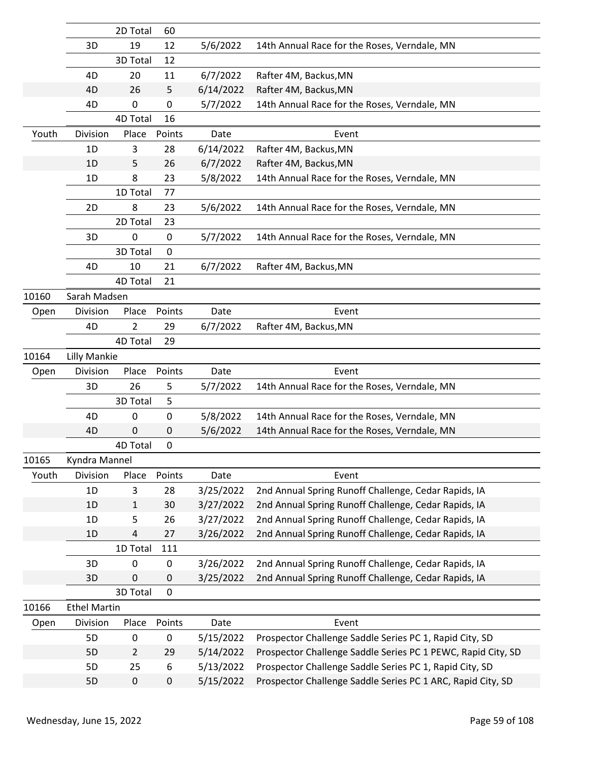|       |                     | 2D Total       | 60          |           |                                                              |
|-------|---------------------|----------------|-------------|-----------|--------------------------------------------------------------|
|       | 3D                  | 19             | 12          | 5/6/2022  | 14th Annual Race for the Roses, Verndale, MN                 |
|       |                     | 3D Total       | 12          |           |                                                              |
|       | 4D                  | 20             | 11          | 6/7/2022  | Rafter 4M, Backus, MN                                        |
|       | 4D                  | 26             | 5           | 6/14/2022 | Rafter 4M, Backus, MN                                        |
|       | 4D                  | 0              | 0           | 5/7/2022  | 14th Annual Race for the Roses, Verndale, MN                 |
|       |                     | 4D Total       | 16          |           |                                                              |
| Youth | Division            | Place          | Points      | Date      | Event                                                        |
|       | 1D                  | 3              | 28          | 6/14/2022 | Rafter 4M, Backus, MN                                        |
|       | 1D                  | 5              | 26          | 6/7/2022  | Rafter 4M, Backus, MN                                        |
|       | 1D                  | 8              | 23          | 5/8/2022  | 14th Annual Race for the Roses, Verndale, MN                 |
|       |                     | 1D Total       | 77          |           |                                                              |
|       | 2D                  | 8              | 23          | 5/6/2022  | 14th Annual Race for the Roses, Verndale, MN                 |
|       |                     | 2D Total       | 23          |           |                                                              |
|       | 3D                  | 0              | 0           | 5/7/2022  | 14th Annual Race for the Roses, Verndale, MN                 |
|       |                     | 3D Total       | $\mathbf 0$ |           |                                                              |
|       | 4D                  | 10             | 21          | 6/7/2022  | Rafter 4M, Backus, MN                                        |
|       |                     | 4D Total       | 21          |           |                                                              |
| 10160 | Sarah Madsen        |                |             |           |                                                              |
| Open  | Division            | Place          | Points      | Date      | Event                                                        |
|       | 4D                  | 2              | 29          | 6/7/2022  | Rafter 4M, Backus, MN                                        |
|       |                     | 4D Total       | 29          |           |                                                              |
| 10164 | <b>Lilly Mankie</b> |                |             |           |                                                              |
|       |                     |                |             |           |                                                              |
| Open  | Division            | Place          | Points      | Date      | Event                                                        |
|       | 3D                  | 26             | 5           | 5/7/2022  | 14th Annual Race for the Roses, Verndale, MN                 |
|       |                     | 3D Total       | 5           |           |                                                              |
|       | 4D                  | 0              | 0           | 5/8/2022  | 14th Annual Race for the Roses, Verndale, MN                 |
|       | 4D                  | 0              | 0           | 5/6/2022  | 14th Annual Race for the Roses, Verndale, MN                 |
|       |                     | 4D Total       | 0           |           |                                                              |
| 10165 | Kyndra Mannel       |                |             |           |                                                              |
| Youth | Division            | Place          | Points      | Date      | Event                                                        |
|       | 1D                  | 3              | 28          | 3/25/2022 | 2nd Annual Spring Runoff Challenge, Cedar Rapids, IA         |
|       | 1D                  | 1              | 30          | 3/27/2022 | 2nd Annual Spring Runoff Challenge, Cedar Rapids, IA         |
|       | 1D                  | 5              | 26          | 3/27/2022 | 2nd Annual Spring Runoff Challenge, Cedar Rapids, IA         |
|       | 1D                  | 4              | 27          | 3/26/2022 | 2nd Annual Spring Runoff Challenge, Cedar Rapids, IA         |
|       |                     | 1D Total       | 111         |           |                                                              |
|       | 3D                  | 0              | $\pmb{0}$   | 3/26/2022 | 2nd Annual Spring Runoff Challenge, Cedar Rapids, IA         |
|       | 3D                  | 0              | 0           | 3/25/2022 | 2nd Annual Spring Runoff Challenge, Cedar Rapids, IA         |
|       |                     | 3D Total       | $\mathbf 0$ |           |                                                              |
| 10166 | <b>Ethel Martin</b> |                |             |           |                                                              |
| Open  | Division            | Place          | Points      | Date      | Event                                                        |
|       | 5D                  | 0              | $\pmb{0}$   | 5/15/2022 | Prospector Challenge Saddle Series PC 1, Rapid City, SD      |
|       | 5D                  | $\overline{2}$ | 29          | 5/14/2022 | Prospector Challenge Saddle Series PC 1 PEWC, Rapid City, SD |
|       | 5D                  | 25             | 6           | 5/13/2022 | Prospector Challenge Saddle Series PC 1, Rapid City, SD      |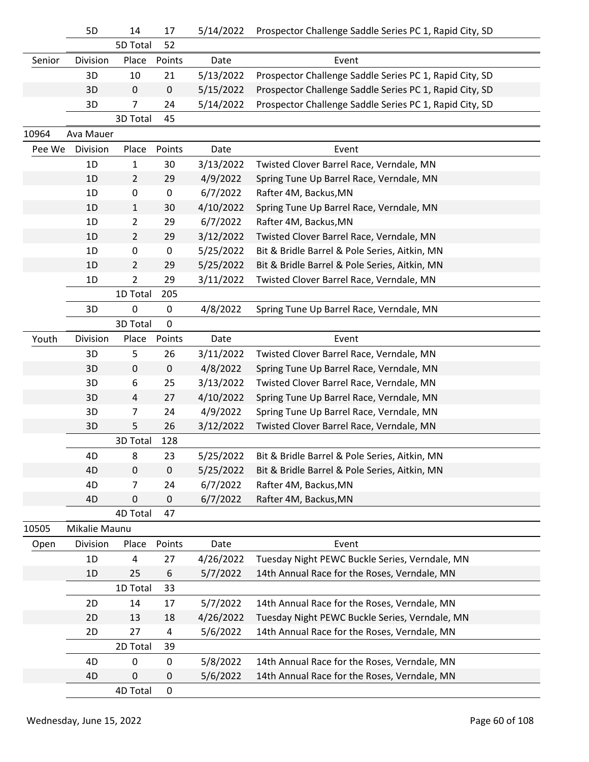|        | 5D            | 14             | 17          | 5/14/2022 | Prospector Challenge Saddle Series PC 1, Rapid City, SD |
|--------|---------------|----------------|-------------|-----------|---------------------------------------------------------|
|        |               | 5D Total       | 52          |           |                                                         |
| Senior | Division      | Place          | Points      | Date      | Event                                                   |
|        | 3D            | 10             | 21          | 5/13/2022 | Prospector Challenge Saddle Series PC 1, Rapid City, SD |
|        | 3D            | $\mathbf 0$    | $\mathbf 0$ | 5/15/2022 | Prospector Challenge Saddle Series PC 1, Rapid City, SD |
|        | 3D            | $\overline{7}$ | 24          | 5/14/2022 | Prospector Challenge Saddle Series PC 1, Rapid City, SD |
|        |               | 3D Total       | 45          |           |                                                         |
| 10964  | Ava Mauer     |                |             |           |                                                         |
| Pee We | Division      | Place          | Points      | Date      | Event                                                   |
|        | 1D            | $\mathbf{1}$   | 30          | 3/13/2022 | Twisted Clover Barrel Race, Verndale, MN                |
|        | 1D            | $\overline{2}$ | 29          | 4/9/2022  | Spring Tune Up Barrel Race, Verndale, MN                |
|        | 1D            | 0              | $\pmb{0}$   | 6/7/2022  | Rafter 4M, Backus, MN                                   |
|        | 1D            | $\mathbf{1}$   | 30          | 4/10/2022 | Spring Tune Up Barrel Race, Verndale, MN                |
|        | 1D            | $\overline{2}$ | 29          | 6/7/2022  | Rafter 4M, Backus, MN                                   |
|        | 1D            | $\overline{2}$ | 29          | 3/12/2022 | Twisted Clover Barrel Race, Verndale, MN                |
|        | 1D            | 0              | $\pmb{0}$   | 5/25/2022 | Bit & Bridle Barrel & Pole Series, Aitkin, MN           |
|        | 1D            | $\overline{2}$ | 29          | 5/25/2022 | Bit & Bridle Barrel & Pole Series, Aitkin, MN           |
|        | 1D            | $\overline{2}$ | 29          | 3/11/2022 | Twisted Clover Barrel Race, Verndale, MN                |
|        |               | 1D Total       | 205         |           |                                                         |
|        | 3D            | 0              | 0           | 4/8/2022  | Spring Tune Up Barrel Race, Verndale, MN                |
|        |               | 3D Total       | $\mathbf 0$ |           |                                                         |
| Youth  | Division      | Place          | Points      | Date      | Event                                                   |
|        | 3D            | 5              | 26          | 3/11/2022 | Twisted Clover Barrel Race, Verndale, MN                |
|        | 3D            | 0              | $\mathbf 0$ | 4/8/2022  | Spring Tune Up Barrel Race, Verndale, MN                |
|        | 3D            | 6              | 25          | 3/13/2022 | Twisted Clover Barrel Race, Verndale, MN                |
|        | 3D            | 4              | 27          | 4/10/2022 | Spring Tune Up Barrel Race, Verndale, MN                |
|        | 3D            | $\overline{7}$ | 24          | 4/9/2022  | Spring Tune Up Barrel Race, Verndale, MN                |
|        | 3D            | 5              | 26          | 3/12/2022 | Twisted Clover Barrel Race, Verndale, MN                |
|        |               | 3D Total       | 128         |           |                                                         |
|        | 4D            | 8              | 23          | 5/25/2022 | Bit & Bridle Barrel & Pole Series, Aitkin, MN           |
|        | 4D            | 0              | $\pmb{0}$   | 5/25/2022 | Bit & Bridle Barrel & Pole Series, Aitkin, MN           |
|        | 4D            | 7              | 24          | 6/7/2022  | Rafter 4M, Backus, MN                                   |
|        | 4D            | 0              | 0           | 6/7/2022  | Rafter 4M, Backus, MN                                   |
|        |               | 4D Total       | 47          |           |                                                         |
| 10505  | Mikalie Maunu |                |             |           |                                                         |
| Open   | Division      | Place          | Points      | Date      | Event                                                   |
|        | 1D            | 4              | 27          | 4/26/2022 | Tuesday Night PEWC Buckle Series, Verndale, MN          |
|        | 1D            | 25             | 6           | 5/7/2022  | 14th Annual Race for the Roses, Verndale, MN            |
|        |               | 1D Total       | 33          |           |                                                         |
|        | 2D            | 14             | 17          | 5/7/2022  | 14th Annual Race for the Roses, Verndale, MN            |
|        | 2D            | 13             | 18          | 4/26/2022 | Tuesday Night PEWC Buckle Series, Verndale, MN          |
|        | 2D            | 27             | 4           | 5/6/2022  | 14th Annual Race for the Roses, Verndale, MN            |
|        |               | 2D Total       | 39          |           |                                                         |
|        | 4D            | 0              | 0           | 5/8/2022  | 14th Annual Race for the Roses, Verndale, MN            |
|        | 4D            | 0              | 0           | 5/6/2022  | 14th Annual Race for the Roses, Verndale, MN            |
|        |               | 4D Total       | 0           |           |                                                         |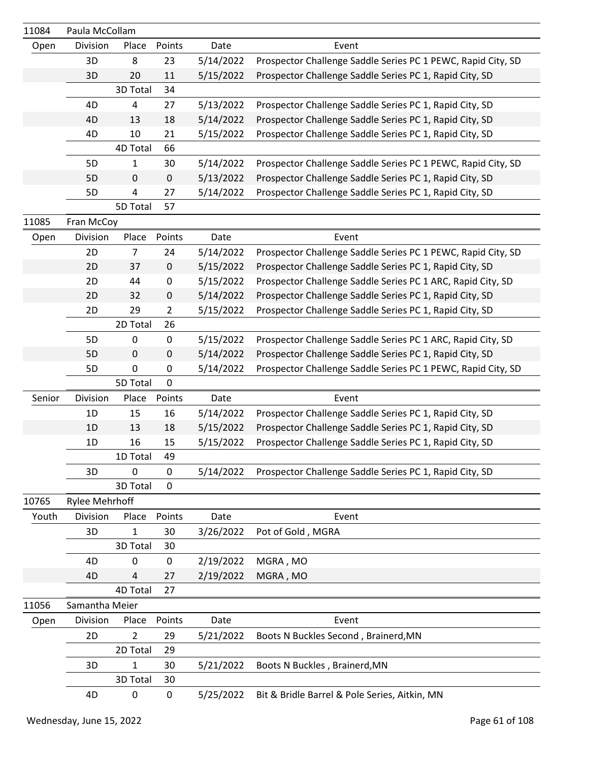| 11084  | Paula McCollam        |                 |                |           |                                                              |
|--------|-----------------------|-----------------|----------------|-----------|--------------------------------------------------------------|
| Open   | Division              | Place           | Points         | Date      | Event                                                        |
|        | 3D                    | 8               | 23             | 5/14/2022 | Prospector Challenge Saddle Series PC 1 PEWC, Rapid City, SD |
|        | 3D                    | 20              | 11             | 5/15/2022 | Prospector Challenge Saddle Series PC 1, Rapid City, SD      |
|        |                       | 3D Total        | 34             |           |                                                              |
|        | 4D                    | 4               | 27             | 5/13/2022 | Prospector Challenge Saddle Series PC 1, Rapid City, SD      |
|        | 4D                    | 13              | 18             | 5/14/2022 | Prospector Challenge Saddle Series PC 1, Rapid City, SD      |
|        | 4D                    | 10              | 21             | 5/15/2022 | Prospector Challenge Saddle Series PC 1, Rapid City, SD      |
|        |                       | <b>4D Total</b> | 66             |           |                                                              |
|        | 5D                    | 1               | 30             | 5/14/2022 | Prospector Challenge Saddle Series PC 1 PEWC, Rapid City, SD |
|        | 5D                    | $\pmb{0}$       | $\mathsf 0$    | 5/13/2022 | Prospector Challenge Saddle Series PC 1, Rapid City, SD      |
|        | 5D                    | 4               | 27             | 5/14/2022 | Prospector Challenge Saddle Series PC 1, Rapid City, SD      |
|        |                       | 5D Total        | 57             |           |                                                              |
| 11085  | Fran McCoy            |                 |                |           |                                                              |
| Open   | Division              | Place           | Points         | Date      | Event                                                        |
|        | 2D                    | $\overline{7}$  | 24             | 5/14/2022 | Prospector Challenge Saddle Series PC 1 PEWC, Rapid City, SD |
|        | 2D                    | 37              | $\pmb{0}$      | 5/15/2022 | Prospector Challenge Saddle Series PC 1, Rapid City, SD      |
|        | 2D                    | 44              | $\pmb{0}$      | 5/15/2022 | Prospector Challenge Saddle Series PC 1 ARC, Rapid City, SD  |
|        | 2D                    | 32              | $\mathbf 0$    | 5/14/2022 | Prospector Challenge Saddle Series PC 1, Rapid City, SD      |
|        | 2D                    | 29              | $\overline{2}$ | 5/15/2022 | Prospector Challenge Saddle Series PC 1, Rapid City, SD      |
|        |                       | 2D Total        | 26             |           |                                                              |
|        | 5D                    | $\pmb{0}$       | $\pmb{0}$      | 5/15/2022 | Prospector Challenge Saddle Series PC 1 ARC, Rapid City, SD  |
|        | 5D                    | 0               | $\mathbf 0$    | 5/14/2022 | Prospector Challenge Saddle Series PC 1, Rapid City, SD      |
|        | 5D                    | $\mathbf 0$     | $\mathbf 0$    | 5/14/2022 | Prospector Challenge Saddle Series PC 1 PEWC, Rapid City, SD |
|        |                       | 5D Total        | $\overline{0}$ |           |                                                              |
| Senior | Division              | Place           | Points         | Date      | Event                                                        |
|        | 1D                    | 15              | 16             | 5/14/2022 | Prospector Challenge Saddle Series PC 1, Rapid City, SD      |
|        | 1D                    | 13              | 18             | 5/15/2022 | Prospector Challenge Saddle Series PC 1, Rapid City, SD      |
|        | 1D                    | 16              | 15             | 5/15/2022 | Prospector Challenge Saddle Series PC 1, Rapid City, SD      |
|        |                       | 1D Total        | 49             |           |                                                              |
|        | 3D                    | $\mathbf 0$     | 0              | 5/14/2022 | Prospector Challenge Saddle Series PC 1, Rapid City, SD      |
|        |                       | 3D Total        | $\mathbf 0$    |           |                                                              |
| 10765  | <b>Rylee Mehrhoff</b> |                 |                |           |                                                              |
| Youth  | Division              | Place           | Points         | Date      | Event                                                        |
|        | 3D                    | $\mathbf{1}$    | 30             | 3/26/2022 | Pot of Gold, MGRA                                            |
|        |                       | 3D Total        | 30             |           |                                                              |
|        | 4D                    | 0               | $\pmb{0}$      | 2/19/2022 | MGRA, MO                                                     |
|        | 4D                    | 4               | 27             | 2/19/2022 | MGRA, MO                                                     |
|        |                       | 4D Total        | 27             |           |                                                              |
| 11056  | Samantha Meier        |                 |                |           |                                                              |
| Open   | Division              | Place           | Points         | Date      | Event                                                        |
|        | 2D                    | 2               | 29             | 5/21/2022 | Boots N Buckles Second, Brainerd, MN                         |
|        |                       | 2D Total        | 29             |           |                                                              |
|        | 3D                    | $\mathbf{1}$    | $30\,$         | 5/21/2022 | Boots N Buckles, Brainerd, MN                                |
|        |                       | 3D Total        | 30             |           |                                                              |
|        | 4D                    | $\pmb{0}$       | $\pmb{0}$      | 5/25/2022 | Bit & Bridle Barrel & Pole Series, Aitkin, MN                |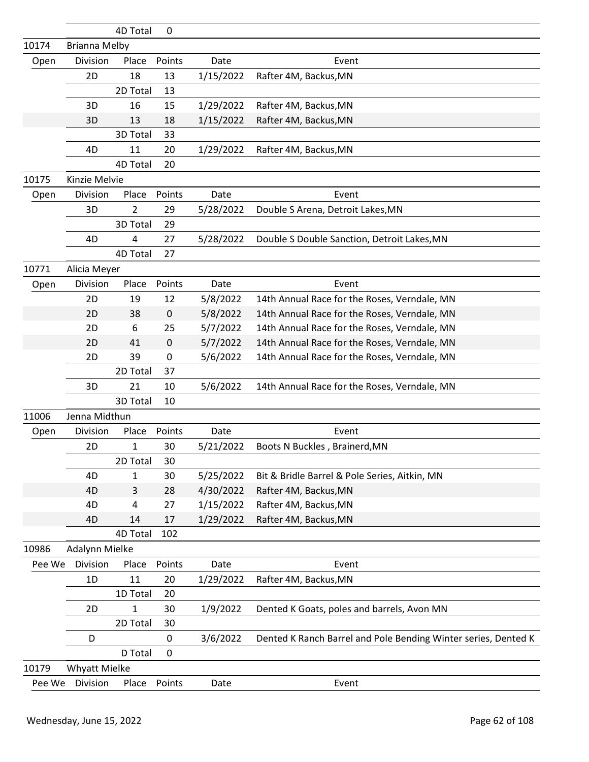|        |                      | 4D Total     | 0                |           |                                                                |
|--------|----------------------|--------------|------------------|-----------|----------------------------------------------------------------|
| 10174  | <b>Brianna Melby</b> |              |                  |           |                                                                |
| Open   | Division             | Place        | Points           | Date      | Event                                                          |
|        | 2D                   | 18           | 13               | 1/15/2022 | Rafter 4M, Backus, MN                                          |
|        |                      | 2D Total     | 13               |           |                                                                |
|        | 3D                   | 16           | 15               | 1/29/2022 | Rafter 4M, Backus, MN                                          |
|        | 3D                   | 13           | 18               | 1/15/2022 | Rafter 4M, Backus, MN                                          |
|        |                      | 3D Total     | 33               |           |                                                                |
|        | 4D                   | 11           | 20               | 1/29/2022 | Rafter 4M, Backus, MN                                          |
|        |                      | 4D Total     | 20               |           |                                                                |
| 10175  | Kinzie Melvie        |              |                  |           |                                                                |
| Open   | Division             | Place        | Points           | Date      | Event                                                          |
|        | 3D                   | 2            | 29               | 5/28/2022 | Double S Arena, Detroit Lakes, MN                              |
|        |                      | 3D Total     | 29               |           |                                                                |
|        | 4D                   | 4            | 27               | 5/28/2022 | Double S Double Sanction, Detroit Lakes, MN                    |
|        |                      | 4D Total     | 27               |           |                                                                |
| 10771  | Alicia Meyer         |              |                  |           |                                                                |
| Open   | Division             | Place        | Points           | Date      | Event                                                          |
|        | 2D                   | 19           | 12               | 5/8/2022  | 14th Annual Race for the Roses, Verndale, MN                   |
|        | 2D                   | 38           | $\mathbf 0$      | 5/8/2022  | 14th Annual Race for the Roses, Verndale, MN                   |
|        | 2D                   | 6            | 25               | 5/7/2022  | 14th Annual Race for the Roses, Verndale, MN                   |
|        | 2D                   | 41           | 0                | 5/7/2022  | 14th Annual Race for the Roses, Verndale, MN                   |
|        | 2D                   | 39           | 0                | 5/6/2022  | 14th Annual Race for the Roses, Verndale, MN                   |
|        |                      | 2D Total     | 37               |           |                                                                |
|        | 3D                   | 21           | 10               | 5/6/2022  | 14th Annual Race for the Roses, Verndale, MN                   |
|        |                      | 3D Total     | 10               |           |                                                                |
| 11006  | Jenna Midthun        |              |                  |           |                                                                |
| Open   | Division             | Place        | Points           | Date      | Event                                                          |
|        | 2D                   | 1            | 30               | 5/21/2022 | Boots N Buckles, Brainerd, MN                                  |
|        |                      | 2D Total     | 30               |           |                                                                |
|        | 4D                   | 1            | 30               | 5/25/2022 | Bit & Bridle Barrel & Pole Series, Aitkin, MN                  |
|        | 4D                   | 3            | 28               | 4/30/2022 | Rafter 4M, Backus, MN                                          |
|        | 4D                   | 4            | 27               | 1/15/2022 | Rafter 4M, Backus, MN                                          |
|        | 4D                   | 14           | 17               | 1/29/2022 | Rafter 4M, Backus, MN                                          |
|        |                      | 4D Total     | 102              |           |                                                                |
| 10986  | Adalynn Mielke       |              |                  |           |                                                                |
| Pee We | Division             | Place        | Points           | Date      | Event                                                          |
|        | 1D                   | 11           | 20               | 1/29/2022 | Rafter 4M, Backus, MN                                          |
|        |                      | 1D Total     | 20               |           |                                                                |
|        | 2D                   | $\mathbf{1}$ | 30               | 1/9/2022  | Dented K Goats, poles and barrels, Avon MN                     |
|        |                      | 2D Total     | 30               |           |                                                                |
|        | D                    |              | $\pmb{0}$        | 3/6/2022  | Dented K Ranch Barrel and Pole Bending Winter series, Dented K |
|        |                      | D Total      | $\boldsymbol{0}$ |           |                                                                |
| 10179  | <b>Whyatt Mielke</b> |              |                  |           |                                                                |
| Pee We | Division             | Place        | Points           | Date      | Event                                                          |
|        |                      |              |                  |           |                                                                |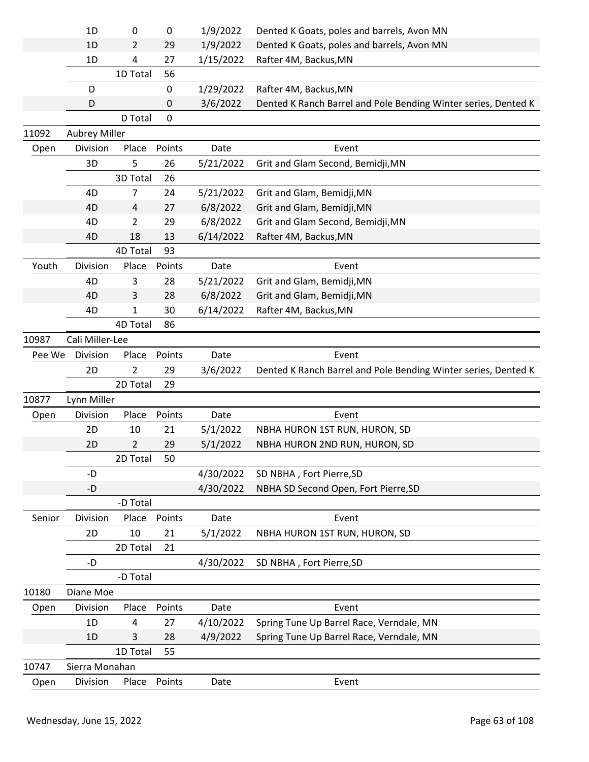|        | 1D                   | 0              | 0      | 1/9/2022  | Dented K Goats, poles and barrels, Avon MN                     |
|--------|----------------------|----------------|--------|-----------|----------------------------------------------------------------|
|        | 1D                   | 2              | 29     | 1/9/2022  | Dented K Goats, poles and barrels, Avon MN                     |
|        | 1D                   | 4              | 27     | 1/15/2022 | Rafter 4M, Backus, MN                                          |
|        |                      | 1D Total       | 56     |           |                                                                |
|        | D                    |                | 0      | 1/29/2022 | Rafter 4M, Backus, MN                                          |
|        | D                    |                | 0      | 3/6/2022  | Dented K Ranch Barrel and Pole Bending Winter series, Dented K |
|        |                      | D Total        | 0      |           |                                                                |
| 11092  | <b>Aubrey Miller</b> |                |        |           |                                                                |
| Open   | Division             | Place          | Points | Date      | Event                                                          |
|        | 3D                   | 5              | 26     | 5/21/2022 | Grit and Glam Second, Bemidji, MN                              |
|        |                      | 3D Total       | 26     |           |                                                                |
|        | 4D                   | 7              | 24     | 5/21/2022 | Grit and Glam, Bemidji, MN                                     |
|        | 4D                   | 4              | 27     | 6/8/2022  | Grit and Glam, Bemidji, MN                                     |
|        | 4D                   | 2              | 29     | 6/8/2022  | Grit and Glam Second, Bemidji, MN                              |
|        | 4D                   | 18             | 13     | 6/14/2022 | Rafter 4M, Backus, MN                                          |
|        |                      | 4D Total       | 93     |           |                                                                |
| Youth  | Division             | Place          | Points | Date      | Event                                                          |
|        | 4D                   | 3              | 28     | 5/21/2022 | Grit and Glam, Bemidji, MN                                     |
|        | 4D                   | 3              | 28     | 6/8/2022  | Grit and Glam, Bemidji, MN                                     |
|        | 4D                   | 1              | 30     | 6/14/2022 | Rafter 4M, Backus, MN                                          |
|        |                      | 4D Total       | 86     |           |                                                                |
| 10987  | Cali Miller-Lee      |                |        |           |                                                                |
| Pee We | Division             | Place          | Points | Date      | Event                                                          |
|        | 2D                   | $\overline{2}$ | 29     | 3/6/2022  | Dented K Ranch Barrel and Pole Bending Winter series, Dented K |
|        |                      | 2D Total       | 29     |           |                                                                |
| 10877  | Lynn Miller          |                |        |           |                                                                |
| Open   | Division             | Place          | Points | Date      | Event                                                          |
|        | 2D                   | 10             | 21     | 5/1/2022  | NBHA HURON 1ST RUN, HURON, SD                                  |
|        | 2D                   | $\overline{2}$ | 29     | 5/1/2022  | NBHA HURON 2ND RUN, HURON, SD                                  |
|        |                      | 2D Total       | 50     |           |                                                                |
|        | -D                   |                |        | 4/30/2022 | SD NBHA, Fort Pierre, SD                                       |
|        | -D                   |                |        | 4/30/2022 | NBHA SD Second Open, Fort Pierre, SD                           |
|        |                      | -D Total       |        |           |                                                                |
| Senior | Division             | Place          | Points | Date      | Event                                                          |
|        | 2D                   | 10             | 21     | 5/1/2022  | NBHA HURON 1ST RUN, HURON, SD                                  |
|        |                      | 2D Total       | 21     |           |                                                                |
|        | -D                   |                |        | 4/30/2022 | SD NBHA, Fort Pierre, SD                                       |
|        |                      | -D Total       |        |           |                                                                |
| 10180  | Diane Moe            |                |        |           |                                                                |
| Open   | Division             | Place          | Points | Date      | Event                                                          |
|        | 1D                   | 4              | 27     | 4/10/2022 | Spring Tune Up Barrel Race, Verndale, MN                       |
|        | 1D                   | 3              | 28     | 4/9/2022  | Spring Tune Up Barrel Race, Verndale, MN                       |
|        |                      | 1D Total       | 55     |           |                                                                |
| 10747  | Sierra Monahan       |                |        |           |                                                                |
| Open   | Division             | Place          | Points | Date      | Event                                                          |
|        |                      |                |        |           |                                                                |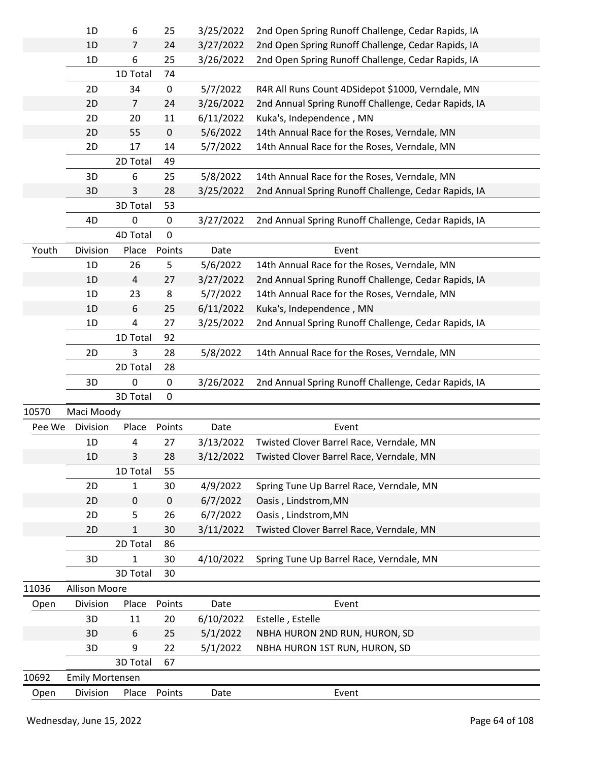|        | 1D                     | 6              | 25          | 3/25/2022 | 2nd Open Spring Runoff Challenge, Cedar Rapids, IA   |
|--------|------------------------|----------------|-------------|-----------|------------------------------------------------------|
|        | 1D                     | 7              | 24          | 3/27/2022 | 2nd Open Spring Runoff Challenge, Cedar Rapids, IA   |
|        | 1D                     | 6              | 25          | 3/26/2022 | 2nd Open Spring Runoff Challenge, Cedar Rapids, IA   |
|        |                        | 1D Total       | 74          |           |                                                      |
|        | 2D                     | 34             | $\pmb{0}$   | 5/7/2022  | R4R All Runs Count 4DSidepot \$1000, Verndale, MN    |
|        | 2D                     | $\overline{7}$ | 24          | 3/26/2022 | 2nd Annual Spring Runoff Challenge, Cedar Rapids, IA |
|        | 2D                     | 20             | 11          | 6/11/2022 | Kuka's, Independence, MN                             |
|        | 2D                     | 55             | $\pmb{0}$   | 5/6/2022  | 14th Annual Race for the Roses, Verndale, MN         |
|        | 2D                     | 17             | 14          | 5/7/2022  | 14th Annual Race for the Roses, Verndale, MN         |
|        |                        | 2D Total       | 49          |           |                                                      |
|        | 3D                     | 6              | 25          | 5/8/2022  | 14th Annual Race for the Roses, Verndale, MN         |
|        | 3D                     | 3              | 28          | 3/25/2022 | 2nd Annual Spring Runoff Challenge, Cedar Rapids, IA |
|        |                        | 3D Total       | 53          |           |                                                      |
|        | 4D                     | 0              | 0           | 3/27/2022 | 2nd Annual Spring Runoff Challenge, Cedar Rapids, IA |
|        |                        | 4D Total       | $\pmb{0}$   |           |                                                      |
| Youth  | Division               | Place          | Points      | Date      | Event                                                |
|        | 1D                     | 26             | 5           | 5/6/2022  | 14th Annual Race for the Roses, Verndale, MN         |
|        | 1D                     | 4              | 27          | 3/27/2022 | 2nd Annual Spring Runoff Challenge, Cedar Rapids, IA |
|        | 1D                     | 23             | 8           | 5/7/2022  | 14th Annual Race for the Roses, Verndale, MN         |
|        | 1D                     | 6              | 25          | 6/11/2022 | Kuka's, Independence, MN                             |
|        | 1D                     | 4              | 27          | 3/25/2022 | 2nd Annual Spring Runoff Challenge, Cedar Rapids, IA |
|        |                        | 1D Total       | 92          |           |                                                      |
|        | 2D                     | 3              | 28          | 5/8/2022  | 14th Annual Race for the Roses, Verndale, MN         |
|        |                        | 2D Total       | 28          |           |                                                      |
|        | 3D                     | 0              | 0           | 3/26/2022 | 2nd Annual Spring Runoff Challenge, Cedar Rapids, IA |
|        |                        | 3D Total       | $\mathbf 0$ |           |                                                      |
| 10570  | Maci Moody             |                |             |           |                                                      |
| Pee We | Division               | Place          | Points      | Date      | Event                                                |
|        | 1D                     | 4              | 27          | 3/13/2022 | Twisted Clover Barrel Race, Verndale, MN             |
|        | $1D$                   | 3              | 28          | 3/12/2022 | Twisted Clover Barrel Race, Verndale, MN             |
|        |                        | 1D Total       | 55          |           |                                                      |
|        | 2D                     | 1              | 30          | 4/9/2022  | Spring Tune Up Barrel Race, Verndale, MN             |
|        | 2D                     | 0              | $\pmb{0}$   | 6/7/2022  | Oasis, Lindstrom, MN                                 |
|        | 2D                     | 5              | 26          | 6/7/2022  | Oasis, Lindstrom, MN                                 |
|        | 2D                     | $\mathbf{1}$   | 30          | 3/11/2022 | Twisted Clover Barrel Race, Verndale, MN             |
|        |                        | 2D Total       | 86          |           |                                                      |
|        | 3D                     | 1              | 30          | 4/10/2022 | Spring Tune Up Barrel Race, Verndale, MN             |
|        |                        | 3D Total       | 30          |           |                                                      |
| 11036  | <b>Allison Moore</b>   |                |             |           |                                                      |
| Open   | Division               | Place          | Points      | Date      | Event                                                |
|        | 3D                     | 11             | 20          | 6/10/2022 | Estelle, Estelle                                     |
|        | 3D                     | 6              | 25          | 5/1/2022  | NBHA HURON 2ND RUN, HURON, SD                        |
|        | 3D                     | 9              | 22          | 5/1/2022  | NBHA HURON 1ST RUN, HURON, SD                        |
|        |                        | 3D Total       | 67          |           |                                                      |
| 10692  | <b>Emily Mortensen</b> |                |             |           |                                                      |
| Open   | Division               | Place          | Points      | Date      | Event                                                |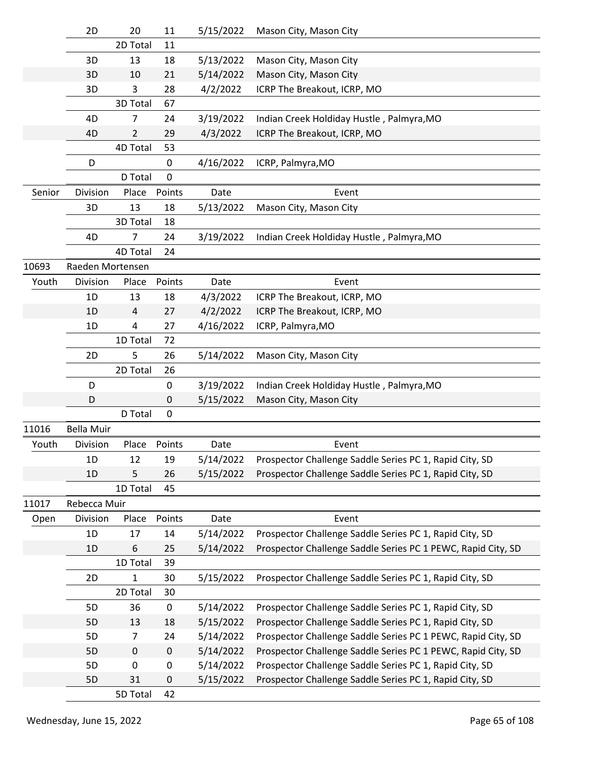|        | 2D                | 20             | 11          | 5/15/2022 | Mason City, Mason City                                       |
|--------|-------------------|----------------|-------------|-----------|--------------------------------------------------------------|
|        |                   | 2D Total       | 11          |           |                                                              |
|        | 3D                | 13             | 18          | 5/13/2022 | Mason City, Mason City                                       |
|        | 3D                | 10             | 21          | 5/14/2022 | Mason City, Mason City                                       |
|        | 3D                | 3              | 28          | 4/2/2022  | ICRP The Breakout, ICRP, MO                                  |
|        |                   | 3D Total       | 67          |           |                                                              |
|        | 4D                | 7              | 24          | 3/19/2022 | Indian Creek Holdiday Hustle, Palmyra, MO                    |
|        | 4D                | $\overline{2}$ | 29          | 4/3/2022  | ICRP The Breakout, ICRP, MO                                  |
|        |                   | 4D Total       | 53          |           |                                                              |
|        | D                 |                | 0           | 4/16/2022 | ICRP, Palmyra, MO                                            |
|        |                   | D Total        | $\mathbf 0$ |           |                                                              |
| Senior | Division          | Place          | Points      | Date      | Event                                                        |
|        | 3D                | 13             | 18          | 5/13/2022 | Mason City, Mason City                                       |
|        |                   | 3D Total       | 18          |           |                                                              |
|        | 4D                | 7              | 24          | 3/19/2022 | Indian Creek Holdiday Hustle, Palmyra, MO                    |
|        |                   | 4D Total       | 24          |           |                                                              |
| 10693  | Raeden Mortensen  |                |             |           |                                                              |
| Youth  | Division          | Place          | Points      | Date      | Event                                                        |
|        | 1D                | 13             | 18          | 4/3/2022  | ICRP The Breakout, ICRP, MO                                  |
|        | 1D                | $\overline{4}$ | 27          | 4/2/2022  | ICRP The Breakout, ICRP, MO                                  |
|        | 1D                | 4              | 27          | 4/16/2022 | ICRP, Palmyra, MO                                            |
|        |                   | 1D Total       | 72          |           |                                                              |
|        | 2D                | 5              | 26          | 5/14/2022 | Mason City, Mason City                                       |
|        |                   | 2D Total       | 26          |           |                                                              |
|        | D                 |                | 0           | 3/19/2022 | Indian Creek Holdiday Hustle, Palmyra, MO                    |
|        | D                 |                | 0           | 5/15/2022 | Mason City, Mason City                                       |
|        |                   | D Total        | 0           |           |                                                              |
| 11016  | <b>Bella Muir</b> |                |             |           |                                                              |
| Youth  | Division          | Place          | Points      | Date      | Event                                                        |
|        | 1D                | 12             | 19          | 5/14/2022 | Prospector Challenge Saddle Series PC 1, Rapid City, SD      |
|        | 1D                | 5              | 26          | 5/15/2022 | Prospector Challenge Saddle Series PC 1, Rapid City, SD      |
|        |                   | 1D Total       | 45          |           |                                                              |
| 11017  | Rebecca Muir      |                |             |           |                                                              |
| Open   | Division          | Place          | Points      | Date      | Event                                                        |
|        | 1D                | 17             | 14          | 5/14/2022 | Prospector Challenge Saddle Series PC 1, Rapid City, SD      |
|        | 1D                | 6              | 25          | 5/14/2022 | Prospector Challenge Saddle Series PC 1 PEWC, Rapid City, SD |
|        |                   | 1D Total       | 39          |           |                                                              |
|        | 2D                | 1              | 30          | 5/15/2022 | Prospector Challenge Saddle Series PC 1, Rapid City, SD      |
|        |                   | 2D Total       | 30          |           |                                                              |
|        | 5D                | 36             | $\pmb{0}$   | 5/14/2022 | Prospector Challenge Saddle Series PC 1, Rapid City, SD      |
|        | 5D                | 13             | 18          | 5/15/2022 | Prospector Challenge Saddle Series PC 1, Rapid City, SD      |
|        | 5D                | $\overline{7}$ | 24          | 5/14/2022 | Prospector Challenge Saddle Series PC 1 PEWC, Rapid City, SD |
|        | 5D                | $\mathbf 0$    | $\mathbf 0$ | 5/14/2022 | Prospector Challenge Saddle Series PC 1 PEWC, Rapid City, SD |
|        | 5D                | 0              | $\pmb{0}$   | 5/14/2022 | Prospector Challenge Saddle Series PC 1, Rapid City, SD      |
|        | 5D                | 31             | $\pmb{0}$   | 5/15/2022 | Prospector Challenge Saddle Series PC 1, Rapid City, SD      |
|        |                   | 5D Total       | 42          |           |                                                              |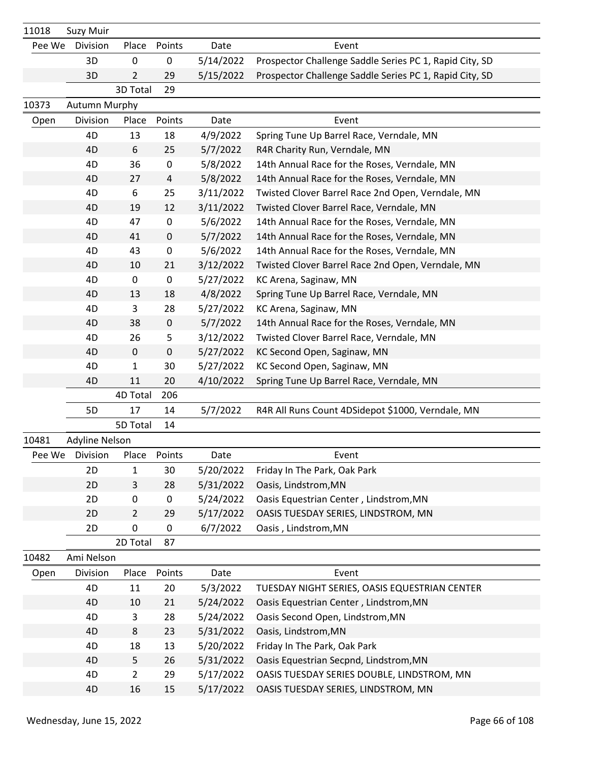| 11018  | <b>Suzy Muir</b> |                |           |           |                                                         |
|--------|------------------|----------------|-----------|-----------|---------------------------------------------------------|
| Pee We | Division         | Place          | Points    | Date      | Event                                                   |
|        | 3D               | $\mathbf 0$    | $\pmb{0}$ | 5/14/2022 | Prospector Challenge Saddle Series PC 1, Rapid City, SD |
|        | 3D               | 2              | 29        | 5/15/2022 | Prospector Challenge Saddle Series PC 1, Rapid City, SD |
|        |                  | 3D Total       | 29        |           |                                                         |
| 10373  | Autumn Murphy    |                |           |           |                                                         |
| Open   | Division         | Place          | Points    | Date      | Event                                                   |
|        | 4D               | 13             | 18        | 4/9/2022  | Spring Tune Up Barrel Race, Verndale, MN                |
|        | 4D               | 6              | 25        | 5/7/2022  | R4R Charity Run, Verndale, MN                           |
|        | 4D               | 36             | 0         | 5/8/2022  | 14th Annual Race for the Roses, Verndale, MN            |
|        | 4D               | 27             | 4         | 5/8/2022  | 14th Annual Race for the Roses, Verndale, MN            |
|        | 4D               | 6              | 25        | 3/11/2022 | Twisted Clover Barrel Race 2nd Open, Verndale, MN       |
|        | 4D               | 19             | 12        | 3/11/2022 | Twisted Clover Barrel Race, Verndale, MN                |
|        | 4D               | 47             | 0         | 5/6/2022  | 14th Annual Race for the Roses, Verndale, MN            |
|        | 4D               | 41             | 0         | 5/7/2022  | 14th Annual Race for the Roses, Verndale, MN            |
|        | 4D               | 43             | $\pmb{0}$ | 5/6/2022  | 14th Annual Race for the Roses, Verndale, MN            |
|        | 4D               | 10             | 21        | 3/12/2022 | Twisted Clover Barrel Race 2nd Open, Verndale, MN       |
|        | 4D               | $\pmb{0}$      | $\pmb{0}$ | 5/27/2022 | KC Arena, Saginaw, MN                                   |
|        | 4D               | 13             | 18        | 4/8/2022  | Spring Tune Up Barrel Race, Verndale, MN                |
|        | 4D               | 3              | 28        | 5/27/2022 | KC Arena, Saginaw, MN                                   |
|        | 4D               | 38             | $\pmb{0}$ | 5/7/2022  | 14th Annual Race for the Roses, Verndale, MN            |
|        | 4D               | 26             | 5         | 3/12/2022 | Twisted Clover Barrel Race, Verndale, MN                |
|        | 4D               | 0              | 0         | 5/27/2022 | KC Second Open, Saginaw, MN                             |
|        | 4D               | 1              | 30        | 5/27/2022 | KC Second Open, Saginaw, MN                             |
|        | 4D               | 11             | 20        | 4/10/2022 | Spring Tune Up Barrel Race, Verndale, MN                |
|        |                  | 4D Total       | 206       |           |                                                         |
|        | 5D               | 17             | 14        | 5/7/2022  | R4R All Runs Count 4DSidepot \$1000, Verndale, MN       |
|        |                  | 5D Total       | 14        |           |                                                         |
| 10481  | Adyline Nelson   |                |           |           |                                                         |
| Pee We | Division         | Place          | Points    | Date      | Event                                                   |
|        | 2D               | $\mathbf{1}$   | 30        | 5/20/2022 | Friday In The Park, Oak Park                            |
|        | 2D               | 3              | 28        | 5/31/2022 | Oasis, Lindstrom, MN                                    |
|        | 2D               | 0              | 0         | 5/24/2022 | Oasis Equestrian Center, Lindstrom, MN                  |
|        | 2D               | $\overline{2}$ | 29        | 5/17/2022 | OASIS TUESDAY SERIES, LINDSTROM, MN                     |
|        | 2D               | $\pmb{0}$      | 0         | 6/7/2022  | Oasis, Lindstrom, MN                                    |
| 10482  | Ami Nelson       | 2D Total       | 87        |           |                                                         |
| Open   | Division         | Place          | Points    | Date      | Event                                                   |
|        | 4D               | 11             | 20        | 5/3/2022  | TUESDAY NIGHT SERIES, OASIS EQUESTRIAN CENTER           |
|        | 4D               | 10             | 21        | 5/24/2022 | Oasis Equestrian Center, Lindstrom, MN                  |
|        | 4D               | 3              | 28        | 5/24/2022 | Oasis Second Open, Lindstrom, MN                        |
|        | 4D               | 8              | 23        | 5/31/2022 | Oasis, Lindstrom, MN                                    |
|        | 4D               | 18             | 13        | 5/20/2022 | Friday In The Park, Oak Park                            |
|        | 4D               | 5              | 26        | 5/31/2022 | Oasis Equestrian Secpnd, Lindstrom, MN                  |
|        | 4D               | $\overline{2}$ | 29        | 5/17/2022 | OASIS TUESDAY SERIES DOUBLE, LINDSTROM, MN              |
|        | 4D               | 16             | 15        | 5/17/2022 | OASIS TUESDAY SERIES, LINDSTROM, MN                     |
|        |                  |                |           |           |                                                         |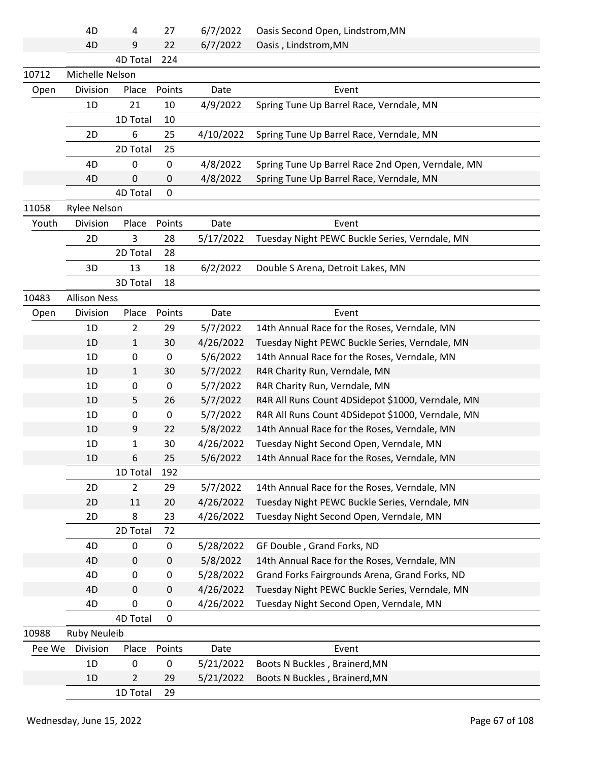|        | 4D                  | 4              | 27        | 6/7/2022  | Oasis Second Open, Lindstrom, MN                  |
|--------|---------------------|----------------|-----------|-----------|---------------------------------------------------|
|        | 4D                  | 9              | 22        | 6/7/2022  | Oasis, Lindstrom, MN                              |
|        |                     | 4D Total       | 224       |           |                                                   |
| 10712  | Michelle Nelson     |                |           |           |                                                   |
| Open   | Division            | Place          | Points    | Date      | Event                                             |
|        | 1D                  | 21             | 10        | 4/9/2022  | Spring Tune Up Barrel Race, Verndale, MN          |
|        |                     | 1D Total       | 10        |           |                                                   |
|        | 2D                  | 6              | 25        | 4/10/2022 | Spring Tune Up Barrel Race, Verndale, MN          |
|        |                     | 2D Total       | 25        |           |                                                   |
|        | 4D                  | 0              | 0         | 4/8/2022  | Spring Tune Up Barrel Race 2nd Open, Verndale, MN |
|        | 4D                  | $\mathbf 0$    | 0         | 4/8/2022  | Spring Tune Up Barrel Race, Verndale, MN          |
|        |                     | 4D Total       | 0         |           |                                                   |
| 11058  | <b>Rylee Nelson</b> |                |           |           |                                                   |
| Youth  | Division            | Place          | Points    | Date      | Event                                             |
|        | 2D                  | 3              | 28        | 5/17/2022 | Tuesday Night PEWC Buckle Series, Verndale, MN    |
|        |                     | 2D Total       | 28        |           |                                                   |
|        | 3D                  | 13             | 18        | 6/2/2022  | Double S Arena, Detroit Lakes, MN                 |
|        |                     | 3D Total       | 18        |           |                                                   |
| 10483  | <b>Allison Ness</b> |                |           |           |                                                   |
| Open   | Division            | Place          | Points    | Date      | Event                                             |
|        | 1D                  | $\overline{2}$ | 29        | 5/7/2022  | 14th Annual Race for the Roses, Verndale, MN      |
|        | 1D                  | $\mathbf{1}$   | 30        | 4/26/2022 | Tuesday Night PEWC Buckle Series, Verndale, MN    |
|        | 1D                  | 0              | 0         | 5/6/2022  | 14th Annual Race for the Roses, Verndale, MN      |
|        | 1D                  | $\mathbf{1}$   | 30        | 5/7/2022  | R4R Charity Run, Verndale, MN                     |
|        | 1D                  | 0              | $\pmb{0}$ | 5/7/2022  | R4R Charity Run, Verndale, MN                     |
|        | 1D                  | 5              | 26        | 5/7/2022  | R4R All Runs Count 4DSidepot \$1000, Verndale, MN |
|        | 1D                  | 0              | $\pmb{0}$ | 5/7/2022  | R4R All Runs Count 4DSidepot \$1000, Verndale, MN |
|        | 1D                  | 9              | 22        | 5/8/2022  | 14th Annual Race for the Roses, Verndale, MN      |
|        | 1D                  | 1              | 30        | 4/26/2022 | Tuesday Night Second Open, Verndale, MN           |
|        | 1D                  | 6              | 25        | 5/6/2022  | 14th Annual Race for the Roses, Verndale, MN      |
|        |                     | 1D Total       | 192       |           |                                                   |
|        | 2D                  | $\overline{2}$ | 29        | 5/7/2022  | 14th Annual Race for the Roses, Verndale, MN      |
|        | 2D                  | 11             | 20        | 4/26/2022 | Tuesday Night PEWC Buckle Series, Verndale, MN    |
|        | 2D                  | 8              | 23        | 4/26/2022 | Tuesday Night Second Open, Verndale, MN           |
|        |                     | 2D Total       | 72        |           |                                                   |
|        | 4D                  | 0              | $\pmb{0}$ | 5/28/2022 | GF Double, Grand Forks, ND                        |
|        | 4D                  | 0              | 0         | 5/8/2022  | 14th Annual Race for the Roses, Verndale, MN      |
|        | 4D                  | 0              | 0         | 5/28/2022 | Grand Forks Fairgrounds Arena, Grand Forks, ND    |
|        | 4D                  | 0              | 0         | 4/26/2022 | Tuesday Night PEWC Buckle Series, Verndale, MN    |
|        | 4D                  | 0              | 0         | 4/26/2022 | Tuesday Night Second Open, Verndale, MN           |
|        |                     | 4D Total       | 0         |           |                                                   |
| 10988  | <b>Ruby Neuleib</b> |                |           |           |                                                   |
| Pee We | Division            | Place          | Points    | Date      | Event                                             |
|        | 1D                  | 0              | 0         | 5/21/2022 | Boots N Buckles, Brainerd, MN                     |
|        | 1D                  | $\overline{2}$ | 29        | 5/21/2022 | Boots N Buckles, Brainerd, MN                     |
|        |                     | 1D Total       | 29        |           |                                                   |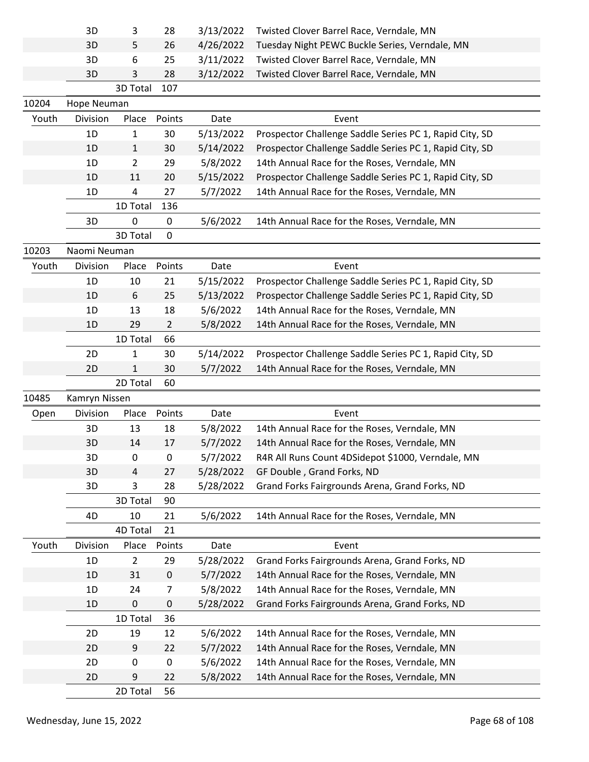|       | 3D            | 3              | 28             | 3/13/2022 | Twisted Clover Barrel Race, Verndale, MN                |  |
|-------|---------------|----------------|----------------|-----------|---------------------------------------------------------|--|
|       | 3D            | 5              | 26             | 4/26/2022 | Tuesday Night PEWC Buckle Series, Verndale, MN          |  |
|       | 3D            | 6              | 25             | 3/11/2022 | Twisted Clover Barrel Race, Verndale, MN                |  |
|       | 3D            | 3              | 28             | 3/12/2022 | Twisted Clover Barrel Race, Verndale, MN                |  |
|       |               | 3D Total       | 107            |           |                                                         |  |
| 10204 | Hope Neuman   |                |                |           |                                                         |  |
| Youth | Division      | Place          | Points         | Date      | Event                                                   |  |
|       | 1D            | 1              | 30             | 5/13/2022 | Prospector Challenge Saddle Series PC 1, Rapid City, SD |  |
|       | 1D            | $\mathbf{1}$   | 30             | 5/14/2022 | Prospector Challenge Saddle Series PC 1, Rapid City, SD |  |
|       | 1D            | $\overline{2}$ | 29             | 5/8/2022  | 14th Annual Race for the Roses, Verndale, MN            |  |
|       | 1D            | 11             | 20             | 5/15/2022 | Prospector Challenge Saddle Series PC 1, Rapid City, SD |  |
|       | 1D            | 4              | 27             | 5/7/2022  | 14th Annual Race for the Roses, Verndale, MN            |  |
|       |               | 1D Total       | 136            |           |                                                         |  |
|       | 3D            | 0              | $\mathbf 0$    | 5/6/2022  | 14th Annual Race for the Roses, Verndale, MN            |  |
|       |               | 3D Total       | 0              |           |                                                         |  |
| 10203 | Naomi Neuman  |                |                |           |                                                         |  |
| Youth | Division      | Place          | Points         | Date      | Event                                                   |  |
|       | 1D            | 10             | 21             | 5/15/2022 | Prospector Challenge Saddle Series PC 1, Rapid City, SD |  |
|       | 1D            | 6              | 25             | 5/13/2022 | Prospector Challenge Saddle Series PC 1, Rapid City, SD |  |
|       | 1D            | 13             | 18             | 5/6/2022  | 14th Annual Race for the Roses, Verndale, MN            |  |
|       |               |                |                | 5/8/2022  |                                                         |  |
|       | 1D            | 29             | $\overline{2}$ |           | 14th Annual Race for the Roses, Verndale, MN            |  |
|       |               | 1D Total       | 66             |           |                                                         |  |
|       | 2D            | $\mathbf{1}$   | 30             | 5/14/2022 | Prospector Challenge Saddle Series PC 1, Rapid City, SD |  |
|       |               |                |                |           |                                                         |  |
|       | 2D            | 1              | 30             | 5/7/2022  | 14th Annual Race for the Roses, Verndale, MN            |  |
|       |               | 2D Total       | 60             |           |                                                         |  |
| 10485 | Kamryn Nissen |                |                |           |                                                         |  |
| Open  | Division      | Place          | Points         | Date      | Event                                                   |  |
|       | 3D            | 13             | 18             | 5/8/2022  | 14th Annual Race for the Roses, Verndale, MN            |  |
|       | 3D            | 14             | 17             | 5/7/2022  | 14th Annual Race for the Roses, Verndale, MN            |  |
|       | 3D            | 0              | 0              | 5/7/2022  | R4R All Runs Count 4DSidepot \$1000, Verndale, MN       |  |
|       | 3D            | 4              | 27             | 5/28/2022 | GF Double, Grand Forks, ND                              |  |
|       | 3D            | 3              | 28             | 5/28/2022 | Grand Forks Fairgrounds Arena, Grand Forks, ND          |  |
|       |               | 3D Total       | 90             |           |                                                         |  |
|       | 4D            | 10             | 21             | 5/6/2022  | 14th Annual Race for the Roses, Verndale, MN            |  |
|       |               | 4D Total       | 21             |           |                                                         |  |
| Youth | Division      | Place          | Points         | Date      | Event                                                   |  |
|       | 1D            | $\overline{2}$ | 29             | 5/28/2022 | Grand Forks Fairgrounds Arena, Grand Forks, ND          |  |
|       | 1D            | 31             | $\pmb{0}$      | 5/7/2022  | 14th Annual Race for the Roses, Verndale, MN            |  |
|       | 1D            | 24             | 7              | 5/8/2022  | 14th Annual Race for the Roses, Verndale, MN            |  |
|       | 1D            | 0              | 0              | 5/28/2022 | Grand Forks Fairgrounds Arena, Grand Forks, ND          |  |
|       |               | 1D Total       | 36             |           |                                                         |  |
|       | 2D            | 19             | 12             | 5/6/2022  | 14th Annual Race for the Roses, Verndale, MN            |  |
|       | 2D            | 9              | 22             | 5/7/2022  | 14th Annual Race for the Roses, Verndale, MN            |  |
|       | 2D            | 0              | 0              | 5/6/2022  | 14th Annual Race for the Roses, Verndale, MN            |  |
|       | 2D            | 9              | 22             | 5/8/2022  | 14th Annual Race for the Roses, Verndale, MN            |  |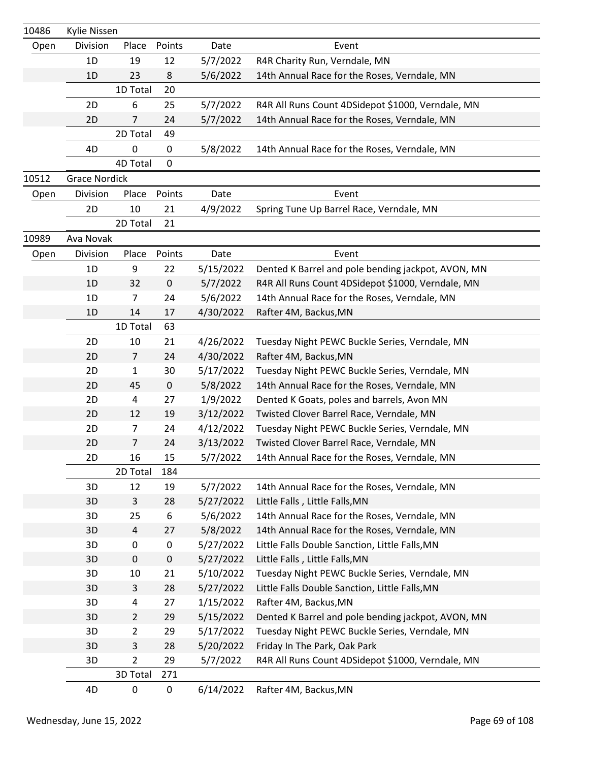| 10486 | Kylie Nissen         |                |           |           |                                                    |
|-------|----------------------|----------------|-----------|-----------|----------------------------------------------------|
| Open  | Division             | Place          | Points    | Date      | Event                                              |
|       | 1D                   | 19             | 12        | 5/7/2022  | R4R Charity Run, Verndale, MN                      |
|       | 1D                   | 23             | 8         | 5/6/2022  | 14th Annual Race for the Roses, Verndale, MN       |
|       |                      | 1D Total       | 20        |           |                                                    |
|       | 2D                   | 6              | 25        | 5/7/2022  | R4R All Runs Count 4DSidepot \$1000, Verndale, MN  |
|       | 2D                   | 7              | 24        | 5/7/2022  | 14th Annual Race for the Roses, Verndale, MN       |
|       |                      | 2D Total       | 49        |           |                                                    |
|       | 4D                   | 0              | 0         | 5/8/2022  | 14th Annual Race for the Roses, Verndale, MN       |
|       |                      | 4D Total       | 0         |           |                                                    |
| 10512 | <b>Grace Nordick</b> |                |           |           |                                                    |
| Open  | Division             | Place          | Points    | Date      | Event                                              |
|       | 2D                   | 10             | 21        | 4/9/2022  | Spring Tune Up Barrel Race, Verndale, MN           |
|       |                      | 2D Total       | 21        |           |                                                    |
| 10989 | Ava Novak            |                |           |           |                                                    |
| Open  | Division             | Place          | Points    | Date      | Event                                              |
|       | 1D                   | 9              | 22        | 5/15/2022 | Dented K Barrel and pole bending jackpot, AVON, MN |
|       | 1D                   | 32             | $\pmb{0}$ | 5/7/2022  | R4R All Runs Count 4DSidepot \$1000, Verndale, MN  |
|       | 1D                   | 7              | 24        | 5/6/2022  | 14th Annual Race for the Roses, Verndale, MN       |
|       | 1D                   | 14             | 17        | 4/30/2022 | Rafter 4M, Backus, MN                              |
|       |                      | 1D Total       | 63        |           |                                                    |
|       | 2D                   | 10             | 21        | 4/26/2022 | Tuesday Night PEWC Buckle Series, Verndale, MN     |
|       | 2D                   | $\overline{7}$ | 24        | 4/30/2022 | Rafter 4M, Backus, MN                              |
|       | 2D                   | 1              | 30        | 5/17/2022 | Tuesday Night PEWC Buckle Series, Verndale, MN     |
|       | 2D                   | 45             | $\pmb{0}$ | 5/8/2022  | 14th Annual Race for the Roses, Verndale, MN       |
|       | 2D                   | 4              | 27        | 1/9/2022  | Dented K Goats, poles and barrels, Avon MN         |
|       | 2D                   | 12             | 19        | 3/12/2022 | Twisted Clover Barrel Race, Verndale, MN           |
|       | 2D                   | 7              | 24        | 4/12/2022 | Tuesday Night PEWC Buckle Series, Verndale, MN     |
|       | 2D                   | 7              | 24        | 3/13/2022 | Twisted Clover Barrel Race, Verndale, MN           |
|       | 2D                   | 16             | 15        | 5/7/2022  | 14th Annual Race for the Roses, Verndale, MN       |
|       |                      | 2D Total       | 184       |           |                                                    |
|       | 3D                   | 12             | 19        | 5/7/2022  | 14th Annual Race for the Roses, Verndale, MN       |
|       | 3D                   | $\mathsf{3}$   | 28        | 5/27/2022 | Little Falls, Little Falls, MN                     |
|       | 3D                   | 25             | 6         | 5/6/2022  | 14th Annual Race for the Roses, Verndale, MN       |
|       | 3D                   | $\overline{a}$ | 27        | 5/8/2022  | 14th Annual Race for the Roses, Verndale, MN       |
|       | 3D                   | 0              | 0         | 5/27/2022 | Little Falls Double Sanction, Little Falls, MN     |
|       | 3D                   | $\pmb{0}$      | $\pmb{0}$ | 5/27/2022 | Little Falls, Little Falls, MN                     |
|       | 3D                   | 10             | 21        | 5/10/2022 | Tuesday Night PEWC Buckle Series, Verndale, MN     |
|       | 3D                   | 3              | 28        | 5/27/2022 | Little Falls Double Sanction, Little Falls, MN     |
|       | 3D                   | 4              | 27        | 1/15/2022 | Rafter 4M, Backus, MN                              |
|       | 3D                   | $\overline{2}$ | 29        | 5/15/2022 | Dented K Barrel and pole bending jackpot, AVON, MN |
|       | 3D                   | $\overline{2}$ | 29        | 5/17/2022 | Tuesday Night PEWC Buckle Series, Verndale, MN     |
|       | 3D                   | 3              | 28        | 5/20/2022 | Friday In The Park, Oak Park                       |
|       | 3D                   | 2              | 29        | 5/7/2022  | R4R All Runs Count 4DSidepot \$1000, Verndale, MN  |
|       |                      | 3D Total       | 271       |           |                                                    |
|       | 4D                   | 0              | 0         | 6/14/2022 | Rafter 4M, Backus, MN                              |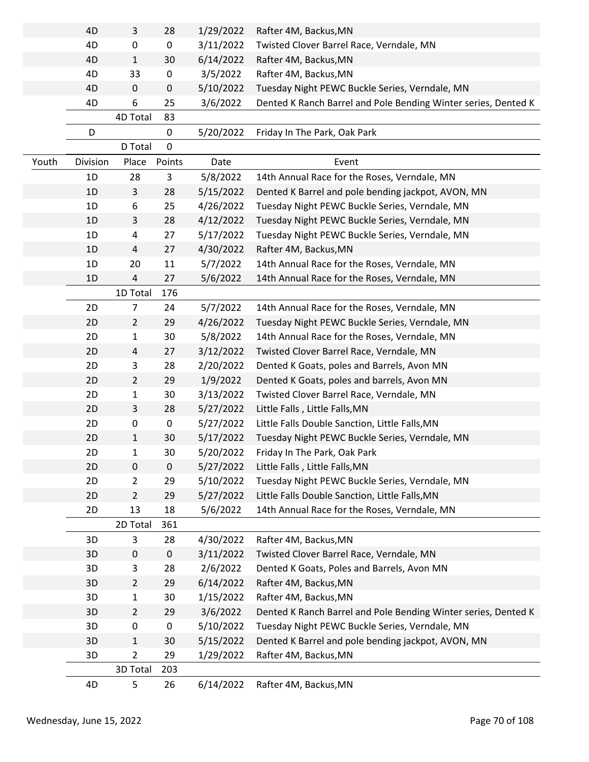|       | 4D       | 3              | 28          | 1/29/2022 | Rafter 4M, Backus, MN                                          |
|-------|----------|----------------|-------------|-----------|----------------------------------------------------------------|
|       | 4D       | 0              | 0           | 3/11/2022 | Twisted Clover Barrel Race, Verndale, MN                       |
|       | 4D       | $\mathbf{1}$   | 30          | 6/14/2022 | Rafter 4M, Backus, MN                                          |
|       | 4D       | 33             | $\mathbf 0$ | 3/5/2022  | Rafter 4M, Backus, MN                                          |
|       | 4D       | 0              | 0           | 5/10/2022 | Tuesday Night PEWC Buckle Series, Verndale, MN                 |
|       | 4D       | 6              | 25          | 3/6/2022  | Dented K Ranch Barrel and Pole Bending Winter series, Dented K |
|       |          | 4D Total       | 83          |           |                                                                |
|       | D        |                | 0           | 5/20/2022 | Friday In The Park, Oak Park                                   |
|       |          | D Total        | $\mathbf 0$ |           |                                                                |
| Youth | Division | Place          | Points      | Date      | Event                                                          |
|       | 1D       | 28             | 3           | 5/8/2022  | 14th Annual Race for the Roses, Verndale, MN                   |
|       | 1D       | 3              | 28          | 5/15/2022 | Dented K Barrel and pole bending jackpot, AVON, MN             |
|       | 1D       | 6              | 25          | 4/26/2022 | Tuesday Night PEWC Buckle Series, Verndale, MN                 |
|       | 1D       | 3              | 28          | 4/12/2022 | Tuesday Night PEWC Buckle Series, Verndale, MN                 |
|       | 1D       | 4              | 27          | 5/17/2022 | Tuesday Night PEWC Buckle Series, Verndale, MN                 |
|       | 1D       | 4              | 27          | 4/30/2022 | Rafter 4M, Backus, MN                                          |
|       | 1D       | 20             | 11          | 5/7/2022  | 14th Annual Race for the Roses, Verndale, MN                   |
|       | 1D       | 4              | 27          | 5/6/2022  | 14th Annual Race for the Roses, Verndale, MN                   |
|       |          | 1D Total       | 176         |           |                                                                |
|       | 2D       | $\overline{7}$ | 24          | 5/7/2022  | 14th Annual Race for the Roses, Verndale, MN                   |
|       | 2D       | $\overline{2}$ | 29          | 4/26/2022 | Tuesday Night PEWC Buckle Series, Verndale, MN                 |
|       | 2D       | $\mathbf{1}$   | 30          | 5/8/2022  | 14th Annual Race for the Roses, Verndale, MN                   |
|       | 2D       | 4              | 27          | 3/12/2022 | Twisted Clover Barrel Race, Verndale, MN                       |
|       | 2D       | 3              | 28          | 2/20/2022 | Dented K Goats, poles and Barrels, Avon MN                     |
|       | 2D       | $\overline{2}$ | 29          | 1/9/2022  | Dented K Goats, poles and barrels, Avon MN                     |
|       | 2D       | 1              | 30          | 3/13/2022 | Twisted Clover Barrel Race, Verndale, MN                       |
|       | 2D       | 3              | 28          | 5/27/2022 | Little Falls, Little Falls, MN                                 |
|       | 2D       | 0              | $\pmb{0}$   | 5/27/2022 | Little Falls Double Sanction, Little Falls, MN                 |
|       | 2D       | $\mathbf{1}$   | 30          | 5/17/2022 | Tuesday Night PEWC Buckle Series, Verndale, MN                 |
|       | 2D       | 1              | 30          | 5/20/2022 | Friday In The Park, Oak Park                                   |
|       | 2D       | 0              | $\mathbf 0$ | 5/27/2022 | Little Falls, Little Falls, MN                                 |
|       | 2D       | $\overline{2}$ | 29          | 5/10/2022 | Tuesday Night PEWC Buckle Series, Verndale, MN                 |
|       | 2D       | $\overline{2}$ | 29          | 5/27/2022 | Little Falls Double Sanction, Little Falls, MN                 |
|       | 2D       | 13             | 18          | 5/6/2022  | 14th Annual Race for the Roses, Verndale, MN                   |
|       |          | 2D Total       | 361         |           |                                                                |
|       | 3D       | 3              | 28          | 4/30/2022 | Rafter 4M, Backus, MN                                          |
|       | 3D       | 0              | $\mathbf 0$ | 3/11/2022 | Twisted Clover Barrel Race, Verndale, MN                       |
|       | 3D       | 3              | 28          | 2/6/2022  | Dented K Goats, Poles and Barrels, Avon MN                     |
|       | 3D       | $\overline{2}$ | 29          | 6/14/2022 | Rafter 4M, Backus, MN                                          |
|       | 3D       | 1              | 30          | 1/15/2022 | Rafter 4M, Backus, MN                                          |
|       | 3D       | $\overline{2}$ | 29          | 3/6/2022  | Dented K Ranch Barrel and Pole Bending Winter series, Dented K |
|       | 3D       | 0              | $\pmb{0}$   | 5/10/2022 | Tuesday Night PEWC Buckle Series, Verndale, MN                 |
|       | 3D       | $\mathbf{1}$   | 30          | 5/15/2022 | Dented K Barrel and pole bending jackpot, AVON, MN             |
|       | 3D       | $\overline{2}$ | 29          | 1/29/2022 | Rafter 4M, Backus, MN                                          |
|       |          | 3D Total       | 203         |           |                                                                |
|       | 4D       | 5              | 26          | 6/14/2022 | Rafter 4M, Backus, MN                                          |
|       |          |                |             |           |                                                                |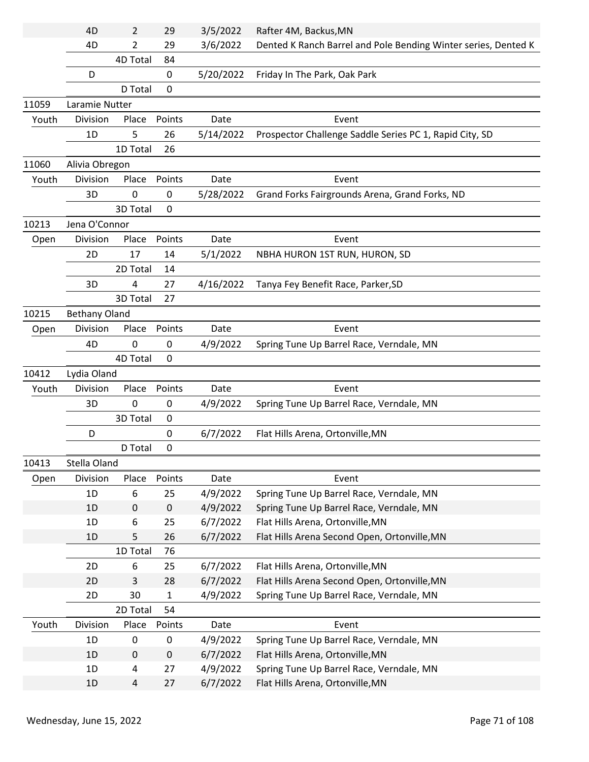|       | 4D                   | 2         | 29          | 3/5/2022  | Rafter 4M, Backus, MN                                          |
|-------|----------------------|-----------|-------------|-----------|----------------------------------------------------------------|
|       | 4D                   | 2         | 29          | 3/6/2022  | Dented K Ranch Barrel and Pole Bending Winter series, Dented K |
|       |                      | 4D Total  | 84          |           |                                                                |
|       | D                    |           | 0           | 5/20/2022 | Friday In The Park, Oak Park                                   |
|       |                      | D Total   | 0           |           |                                                                |
| 11059 | Laramie Nutter       |           |             |           |                                                                |
| Youth | Division             | Place     | Points      | Date      | Event                                                          |
|       | 1D                   | 5         | 26          | 5/14/2022 | Prospector Challenge Saddle Series PC 1, Rapid City, SD        |
|       |                      | 1D Total  | 26          |           |                                                                |
| 11060 | Alivia Obregon       |           |             |           |                                                                |
| Youth | Division             | Place     | Points      | Date      | Event                                                          |
|       | 3D                   | 0         | 0           | 5/28/2022 | Grand Forks Fairgrounds Arena, Grand Forks, ND                 |
|       |                      | 3D Total  | 0           |           |                                                                |
| 10213 | Jena O'Connor        |           |             |           |                                                                |
| Open  | Division             | Place     | Points      | Date      | Event                                                          |
|       | 2D                   | 17        | 14          | 5/1/2022  | NBHA HURON 1ST RUN, HURON, SD                                  |
|       |                      | 2D Total  | 14          |           |                                                                |
|       | 3D                   | 4         | 27          | 4/16/2022 | Tanya Fey Benefit Race, Parker, SD                             |
|       |                      | 3D Total  | 27          |           |                                                                |
| 10215 | <b>Bethany Oland</b> |           |             |           |                                                                |
| Open  | Division             | Place     | Points      | Date      | Event                                                          |
|       | 4D                   | 0         | 0           | 4/9/2022  | Spring Tune Up Barrel Race, Verndale, MN                       |
|       |                      | 4D Total  | 0           |           |                                                                |
| 10412 | Lydia Oland          |           |             |           |                                                                |
| Youth | Division             | Place     | Points      | Date      | Event                                                          |
|       | 3D                   | $\pmb{0}$ | 0           | 4/9/2022  | Spring Tune Up Barrel Race, Verndale, MN                       |
|       |                      | 3D Total  | 0           |           |                                                                |
|       | D                    |           | 0           | 6/7/2022  | Flat Hills Arena, Ortonville, MN                               |
|       |                      | D Total   | 0           |           |                                                                |
| 10413 | Stella Oland         |           |             |           |                                                                |
| Open  | Division             | Place     | Points      | Date      | Event                                                          |
|       | 1D                   | 6         | 25          | 4/9/2022  | Spring Tune Up Barrel Race, Verndale, MN                       |
|       | 1D                   | $\pmb{0}$ | $\pmb{0}$   | 4/9/2022  | Spring Tune Up Barrel Race, Verndale, MN                       |
|       | 1D                   | 6         | 25          | 6/7/2022  | Flat Hills Arena, Ortonville, MN                               |
|       | 1D                   | 5         | 26          | 6/7/2022  | Flat Hills Arena Second Open, Ortonville, MN                   |
|       |                      | 1D Total  | 76          |           |                                                                |
|       | 2D                   | 6         | 25          | 6/7/2022  | Flat Hills Arena, Ortonville, MN                               |
|       | 2D                   | 3         | 28          | 6/7/2022  | Flat Hills Arena Second Open, Ortonville, MN                   |
|       | 2D                   | 30        | $\mathbf 1$ | 4/9/2022  | Spring Tune Up Barrel Race, Verndale, MN                       |
|       |                      | 2D Total  | 54          |           |                                                                |
| Youth | Division             | Place     | Points      | Date      | Event                                                          |
|       | 1D                   | $\pmb{0}$ | $\pmb{0}$   | 4/9/2022  | Spring Tune Up Barrel Race, Verndale, MN                       |
|       | 1D                   | 0         | $\pmb{0}$   | 6/7/2022  | Flat Hills Arena, Ortonville, MN                               |
|       | 1D                   | 4         | 27          | 4/9/2022  | Spring Tune Up Barrel Race, Verndale, MN                       |
|       | 1D                   | 4         | 27          | 6/7/2022  | Flat Hills Arena, Ortonville, MN                               |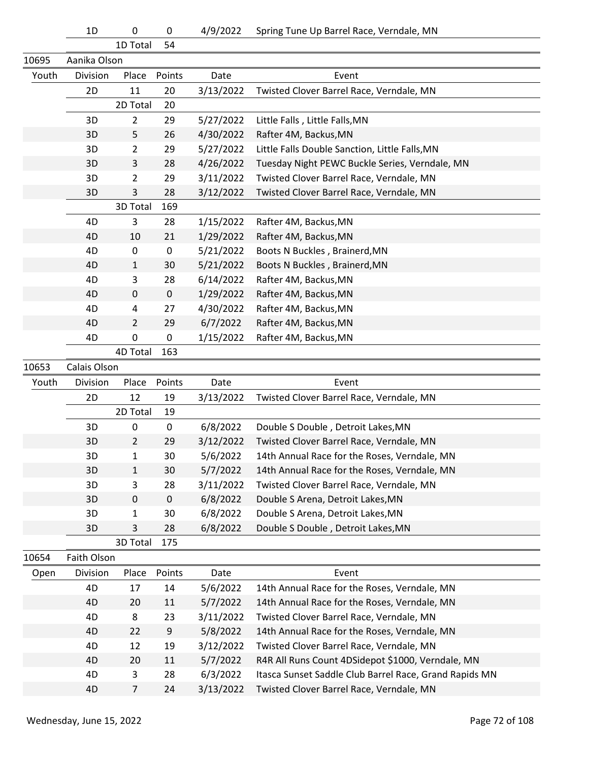1D Total 54

| 10695 | Aanika Olson |                |             |           |                                                        |
|-------|--------------|----------------|-------------|-----------|--------------------------------------------------------|
| Youth | Division     | Place          | Points      | Date      | Event                                                  |
|       | 2D           | 11             | 20          | 3/13/2022 | Twisted Clover Barrel Race, Verndale, MN               |
|       |              | 2D Total       | 20          |           |                                                        |
|       | 3D           | $\overline{2}$ | 29          | 5/27/2022 | Little Falls, Little Falls, MN                         |
|       | 3D           | 5              | 26          | 4/30/2022 | Rafter 4M, Backus, MN                                  |
|       | 3D           | 2              | 29          | 5/27/2022 | Little Falls Double Sanction, Little Falls, MN         |
|       | 3D           | 3              | 28          | 4/26/2022 | Tuesday Night PEWC Buckle Series, Verndale, MN         |
|       | 3D           | 2              | 29          | 3/11/2022 | Twisted Clover Barrel Race, Verndale, MN               |
|       | 3D           | 3              | 28          | 3/12/2022 | Twisted Clover Barrel Race, Verndale, MN               |
|       |              | 3D Total       | 169         |           |                                                        |
|       | 4D           | 3              | 28          | 1/15/2022 | Rafter 4M, Backus, MN                                  |
|       | 4D           | 10             | 21          | 1/29/2022 | Rafter 4M, Backus, MN                                  |
|       | 4D           | 0              | $\pmb{0}$   | 5/21/2022 | Boots N Buckles, Brainerd, MN                          |
|       | 4D           | 1              | 30          | 5/21/2022 | Boots N Buckles, Brainerd, MN                          |
|       | 4D           | 3              | 28          | 6/14/2022 | Rafter 4M, Backus, MN                                  |
|       | 4D           | 0              | $\mathbf 0$ | 1/29/2022 | Rafter 4M, Backus, MN                                  |
|       | 4D           | 4              | 27          | 4/30/2022 | Rafter 4M, Backus, MN                                  |
|       | 4D           | 2              | 29          | 6/7/2022  | Rafter 4M, Backus, MN                                  |
|       | 4D           | 0              | $\pmb{0}$   | 1/15/2022 | Rafter 4M, Backus, MN                                  |
|       |              | 4D Total       | 163         |           |                                                        |
| 10653 | Calais Olson |                |             |           |                                                        |
| Youth | Division     | Place          | Points      | Date      | Event                                                  |
|       | 2D           | 12             | 19          | 3/13/2022 | Twisted Clover Barrel Race, Verndale, MN               |
|       |              | 2D Total       | 19          |           |                                                        |
|       | 3D           | 0              | 0           | 6/8/2022  | Double S Double, Detroit Lakes, MN                     |
|       | 3D           | $\overline{2}$ | 29          | 3/12/2022 | Twisted Clover Barrel Race, Verndale, MN               |
|       | 3D           | 1              | 30          | 5/6/2022  | 14th Annual Race for the Roses, Verndale, MN           |
|       | 3D           | 1              | 30          | 5/7/2022  | 14th Annual Race for the Roses, Verndale, MN           |
|       | 3D           | 3              | 28          | 3/11/2022 | Twisted Clover Barrel Race, Verndale, MN               |
|       | 3D           | $\pmb{0}$      | $\pmb{0}$   | 6/8/2022  | Double S Arena, Detroit Lakes, MN                      |
|       | 3D           | 1              | 30          | 6/8/2022  | Double S Arena, Detroit Lakes, MN                      |
|       | 3D           | 3              | 28          | 6/8/2022  | Double S Double, Detroit Lakes, MN                     |
|       |              | 3D Total       | 175         |           |                                                        |
| 10654 | Faith Olson  |                |             |           |                                                        |
| Open  | Division     | Place          | Points      | Date      | Event                                                  |
|       | 4D           | 17             | 14          | 5/6/2022  | 14th Annual Race for the Roses, Verndale, MN           |
|       | 4D           | 20             | 11          | 5/7/2022  | 14th Annual Race for the Roses, Verndale, MN           |
|       | 4D           | 8              | 23          | 3/11/2022 | Twisted Clover Barrel Race, Verndale, MN               |
|       | 4D           | 22             | 9           | 5/8/2022  | 14th Annual Race for the Roses, Verndale, MN           |
|       | 4D           | 12             | 19          | 3/12/2022 | Twisted Clover Barrel Race, Verndale, MN               |
|       | 4D           | 20             | 11          | 5/7/2022  | R4R All Runs Count 4DSidepot \$1000, Verndale, MN      |
|       | 4D           | 3              | 28          | 6/3/2022  | Itasca Sunset Saddle Club Barrel Race, Grand Rapids MN |
|       | 4D           | $\overline{7}$ | 24          | 3/13/2022 | Twisted Clover Barrel Race, Verndale, MN               |
|       |              |                |             |           |                                                        |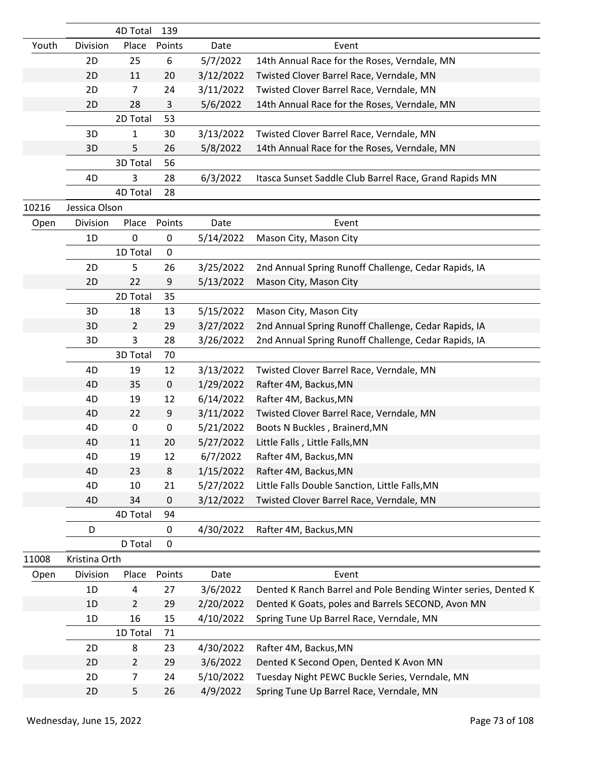|       |               | 4D Total       | 139         |           |                                                                |
|-------|---------------|----------------|-------------|-----------|----------------------------------------------------------------|
| Youth | Division      | Place          | Points      | Date      | Event                                                          |
|       | 2D            | 25             | 6           | 5/7/2022  | 14th Annual Race for the Roses, Verndale, MN                   |
|       | 2D            | 11             | 20          | 3/12/2022 | Twisted Clover Barrel Race, Verndale, MN                       |
|       | 2D            | $\overline{7}$ | 24          | 3/11/2022 | Twisted Clover Barrel Race, Verndale, MN                       |
|       | 2D            | 28             | 3           | 5/6/2022  | 14th Annual Race for the Roses, Verndale, MN                   |
|       |               | 2D Total       | 53          |           |                                                                |
|       | 3D            | 1              | 30          | 3/13/2022 | Twisted Clover Barrel Race, Verndale, MN                       |
|       | 3D            | 5              | 26          | 5/8/2022  | 14th Annual Race for the Roses, Verndale, MN                   |
|       |               | 3D Total       | 56          |           |                                                                |
|       | 4D            | 3              | 28          | 6/3/2022  | Itasca Sunset Saddle Club Barrel Race, Grand Rapids MN         |
|       |               | 4D Total       | 28          |           |                                                                |
| 10216 | Jessica Olson |                |             |           |                                                                |
| Open  | Division      | Place          | Points      | Date      | Event                                                          |
|       | 1D            | 0              | $\mathbf 0$ | 5/14/2022 | Mason City, Mason City                                         |
|       |               | 1D Total       | $\pmb{0}$   |           |                                                                |
|       | 2D            | 5              | 26          | 3/25/2022 | 2nd Annual Spring Runoff Challenge, Cedar Rapids, IA           |
|       | 2D            | 22             | 9           | 5/13/2022 | Mason City, Mason City                                         |
|       |               | 2D Total       | 35          |           |                                                                |
|       | 3D            | 18             | 13          | 5/15/2022 | Mason City, Mason City                                         |
|       | 3D            | $\overline{2}$ | 29          | 3/27/2022 | 2nd Annual Spring Runoff Challenge, Cedar Rapids, IA           |
|       | 3D            | 3              | 28          | 3/26/2022 | 2nd Annual Spring Runoff Challenge, Cedar Rapids, IA           |
|       |               | 3D Total       | 70          |           |                                                                |
|       | 4D            | 19             | 12          | 3/13/2022 | Twisted Clover Barrel Race, Verndale, MN                       |
|       | 4D            | 35             | $\pmb{0}$   | 1/29/2022 | Rafter 4M, Backus, MN                                          |
|       | 4D            | 19             | 12          | 6/14/2022 | Rafter 4M, Backus, MN                                          |
|       | 4D            | 22             | 9           | 3/11/2022 | Twisted Clover Barrel Race, Verndale, MN                       |
|       | 4D            | 0              | $\pmb{0}$   | 5/21/2022 | Boots N Buckles, Brainerd, MN                                  |
|       | 4D            | 11             | 20          | 5/27/2022 | Little Falls, Little Falls, MN                                 |
|       | 4D            | 19             | 12          | 6/7/2022  | Rafter 4M, Backus, MN                                          |
|       | 4D            | 23             | $\,8$       | 1/15/2022 | Rafter 4M, Backus, MN                                          |
|       | 4D            | 10             | 21          | 5/27/2022 | Little Falls Double Sanction, Little Falls, MN                 |
|       | 4D            | 34             | $\mathbf 0$ | 3/12/2022 | Twisted Clover Barrel Race, Verndale, MN                       |
|       |               | 4D Total       | 94          |           |                                                                |
|       | D             |                | $\pmb{0}$   | 4/30/2022 | Rafter 4M, Backus, MN                                          |
|       |               | D Total        | $\mathbf 0$ |           |                                                                |
| 11008 | Kristina Orth |                |             |           |                                                                |
| Open  | Division      | Place          | Points      | Date      | Event                                                          |
|       | 1D            | 4              | 27          | 3/6/2022  | Dented K Ranch Barrel and Pole Bending Winter series, Dented K |
|       | 1D            | $\overline{2}$ | 29          | 2/20/2022 | Dented K Goats, poles and Barrels SECOND, Avon MN              |
|       | 1D            | 16             | 15          | 4/10/2022 | Spring Tune Up Barrel Race, Verndale, MN                       |
|       |               | 1D Total       | 71          |           |                                                                |
|       | 2D            | 8              | 23          | 4/30/2022 | Rafter 4M, Backus, MN                                          |
|       | 2D            | $\overline{2}$ | 29          | 3/6/2022  | Dented K Second Open, Dented K Avon MN                         |
|       | 2D            | 7              | 24          | 5/10/2022 | Tuesday Night PEWC Buckle Series, Verndale, MN                 |
|       | 2D            | 5              | 26          | 4/9/2022  | Spring Tune Up Barrel Race, Verndale, MN                       |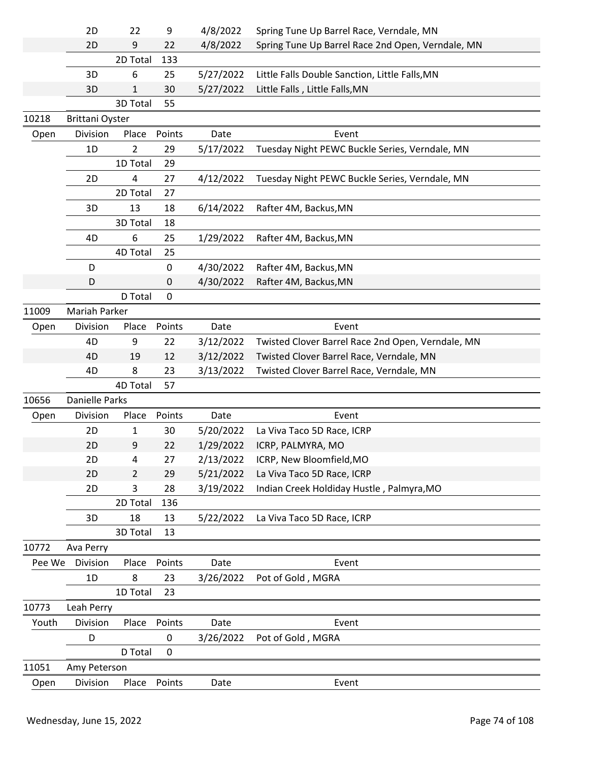|        | 2D                     | 22             | 9                | 4/8/2022  | Spring Tune Up Barrel Race, Verndale, MN          |
|--------|------------------------|----------------|------------------|-----------|---------------------------------------------------|
|        | 2D                     | 9              | 22               | 4/8/2022  | Spring Tune Up Barrel Race 2nd Open, Verndale, MN |
|        |                        | 2D Total       | 133              |           |                                                   |
|        | 3D                     | 6              | 25               | 5/27/2022 | Little Falls Double Sanction, Little Falls, MN    |
|        | 3D                     | 1              | 30               | 5/27/2022 | Little Falls, Little Falls, MN                    |
|        |                        | 3D Total       | 55               |           |                                                   |
| 10218  | <b>Brittani Oyster</b> |                |                  |           |                                                   |
| Open   | Division               | Place          | Points           | Date      | Event                                             |
|        | 1D                     | $\overline{2}$ | 29               | 5/17/2022 | Tuesday Night PEWC Buckle Series, Verndale, MN    |
|        |                        | 1D Total       | 29               |           |                                                   |
|        | 2D                     | 4              | 27               | 4/12/2022 | Tuesday Night PEWC Buckle Series, Verndale, MN    |
|        |                        | 2D Total       | 27               |           |                                                   |
|        | 3D                     | 13             | 18               | 6/14/2022 | Rafter 4M, Backus, MN                             |
|        |                        | 3D Total       | 18               |           |                                                   |
|        | 4D                     | 6              | 25               | 1/29/2022 | Rafter 4M, Backus, MN                             |
|        |                        | 4D Total       | 25               |           |                                                   |
|        | D                      |                | $\boldsymbol{0}$ | 4/30/2022 | Rafter 4M, Backus, MN                             |
|        | D                      |                | 0                | 4/30/2022 | Rafter 4M, Backus, MN                             |
|        |                        | D Total        | $\boldsymbol{0}$ |           |                                                   |
| 11009  | Mariah Parker          |                |                  |           |                                                   |
| Open   | Division               | Place          | Points           | Date      | Event                                             |
|        | 4D                     | 9              | 22               | 3/12/2022 | Twisted Clover Barrel Race 2nd Open, Verndale, MN |
|        | 4D                     | 19             | 12               | 3/12/2022 | Twisted Clover Barrel Race, Verndale, MN          |
|        | 4D                     | 8              | 23               | 3/13/2022 | Twisted Clover Barrel Race, Verndale, MN          |
|        |                        | 4D Total       | 57               |           |                                                   |
| 10656  | <b>Danielle Parks</b>  |                |                  |           |                                                   |
| Open   | Division               | Place          | Points           | Date      | Event                                             |
|        | 2D                     | 1              | 30               | 5/20/2022 | La Viva Taco 5D Race, ICRP                        |
|        | 2D                     | 9              | 22               | 1/29/2022 | ICRP, PALMYRA, MO                                 |
|        | 2D                     | 4              | 27               | 2/13/2022 | ICRP, New Bloomfield, MO                          |
|        | 2D                     | $\overline{2}$ | 29               | 5/21/2022 | La Viva Taco 5D Race, ICRP                        |
|        | 2D                     | 3              | 28               | 3/19/2022 | Indian Creek Holdiday Hustle, Palmyra, MO         |
|        |                        | 2D Total       | 136              |           |                                                   |
|        | 3D                     | 18             | 13               | 5/22/2022 | La Viva Taco 5D Race, ICRP                        |
|        |                        | 3D Total       | 13               |           |                                                   |
| 10772  | Ava Perry              |                |                  |           |                                                   |
| Pee We | Division               | Place          | Points           | Date      | Event                                             |
|        | 1D                     | 8              | 23               | 3/26/2022 | Pot of Gold, MGRA                                 |
|        |                        | 1D Total       | 23               |           |                                                   |
| 10773  | Leah Perry             |                |                  |           |                                                   |
| Youth  | Division               | Place          | Points           | Date      | Event                                             |
|        | D                      |                | $\mathbf 0$      | 3/26/2022 | Pot of Gold, MGRA                                 |
|        |                        | D Total        | $\mathbf 0$      |           |                                                   |
| 11051  | Amy Peterson           |                |                  |           |                                                   |
| Open   | Division               | Place          | Points           | Date      | Event                                             |
|        |                        |                |                  |           |                                                   |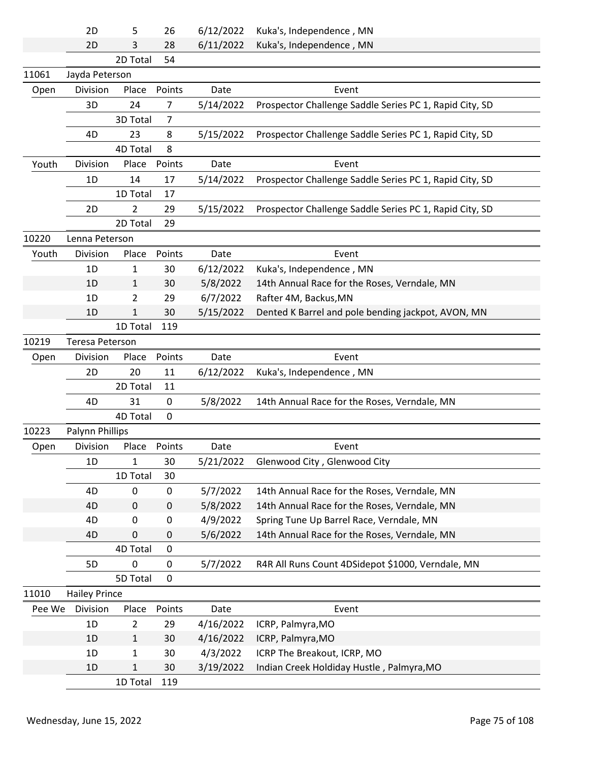|        | 2D                   | 5              | 26          | 6/12/2022 | Kuka's, Independence, MN                                |
|--------|----------------------|----------------|-------------|-----------|---------------------------------------------------------|
|        | 2D                   | 3              | 28          | 6/11/2022 | Kuka's, Independence, MN                                |
|        |                      | 2D Total       | 54          |           |                                                         |
| 11061  | Jayda Peterson       |                |             |           |                                                         |
| Open   | Division             | Place          | Points      | Date      | Event                                                   |
|        | 3D                   | 24             | 7           | 5/14/2022 | Prospector Challenge Saddle Series PC 1, Rapid City, SD |
|        |                      | 3D Total       | 7           |           |                                                         |
|        | 4D                   | 23             | 8           | 5/15/2022 | Prospector Challenge Saddle Series PC 1, Rapid City, SD |
|        |                      | 4D Total       | 8           |           |                                                         |
| Youth  | Division             | Place          | Points      | Date      | Event                                                   |
|        | 1 <sub>D</sub>       | 14             | 17          | 5/14/2022 | Prospector Challenge Saddle Series PC 1, Rapid City, SD |
|        |                      | 1D Total       | 17          |           |                                                         |
|        | 2D                   | 2              | 29          | 5/15/2022 | Prospector Challenge Saddle Series PC 1, Rapid City, SD |
|        |                      | 2D Total       | 29          |           |                                                         |
| 10220  | Lenna Peterson       |                |             |           |                                                         |
| Youth  | Division             | Place          | Points      | Date      | Event                                                   |
|        | 1D                   | 1              | 30          | 6/12/2022 | Kuka's, Independence, MN                                |
|        | 1D                   | 1              | 30          | 5/8/2022  | 14th Annual Race for the Roses, Verndale, MN            |
|        | 1D                   | 2              | 29          | 6/7/2022  | Rafter 4M, Backus, MN                                   |
|        | 1D                   | $\mathbf 1$    | 30          | 5/15/2022 | Dented K Barrel and pole bending jackpot, AVON, MN      |
|        |                      | 1D Total       | 119         |           |                                                         |
| 10219  | Teresa Peterson      |                |             |           |                                                         |
| Open   | Division             | Place          | Points      | Date      | Event                                                   |
|        | 2D                   | 20             | 11          | 6/12/2022 | Kuka's, Independence, MN                                |
|        |                      | 2D Total       | 11          |           |                                                         |
|        | 4D                   | 31             | 0           | 5/8/2022  | 14th Annual Race for the Roses, Verndale, MN            |
|        |                      | 4D Total       | $\mathbf 0$ |           |                                                         |
| 10223  | Palynn Phillips      |                |             |           |                                                         |
| Open   | Division             | Place          | Points      | Date      | Event                                                   |
|        | 1D                   | $\mathbf{1}$   | 30          | 5/21/2022 | Glenwood City, Glenwood City                            |
|        |                      | 1D Total       | 30          |           |                                                         |
|        | 4D                   | $\pmb{0}$      | $\pmb{0}$   | 5/7/2022  | 14th Annual Race for the Roses, Verndale, MN            |
|        | 4D                   | $\mathbf 0$    | $\pmb{0}$   | 5/8/2022  | 14th Annual Race for the Roses, Verndale, MN            |
|        | 4D                   | 0              | 0           | 4/9/2022  | Spring Tune Up Barrel Race, Verndale, MN                |
|        | 4D                   | 0              | 0           | 5/6/2022  | 14th Annual Race for the Roses, Verndale, MN            |
|        |                      | 4D Total       | $\mathbf 0$ |           |                                                         |
|        | 5D                   | 0              | 0           | 5/7/2022  | R4R All Runs Count 4DSidepot \$1000, Verndale, MN       |
|        |                      | 5D Total       | $\mathbf 0$ |           |                                                         |
| 11010  | <b>Hailey Prince</b> |                |             |           |                                                         |
| Pee We | Division             | Place          | Points      | Date      | Event                                                   |
|        | 1D                   | $\overline{2}$ | 29          | 4/16/2022 | ICRP, Palmyra, MO                                       |
|        | 1D                   | 1              | 30          | 4/16/2022 | ICRP, Palmyra, MO                                       |
|        | 1D                   | 1              | 30          | 4/3/2022  | ICRP The Breakout, ICRP, MO                             |
|        | 1D                   | $\mathbf{1}$   | 30          | 3/19/2022 | Indian Creek Holdiday Hustle, Palmyra, MO               |
|        |                      | 1D Total       | 119         |           |                                                         |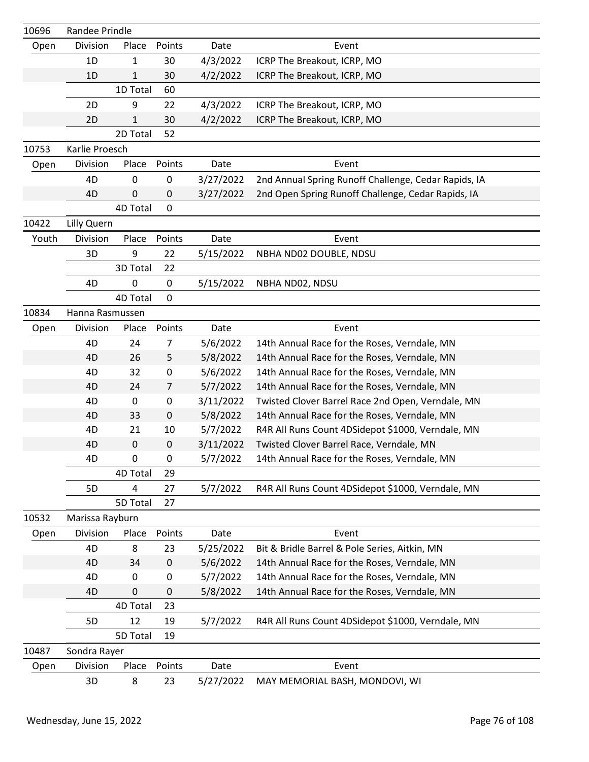| 10696 | Randee Prindle  |              |                |           |                                                      |
|-------|-----------------|--------------|----------------|-----------|------------------------------------------------------|
| Open  | Division        | Place        | Points         | Date      | Event                                                |
|       | 1D              | 1            | 30             | 4/3/2022  | ICRP The Breakout, ICRP, MO                          |
|       | 1D              | $\mathbf{1}$ | 30             | 4/2/2022  | ICRP The Breakout, ICRP, MO                          |
|       |                 | 1D Total     | 60             |           |                                                      |
|       | 2D              | 9            | 22             | 4/3/2022  | ICRP The Breakout, ICRP, MO                          |
|       | 2D              | 1            | 30             | 4/2/2022  | ICRP The Breakout, ICRP, MO                          |
|       |                 | 2D Total     | 52             |           |                                                      |
| 10753 | Karlie Proesch  |              |                |           |                                                      |
| Open  | Division        | Place        | Points         | Date      | Event                                                |
|       | 4D              | $\mathbf 0$  | $\pmb{0}$      | 3/27/2022 | 2nd Annual Spring Runoff Challenge, Cedar Rapids, IA |
|       | 4D              | 0            | 0              | 3/27/2022 | 2nd Open Spring Runoff Challenge, Cedar Rapids, IA   |
|       |                 | 4D Total     | $\mathbf 0$    |           |                                                      |
| 10422 | Lilly Quern     |              |                |           |                                                      |
| Youth | Division        | Place        | Points         | Date      | Event                                                |
|       | 3D              | 9            | 22             | 5/15/2022 | NBHA ND02 DOUBLE, NDSU                               |
|       |                 | 3D Total     | 22             |           |                                                      |
|       | 4D              | 0            | $\mathbf 0$    | 5/15/2022 | NBHA ND02, NDSU                                      |
|       |                 | 4D Total     | $\mathbf 0$    |           |                                                      |
| 10834 | Hanna Rasmussen |              |                |           |                                                      |
| Open  | Division        | Place        | Points         | Date      | Event                                                |
|       | 4D              | 24           | 7              | 5/6/2022  | 14th Annual Race for the Roses, Verndale, MN         |
|       | 4D              | 26           | 5              | 5/8/2022  | 14th Annual Race for the Roses, Verndale, MN         |
|       | 4D              | 32           | $\pmb{0}$      | 5/6/2022  | 14th Annual Race for the Roses, Verndale, MN         |
|       | 4D              | 24           | $\overline{7}$ | 5/7/2022  | 14th Annual Race for the Roses, Verndale, MN         |
|       | 4D              | 0            | $\mathbf 0$    | 3/11/2022 | Twisted Clover Barrel Race 2nd Open, Verndale, MN    |
|       | 4D              | 33           | $\mathbf 0$    | 5/8/2022  | 14th Annual Race for the Roses, Verndale, MN         |
|       | 4D              | 21           | 10             | 5/7/2022  | R4R All Runs Count 4DSidepot \$1000, Verndale, MN    |
|       | 4D              | $\pmb{0}$    | $\mathbf 0$    | 3/11/2022 | Twisted Clover Barrel Race, Verndale, MN             |
|       | 4D              | 0            | 0              | 5/7/2022  | 14th Annual Race for the Roses, Verndale, MN         |
|       |                 | 4D Total     | 29             |           |                                                      |
|       | 5D              | 4            | 27             | 5/7/2022  | R4R All Runs Count 4DSidepot \$1000, Verndale, MN    |
|       |                 | 5D Total     | 27             |           |                                                      |
| 10532 | Marissa Rayburn |              |                |           |                                                      |
| Open  | Division        | Place        | Points         | Date      | Event                                                |
|       | 4D              | 8            | 23             | 5/25/2022 | Bit & Bridle Barrel & Pole Series, Aitkin, MN        |
|       | 4D              | 34           | $\mathbf 0$    | 5/6/2022  | 14th Annual Race for the Roses, Verndale, MN         |
|       | 4D              | 0            | $\pmb{0}$      | 5/7/2022  | 14th Annual Race for the Roses, Verndale, MN         |
|       | 4D              | 0            | 0              | 5/8/2022  | 14th Annual Race for the Roses, Verndale, MN         |
|       |                 | 4D Total     | 23             |           |                                                      |
|       | 5D              | 12           | 19             | 5/7/2022  | R4R All Runs Count 4DSidepot \$1000, Verndale, MN    |
|       |                 | 5D Total     | 19             |           |                                                      |
| 10487 | Sondra Rayer    |              |                |           |                                                      |
| Open  | Division        | Place        | Points         | Date      | Event                                                |
|       | 3D              | 8            | 23             | 5/27/2022 | MAY MEMORIAL BASH, MONDOVI, WI                       |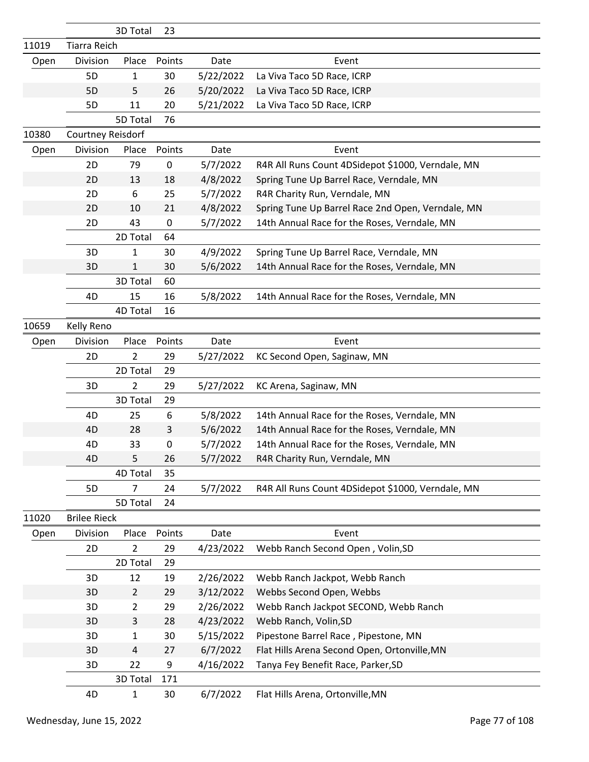|       |                     | 3D Total       | 23        |           |                                                   |
|-------|---------------------|----------------|-----------|-----------|---------------------------------------------------|
| 11019 | <b>Tiarra Reich</b> |                |           |           |                                                   |
| Open  | Division            | Place          | Points    | Date      | Event                                             |
|       | 5 <sub>D</sub>      | $\mathbf{1}$   | 30        | 5/22/2022 | La Viva Taco 5D Race, ICRP                        |
|       | 5 <sub>D</sub>      | 5              | 26        | 5/20/2022 | La Viva Taco 5D Race, ICRP                        |
|       | 5D                  | 11             | 20        | 5/21/2022 | La Viva Taco 5D Race, ICRP                        |
|       |                     | 5D Total       | 76        |           |                                                   |
| 10380 | Courtney Reisdorf   |                |           |           |                                                   |
| Open  | Division            | Place          | Points    | Date      | Event                                             |
|       | 2D                  | 79             | $\pmb{0}$ | 5/7/2022  | R4R All Runs Count 4DSidepot \$1000, Verndale, MN |
|       | 2D                  | 13             | 18        | 4/8/2022  | Spring Tune Up Barrel Race, Verndale, MN          |
|       | 2D                  | 6              | 25        | 5/7/2022  | R4R Charity Run, Verndale, MN                     |
|       | 2D                  | 10             | 21        | 4/8/2022  | Spring Tune Up Barrel Race 2nd Open, Verndale, MN |
|       | 2D                  | 43             | $\pmb{0}$ | 5/7/2022  | 14th Annual Race for the Roses, Verndale, MN      |
|       |                     | 2D Total       | 64        |           |                                                   |
|       | 3D                  | 1              | 30        | 4/9/2022  | Spring Tune Up Barrel Race, Verndale, MN          |
|       | 3D                  | $\mathbf{1}$   | 30        | 5/6/2022  | 14th Annual Race for the Roses, Verndale, MN      |
|       |                     | 3D Total       | 60        |           |                                                   |
|       | 4D                  | 15             | 16        | 5/8/2022  | 14th Annual Race for the Roses, Verndale, MN      |
|       |                     | 4D Total       | 16        |           |                                                   |
| 10659 | Kelly Reno          |                |           |           |                                                   |
| Open  | Division            | Place          | Points    | Date      | Event                                             |
|       | 2D                  | $\overline{2}$ | 29        | 5/27/2022 | KC Second Open, Saginaw, MN                       |
|       |                     | 2D Total       | 29        |           |                                                   |
|       | 3D                  | 2              | 29        | 5/27/2022 | KC Arena, Saginaw, MN                             |
|       |                     | 3D Total       | 29        |           |                                                   |
|       | 4D                  | 25             | 6         | 5/8/2022  | 14th Annual Race for the Roses, Verndale, MN      |
|       | 4D                  | 28             | 3         | 5/6/2022  | 14th Annual Race for the Roses, Verndale, MN      |
|       | 4D                  | 33             | 0         | 5/7/2022  | 14th Annual Race for the Roses, Verndale, MN      |
|       | 4D                  | 5              | 26        | 5/7/2022  | R4R Charity Run, Verndale, MN                     |
|       |                     | 4D Total       | 35        |           |                                                   |
|       | 5D                  | 7              | 24        | 5/7/2022  | R4R All Runs Count 4DSidepot \$1000, Verndale, MN |
|       |                     | 5D Total       | 24        |           |                                                   |
| 11020 | <b>Brilee Rieck</b> |                |           |           |                                                   |
| Open  | Division            | Place          | Points    | Date      | Event                                             |
|       | 2D                  | $\overline{2}$ | 29        | 4/23/2022 | Webb Ranch Second Open, Volin, SD                 |
|       |                     | 2D Total       | 29        |           |                                                   |
|       | 3D                  | 12             | 19        | 2/26/2022 | Webb Ranch Jackpot, Webb Ranch                    |
|       | 3D                  | $\overline{2}$ | 29        | 3/12/2022 | Webbs Second Open, Webbs                          |
|       | 3D                  | $\overline{2}$ | 29        | 2/26/2022 | Webb Ranch Jackpot SECOND, Webb Ranch             |
|       | 3D                  | 3              | 28        | 4/23/2022 | Webb Ranch, Volin, SD                             |
|       | 3D                  | $\mathbf{1}$   | 30        | 5/15/2022 | Pipestone Barrel Race, Pipestone, MN              |
|       | 3D                  | 4              | 27        | 6/7/2022  | Flat Hills Arena Second Open, Ortonville, MN      |
|       | 3D                  | 22             | 9         | 4/16/2022 | Tanya Fey Benefit Race, Parker, SD                |
|       |                     | 3D Total       | 171       |           |                                                   |
|       | 4D                  | $\mathbf{1}$   | 30        | 6/7/2022  | Flat Hills Arena, Ortonville, MN                  |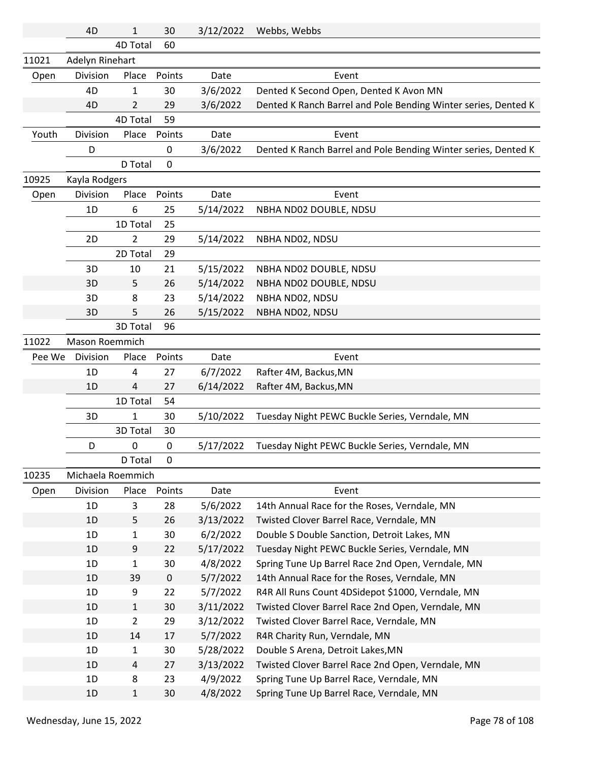|        | 4D                | $\mathbf{1}$   | 30          | 3/12/2022 | Webbs, Webbs                                                   |
|--------|-------------------|----------------|-------------|-----------|----------------------------------------------------------------|
|        |                   | 4D Total       | 60          |           |                                                                |
| 11021  | Adelyn Rinehart   |                |             |           |                                                                |
| Open   | Division          | Place          | Points      | Date      | Event                                                          |
|        | 4D                | 1              | 30          | 3/6/2022  | Dented K Second Open, Dented K Avon MN                         |
|        | 4D                | $\overline{2}$ | 29          | 3/6/2022  | Dented K Ranch Barrel and Pole Bending Winter series, Dented K |
|        |                   | 4D Total       | 59          |           |                                                                |
| Youth  | Division          | Place          | Points      | Date      | Event                                                          |
|        | D                 |                | 0           | 3/6/2022  | Dented K Ranch Barrel and Pole Bending Winter series, Dented K |
|        |                   | D Total        | $\mathbf 0$ |           |                                                                |
| 10925  | Kayla Rodgers     |                |             |           |                                                                |
| Open   | Division          | Place          | Points      | Date      | Event                                                          |
|        | 1D                | 6              | 25          | 5/14/2022 | NBHA ND02 DOUBLE, NDSU                                         |
|        |                   | 1D Total       | 25          |           |                                                                |
|        | 2D                | $\overline{2}$ | 29          | 5/14/2022 | NBHA ND02, NDSU                                                |
|        |                   | 2D Total       | 29          |           |                                                                |
|        | 3D                | 10             | 21          | 5/15/2022 | NBHA ND02 DOUBLE, NDSU                                         |
|        | 3D                | 5              | 26          | 5/14/2022 | NBHA ND02 DOUBLE, NDSU                                         |
|        | 3D                | 8              | 23          | 5/14/2022 | NBHA ND02, NDSU                                                |
|        | 3D                | 5              | 26          | 5/15/2022 | NBHA ND02, NDSU                                                |
|        |                   | 3D Total       | 96          |           |                                                                |
| 11022  | Mason Roemmich    |                |             |           |                                                                |
| Pee We | Division          | Place          | Points      | Date      | Event                                                          |
|        | 1D                | 4              | 27          | 6/7/2022  | Rafter 4M, Backus, MN                                          |
|        | 1D                | 4              | 27          | 6/14/2022 | Rafter 4M, Backus, MN                                          |
|        |                   | 1D Total       | 54          |           |                                                                |
|        | 3D                | $\mathbf{1}$   | 30          | 5/10/2022 | Tuesday Night PEWC Buckle Series, Verndale, MN                 |
|        |                   | 3D Total       | 30          |           |                                                                |
|        | D                 | 0              | 0           | 5/17/2022 | Tuesday Night PEWC Buckle Series, Verndale, MN                 |
|        |                   | D Total        | 0           |           |                                                                |
| 10235  | Michaela Roemmich |                |             |           |                                                                |
| Open   | Division          | Place          | Points      | Date      | Event                                                          |
|        | 1D                | 3              | 28          | 5/6/2022  | 14th Annual Race for the Roses, Verndale, MN                   |
|        | 1D                | 5              | 26          | 3/13/2022 | Twisted Clover Barrel Race, Verndale, MN                       |
|        | 1D                | $\mathbf{1}$   | 30          | 6/2/2022  | Double S Double Sanction, Detroit Lakes, MN                    |
|        | 1D                | 9              | 22          | 5/17/2022 | Tuesday Night PEWC Buckle Series, Verndale, MN                 |
|        | 1D                | $\mathbf{1}$   | 30          | 4/8/2022  | Spring Tune Up Barrel Race 2nd Open, Verndale, MN              |
|        | 1D                | 39             | $\mathbf 0$ | 5/7/2022  | 14th Annual Race for the Roses, Verndale, MN                   |
|        | 1D                | 9              | 22          | 5/7/2022  | R4R All Runs Count 4DSidepot \$1000, Verndale, MN              |
|        | 1D                | $\mathbf{1}$   | 30          | 3/11/2022 | Twisted Clover Barrel Race 2nd Open, Verndale, MN              |
|        | 1D                | $\overline{2}$ | 29          | 3/12/2022 | Twisted Clover Barrel Race, Verndale, MN                       |
|        | 1D                | 14             | 17          | 5/7/2022  | R4R Charity Run, Verndale, MN                                  |
|        | 1D                | $\mathbf{1}$   | 30          | 5/28/2022 | Double S Arena, Detroit Lakes, MN                              |
|        | 1D                | 4              | 27          | 3/13/2022 | Twisted Clover Barrel Race 2nd Open, Verndale, MN              |
|        | 1D                | 8              | 23          | 4/9/2022  | Spring Tune Up Barrel Race, Verndale, MN                       |
|        | 1D                | $\mathbf 1$    | 30          | 4/8/2022  | Spring Tune Up Barrel Race, Verndale, MN                       |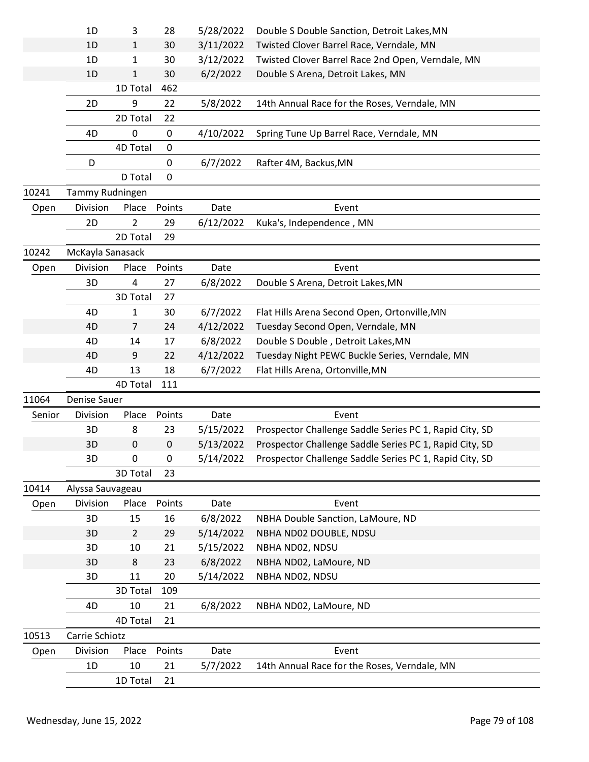|        | 1D                  | 3              | 28        | 5/28/2022 | Double S Double Sanction, Detroit Lakes, MN             |
|--------|---------------------|----------------|-----------|-----------|---------------------------------------------------------|
|        | 1D                  | 1              | 30        | 3/11/2022 | Twisted Clover Barrel Race, Verndale, MN                |
|        | 1D                  | 1              | 30        | 3/12/2022 | Twisted Clover Barrel Race 2nd Open, Verndale, MN       |
|        | 1D                  | 1              | 30        | 6/2/2022  | Double S Arena, Detroit Lakes, MN                       |
|        |                     | 1D Total       | 462       |           |                                                         |
|        | 2D                  | 9              | 22        | 5/8/2022  | 14th Annual Race for the Roses, Verndale, MN            |
|        |                     | 2D Total       | 22        |           |                                                         |
|        | 4D                  | 0              | 0         | 4/10/2022 | Spring Tune Up Barrel Race, Verndale, MN                |
|        |                     | 4D Total       | 0         |           |                                                         |
|        | D                   |                | 0         | 6/7/2022  | Rafter 4M, Backus, MN                                   |
|        |                     | D Total        | 0         |           |                                                         |
| 10241  | Tammy Rudningen     |                |           |           |                                                         |
| Open   | Division            | Place          | Points    | Date      | Event                                                   |
|        | 2D                  | 2              | 29        | 6/12/2022 | Kuka's, Independence, MN                                |
|        |                     | 2D Total       | 29        |           |                                                         |
| 10242  | McKayla Sanasack    |                |           |           |                                                         |
| Open   | Division            | Place          | Points    | Date      | Event                                                   |
|        | 3D                  | 4              | 27        | 6/8/2022  | Double S Arena, Detroit Lakes, MN                       |
|        |                     | 3D Total       | 27        |           |                                                         |
|        | 4D                  | 1              | 30        | 6/7/2022  | Flat Hills Arena Second Open, Ortonville, MN            |
|        | 4D                  | 7              | 24        | 4/12/2022 | Tuesday Second Open, Verndale, MN                       |
|        | 4D                  | 14             | 17        | 6/8/2022  | Double S Double, Detroit Lakes, MN                      |
|        | 4D                  | 9              | 22        | 4/12/2022 | Tuesday Night PEWC Buckle Series, Verndale, MN          |
|        | 4D                  | 13             | 18        | 6/7/2022  | Flat Hills Arena, Ortonville, MN                        |
|        |                     | 4D Total       | 111       |           |                                                         |
| 11064  | <b>Denise Sauer</b> |                |           |           |                                                         |
| Senior | Division            | Place          | Points    | Date      | Event                                                   |
|        | 3D                  | 8              | 23        | 5/15/2022 | Prospector Challenge Saddle Series PC 1, Rapid City, SD |
|        | 3D                  | $\mathbf 0$    | $\pmb{0}$ | 5/13/2022 | Prospector Challenge Saddle Series PC 1, Rapid City, SD |
|        | 3D                  | 0              | $\pmb{0}$ | 5/14/2022 | Prospector Challenge Saddle Series PC 1, Rapid City, SD |
|        |                     | 3D Total       | 23        |           |                                                         |
| 10414  | Alyssa Sauvageau    |                |           |           |                                                         |
| Open   | Division            | Place          | Points    | Date      | Event                                                   |
|        | 3D                  | 15             | 16        | 6/8/2022  | NBHA Double Sanction, LaMoure, ND                       |
|        | 3D                  | $\overline{2}$ | 29        | 5/14/2022 | NBHA ND02 DOUBLE, NDSU                                  |
|        | 3D                  | 10             | 21        | 5/15/2022 | NBHA ND02, NDSU                                         |
|        | 3D                  | 8              | 23        | 6/8/2022  | NBHA ND02, LaMoure, ND                                  |
|        | 3D                  | 11             | 20        | 5/14/2022 | NBHA ND02, NDSU                                         |
|        |                     | 3D Total       | 109       |           |                                                         |
|        | 4D                  | 10             | 21        | 6/8/2022  | NBHA ND02, LaMoure, ND                                  |
|        |                     | 4D Total       | 21        |           |                                                         |
| 10513  | Carrie Schiotz      |                |           |           |                                                         |
| Open   | Division            | Place          | Points    | Date      | Event                                                   |
|        | 1D                  | 10             | 21        | 5/7/2022  | 14th Annual Race for the Roses, Verndale, MN            |
|        |                     | 1D Total       | 21        |           |                                                         |
|        |                     |                |           |           |                                                         |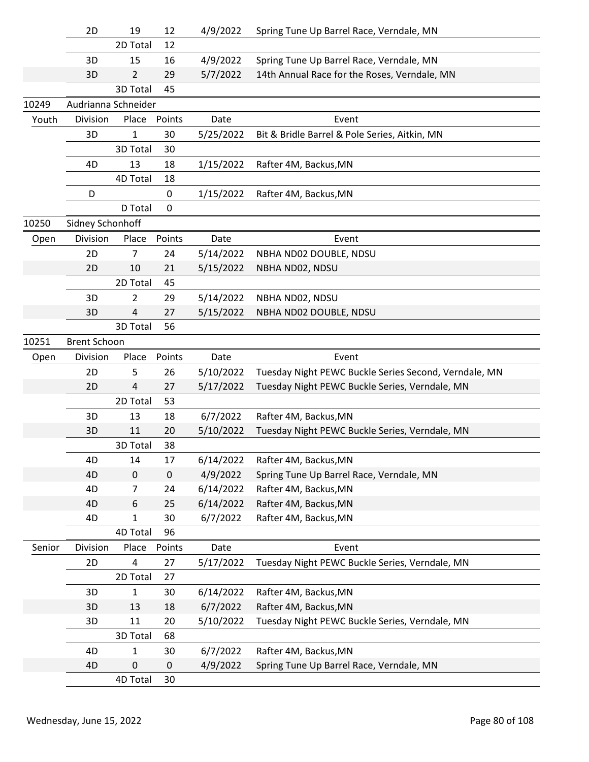|        | 2D                  | 19             | 12          | 4/9/2022  | Spring Tune Up Barrel Race, Verndale, MN              |
|--------|---------------------|----------------|-------------|-----------|-------------------------------------------------------|
|        |                     | 2D Total       | 12          |           |                                                       |
|        | 3D                  | 15             | 16          | 4/9/2022  | Spring Tune Up Barrel Race, Verndale, MN              |
|        | 3D                  | $\overline{2}$ | 29          | 5/7/2022  | 14th Annual Race for the Roses, Verndale, MN          |
|        |                     | 3D Total       | 45          |           |                                                       |
| 10249  | Audrianna Schneider |                |             |           |                                                       |
| Youth  | Division            | Place          | Points      | Date      | Event                                                 |
|        | 3D                  | 1              | 30          | 5/25/2022 | Bit & Bridle Barrel & Pole Series, Aitkin, MN         |
|        |                     | 3D Total       | 30          |           |                                                       |
|        | 4D                  | 13             | 18          | 1/15/2022 | Rafter 4M, Backus, MN                                 |
|        |                     | 4D Total       | 18          |           |                                                       |
|        | D                   |                | 0           | 1/15/2022 | Rafter 4M, Backus, MN                                 |
|        |                     | D Total        | $\mathbf 0$ |           |                                                       |
| 10250  | Sidney Schonhoff    |                |             |           |                                                       |
| Open   | Division            | Place          | Points      | Date      | Event                                                 |
|        | 2D                  | $\overline{7}$ | 24          | 5/14/2022 | NBHA ND02 DOUBLE, NDSU                                |
|        | 2D                  | 10             | 21          | 5/15/2022 | NBHA ND02, NDSU                                       |
|        |                     | 2D Total       | 45          |           |                                                       |
|        | 3D                  | 2              | 29          | 5/14/2022 | NBHA ND02, NDSU                                       |
|        | 3D                  | 4              | 27          | 5/15/2022 | NBHA ND02 DOUBLE, NDSU                                |
|        |                     | 3D Total       | 56          |           |                                                       |
| 10251  | <b>Brent Schoon</b> |                |             |           |                                                       |
| Open   | Division            | Place          | Points      | Date      | Event                                                 |
|        | 2D                  | 5              | 26          | 5/10/2022 | Tuesday Night PEWC Buckle Series Second, Verndale, MN |
|        | 2D                  | 4              | 27          | 5/17/2022 | Tuesday Night PEWC Buckle Series, Verndale, MN        |
|        |                     | 2D Total       | 53          |           |                                                       |
|        | 3D                  | 13             | 18          | 6/7/2022  | Rafter 4M, Backus, MN                                 |
|        | 3D                  | 11             | 20          | 5/10/2022 | Tuesday Night PEWC Buckle Series, Verndale, MN        |
|        |                     | 3D Total       | 38          |           |                                                       |
|        | 4D                  | 14             | 17          | 6/14/2022 | Rafter 4M, Backus, MN                                 |
|        | 4D                  | 0              | $\mathbf 0$ | 4/9/2022  | Spring Tune Up Barrel Race, Verndale, MN              |
|        | 4D                  | 7              | 24          | 6/14/2022 | Rafter 4M, Backus, MN                                 |
|        | 4D                  | 6              | 25          | 6/14/2022 | Rafter 4M, Backus, MN                                 |
|        | 4D                  | $\mathbf{1}$   | 30          | 6/7/2022  | Rafter 4M, Backus, MN                                 |
|        |                     | 4D Total       | 96          |           |                                                       |
| Senior | Division            | Place          | Points      | Date      | Event                                                 |
|        | 2D                  | 4              | 27          | 5/17/2022 | Tuesday Night PEWC Buckle Series, Verndale, MN        |
|        |                     | 2D Total       | 27          |           |                                                       |
|        | 3D                  | 1              | 30          | 6/14/2022 | Rafter 4M, Backus, MN                                 |
|        | 3D                  | 13             | 18          | 6/7/2022  | Rafter 4M, Backus, MN                                 |
|        | 3D                  | 11             | 20          | 5/10/2022 | Tuesday Night PEWC Buckle Series, Verndale, MN        |
|        |                     | 3D Total       | 68          |           |                                                       |
|        | 4D                  | 1              | 30          | 6/7/2022  | Rafter 4M, Backus, MN                                 |
|        | 4D                  | 0              | 0           | 4/9/2022  | Spring Tune Up Barrel Race, Verndale, MN              |
|        |                     | 4D Total       | 30          |           |                                                       |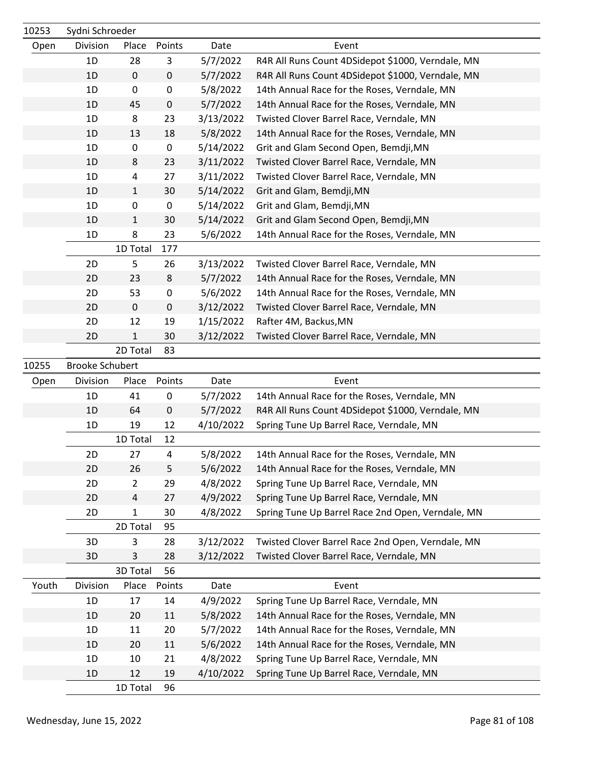| 10253 | Sydni Schroeder        |              |           |           |                                                   |
|-------|------------------------|--------------|-----------|-----------|---------------------------------------------------|
| Open  | Division               | Place        | Points    | Date      | Event                                             |
|       | 1D                     | 28           | 3         | 5/7/2022  | R4R All Runs Count 4DSidepot \$1000, Verndale, MN |
|       | 1D                     | $\mathbf 0$  | $\pmb{0}$ | 5/7/2022  | R4R All Runs Count 4DSidepot \$1000, Verndale, MN |
|       | 1D                     | 0            | 0         | 5/8/2022  | 14th Annual Race for the Roses, Verndale, MN      |
|       | 1D                     | 45           | $\pmb{0}$ | 5/7/2022  | 14th Annual Race for the Roses, Verndale, MN      |
|       | 1D                     | 8            | 23        | 3/13/2022 | Twisted Clover Barrel Race, Verndale, MN          |
|       | 1D                     | 13           | 18        | 5/8/2022  | 14th Annual Race for the Roses, Verndale, MN      |
|       | 1D                     | 0            | $\pmb{0}$ | 5/14/2022 | Grit and Glam Second Open, Bemdji, MN             |
|       | 1D                     | 8            | 23        | 3/11/2022 | Twisted Clover Barrel Race, Verndale, MN          |
|       | 1D                     | 4            | 27        | 3/11/2022 | Twisted Clover Barrel Race, Verndale, MN          |
|       | 1D                     | $\mathbf{1}$ | 30        | 5/14/2022 | Grit and Glam, Bemdji, MN                         |
|       | 1D                     | 0            | $\pmb{0}$ | 5/14/2022 | Grit and Glam, Bemdji, MN                         |
|       | 1D                     | $\mathbf{1}$ | 30        | 5/14/2022 | Grit and Glam Second Open, Bemdji, MN             |
|       | 1D                     | 8            | 23        | 5/6/2022  | 14th Annual Race for the Roses, Verndale, MN      |
|       |                        | 1D Total     | 177       |           |                                                   |
|       | 2D                     | 5            | 26        | 3/13/2022 | Twisted Clover Barrel Race, Verndale, MN          |
|       | 2D                     | 23           | 8         | 5/7/2022  | 14th Annual Race for the Roses, Verndale, MN      |
|       | 2D                     | 53           | $\pmb{0}$ | 5/6/2022  | 14th Annual Race for the Roses, Verndale, MN      |
|       | 2D                     | $\mathbf 0$  | $\pmb{0}$ | 3/12/2022 | Twisted Clover Barrel Race, Verndale, MN          |
|       | 2D                     | 12           | 19        | 1/15/2022 | Rafter 4M, Backus, MN                             |
|       | 2D                     | 1            | 30        | 3/12/2022 | Twisted Clover Barrel Race, Verndale, MN          |
|       |                        | 2D Total     | 83        |           |                                                   |
| 10255 | <b>Brooke Schubert</b> |              |           |           |                                                   |
| Open  | Division               | Place        | Points    | Date      | Event                                             |
|       | 1D                     | 41           | 0         | 5/7/2022  | 14th Annual Race for the Roses, Verndale, MN      |
|       | 1D                     | 64           | $\pmb{0}$ | 5/7/2022  | R4R All Runs Count 4DSidepot \$1000, Verndale, MN |
|       | 1D                     | 19           | 12        | 4/10/2022 | Spring Tune Up Barrel Race, Verndale, MN          |
|       |                        | 1D Total     | 12        |           |                                                   |
|       | 2D                     | 27           | 4         | 5/8/2022  | 14th Annual Race for the Roses, Verndale, MN      |
|       | 2D                     | 26           | 5         | 5/6/2022  | 14th Annual Race for the Roses, Verndale, MN      |
|       | 2D                     | 2            | 29        | 4/8/2022  | Spring Tune Up Barrel Race, Verndale, MN          |
|       | 2D                     | 4            | 27        | 4/9/2022  | Spring Tune Up Barrel Race, Verndale, MN          |
|       | 2D                     | 1            | 30        | 4/8/2022  | Spring Tune Up Barrel Race 2nd Open, Verndale, MN |
|       |                        | 2D Total     | 95        |           |                                                   |
|       | 3D                     | 3            | 28        | 3/12/2022 | Twisted Clover Barrel Race 2nd Open, Verndale, MN |
|       | 3D                     | 3            | 28        | 3/12/2022 | Twisted Clover Barrel Race, Verndale, MN          |
|       |                        | 3D Total     | 56        |           |                                                   |
| Youth | Division               | Place        | Points    | Date      | Event                                             |
|       | 1D                     | 17           | 14        | 4/9/2022  | Spring Tune Up Barrel Race, Verndale, MN          |
|       | 1D                     | 20           | 11        | 5/8/2022  | 14th Annual Race for the Roses, Verndale, MN      |
|       | 1D                     | 11           | 20        | 5/7/2022  | 14th Annual Race for the Roses, Verndale, MN      |
|       | 1D                     | 20           | 11        | 5/6/2022  | 14th Annual Race for the Roses, Verndale, MN      |
|       | 1D                     | 10           | 21        | 4/8/2022  | Spring Tune Up Barrel Race, Verndale, MN          |
|       | 1D                     | 12           | 19        | 4/10/2022 | Spring Tune Up Barrel Race, Verndale, MN          |
|       |                        | 1D Total     | 96        |           |                                                   |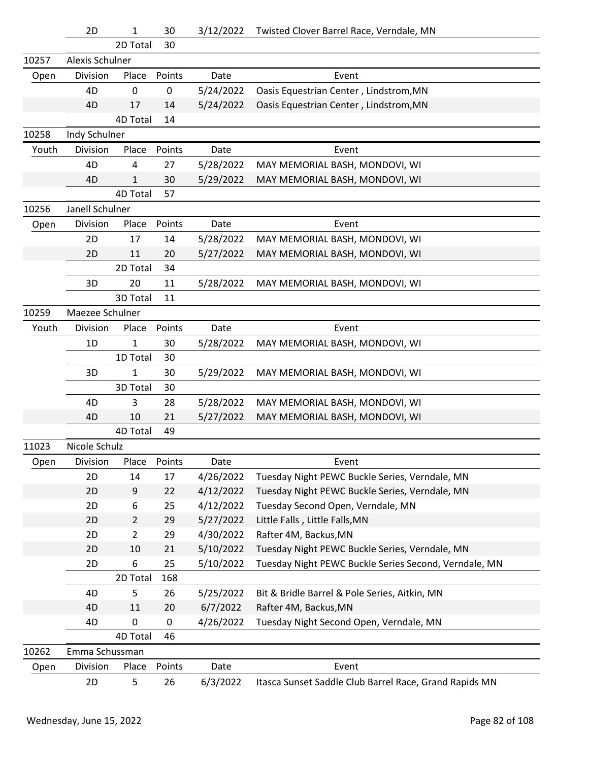|       | 2D              | 1              | 30     | 3/12/2022 | Twisted Clover Barrel Race, Verndale, MN               |
|-------|-----------------|----------------|--------|-----------|--------------------------------------------------------|
|       |                 | 2D Total       | 30     |           |                                                        |
| 10257 | Alexis Schulner |                |        |           |                                                        |
| Open  | Division        | Place          | Points | Date      | Event                                                  |
|       | 4D              | 0              | 0      | 5/24/2022 | Oasis Equestrian Center, Lindstrom, MN                 |
|       | 4D              | 17             | 14     | 5/24/2022 | Oasis Equestrian Center, Lindstrom, MN                 |
|       |                 | 4D Total       | 14     |           |                                                        |
| 10258 | Indy Schulner   |                |        |           |                                                        |
| Youth | Division        | Place          | Points | Date      | Event                                                  |
|       | 4D              | 4              | 27     | 5/28/2022 | MAY MEMORIAL BASH, MONDOVI, WI                         |
|       | 4D              | $\mathbf{1}$   | 30     | 5/29/2022 | MAY MEMORIAL BASH, MONDOVI, WI                         |
|       |                 | 4D Total       | 57     |           |                                                        |
| 10256 | Janell Schulner |                |        |           |                                                        |
| Open  | Division        | Place          | Points | Date      | Event                                                  |
|       | 2D              | 17             | 14     | 5/28/2022 | MAY MEMORIAL BASH, MONDOVI, WI                         |
|       | 2D              | 11             | 20     | 5/27/2022 | MAY MEMORIAL BASH, MONDOVI, WI                         |
|       |                 | 2D Total       | 34     |           |                                                        |
|       | 3D              | 20             | 11     | 5/28/2022 | MAY MEMORIAL BASH, MONDOVI, WI                         |
|       |                 | 3D Total       | 11     |           |                                                        |
| 10259 | Maezee Schulner |                |        |           |                                                        |
| Youth | Division        | Place          | Points | Date      | Event                                                  |
|       | 1D              | $\mathbf{1}$   | 30     | 5/28/2022 | MAY MEMORIAL BASH, MONDOVI, WI                         |
|       |                 | 1D Total       | 30     |           |                                                        |
|       | 3D              | $\mathbf{1}$   | 30     | 5/29/2022 | MAY MEMORIAL BASH, MONDOVI, WI                         |
|       |                 | 3D Total       | 30     |           |                                                        |
|       | 4D              | 3              | 28     | 5/28/2022 | MAY MEMORIAL BASH, MONDOVI, WI                         |
|       | 4D              | 10             | 21     | 5/27/2022 | MAY MEMORIAL BASH, MONDOVI, WI                         |
|       |                 | 4D Total       | 49     |           |                                                        |
| 11023 | Nicole Schulz   |                |        |           |                                                        |
| Open  | Division        | Place          | Points | Date      | Event                                                  |
|       | 2D              | 14             | 17     | 4/26/2022 | Tuesday Night PEWC Buckle Series, Verndale, MN         |
|       | 2D              | 9              | 22     | 4/12/2022 | Tuesday Night PEWC Buckle Series, Verndale, MN         |
|       | 2D              | 6              | 25     | 4/12/2022 | Tuesday Second Open, Verndale, MN                      |
|       | 2D              | $\overline{2}$ | 29     | 5/27/2022 | Little Falls, Little Falls, MN                         |
|       | 2D              | $\overline{2}$ | 29     | 4/30/2022 | Rafter 4M, Backus, MN                                  |
|       | 2D              | 10             | 21     | 5/10/2022 | Tuesday Night PEWC Buckle Series, Verndale, MN         |
|       | 2D              | 6              | 25     | 5/10/2022 | Tuesday Night PEWC Buckle Series Second, Verndale, MN  |
|       |                 | 2D Total       | 168    |           |                                                        |
|       | 4D              | 5              | 26     | 5/25/2022 | Bit & Bridle Barrel & Pole Series, Aitkin, MN          |
|       | 4D              | 11             | 20     | 6/7/2022  | Rafter 4M, Backus, MN                                  |
|       | 4D              | 0              | 0      | 4/26/2022 | Tuesday Night Second Open, Verndale, MN                |
|       |                 | 4D Total       | 46     |           |                                                        |
| 10262 | Emma Schussman  |                |        |           |                                                        |
| Open  | Division        | Place          | Points | Date      | Event                                                  |
|       | 2D              | 5              | 26     | 6/3/2022  | Itasca Sunset Saddle Club Barrel Race, Grand Rapids MN |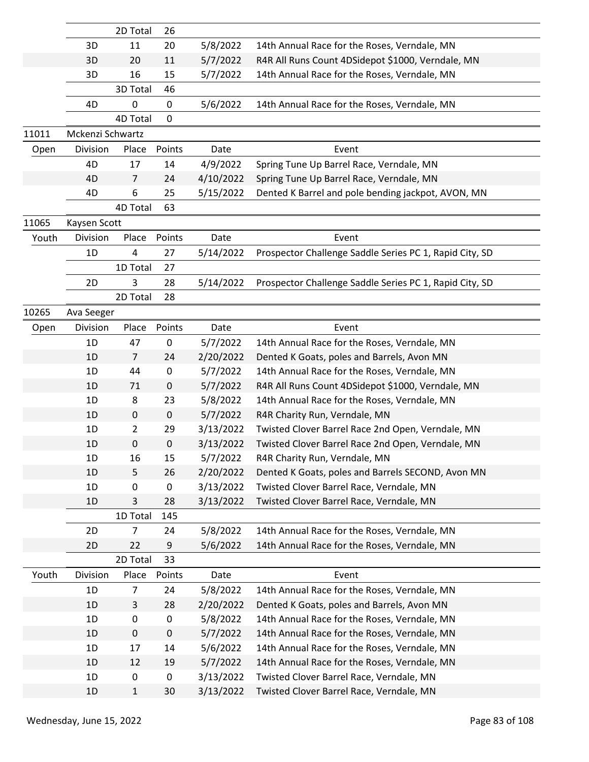|       |                  | 2D Total       | 26          |           |                                                         |
|-------|------------------|----------------|-------------|-----------|---------------------------------------------------------|
|       | 3D               | 11             | 20          | 5/8/2022  | 14th Annual Race for the Roses, Verndale, MN            |
|       | 3D               | 20             | 11          | 5/7/2022  | R4R All Runs Count 4DSidepot \$1000, Verndale, MN       |
|       | 3D               | 16             | 15          | 5/7/2022  | 14th Annual Race for the Roses, Verndale, MN            |
|       |                  | 3D Total       | 46          |           |                                                         |
|       | 4D               | 0              | 0           | 5/6/2022  | 14th Annual Race for the Roses, Verndale, MN            |
|       |                  | 4D Total       | $\mathbf 0$ |           |                                                         |
| 11011 | Mckenzi Schwartz |                |             |           |                                                         |
| Open  | Division         | Place          | Points      | Date      | Event                                                   |
|       | 4D               | 17             | 14          | 4/9/2022  | Spring Tune Up Barrel Race, Verndale, MN                |
|       | 4D               | $\overline{7}$ | 24          | 4/10/2022 | Spring Tune Up Barrel Race, Verndale, MN                |
|       | 4D               | 6              | 25          | 5/15/2022 | Dented K Barrel and pole bending jackpot, AVON, MN      |
|       |                  | 4D Total       | 63          |           |                                                         |
| 11065 | Kaysen Scott     |                |             |           |                                                         |
| Youth | Division         | Place          | Points      | Date      | Event                                                   |
|       | 1D               | 4              | 27          | 5/14/2022 | Prospector Challenge Saddle Series PC 1, Rapid City, SD |
|       |                  | 1D Total       | 27          |           |                                                         |
|       | 2D               | 3              | 28          | 5/14/2022 | Prospector Challenge Saddle Series PC 1, Rapid City, SD |
|       |                  | 2D Total       | 28          |           |                                                         |
| 10265 | Ava Seeger       |                |             |           |                                                         |
| Open  | Division         | Place          | Points      | Date      | Event                                                   |
|       | 1D               | 47             | 0           | 5/7/2022  | 14th Annual Race for the Roses, Verndale, MN            |
|       | 1D               | $\overline{7}$ | 24          | 2/20/2022 | Dented K Goats, poles and Barrels, Avon MN              |
|       | 1D               | 44             | $\pmb{0}$   | 5/7/2022  | 14th Annual Race for the Roses, Verndale, MN            |
|       | 1D               | 71             | $\pmb{0}$   | 5/7/2022  | R4R All Runs Count 4DSidepot \$1000, Verndale, MN       |
|       | 1D               | 8              | 23          | 5/8/2022  | 14th Annual Race for the Roses, Verndale, MN            |
|       | 1D               | 0              | $\mathbf 0$ | 5/7/2022  | R4R Charity Run, Verndale, MN                           |
|       | 1D               | $\overline{2}$ | 29          | 3/13/2022 | Twisted Clover Barrel Race 2nd Open, Verndale, MN       |
|       | 1D               | 0              | 0           | 3/13/2022 | Twisted Clover Barrel Race 2nd Open, Verndale, MN       |
|       | 1D               | 16             | 15          | 5/7/2022  | R4R Charity Run, Verndale, MN                           |
|       | 1D               | 5              | 26          | 2/20/2022 | Dented K Goats, poles and Barrels SECOND, Avon MN       |
|       | 1D               | 0              | 0           | 3/13/2022 | Twisted Clover Barrel Race, Verndale, MN                |
|       | 1D               | 3              | 28          | 3/13/2022 | Twisted Clover Barrel Race, Verndale, MN                |
|       |                  | 1D Total       | 145         |           |                                                         |
|       | 2D               | 7              | 24          | 5/8/2022  | 14th Annual Race for the Roses, Verndale, MN            |
|       | 2D               | 22             | 9           | 5/6/2022  | 14th Annual Race for the Roses, Verndale, MN            |
|       |                  | 2D Total       | 33          |           |                                                         |
| Youth | Division         | Place          | Points      | Date      | Event                                                   |
|       | 1D               | 7              | 24          | 5/8/2022  | 14th Annual Race for the Roses, Verndale, MN            |
|       | 1D               | 3              | 28          | 2/20/2022 | Dented K Goats, poles and Barrels, Avon MN              |
|       | 1D               | 0              | $\pmb{0}$   | 5/8/2022  | 14th Annual Race for the Roses, Verndale, MN            |
|       | 1D               | $\pmb{0}$      | $\mathbf 0$ | 5/7/2022  | 14th Annual Race for the Roses, Verndale, MN            |
|       | 1D               | 17             | 14          | 5/6/2022  | 14th Annual Race for the Roses, Verndale, MN            |
|       | 1D               | 12             | 19          | 5/7/2022  | 14th Annual Race for the Roses, Verndale, MN            |
|       | 1D               | 0              | $\pmb{0}$   | 3/13/2022 | Twisted Clover Barrel Race, Verndale, MN                |
|       | 1D               | $\mathbf{1}$   | 30          | 3/13/2022 | Twisted Clover Barrel Race, Verndale, MN                |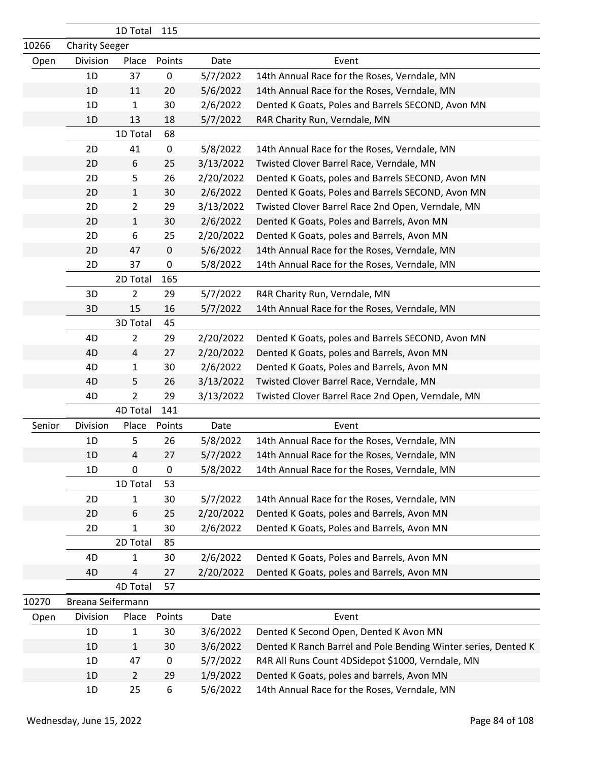|        |                       | 1D Total       | 115              |           |                                                                |
|--------|-----------------------|----------------|------------------|-----------|----------------------------------------------------------------|
| 10266  | <b>Charity Seeger</b> |                |                  |           |                                                                |
| Open   | Division              | Place          | Points           | Date      | Event                                                          |
|        | 1D                    | 37             | $\pmb{0}$        | 5/7/2022  | 14th Annual Race for the Roses, Verndale, MN                   |
|        | 1D                    | 11             | 20               | 5/6/2022  | 14th Annual Race for the Roses, Verndale, MN                   |
|        | 1D                    | 1              | 30               | 2/6/2022  | Dented K Goats, Poles and Barrels SECOND, Avon MN              |
|        | 1D                    | 13             | 18               | 5/7/2022  | R4R Charity Run, Verndale, MN                                  |
|        |                       | 1D Total       | 68               |           |                                                                |
|        | 2D                    | 41             | $\pmb{0}$        | 5/8/2022  | 14th Annual Race for the Roses, Verndale, MN                   |
|        | 2D                    | 6              | 25               | 3/13/2022 | Twisted Clover Barrel Race, Verndale, MN                       |
|        | 2D                    | 5              | 26               | 2/20/2022 | Dented K Goats, poles and Barrels SECOND, Avon MN              |
|        | 2D                    | 1              | 30               | 2/6/2022  | Dented K Goats, Poles and Barrels SECOND, Avon MN              |
|        | 2D                    | 2              | 29               | 3/13/2022 | Twisted Clover Barrel Race 2nd Open, Verndale, MN              |
|        | 2D                    | 1              | 30               | 2/6/2022  | Dented K Goats, Poles and Barrels, Avon MN                     |
|        | 2D                    | 6              | 25               | 2/20/2022 | Dented K Goats, poles and Barrels, Avon MN                     |
|        | 2D                    | 47             | $\mathbf 0$      | 5/6/2022  | 14th Annual Race for the Roses, Verndale, MN                   |
|        | 2D                    | 37             | $\pmb{0}$        | 5/8/2022  | 14th Annual Race for the Roses, Verndale, MN                   |
|        |                       | 2D Total       | 165              |           |                                                                |
|        | 3D                    | $\overline{2}$ | 29               | 5/7/2022  | R4R Charity Run, Verndale, MN                                  |
|        | 3D                    | 15             | 16               | 5/7/2022  | 14th Annual Race for the Roses, Verndale, MN                   |
|        |                       | 3D Total       | 45               |           |                                                                |
|        | 4D                    | $\overline{2}$ | 29               | 2/20/2022 | Dented K Goats, poles and Barrels SECOND, Avon MN              |
|        | 4D                    | 4              | 27               | 2/20/2022 | Dented K Goats, poles and Barrels, Avon MN                     |
|        | 4D                    | 1              | 30               | 2/6/2022  | Dented K Goats, Poles and Barrels, Avon MN                     |
|        | 4D                    | 5              | 26               | 3/13/2022 | Twisted Clover Barrel Race, Verndale, MN                       |
|        | 4D                    | 2              | 29               | 3/13/2022 | Twisted Clover Barrel Race 2nd Open, Verndale, MN              |
|        |                       | 4D Total       | 141              |           |                                                                |
| Senior | Division              | Place          | Points           | Date      | Event                                                          |
|        | 1D                    | 5              | 26               | 5/8/2022  | 14th Annual Race for the Roses, Verndale, MN                   |
|        | 1D                    | 4              | 27               | 5/7/2022  | 14th Annual Race for the Roses, Verndale, MN                   |
|        | 1D                    | $\pmb{0}$      | $\mathbf 0$      | 5/8/2022  | 14th Annual Race for the Roses, Verndale, MN                   |
|        |                       | 1D Total       | 53               |           |                                                                |
|        | 2D                    | 1              | 30               | 5/7/2022  | 14th Annual Race for the Roses, Verndale, MN                   |
|        | 2D                    | 6              | 25               | 2/20/2022 | Dented K Goats, poles and Barrels, Avon MN                     |
|        | 2D                    | 1              | 30               | 2/6/2022  | Dented K Goats, Poles and Barrels, Avon MN                     |
|        |                       | 2D Total       | 85               |           |                                                                |
|        | 4D                    | 1              | 30               | 2/6/2022  | Dented K Goats, Poles and Barrels, Avon MN                     |
|        | 4D                    | 4              | 27               | 2/20/2022 | Dented K Goats, poles and Barrels, Avon MN                     |
|        |                       | 4D Total       | 57               |           |                                                                |
| 10270  | Breana Seifermann     |                |                  |           |                                                                |
| Open   | Division              | Place          | Points           | Date      | Event                                                          |
|        | 1D                    | 1              | 30               | 3/6/2022  | Dented K Second Open, Dented K Avon MN                         |
|        | 1D                    | $\mathbf{1}$   | 30               | 3/6/2022  | Dented K Ranch Barrel and Pole Bending Winter series, Dented K |
|        | 1D                    | 47             | $\boldsymbol{0}$ | 5/7/2022  | R4R All Runs Count 4DSidepot \$1000, Verndale, MN              |
|        | 1D                    | $\overline{2}$ | 29               | 1/9/2022  | Dented K Goats, poles and barrels, Avon MN                     |
|        | 1D                    | 25             | 6                | 5/6/2022  | 14th Annual Race for the Roses, Verndale, MN                   |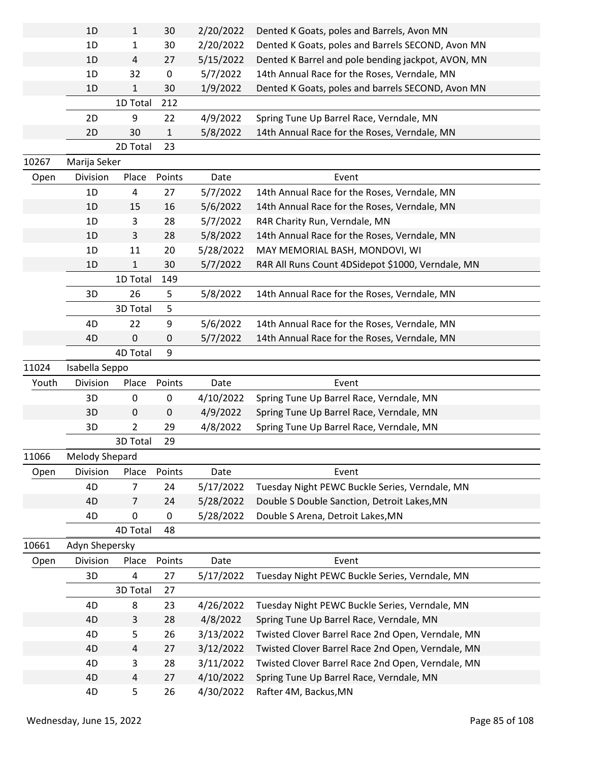|       | 1D             | $\mathbf{1}$   | 30           | 2/20/2022 | Dented K Goats, poles and Barrels, Avon MN         |  |
|-------|----------------|----------------|--------------|-----------|----------------------------------------------------|--|
|       | 1D             | 1              | 30           | 2/20/2022 | Dented K Goats, poles and Barrels SECOND, Avon MN  |  |
|       | 1D             | $\overline{4}$ | 27           | 5/15/2022 | Dented K Barrel and pole bending jackpot, AVON, MN |  |
|       | 1D             | 32             | $\pmb{0}$    | 5/7/2022  | 14th Annual Race for the Roses, Verndale, MN       |  |
|       | 1D             | $\mathbf{1}$   | 30           | 1/9/2022  | Dented K Goats, poles and barrels SECOND, Avon MN  |  |
|       |                | 1D Total       | 212          |           |                                                    |  |
|       | 2D             | 9              | 22           | 4/9/2022  | Spring Tune Up Barrel Race, Verndale, MN           |  |
|       | 2D             | 30             | $\mathbf{1}$ | 5/8/2022  | 14th Annual Race for the Roses, Verndale, MN       |  |
|       |                | 2D Total       | 23           |           |                                                    |  |
| 10267 | Marija Seker   |                |              |           |                                                    |  |
| Open  | Division       | Place          | Points       | Date      | Event                                              |  |
|       | 1D             | 4              | 27           | 5/7/2022  | 14th Annual Race for the Roses, Verndale, MN       |  |
|       | 1D             | 15             | 16           | 5/6/2022  | 14th Annual Race for the Roses, Verndale, MN       |  |
|       | 1D             | 3              | 28           | 5/7/2022  | R4R Charity Run, Verndale, MN                      |  |
|       | 1D             | 3              | 28           | 5/8/2022  | 14th Annual Race for the Roses, Verndale, MN       |  |
|       | 1D             | 11             | 20           | 5/28/2022 | MAY MEMORIAL BASH, MONDOVI, WI                     |  |
|       | 1D             | $\mathbf{1}$   | 30           | 5/7/2022  | R4R All Runs Count 4DSidepot \$1000, Verndale, MN  |  |
|       |                | 1D Total       | 149          |           |                                                    |  |
|       | 3D             | 26             | 5            | 5/8/2022  | 14th Annual Race for the Roses, Verndale, MN       |  |
|       |                | 3D Total       | 5            |           |                                                    |  |
|       | 4D             | 22             | 9            | 5/6/2022  | 14th Annual Race for the Roses, Verndale, MN       |  |
|       | 4D             | $\mathbf 0$    | 0            | 5/7/2022  | 14th Annual Race for the Roses, Verndale, MN       |  |
|       |                | 4D Total       | 9            |           |                                                    |  |
|       |                |                |              |           |                                                    |  |
| 11024 | Isabella Seppo |                |              |           |                                                    |  |
| Youth | Division       | Place          | Points       | Date      | Event                                              |  |
|       | 3D             | 0              | 0            | 4/10/2022 | Spring Tune Up Barrel Race, Verndale, MN           |  |
|       | 3D             | $\mathbf 0$    | $\pmb{0}$    | 4/9/2022  | Spring Tune Up Barrel Race, Verndale, MN           |  |
|       | 3D             | $\overline{2}$ | 29           | 4/8/2022  | Spring Tune Up Barrel Race, Verndale, MN           |  |
|       |                | 3D Total       | 29           |           |                                                    |  |
| 11066 | Melody Shepard |                |              |           |                                                    |  |
| Open  | Division       | Place          | Points       | Date      | Event                                              |  |
|       | 4D             | 7              | 24           | 5/17/2022 | Tuesday Night PEWC Buckle Series, Verndale, MN     |  |
|       | 4D             | $\overline{7}$ | 24           | 5/28/2022 | Double S Double Sanction, Detroit Lakes, MN        |  |
|       | 4D             | $\pmb{0}$      | $\pmb{0}$    | 5/28/2022 | Double S Arena, Detroit Lakes, MN                  |  |
|       |                | 4D Total       | 48           |           |                                                    |  |
| 10661 | Adyn Shepersky |                |              |           |                                                    |  |
| Open  | Division       | Place          | Points       | Date      | Event                                              |  |
|       | 3D             | $\overline{4}$ | 27           | 5/17/2022 | Tuesday Night PEWC Buckle Series, Verndale, MN     |  |
|       |                | 3D Total       | 27           |           |                                                    |  |
|       | 4D             | 8              | 23           | 4/26/2022 | Tuesday Night PEWC Buckle Series, Verndale, MN     |  |
|       | 4D             | 3              | 28           | 4/8/2022  | Spring Tune Up Barrel Race, Verndale, MN           |  |
|       | 4D             | 5              | 26           | 3/13/2022 | Twisted Clover Barrel Race 2nd Open, Verndale, MN  |  |
|       | 4D             | 4              | 27           | 3/12/2022 | Twisted Clover Barrel Race 2nd Open, Verndale, MN  |  |
|       | 4D             | 3              | 28           | 3/11/2022 | Twisted Clover Barrel Race 2nd Open, Verndale, MN  |  |
|       | 4D             | $\overline{4}$ | 27           | 4/10/2022 | Spring Tune Up Barrel Race, Verndale, MN           |  |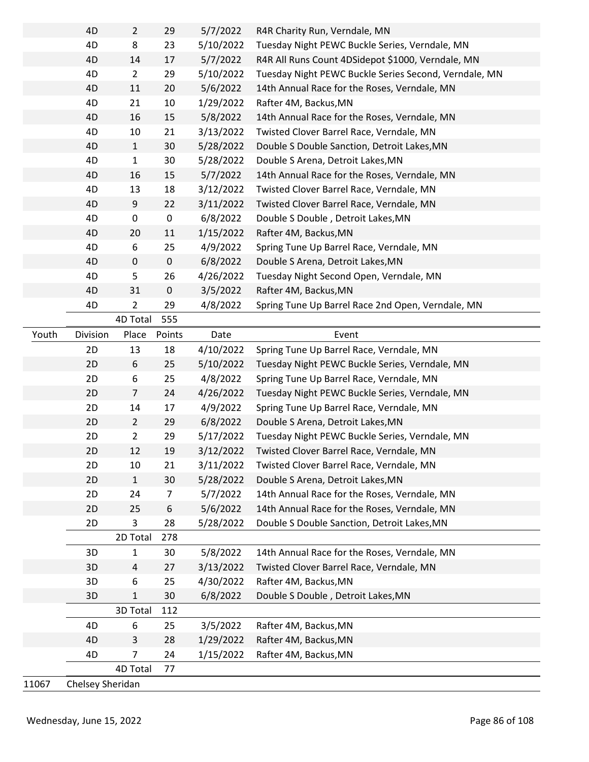|       | 4D               | $\overline{2}$ | 29          | 5/7/2022  | R4R Charity Run, Verndale, MN                         |
|-------|------------------|----------------|-------------|-----------|-------------------------------------------------------|
|       | 4D               | 8              | 23          | 5/10/2022 | Tuesday Night PEWC Buckle Series, Verndale, MN        |
|       | 4D               | 14             | 17          | 5/7/2022  | R4R All Runs Count 4DSidepot \$1000, Verndale, MN     |
|       | 4D               | $\overline{2}$ | 29          | 5/10/2022 | Tuesday Night PEWC Buckle Series Second, Verndale, MN |
|       | 4D               | 11             | 20          | 5/6/2022  | 14th Annual Race for the Roses, Verndale, MN          |
|       | 4D               | 21             | 10          | 1/29/2022 | Rafter 4M, Backus, MN                                 |
|       | 4D               | 16             | 15          | 5/8/2022  | 14th Annual Race for the Roses, Verndale, MN          |
|       | 4D               | 10             | 21          | 3/13/2022 | Twisted Clover Barrel Race, Verndale, MN              |
|       | 4D               | $\mathbf{1}$   | 30          | 5/28/2022 | Double S Double Sanction, Detroit Lakes, MN           |
|       | 4D               | $\mathbf 1$    | 30          | 5/28/2022 | Double S Arena, Detroit Lakes, MN                     |
|       | 4D               | 16             | 15          | 5/7/2022  | 14th Annual Race for the Roses, Verndale, MN          |
|       | 4D               | 13             | 18          | 3/12/2022 | Twisted Clover Barrel Race, Verndale, MN              |
|       | 4D               | 9              | 22          | 3/11/2022 | Twisted Clover Barrel Race, Verndale, MN              |
|       | 4D               | 0              | $\pmb{0}$   | 6/8/2022  | Double S Double, Detroit Lakes, MN                    |
|       | 4D               | 20             | 11          | 1/15/2022 | Rafter 4M, Backus, MN                                 |
|       | 4D               | 6              | 25          | 4/9/2022  | Spring Tune Up Barrel Race, Verndale, MN              |
|       | 4D               | 0              | $\mathbf 0$ | 6/8/2022  | Double S Arena, Detroit Lakes, MN                     |
|       | 4D               | 5              | 26          | 4/26/2022 | Tuesday Night Second Open, Verndale, MN               |
|       | 4D               | 31             | $\mathbf 0$ | 3/5/2022  | Rafter 4M, Backus, MN                                 |
|       | 4D               | $\overline{2}$ | 29          | 4/8/2022  | Spring Tune Up Barrel Race 2nd Open, Verndale, MN     |
|       |                  | 4D Total       | 555         |           |                                                       |
| Youth | Division         | Place          | Points      | Date      | Event                                                 |
|       | 2D               | 13             | 18          | 4/10/2022 | Spring Tune Up Barrel Race, Verndale, MN              |
|       | 2D               | 6              | 25          | 5/10/2022 | Tuesday Night PEWC Buckle Series, Verndale, MN        |
|       | 2D               | 6              | 25          | 4/8/2022  | Spring Tune Up Barrel Race, Verndale, MN              |
|       | 2D               | $\overline{7}$ | 24          | 4/26/2022 | Tuesday Night PEWC Buckle Series, Verndale, MN        |
|       | 2D               | 14             | 17          | 4/9/2022  | Spring Tune Up Barrel Race, Verndale, MN              |
|       | 2D               | $\overline{2}$ | 29          | 6/8/2022  | Double S Arena, Detroit Lakes, MN                     |
|       | 2D               | 2              | 29          | 5/17/2022 | Tuesday Night PEWC Buckle Series, Verndale, MN        |
|       | 2D               | 12             | 19          | 3/12/2022 | Twisted Clover Barrel Race, Verndale, MN              |
|       | 2D               | 10             | 21          | 3/11/2022 | Twisted Clover Barrel Race, Verndale, MN              |
|       | 2D               | $\mathbf{1}$   | 30          | 5/28/2022 | Double S Arena, Detroit Lakes, MN                     |
|       | 2D               | 24             | 7           | 5/7/2022  | 14th Annual Race for the Roses, Verndale, MN          |
|       | 2D               | 25             | 6           | 5/6/2022  | 14th Annual Race for the Roses, Verndale, MN          |
|       | 2D               | 3              | 28          | 5/28/2022 | Double S Double Sanction, Detroit Lakes, MN           |
|       |                  | 2D Total       | 278         |           |                                                       |
|       | 3D               | $\mathbf{1}$   | 30          | 5/8/2022  | 14th Annual Race for the Roses, Verndale, MN          |
|       | 3D               | 4              | 27          | 3/13/2022 | Twisted Clover Barrel Race, Verndale, MN              |
|       | 3D               | 6              | 25          | 4/30/2022 | Rafter 4M, Backus, MN                                 |
|       | 3D               | 1              | 30          | 6/8/2022  | Double S Double, Detroit Lakes, MN                    |
|       |                  | 3D Total       | 112         |           |                                                       |
|       | 4D               | 6              | 25          | 3/5/2022  | Rafter 4M, Backus, MN                                 |
|       | 4D               | 3              | 28          | 1/29/2022 | Rafter 4M, Backus, MN                                 |
|       | 4D               | 7              | 24          | 1/15/2022 | Rafter 4M, Backus, MN                                 |
|       |                  | 4D Total       | 77          |           |                                                       |
| 11067 | Chelsey Sheridan |                |             |           |                                                       |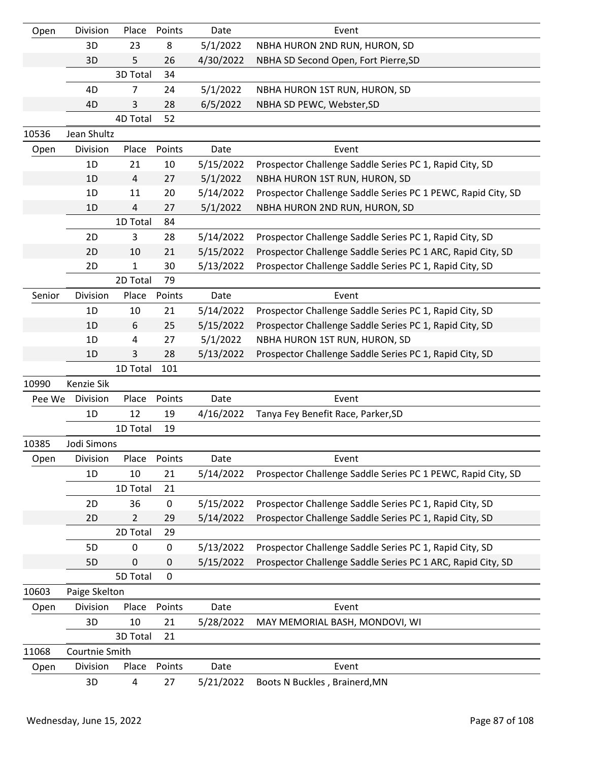| Open   | Division       | Place          | Points    | Date      | Event                                                        |
|--------|----------------|----------------|-----------|-----------|--------------------------------------------------------------|
|        | 3D             | 23             | 8         | 5/1/2022  | NBHA HURON 2ND RUN, HURON, SD                                |
|        | 3D             | 5.             | 26        | 4/30/2022 | NBHA SD Second Open, Fort Pierre, SD                         |
|        |                | 3D Total       | 34        |           |                                                              |
|        | 4D             | 7              | 24        | 5/1/2022  | NBHA HURON 1ST RUN, HURON, SD                                |
|        | 4D             | 3              | 28        | 6/5/2022  | NBHA SD PEWC, Webster, SD                                    |
|        |                | 4D Total       | 52        |           |                                                              |
| 10536  | Jean Shultz    |                |           |           |                                                              |
| Open   | Division       | Place          | Points    | Date      | Event                                                        |
|        | 1D             | 21             | 10        | 5/15/2022 | Prospector Challenge Saddle Series PC 1, Rapid City, SD      |
|        | 1D             | 4              | 27        | 5/1/2022  | NBHA HURON 1ST RUN, HURON, SD                                |
|        | 1D             | 11             | 20        | 5/14/2022 | Prospector Challenge Saddle Series PC 1 PEWC, Rapid City, SD |
|        | 1D             | $\overline{4}$ | 27        | 5/1/2022  | NBHA HURON 2ND RUN, HURON, SD                                |
|        |                | 1D Total       | 84        |           |                                                              |
|        | 2D             | 3              | 28        | 5/14/2022 | Prospector Challenge Saddle Series PC 1, Rapid City, SD      |
|        | 2D             | 10             | 21        | 5/15/2022 | Prospector Challenge Saddle Series PC 1 ARC, Rapid City, SD  |
|        | 2D             | 1              | 30        | 5/13/2022 | Prospector Challenge Saddle Series PC 1, Rapid City, SD      |
|        |                | 2D Total       | 79        |           |                                                              |
| Senior | Division       | Place          | Points    | Date      | Event                                                        |
|        | 1D             | 10             | 21        | 5/14/2022 | Prospector Challenge Saddle Series PC 1, Rapid City, SD      |
|        | 1D             | 6              | 25        | 5/15/2022 | Prospector Challenge Saddle Series PC 1, Rapid City, SD      |
|        | 1D             | 4              | 27        | 5/1/2022  | NBHA HURON 1ST RUN, HURON, SD                                |
|        | 1D             | 3              | 28        | 5/13/2022 | Prospector Challenge Saddle Series PC 1, Rapid City, SD      |
|        |                | 1D Total       | 101       |           |                                                              |
| 10990  | Kenzie Sik     |                |           |           |                                                              |
| Pee We | Division       | Place          | Points    | Date      | Event                                                        |
|        | 1D             | 12             | 19        | 4/16/2022 | Tanya Fey Benefit Race, Parker, SD                           |
|        |                | 1D Total       | 19        |           |                                                              |
| 10385  | Jodi Simons    |                |           |           |                                                              |
| Open   | Division       | Place          | Points    | Date      | Event                                                        |
|        | 1D             | 10             | 21        | 5/14/2022 | Prospector Challenge Saddle Series PC 1 PEWC, Rapid City, SD |
|        |                | 1D Total       | 21        |           |                                                              |
|        | 2D             | 36             | 0         | 5/15/2022 | Prospector Challenge Saddle Series PC 1, Rapid City, SD      |
|        | 2D             | $\overline{2}$ | 29        | 5/14/2022 | Prospector Challenge Saddle Series PC 1, Rapid City, SD      |
|        |                | 2D Total       | 29        |           |                                                              |
|        | 5D             | 0              | $\pmb{0}$ | 5/13/2022 | Prospector Challenge Saddle Series PC 1, Rapid City, SD      |
|        | 5D             | 0              | 0         | 5/15/2022 | Prospector Challenge Saddle Series PC 1 ARC, Rapid City, SD  |
|        |                | 5D Total       | 0         |           |                                                              |
| 10603  | Paige Skelton  |                |           |           |                                                              |
| Open   | Division       | Place          | Points    | Date      | Event                                                        |
|        | 3D             | 10             | 21        | 5/28/2022 | MAY MEMORIAL BASH, MONDOVI, WI                               |
|        |                | 3D Total       | 21        |           |                                                              |
| 11068  | Courtnie Smith |                |           |           |                                                              |
| Open   | Division       | Place          | Points    | Date      | Event                                                        |
|        | 3D             | 4              | 27        | 5/21/2022 | Boots N Buckles, Brainerd, MN                                |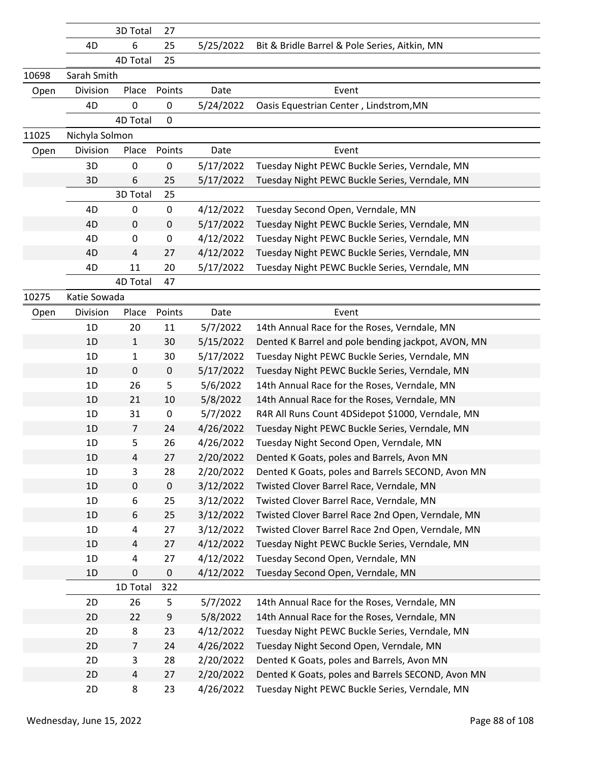| 6<br>25<br>5/25/2022<br>Bit & Bridle Barrel & Pole Series, Aitkin, MN<br>4D<br>4D Total<br>25<br>10698<br>Sarah Smith<br>Division<br>Place<br>Points<br>Event<br>Date<br>Open<br>4D<br>0<br>0<br>5/24/2022<br>Oasis Equestrian Center, Lindstrom, MN<br>4D Total<br>0<br>11025<br>Nichyla Solmon<br>Division<br>Place<br>Event<br>Open<br>Points<br>Date<br>3D<br>0<br>0<br>5/17/2022<br>Tuesday Night PEWC Buckle Series, Verndale, MN<br>Tuesday Night PEWC Buckle Series, Verndale, MN<br>3D<br>6<br>25<br>5/17/2022<br>3D Total<br>25<br>4D<br>$\pmb{0}$<br>0<br>4/12/2022<br>Tuesday Second Open, Verndale, MN<br>5/17/2022<br>4D<br>0<br>0<br>Tuesday Night PEWC Buckle Series, Verndale, MN<br>4/12/2022<br>4D<br>0<br>Tuesday Night PEWC Buckle Series, Verndale, MN<br>0<br>4/12/2022<br>4D<br>27<br>Tuesday Night PEWC Buckle Series, Verndale, MN<br>4<br>4D<br>11<br>20<br>5/17/2022<br>Tuesday Night PEWC Buckle Series, Verndale, MN<br>4D Total<br>47 |       | 3D Total | 27 |  |  |
|----------------------------------------------------------------------------------------------------------------------------------------------------------------------------------------------------------------------------------------------------------------------------------------------------------------------------------------------------------------------------------------------------------------------------------------------------------------------------------------------------------------------------------------------------------------------------------------------------------------------------------------------------------------------------------------------------------------------------------------------------------------------------------------------------------------------------------------------------------------------------------------------------------------------------------------------------------------------|-------|----------|----|--|--|
|                                                                                                                                                                                                                                                                                                                                                                                                                                                                                                                                                                                                                                                                                                                                                                                                                                                                                                                                                                      |       |          |    |  |  |
|                                                                                                                                                                                                                                                                                                                                                                                                                                                                                                                                                                                                                                                                                                                                                                                                                                                                                                                                                                      |       |          |    |  |  |
|                                                                                                                                                                                                                                                                                                                                                                                                                                                                                                                                                                                                                                                                                                                                                                                                                                                                                                                                                                      |       |          |    |  |  |
|                                                                                                                                                                                                                                                                                                                                                                                                                                                                                                                                                                                                                                                                                                                                                                                                                                                                                                                                                                      |       |          |    |  |  |
|                                                                                                                                                                                                                                                                                                                                                                                                                                                                                                                                                                                                                                                                                                                                                                                                                                                                                                                                                                      |       |          |    |  |  |
|                                                                                                                                                                                                                                                                                                                                                                                                                                                                                                                                                                                                                                                                                                                                                                                                                                                                                                                                                                      |       |          |    |  |  |
|                                                                                                                                                                                                                                                                                                                                                                                                                                                                                                                                                                                                                                                                                                                                                                                                                                                                                                                                                                      |       |          |    |  |  |
|                                                                                                                                                                                                                                                                                                                                                                                                                                                                                                                                                                                                                                                                                                                                                                                                                                                                                                                                                                      |       |          |    |  |  |
|                                                                                                                                                                                                                                                                                                                                                                                                                                                                                                                                                                                                                                                                                                                                                                                                                                                                                                                                                                      |       |          |    |  |  |
|                                                                                                                                                                                                                                                                                                                                                                                                                                                                                                                                                                                                                                                                                                                                                                                                                                                                                                                                                                      |       |          |    |  |  |
|                                                                                                                                                                                                                                                                                                                                                                                                                                                                                                                                                                                                                                                                                                                                                                                                                                                                                                                                                                      |       |          |    |  |  |
|                                                                                                                                                                                                                                                                                                                                                                                                                                                                                                                                                                                                                                                                                                                                                                                                                                                                                                                                                                      |       |          |    |  |  |
|                                                                                                                                                                                                                                                                                                                                                                                                                                                                                                                                                                                                                                                                                                                                                                                                                                                                                                                                                                      |       |          |    |  |  |
|                                                                                                                                                                                                                                                                                                                                                                                                                                                                                                                                                                                                                                                                                                                                                                                                                                                                                                                                                                      |       |          |    |  |  |
|                                                                                                                                                                                                                                                                                                                                                                                                                                                                                                                                                                                                                                                                                                                                                                                                                                                                                                                                                                      |       |          |    |  |  |
|                                                                                                                                                                                                                                                                                                                                                                                                                                                                                                                                                                                                                                                                                                                                                                                                                                                                                                                                                                      |       |          |    |  |  |
|                                                                                                                                                                                                                                                                                                                                                                                                                                                                                                                                                                                                                                                                                                                                                                                                                                                                                                                                                                      |       |          |    |  |  |
| Katie Sowada                                                                                                                                                                                                                                                                                                                                                                                                                                                                                                                                                                                                                                                                                                                                                                                                                                                                                                                                                         | 10275 |          |    |  |  |
| Division<br>Place<br>Points<br>Date<br>Event<br>Open                                                                                                                                                                                                                                                                                                                                                                                                                                                                                                                                                                                                                                                                                                                                                                                                                                                                                                                 |       |          |    |  |  |
| 1D<br>20<br>11<br>5/7/2022<br>14th Annual Race for the Roses, Verndale, MN                                                                                                                                                                                                                                                                                                                                                                                                                                                                                                                                                                                                                                                                                                                                                                                                                                                                                           |       |          |    |  |  |
| 1D<br>30<br>Dented K Barrel and pole bending jackpot, AVON, MN<br>$\mathbf{1}$<br>5/15/2022                                                                                                                                                                                                                                                                                                                                                                                                                                                                                                                                                                                                                                                                                                                                                                                                                                                                          |       |          |    |  |  |
| 5/17/2022<br>Tuesday Night PEWC Buckle Series, Verndale, MN<br>1D<br>30<br>1                                                                                                                                                                                                                                                                                                                                                                                                                                                                                                                                                                                                                                                                                                                                                                                                                                                                                         |       |          |    |  |  |
| $\mathbf 0$<br>$\pmb{0}$<br>5/17/2022<br>1D<br>Tuesday Night PEWC Buckle Series, Verndale, MN                                                                                                                                                                                                                                                                                                                                                                                                                                                                                                                                                                                                                                                                                                                                                                                                                                                                        |       |          |    |  |  |
| 5<br>5/6/2022<br>1D<br>26<br>14th Annual Race for the Roses, Verndale, MN                                                                                                                                                                                                                                                                                                                                                                                                                                                                                                                                                                                                                                                                                                                                                                                                                                                                                            |       |          |    |  |  |
| 10<br>5/8/2022<br>1D<br>21<br>14th Annual Race for the Roses, Verndale, MN                                                                                                                                                                                                                                                                                                                                                                                                                                                                                                                                                                                                                                                                                                                                                                                                                                                                                           |       |          |    |  |  |
| 5/7/2022<br>R4R All Runs Count 4DSidepot \$1000, Verndale, MN<br>1D<br>31<br>0                                                                                                                                                                                                                                                                                                                                                                                                                                                                                                                                                                                                                                                                                                                                                                                                                                                                                       |       |          |    |  |  |
| 24<br>4/26/2022<br>Tuesday Night PEWC Buckle Series, Verndale, MN<br>1D<br>$\overline{7}$                                                                                                                                                                                                                                                                                                                                                                                                                                                                                                                                                                                                                                                                                                                                                                                                                                                                            |       |          |    |  |  |
| 26<br>4/26/2022<br>Tuesday Night Second Open, Verndale, MN<br>1D<br>5                                                                                                                                                                                                                                                                                                                                                                                                                                                                                                                                                                                                                                                                                                                                                                                                                                                                                                |       |          |    |  |  |
| 1D<br>27<br>2/20/2022<br>Dented K Goats, poles and Barrels, Avon MN<br>4                                                                                                                                                                                                                                                                                                                                                                                                                                                                                                                                                                                                                                                                                                                                                                                                                                                                                             |       |          |    |  |  |
| 1D<br>2/20/2022<br>3<br>28<br>Dented K Goats, poles and Barrels SECOND, Avon MN                                                                                                                                                                                                                                                                                                                                                                                                                                                                                                                                                                                                                                                                                                                                                                                                                                                                                      |       |          |    |  |  |
| 1D<br>$\pmb{0}$<br>0<br>3/12/2022<br>Twisted Clover Barrel Race, Verndale, MN                                                                                                                                                                                                                                                                                                                                                                                                                                                                                                                                                                                                                                                                                                                                                                                                                                                                                        |       |          |    |  |  |
| 3/12/2022<br>Twisted Clover Barrel Race, Verndale, MN<br>1D<br>25<br>6                                                                                                                                                                                                                                                                                                                                                                                                                                                                                                                                                                                                                                                                                                                                                                                                                                                                                               |       |          |    |  |  |
| 6<br>25<br>3/12/2022<br>1D<br>Twisted Clover Barrel Race 2nd Open, Verndale, MN                                                                                                                                                                                                                                                                                                                                                                                                                                                                                                                                                                                                                                                                                                                                                                                                                                                                                      |       |          |    |  |  |
| 3/12/2022<br>Twisted Clover Barrel Race 2nd Open, Verndale, MN<br>1D<br>27<br>4                                                                                                                                                                                                                                                                                                                                                                                                                                                                                                                                                                                                                                                                                                                                                                                                                                                                                      |       |          |    |  |  |
| 27<br>4/12/2022<br>1D<br>Tuesday Night PEWC Buckle Series, Verndale, MN<br>4                                                                                                                                                                                                                                                                                                                                                                                                                                                                                                                                                                                                                                                                                                                                                                                                                                                                                         |       |          |    |  |  |
| 4/12/2022<br>Tuesday Second Open, Verndale, MN<br>1D<br>27<br>4                                                                                                                                                                                                                                                                                                                                                                                                                                                                                                                                                                                                                                                                                                                                                                                                                                                                                                      |       |          |    |  |  |
| 0<br>0<br>1D<br>4/12/2022<br>Tuesday Second Open, Verndale, MN                                                                                                                                                                                                                                                                                                                                                                                                                                                                                                                                                                                                                                                                                                                                                                                                                                                                                                       |       |          |    |  |  |
| 1D Total<br>322                                                                                                                                                                                                                                                                                                                                                                                                                                                                                                                                                                                                                                                                                                                                                                                                                                                                                                                                                      |       |          |    |  |  |
| 26<br>5<br>14th Annual Race for the Roses, Verndale, MN<br>2D<br>5/7/2022                                                                                                                                                                                                                                                                                                                                                                                                                                                                                                                                                                                                                                                                                                                                                                                                                                                                                            |       |          |    |  |  |
| 9<br>2D<br>22<br>5/8/2022<br>14th Annual Race for the Roses, Verndale, MN<br>2D<br>8<br>23<br>4/12/2022<br>Tuesday Night PEWC Buckle Series, Verndale, MN                                                                                                                                                                                                                                                                                                                                                                                                                                                                                                                                                                                                                                                                                                                                                                                                            |       |          |    |  |  |
| 4/26/2022<br>Tuesday Night Second Open, Verndale, MN<br>2D<br>24<br>7                                                                                                                                                                                                                                                                                                                                                                                                                                                                                                                                                                                                                                                                                                                                                                                                                                                                                                |       |          |    |  |  |
| 28<br>2/20/2022<br>Dented K Goats, poles and Barrels, Avon MN<br>2D<br>3                                                                                                                                                                                                                                                                                                                                                                                                                                                                                                                                                                                                                                                                                                                                                                                                                                                                                             |       |          |    |  |  |
| 2/20/2022<br>Dented K Goats, poles and Barrels SECOND, Avon MN<br>2D<br>27<br>4                                                                                                                                                                                                                                                                                                                                                                                                                                                                                                                                                                                                                                                                                                                                                                                                                                                                                      |       |          |    |  |  |
| 2D<br>8<br>23<br>4/26/2022<br>Tuesday Night PEWC Buckle Series, Verndale, MN                                                                                                                                                                                                                                                                                                                                                                                                                                                                                                                                                                                                                                                                                                                                                                                                                                                                                         |       |          |    |  |  |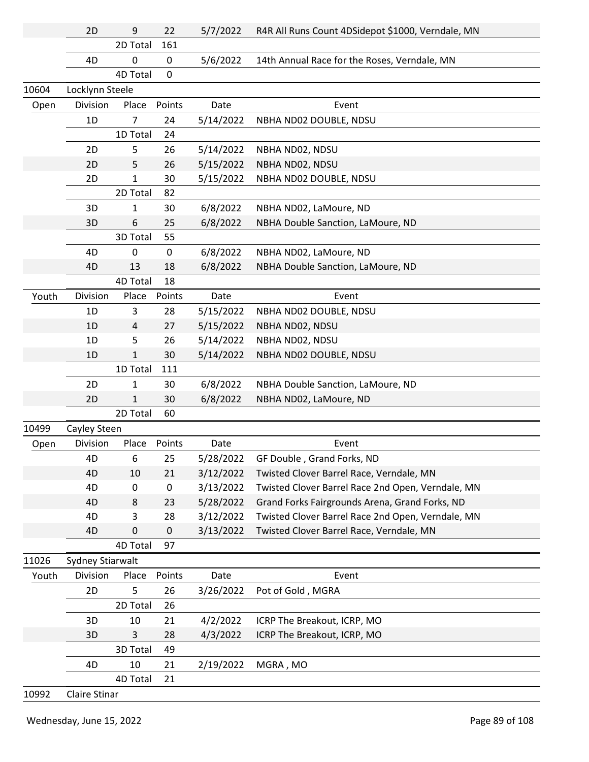|       | 2D               | 9            | 22             | 5/7/2022  | R4R All Runs Count 4DSidepot \$1000, Verndale, MN |
|-------|------------------|--------------|----------------|-----------|---------------------------------------------------|
|       |                  | 2D Total     | 161            |           |                                                   |
|       | 4D               | $\pmb{0}$    | $\pmb{0}$      | 5/6/2022  | 14th Annual Race for the Roses, Verndale, MN      |
|       |                  | 4D Total     | $\overline{0}$ |           |                                                   |
| 10604 | Locklynn Steele  |              |                |           |                                                   |
| Open  | Division         | Place        | Points         | Date      | Event                                             |
|       | 1D               | 7            | 24             | 5/14/2022 | NBHA ND02 DOUBLE, NDSU                            |
|       |                  | 1D Total     | 24             |           |                                                   |
|       | 2D               | 5            | 26             | 5/14/2022 | NBHA ND02, NDSU                                   |
|       | 2D               | 5            | 26             | 5/15/2022 | NBHA ND02, NDSU                                   |
|       | 2D               | $\mathbf{1}$ | 30             | 5/15/2022 | NBHA ND02 DOUBLE, NDSU                            |
|       |                  | 2D Total     | 82             |           |                                                   |
|       | 3D               | 1            | 30             | 6/8/2022  | NBHA ND02, LaMoure, ND                            |
|       | 3D               | 6            | 25             | 6/8/2022  | NBHA Double Sanction, LaMoure, ND                 |
|       |                  | 3D Total     | 55             |           |                                                   |
|       | 4D               | 0            | $\pmb{0}$      | 6/8/2022  | NBHA ND02, LaMoure, ND                            |
|       | 4D               | 13           | 18             | 6/8/2022  | NBHA Double Sanction, LaMoure, ND                 |
|       |                  | 4D Total     | 18             |           |                                                   |
| Youth | Division         | Place        | Points         | Date      | Event                                             |
|       | 1D               | 3            | 28             | 5/15/2022 | NBHA ND02 DOUBLE, NDSU                            |
|       | 1D               | 4            | 27             | 5/15/2022 | NBHA ND02, NDSU                                   |
|       | 1D               | 5            | 26             | 5/14/2022 | NBHA ND02, NDSU                                   |
|       | 1 <sub>D</sub>   | 1            | 30             | 5/14/2022 | NBHA ND02 DOUBLE, NDSU                            |
|       |                  | 1D Total     | 111            |           |                                                   |
|       | 2D               | $\mathbf{1}$ | 30             | 6/8/2022  | NBHA Double Sanction, LaMoure, ND                 |
|       | 2D               | 1            | 30             | 6/8/2022  | NBHA ND02, LaMoure, ND                            |
|       |                  | 2D Total     | 60             |           |                                                   |
| 10499 | Cayley Steen     |              |                |           |                                                   |
| Open  | Division         | Place        | Points         | Date      | Event                                             |
|       | 4D               | 6            | 25             | 5/28/2022 | GF Double, Grand Forks, ND                        |
|       | 4D               | 10           | 21             | 3/12/2022 | Twisted Clover Barrel Race, Verndale, MN          |
|       | 4D               | 0            | $\pmb{0}$      | 3/13/2022 | Twisted Clover Barrel Race 2nd Open, Verndale, MN |
|       | 4D               | 8            | 23             | 5/28/2022 | Grand Forks Fairgrounds Arena, Grand Forks, ND    |
|       | 4D               | 3            | 28             | 3/12/2022 | Twisted Clover Barrel Race 2nd Open, Verndale, MN |
|       | 4D               | 0            | $\pmb{0}$      | 3/13/2022 | Twisted Clover Barrel Race, Verndale, MN          |
|       |                  | 4D Total     | 97             |           |                                                   |
| 11026 | Sydney Stiarwalt |              |                |           |                                                   |
| Youth | Division         | Place        | Points         | Date      | Event                                             |
|       | 2D               | 5            | 26             | 3/26/2022 | Pot of Gold, MGRA                                 |
|       |                  | 2D Total     | 26             |           |                                                   |
|       | 3D               | 10           | 21             | 4/2/2022  | ICRP The Breakout, ICRP, MO                       |
|       | 3D               | 3            | 28             | 4/3/2022  | ICRP The Breakout, ICRP, MO                       |
|       |                  | 3D Total     | 49             |           |                                                   |
|       | 4D               | 10           | 21             | 2/19/2022 | MGRA, MO                                          |
|       |                  | 4D Total     | 21             |           |                                                   |
| 10992 | Claire Stinar    |              |                |           |                                                   |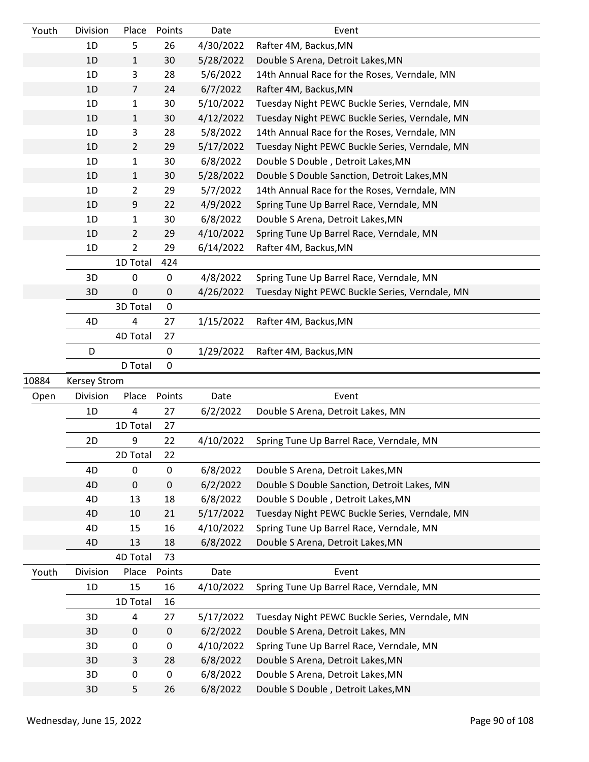| Youth | Division            | Place          | Points    | Date      | Event                                          |
|-------|---------------------|----------------|-----------|-----------|------------------------------------------------|
|       | 1D                  | 5              | 26        | 4/30/2022 | Rafter 4M, Backus, MN                          |
|       | 1D                  | $\mathbf{1}$   | 30        | 5/28/2022 | Double S Arena, Detroit Lakes, MN              |
|       | 1D                  | 3              | 28        | 5/6/2022  | 14th Annual Race for the Roses, Verndale, MN   |
|       | 1D                  | 7              | 24        | 6/7/2022  | Rafter 4M, Backus, MN                          |
|       | 1D                  | $\mathbf{1}$   | 30        | 5/10/2022 | Tuesday Night PEWC Buckle Series, Verndale, MN |
|       | 1D                  | $\mathbf{1}$   | 30        | 4/12/2022 | Tuesday Night PEWC Buckle Series, Verndale, MN |
|       | 1D                  | 3              | 28        | 5/8/2022  | 14th Annual Race for the Roses, Verndale, MN   |
|       | 1D                  | $\overline{2}$ | 29        | 5/17/2022 | Tuesday Night PEWC Buckle Series, Verndale, MN |
|       | 1D                  | $\mathbf{1}$   | 30        | 6/8/2022  | Double S Double, Detroit Lakes, MN             |
|       | 1D                  | $\mathbf{1}$   | 30        | 5/28/2022 | Double S Double Sanction, Detroit Lakes, MN    |
|       | 1D                  | $\overline{2}$ | 29        | 5/7/2022  | 14th Annual Race for the Roses, Verndale, MN   |
|       | 1D                  | 9              | 22        | 4/9/2022  | Spring Tune Up Barrel Race, Verndale, MN       |
|       | 1D                  | $\mathbf{1}$   | 30        | 6/8/2022  | Double S Arena, Detroit Lakes, MN              |
|       | 1D                  | $\overline{2}$ | 29        | 4/10/2022 | Spring Tune Up Barrel Race, Verndale, MN       |
|       | 1D                  | $\overline{2}$ | 29        | 6/14/2022 | Rafter 4M, Backus, MN                          |
|       |                     | 1D Total       | 424       |           |                                                |
|       | 3D                  | $\pmb{0}$      | 0         | 4/8/2022  | Spring Tune Up Barrel Race, Verndale, MN       |
|       | 3D                  | 0              | $\pmb{0}$ | 4/26/2022 | Tuesday Night PEWC Buckle Series, Verndale, MN |
|       |                     | 3D Total       | $\pmb{0}$ |           |                                                |
|       | 4D                  | 4              | 27        | 1/15/2022 | Rafter 4M, Backus, MN                          |
|       |                     | 4D Total       | 27        |           |                                                |
|       | D                   |                | 0         | 1/29/2022 | Rafter 4M, Backus, MN                          |
|       |                     | D Total        | $\pmb{0}$ |           |                                                |
| 10884 | <b>Kersey Strom</b> |                |           |           |                                                |
| Open  | Division            | Place          | Points    | Date      | Event                                          |
|       | 1D                  | 4              | 27        | 6/2/2022  | Double S Arena, Detroit Lakes, MN              |
|       |                     | 1D Total       | 27        |           |                                                |
|       | 2D                  | 9              | 22        | 4/10/2022 | Spring Tune Up Barrel Race, Verndale, MN       |
|       |                     | 2D Total       | 22        |           |                                                |
|       | 4D                  | $\mathbf 0$    | $\pmb{0}$ | 6/8/2022  | Double S Arena, Detroit Lakes, MN              |
|       | 4D                  | $\pmb{0}$      | $\pmb{0}$ | 6/2/2022  | Double S Double Sanction, Detroit Lakes, MN    |
|       | 4D                  | 13             | 18        | 6/8/2022  | Double S Double, Detroit Lakes, MN             |
|       | 4D                  | 10             | 21        | 5/17/2022 | Tuesday Night PEWC Buckle Series, Verndale, MN |
|       | 4D                  | 15             | 16        | 4/10/2022 | Spring Tune Up Barrel Race, Verndale, MN       |
|       | 4D                  | 13             | 18        | 6/8/2022  | Double S Arena, Detroit Lakes, MN              |
|       |                     | 4D Total       | 73        |           |                                                |
| Youth | Division            | Place          | Points    | Date      | Event                                          |
|       | 1D                  | 15             | 16        | 4/10/2022 | Spring Tune Up Barrel Race, Verndale, MN       |
|       |                     | 1D Total       | 16        |           |                                                |
|       | 3D                  | 4              | 27        | 5/17/2022 | Tuesday Night PEWC Buckle Series, Verndale, MN |
|       | 3D                  | $\pmb{0}$      | $\pmb{0}$ | 6/2/2022  | Double S Arena, Detroit Lakes, MN              |
|       | 3D                  | 0              | 0         | 4/10/2022 | Spring Tune Up Barrel Race, Verndale, MN       |
|       | 3D                  | 3              | 28        | 6/8/2022  | Double S Arena, Detroit Lakes, MN              |
|       |                     |                |           |           |                                                |
|       | 3D                  | 0              | 0         | 6/8/2022  | Double S Arena, Detroit Lakes, MN              |
|       | 3D                  | 5              | 26        | 6/8/2022  | Double S Double, Detroit Lakes, MN             |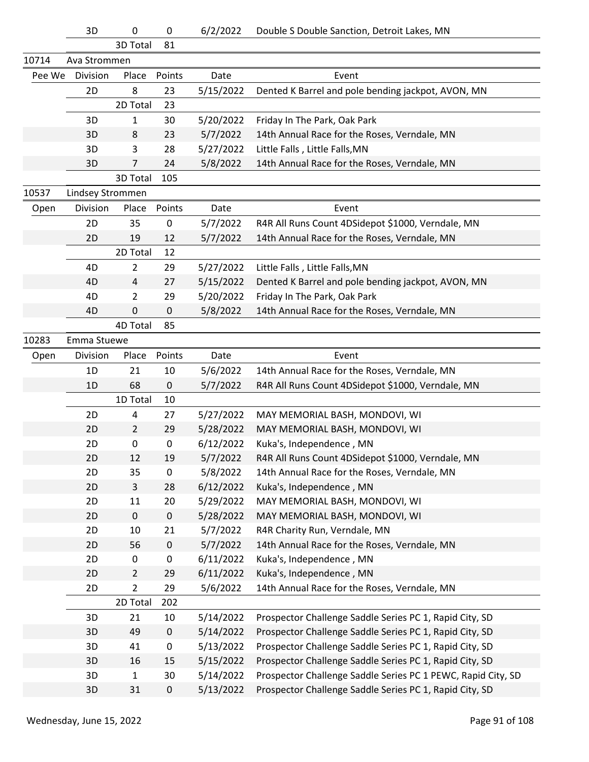|        | 3D               | $\pmb{0}$      | 0         | 6/2/2022  | Double S Double Sanction, Detroit Lakes, MN                  |
|--------|------------------|----------------|-----------|-----------|--------------------------------------------------------------|
|        |                  | 3D Total       | 81        |           |                                                              |
| 10714  | Ava Strommen     |                |           |           |                                                              |
| Pee We | Division         | Place          | Points    | Date      | Event                                                        |
|        | 2D               | 8              | 23        | 5/15/2022 | Dented K Barrel and pole bending jackpot, AVON, MN           |
|        |                  | 2D Total       | 23        |           |                                                              |
|        | 3D               | 1              | 30        | 5/20/2022 | Friday In The Park, Oak Park                                 |
|        | 3D               | 8              | 23        | 5/7/2022  | 14th Annual Race for the Roses, Verndale, MN                 |
|        | 3D               | 3              | 28        | 5/27/2022 | Little Falls, Little Falls, MN                               |
|        | 3D               | 7              | 24        | 5/8/2022  | 14th Annual Race for the Roses, Verndale, MN                 |
|        |                  | 3D Total       | 105       |           |                                                              |
| 10537  | Lindsey Strommen |                |           |           |                                                              |
| Open   | Division         | Place          | Points    | Date      | Event                                                        |
|        | 2D               | 35             | 0         | 5/7/2022  | R4R All Runs Count 4DSidepot \$1000, Verndale, MN            |
|        | 2D               | 19             | 12        | 5/7/2022  | 14th Annual Race for the Roses, Verndale, MN                 |
|        |                  | 2D Total       | 12        |           |                                                              |
|        | 4D               | $\overline{2}$ | 29        | 5/27/2022 | Little Falls, Little Falls, MN                               |
|        | 4D               | 4              | 27        | 5/15/2022 | Dented K Barrel and pole bending jackpot, AVON, MN           |
|        | 4D               | $\overline{2}$ | 29        | 5/20/2022 | Friday In The Park, Oak Park                                 |
|        | 4D               | 0              | 0         | 5/8/2022  | 14th Annual Race for the Roses, Verndale, MN                 |
|        |                  | 4D Total       | 85        |           |                                                              |
| 10283  | Emma Stuewe      |                |           |           |                                                              |
| Open   | Division         | Place          | Points    | Date      | Event                                                        |
|        | 1D               | 21             | 10        | 5/6/2022  | 14th Annual Race for the Roses, Verndale, MN                 |
|        | 1 <sub>D</sub>   | 68             | 0         | 5/7/2022  | R4R All Runs Count 4DSidepot \$1000, Verndale, MN            |
|        |                  | 1D Total       | 10        |           |                                                              |
|        | 2D               | 4              | 27        | 5/27/2022 | MAY MEMORIAL BASH, MONDOVI, WI                               |
|        | 2D               | $\overline{2}$ | 29        | 5/28/2022 | MAY MEMORIAL BASH, MONDOVI, WI                               |
|        | 2D               | 0              | 0         | 6/12/2022 | Kuka's, Independence, MN                                     |
|        | 2D               | 12             | 19        | 5/7/2022  | R4R All Runs Count 4DSidepot \$1000, Verndale, MN            |
|        | 2D               | 35             | 0         | 5/8/2022  | 14th Annual Race for the Roses, Verndale, MN                 |
|        | 2D               | $\mathbf{3}$   | 28        | 6/12/2022 | Kuka's, Independence, MN                                     |
|        | 2D               | 11             | 20        | 5/29/2022 | MAY MEMORIAL BASH, MONDOVI, WI                               |
|        | 2D               | $\pmb{0}$      | 0         | 5/28/2022 | MAY MEMORIAL BASH, MONDOVI, WI                               |
|        | 2D               | 10             | 21        | 5/7/2022  | R4R Charity Run, Verndale, MN                                |
|        | 2D               | 56             | 0         | 5/7/2022  | 14th Annual Race for the Roses, Verndale, MN                 |
|        | 2D               | 0              | 0         | 6/11/2022 | Kuka's, Independence, MN                                     |
|        | 2D               | $\overline{2}$ | 29        | 6/11/2022 | Kuka's, Independence, MN                                     |
|        | 2D               | $\overline{2}$ | 29        | 5/6/2022  | 14th Annual Race for the Roses, Verndale, MN                 |
|        |                  | 2D Total       | 202       |           |                                                              |
|        | 3D               | 21             | 10        | 5/14/2022 | Prospector Challenge Saddle Series PC 1, Rapid City, SD      |
|        | 3D               | 49             | $\pmb{0}$ | 5/14/2022 | Prospector Challenge Saddle Series PC 1, Rapid City, SD      |
|        | 3D               | 41             | 0         | 5/13/2022 | Prospector Challenge Saddle Series PC 1, Rapid City, SD      |
|        | 3D               | 16             | 15        | 5/15/2022 | Prospector Challenge Saddle Series PC 1, Rapid City, SD      |
|        | 3D               | $\mathbf{1}$   | 30        | 5/14/2022 | Prospector Challenge Saddle Series PC 1 PEWC, Rapid City, SD |
|        | 3D               | 31             | 0         | 5/13/2022 | Prospector Challenge Saddle Series PC 1, Rapid City, SD      |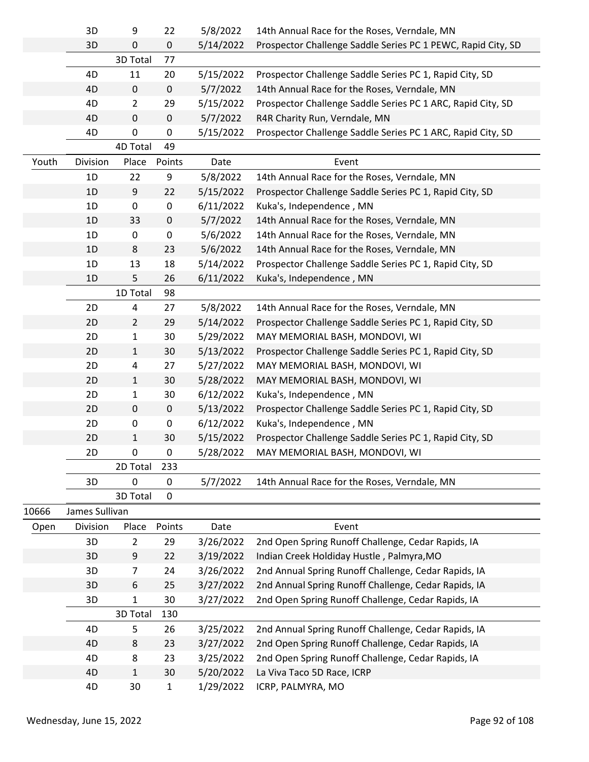|       | 3D             | 9              | 22          | 5/8/2022  | 14th Annual Race for the Roses, Verndale, MN                 |
|-------|----------------|----------------|-------------|-----------|--------------------------------------------------------------|
|       | 3D             | 0              | 0           | 5/14/2022 | Prospector Challenge Saddle Series PC 1 PEWC, Rapid City, SD |
|       |                | 3D Total       | 77          |           |                                                              |
|       | 4D             | 11             | 20          | 5/15/2022 | Prospector Challenge Saddle Series PC 1, Rapid City, SD      |
|       | 4D             | $\pmb{0}$      | $\pmb{0}$   | 5/7/2022  | 14th Annual Race for the Roses, Verndale, MN                 |
|       | 4D             | $\overline{2}$ | 29          | 5/15/2022 | Prospector Challenge Saddle Series PC 1 ARC, Rapid City, SD  |
|       | 4D             | $\pmb{0}$      | $\pmb{0}$   | 5/7/2022  | R4R Charity Run, Verndale, MN                                |
|       | 4D             | $\pmb{0}$      | 0           | 5/15/2022 | Prospector Challenge Saddle Series PC 1 ARC, Rapid City, SD  |
|       |                | 4D Total       | 49          |           |                                                              |
| Youth | Division       | Place          | Points      | Date      | Event                                                        |
|       | 1D             | 22             | 9           | 5/8/2022  | 14th Annual Race for the Roses, Verndale, MN                 |
|       | 1D             | 9              | 22          | 5/15/2022 | Prospector Challenge Saddle Series PC 1, Rapid City, SD      |
|       | 1D             | 0              | 0           | 6/11/2022 | Kuka's, Independence, MN                                     |
|       | 1D             | 33             | $\pmb{0}$   | 5/7/2022  | 14th Annual Race for the Roses, Verndale, MN                 |
|       | 1D             | 0              | 0           | 5/6/2022  | 14th Annual Race for the Roses, Verndale, MN                 |
|       | 1D             | 8              | 23          | 5/6/2022  | 14th Annual Race for the Roses, Verndale, MN                 |
|       | 1D             | 13             | 18          | 5/14/2022 | Prospector Challenge Saddle Series PC 1, Rapid City, SD      |
|       | 1D             | 5              | 26          | 6/11/2022 | Kuka's, Independence, MN                                     |
|       |                | 1D Total       | 98          |           |                                                              |
|       | 2D             | $\overline{4}$ | 27          | 5/8/2022  | 14th Annual Race for the Roses, Verndale, MN                 |
|       | 2D             | $\overline{2}$ | 29          | 5/14/2022 | Prospector Challenge Saddle Series PC 1, Rapid City, SD      |
|       | 2D             | $\mathbf{1}$   | 30          | 5/29/2022 | MAY MEMORIAL BASH, MONDOVI, WI                               |
|       | 2D             | $\mathbf{1}$   | 30          | 5/13/2022 | Prospector Challenge Saddle Series PC 1, Rapid City, SD      |
|       | 2D             | 4              | 27          | 5/27/2022 | MAY MEMORIAL BASH, MONDOVI, WI                               |
|       | 2D             | $\mathbf{1}$   | 30          | 5/28/2022 | MAY MEMORIAL BASH, MONDOVI, WI                               |
|       | 2D             | $\mathbf{1}$   | 30          | 6/12/2022 | Kuka's, Independence, MN                                     |
|       | 2D             | 0              | $\mathbf 0$ | 5/13/2022 | Prospector Challenge Saddle Series PC 1, Rapid City, SD      |
|       | 2D             | 0              | 0           | 6/12/2022 | Kuka's, Independence, MN                                     |
|       | 2D             | $\mathbf{1}$   | 30          | 5/15/2022 | Prospector Challenge Saddle Series PC 1, Rapid City, SD      |
|       | 2D             | 0              | 0           | 5/28/2022 | MAY MEMORIAL BASH, MONDOVI, WI                               |
|       |                | 2D Total       | 233         |           |                                                              |
|       | 3D             | 0              | 0           | 5/7/2022  | 14th Annual Race for the Roses, Verndale, MN                 |
|       |                | 3D Total       | $\mathbf 0$ |           |                                                              |
| 10666 | James Sullivan |                |             |           |                                                              |
| Open  | Division       | Place          | Points      | Date      | Event                                                        |
|       | 3D             | $\overline{2}$ | 29          | 3/26/2022 | 2nd Open Spring Runoff Challenge, Cedar Rapids, IA           |
|       | 3D             | 9              | 22          | 3/19/2022 | Indian Creek Holdiday Hustle, Palmyra, MO                    |
|       | 3D             | 7              | 24          | 3/26/2022 | 2nd Annual Spring Runoff Challenge, Cedar Rapids, IA         |
|       | 3D             | 6              | 25          | 3/27/2022 | 2nd Annual Spring Runoff Challenge, Cedar Rapids, IA         |
|       | 3D             | 1              | 30          | 3/27/2022 | 2nd Open Spring Runoff Challenge, Cedar Rapids, IA           |
|       |                | 3D Total       | 130         |           |                                                              |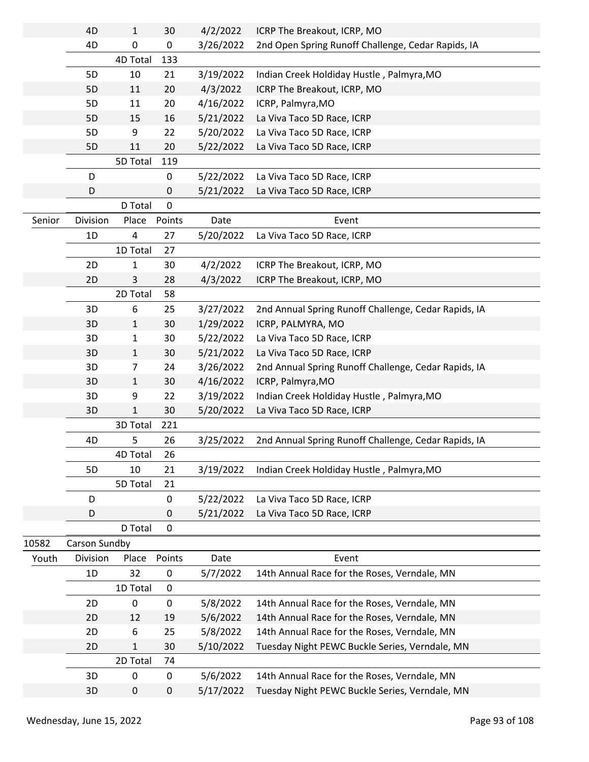|        | 4D            | $\mathbf{1}$ | 30        | 4/2/2022  | ICRP The Breakout, ICRP, MO                          |
|--------|---------------|--------------|-----------|-----------|------------------------------------------------------|
|        | 4D            | 0            | $\pmb{0}$ | 3/26/2022 | 2nd Open Spring Runoff Challenge, Cedar Rapids, IA   |
|        |               | 4D Total     | 133       |           |                                                      |
|        | 5D            | 10           | 21        | 3/19/2022 | Indian Creek Holdiday Hustle, Palmyra, MO            |
|        | 5D            | 11           | 20        | 4/3/2022  | ICRP The Breakout, ICRP, MO                          |
|        | 5D            | 11           | 20        | 4/16/2022 | ICRP, Palmyra, MO                                    |
|        | 5D            | 15           | 16        | 5/21/2022 | La Viva Taco 5D Race, ICRP                           |
|        | 5D            | 9            | 22        | 5/20/2022 | La Viva Taco 5D Race, ICRP                           |
|        | 5D            | 11           | 20        | 5/22/2022 | La Viva Taco 5D Race, ICRP                           |
|        |               | 5D Total     | 119       |           |                                                      |
|        | D             |              | 0         | 5/22/2022 | La Viva Taco 5D Race, ICRP                           |
|        | D             |              | 0         | 5/21/2022 | La Viva Taco 5D Race, ICRP                           |
|        |               | D Total      | 0         |           |                                                      |
| Senior | Division      | Place        | Points    | Date      | Event                                                |
|        | 1D            | 4            | 27        | 5/20/2022 | La Viva Taco 5D Race, ICRP                           |
|        |               | 1D Total     | 27        |           |                                                      |
|        | 2D            | 1            | 30        | 4/2/2022  | ICRP The Breakout, ICRP, MO                          |
|        | 2D            | 3            | 28        | 4/3/2022  | ICRP The Breakout, ICRP, MO                          |
|        |               | 2D Total     | 58        |           |                                                      |
|        | 3D            | 6            | 25        | 3/27/2022 | 2nd Annual Spring Runoff Challenge, Cedar Rapids, IA |
|        | 3D            | $\mathbf{1}$ | 30        | 1/29/2022 | ICRP, PALMYRA, MO                                    |
|        | 3D            | $\mathbf{1}$ | 30        | 5/22/2022 | La Viva Taco 5D Race, ICRP                           |
|        | 3D            | $\mathbf{1}$ | 30        | 5/21/2022 | La Viva Taco 5D Race, ICRP                           |
|        | 3D            | 7            | 24        | 3/26/2022 | 2nd Annual Spring Runoff Challenge, Cedar Rapids, IA |
|        | 3D            | $\mathbf{1}$ | 30        | 4/16/2022 | ICRP, Palmyra, MO                                    |
|        | 3D            | 9            | 22        | 3/19/2022 | Indian Creek Holdiday Hustle, Palmyra, MO            |
|        | 3D            | 1            | 30        | 5/20/2022 | La Viva Taco 5D Race, ICRP                           |
|        |               | 3D Total     | 221       |           |                                                      |
|        | 4D            | 5            | 26        | 3/25/2022 | 2nd Annual Spring Runoff Challenge, Cedar Rapids, IA |
|        |               | 4D Total     | 26        |           |                                                      |
|        | 5D            | 10           | 21        | 3/19/2022 | Indian Creek Holdiday Hustle, Palmyra, MO            |
|        |               | 5D Total     | 21        |           |                                                      |
|        | D             |              | 0         | 5/22/2022 | La Viva Taco 5D Race, ICRP                           |
|        | D             |              | 0         | 5/21/2022 | La Viva Taco 5D Race, ICRP                           |
|        |               | D Total      | 0         |           |                                                      |
| 10582  | Carson Sundby |              |           |           |                                                      |
| Youth  | Division      | Place        | Points    | Date      | Event                                                |
|        | 1D            | 32           | 0         | 5/7/2022  | 14th Annual Race for the Roses, Verndale, MN         |
|        |               | 1D Total     | $\pmb{0}$ |           |                                                      |
|        | 2D            | 0            | 0         | 5/8/2022  | 14th Annual Race for the Roses, Verndale, MN         |
|        | 2D            | 12           | 19        | 5/6/2022  | 14th Annual Race for the Roses, Verndale, MN         |
|        | 2D            | 6            | 25        | 5/8/2022  | 14th Annual Race for the Roses, Verndale, MN         |
|        | 2D            | $\mathbf{1}$ | 30        | 5/10/2022 | Tuesday Night PEWC Buckle Series, Verndale, MN       |
|        |               | 2D Total     | 74        |           |                                                      |
|        | 3D            | 0            | 0         | 5/6/2022  | 14th Annual Race for the Roses, Verndale, MN         |
|        | 3D            | 0            | $\pmb{0}$ | 5/17/2022 | Tuesday Night PEWC Buckle Series, Verndale, MN       |
|        |               |              |           |           |                                                      |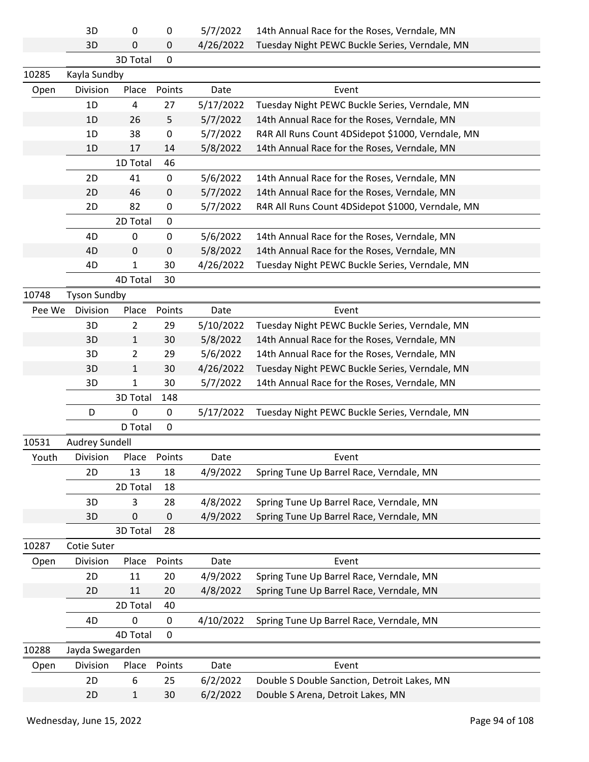3D 0 0 5/7/2022 14th Annual Race for the Roses, Verndale, MN

|        |                     |              |             | -------   |                                                   |
|--------|---------------------|--------------|-------------|-----------|---------------------------------------------------|
|        | 3D                  | 0            | $\pmb{0}$   | 4/26/2022 | Tuesday Night PEWC Buckle Series, Verndale, MN    |
|        |                     | 3D Total     | $\pmb{0}$   |           |                                                   |
| 10285  | Kayla Sundby        |              |             |           |                                                   |
| Open   | Division            | Place        | Points      | Date      | Event                                             |
|        | 1D                  | 4            | 27          | 5/17/2022 | Tuesday Night PEWC Buckle Series, Verndale, MN    |
|        | 1D                  | 26           | 5           | 5/7/2022  | 14th Annual Race for the Roses, Verndale, MN      |
|        | 1D                  | 38           | 0           | 5/7/2022  | R4R All Runs Count 4DSidepot \$1000, Verndale, MN |
|        | 1D                  | 17           | 14          | 5/8/2022  | 14th Annual Race for the Roses, Verndale, MN      |
|        |                     | 1D Total     | 46          |           |                                                   |
|        | 2D                  | 41           | $\pmb{0}$   | 5/6/2022  | 14th Annual Race for the Roses, Verndale, MN      |
|        | 2D                  | 46           | $\pmb{0}$   | 5/7/2022  | 14th Annual Race for the Roses, Verndale, MN      |
|        | 2D                  | 82           | 0           | 5/7/2022  | R4R All Runs Count 4DSidepot \$1000, Verndale, MN |
|        |                     | 2D Total     | $\pmb{0}$   |           |                                                   |
|        | 4D                  | 0            | $\mathbf 0$ | 5/6/2022  | 14th Annual Race for the Roses, Verndale, MN      |
|        | 4D                  | $\mathbf 0$  | $\pmb{0}$   | 5/8/2022  | 14th Annual Race for the Roses, Verndale, MN      |
|        | 4D                  | 1            | 30          | 4/26/2022 | Tuesday Night PEWC Buckle Series, Verndale, MN    |
|        |                     | 4D Total     | 30          |           |                                                   |
| 10748  | <b>Tyson Sundby</b> |              |             |           |                                                   |
| Pee We | Division            | Place        | Points      | Date      | Event                                             |
|        | 3D                  | 2            | 29          | 5/10/2022 | Tuesday Night PEWC Buckle Series, Verndale, MN    |
|        | 3D                  | 1            | 30          | 5/8/2022  | 14th Annual Race for the Roses, Verndale, MN      |
|        | 3D                  | 2            | 29          | 5/6/2022  | 14th Annual Race for the Roses, Verndale, MN      |
|        | 3D                  | $\mathbf{1}$ | 30          | 4/26/2022 | Tuesday Night PEWC Buckle Series, Verndale, MN    |
|        | 3D                  | 1            | 30          | 5/7/2022  | 14th Annual Race for the Roses, Verndale, MN      |
|        |                     | 3D Total     | 148         |           |                                                   |
|        | D                   | 0            | 0           | 5/17/2022 | Tuesday Night PEWC Buckle Series, Verndale, MN    |
|        |                     | D Total      | $\mathbf 0$ |           |                                                   |
| 10531  | Audrey Sundell      |              |             |           |                                                   |
| Youth  | Division            | Place        | Points      | Date      | Event                                             |
|        | 2D                  | 13           | 18          | 4/9/2022  | Spring Tune Up Barrel Race, Verndale, MN          |
|        |                     | 2D Total     | 18          |           |                                                   |
|        | 3D                  | 3            | 28          | 4/8/2022  | Spring Tune Up Barrel Race, Verndale, MN          |
|        | 3D                  | 0            | $\pmb{0}$   | 4/9/2022  | Spring Tune Up Barrel Race, Verndale, MN          |
|        |                     | 3D Total     | 28          |           |                                                   |
| 10287  | Cotie Suter         |              |             |           |                                                   |
| Open   | Division            | Place        | Points      | Date      | Event                                             |
|        | 2D                  | 11           | 20          | 4/9/2022  | Spring Tune Up Barrel Race, Verndale, MN          |
|        | 2D                  | 11           | 20          | 4/8/2022  | Spring Tune Up Barrel Race, Verndale, MN          |
|        |                     | 2D Total     | 40          |           |                                                   |
|        | 4D                  | $\mathbf 0$  | $\pmb{0}$   | 4/10/2022 | Spring Tune Up Barrel Race, Verndale, MN          |
|        |                     | 4D Total     | 0           |           |                                                   |
|        |                     |              |             |           |                                                   |

| 10288 | Jayda Swegarden |   |              |      |                                                      |  |
|-------|-----------------|---|--------------|------|------------------------------------------------------|--|
| Open  | <b>Division</b> |   | Place Points | Date | Event                                                |  |
|       | 2D.             | b | 25           |      | 6/2/2022 Double S Double Sanction, Detroit Lakes, MN |  |
|       | 2D.             |   | 30           |      | 6/2/2022 Double S Arena, Detroit Lakes, MN           |  |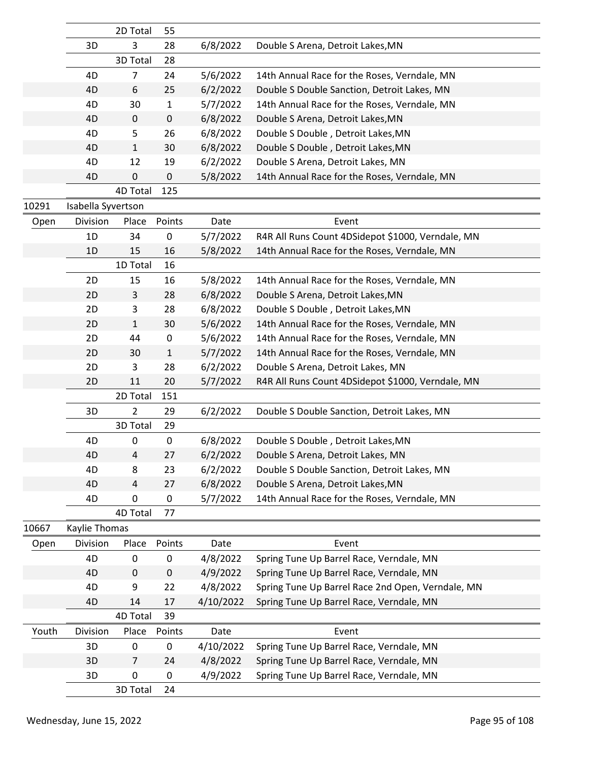|       |                    | 2D Total       | 55           |           |                                                   |
|-------|--------------------|----------------|--------------|-----------|---------------------------------------------------|
|       | 3D                 | 3              | 28           | 6/8/2022  | Double S Arena, Detroit Lakes, MN                 |
|       |                    | 3D Total       | 28           |           |                                                   |
|       | 4D                 | 7              | 24           | 5/6/2022  | 14th Annual Race for the Roses, Verndale, MN      |
|       | 4D                 | 6              | 25           | 6/2/2022  | Double S Double Sanction, Detroit Lakes, MN       |
|       | 4D                 | 30             | 1            | 5/7/2022  | 14th Annual Race for the Roses, Verndale, MN      |
|       | 4D                 | 0              | 0            | 6/8/2022  | Double S Arena, Detroit Lakes, MN                 |
|       | 4D                 | 5              | 26           | 6/8/2022  | Double S Double, Detroit Lakes, MN                |
|       | 4D                 | $\mathbf{1}$   | 30           | 6/8/2022  | Double S Double, Detroit Lakes, MN                |
|       | 4D                 | 12             | 19           | 6/2/2022  | Double S Arena, Detroit Lakes, MN                 |
|       | 4D                 | 0              | 0            | 5/8/2022  | 14th Annual Race for the Roses, Verndale, MN      |
|       |                    | 4D Total       | 125          |           |                                                   |
| 10291 | Isabella Syvertson |                |              |           |                                                   |
| Open  | Division           | Place          | Points       | Date      | Event                                             |
|       | 1D                 | 34             | 0            | 5/7/2022  | R4R All Runs Count 4DSidepot \$1000, Verndale, MN |
|       | 1D                 | 15             | 16           | 5/8/2022  | 14th Annual Race for the Roses, Verndale, MN      |
|       |                    | 1D Total       | 16           |           |                                                   |
|       | 2D                 | 15             | 16           | 5/8/2022  | 14th Annual Race for the Roses, Verndale, MN      |
|       | 2D                 | 3              | 28           | 6/8/2022  | Double S Arena, Detroit Lakes, MN                 |
|       | 2D                 | 3              | 28           | 6/8/2022  | Double S Double, Detroit Lakes, MN                |
|       | 2D                 | $\mathbf{1}$   | 30           | 5/6/2022  | 14th Annual Race for the Roses, Verndale, MN      |
|       | 2D                 | 44             | 0            | 5/6/2022  | 14th Annual Race for the Roses, Verndale, MN      |
|       | 2D                 | 30             | $\mathbf{1}$ | 5/7/2022  | 14th Annual Race for the Roses, Verndale, MN      |
|       | 2D                 | 3              | 28           | 6/2/2022  | Double S Arena, Detroit Lakes, MN                 |
|       | 2D                 | 11             | 20           | 5/7/2022  | R4R All Runs Count 4DSidepot \$1000, Verndale, MN |
|       |                    | 2D Total       | 151          |           |                                                   |
|       | 3D                 | $\overline{2}$ | 29           | 6/2/2022  | Double S Double Sanction, Detroit Lakes, MN       |
|       |                    | 3D Total       | 29           |           |                                                   |
|       | 4D                 | $\pmb{0}$      | $\pmb{0}$    | 6/8/2022  | Double S Double, Detroit Lakes, MN                |
|       | 4D                 | $\overline{4}$ | 27           | 6/2/2022  | Double S Arena, Detroit Lakes, MN                 |
|       | 4D                 | 8              | 23           | 6/2/2022  | Double S Double Sanction, Detroit Lakes, MN       |
|       | 4D                 | 4              | 27           | 6/8/2022  | Double S Arena, Detroit Lakes, MN                 |
|       | 4D                 | 0              | 0            | 5/7/2022  | 14th Annual Race for the Roses, Verndale, MN      |
|       |                    | 4D Total       | 77           |           |                                                   |
| 10667 | Kaylie Thomas      |                |              |           |                                                   |
| Open  | Division           | Place          | Points       | Date      | Event                                             |
|       | 4D                 | 0              | 0            | 4/8/2022  | Spring Tune Up Barrel Race, Verndale, MN          |
|       | 4D                 | $\mathbf 0$    | $\pmb{0}$    | 4/9/2022  | Spring Tune Up Barrel Race, Verndale, MN          |
|       | 4D                 | 9              | 22           | 4/8/2022  | Spring Tune Up Barrel Race 2nd Open, Verndale, MN |
|       | 4D                 | 14             | 17           | 4/10/2022 | Spring Tune Up Barrel Race, Verndale, MN          |
|       |                    | 4D Total       | 39           |           |                                                   |
| Youth | Division           | Place          | Points       | Date      | Event                                             |
|       | 3D                 | 0              | 0            | 4/10/2022 | Spring Tune Up Barrel Race, Verndale, MN          |
|       | 3D                 | $\overline{7}$ | 24           | 4/8/2022  | Spring Tune Up Barrel Race, Verndale, MN          |
|       | 3D                 | $\pmb{0}$      | 0            | 4/9/2022  | Spring Tune Up Barrel Race, Verndale, MN          |
|       |                    | 3D Total       | 24           |           |                                                   |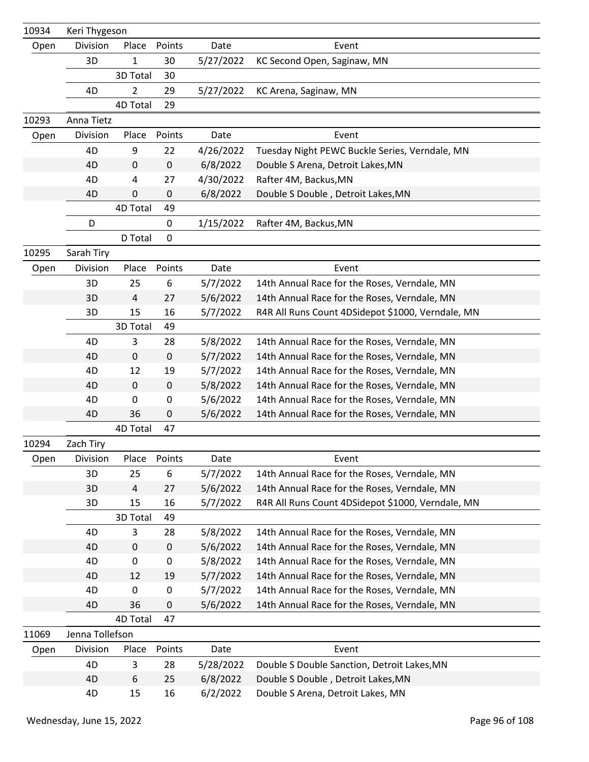| 10934 | Keri Thygeson   |              |           |           |                                                   |
|-------|-----------------|--------------|-----------|-----------|---------------------------------------------------|
| Open  | Division        | Place        | Points    | Date      | Event                                             |
|       | 3D              | $\mathbf{1}$ | 30        | 5/27/2022 | KC Second Open, Saginaw, MN                       |
|       |                 | 3D Total     | 30        |           |                                                   |
|       | 4D              | 2            | 29        | 5/27/2022 | KC Arena, Saginaw, MN                             |
|       |                 | 4D Total     | 29        |           |                                                   |
| 10293 | Anna Tietz      |              |           |           |                                                   |
| Open  | Division        | Place        | Points    | Date      | Event                                             |
|       | 4D              | 9            | 22        | 4/26/2022 | Tuesday Night PEWC Buckle Series, Verndale, MN    |
|       | 4D              | $\mathbf 0$  | $\pmb{0}$ | 6/8/2022  | Double S Arena, Detroit Lakes, MN                 |
|       | 4D              | 4            | 27        | 4/30/2022 | Rafter 4M, Backus, MN                             |
|       | 4D              | 0            | 0         | 6/8/2022  | Double S Double, Detroit Lakes, MN                |
|       |                 | 4D Total     | 49        |           |                                                   |
|       | D               |              | 0         | 1/15/2022 | Rafter 4M, Backus, MN                             |
|       |                 | D Total      | 0         |           |                                                   |
| 10295 | Sarah Tiry      |              |           |           |                                                   |
| Open  | Division        | Place        | Points    | Date      | Event                                             |
|       | 3D              | 25           | 6         | 5/7/2022  | 14th Annual Race for the Roses, Verndale, MN      |
|       | 3D              | 4            | 27        | 5/6/2022  | 14th Annual Race for the Roses, Verndale, MN      |
|       | 3D              | 15           | 16        | 5/7/2022  | R4R All Runs Count 4DSidepot \$1000, Verndale, MN |
|       |                 | 3D Total     | 49        |           |                                                   |
|       | 4D              | 3            | 28        | 5/8/2022  | 14th Annual Race for the Roses, Verndale, MN      |
|       | 4D              | 0            | $\pmb{0}$ | 5/7/2022  | 14th Annual Race for the Roses, Verndale, MN      |
|       | 4D              | 12           | 19        | 5/7/2022  | 14th Annual Race for the Roses, Verndale, MN      |
|       | 4D              | $\mathbf 0$  | $\pmb{0}$ | 5/8/2022  | 14th Annual Race for the Roses, Verndale, MN      |
|       | 4D              | 0            | 0         | 5/6/2022  | 14th Annual Race for the Roses, Verndale, MN      |
|       | 4D              | 36           | 0         | 5/6/2022  | 14th Annual Race for the Roses, Verndale, MN      |
|       |                 | 4D Total     | 47        |           |                                                   |
| 10294 | Zach Tiry       |              |           |           |                                                   |
| Open  | Division        | Place        | Points    | Date      | Event                                             |
|       | 3D              | 25           | 6         | 5/7/2022  | 14th Annual Race for the Roses, Verndale, MN      |
|       | 3D              | 4            | 27        | 5/6/2022  | 14th Annual Race for the Roses, Verndale, MN      |
|       | 3D              | 15           | 16        | 5/7/2022  | R4R All Runs Count 4DSidepot \$1000, Verndale, MN |
|       |                 | 3D Total     | 49        |           |                                                   |
|       | 4D              | 3            | 28        | 5/8/2022  | 14th Annual Race for the Roses, Verndale, MN      |
|       | 4D              | 0            | $\pmb{0}$ | 5/6/2022  | 14th Annual Race for the Roses, Verndale, MN      |
|       | 4D              | 0            | 0         | 5/8/2022  | 14th Annual Race for the Roses, Verndale, MN      |
|       | 4D              | 12           | 19        | 5/7/2022  | 14th Annual Race for the Roses, Verndale, MN      |
|       | 4D              | 0            | 0         | 5/7/2022  | 14th Annual Race for the Roses, Verndale, MN      |
|       | 4D              | 36           | 0         | 5/6/2022  | 14th Annual Race for the Roses, Verndale, MN      |
|       |                 | 4D Total     | 47        |           |                                                   |
| 11069 | Jenna Tollefson |              |           |           |                                                   |
| Open  | Division        | Place        | Points    | Date      | Event                                             |
|       | 4D              | 3            | 28        | 5/28/2022 | Double S Double Sanction, Detroit Lakes, MN       |
|       | 4D              | 6            | 25        | 6/8/2022  | Double S Double, Detroit Lakes, MN                |
|       | 4D              | 15           | 16        | 6/2/2022  | Double S Arena, Detroit Lakes, MN                 |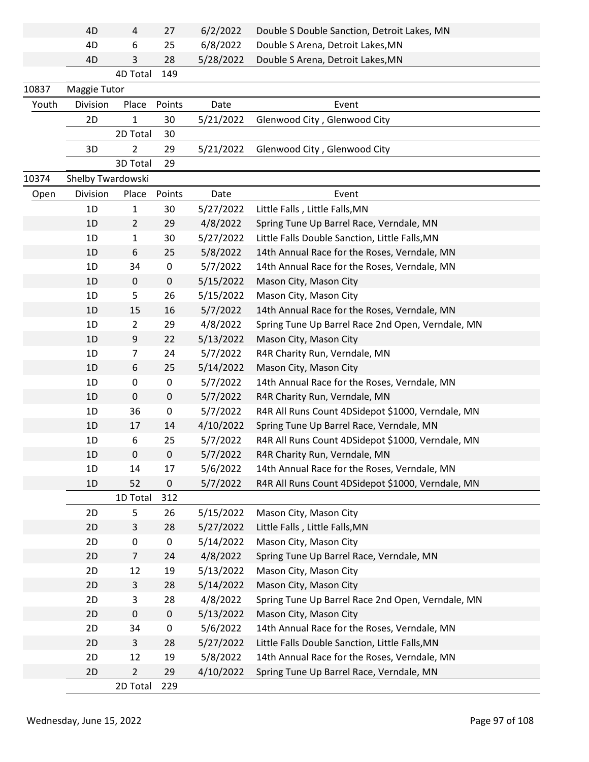|       | 4D                | 4              | 27        | 6/2/2022  | Double S Double Sanction, Detroit Lakes, MN       |
|-------|-------------------|----------------|-----------|-----------|---------------------------------------------------|
|       | 4D                | 6              | 25        | 6/8/2022  | Double S Arena, Detroit Lakes, MN                 |
|       | 4D                | 3              | 28        | 5/28/2022 | Double S Arena, Detroit Lakes, MN                 |
|       |                   | 4D Total       | 149       |           |                                                   |
| 10837 | Maggie Tutor      |                |           |           |                                                   |
| Youth | Division          | Place          | Points    | Date      | Event                                             |
|       | 2D                | 1              | 30        | 5/21/2022 | Glenwood City, Glenwood City                      |
|       |                   | 2D Total       | 30        |           |                                                   |
|       | 3D                | $\overline{2}$ | 29        | 5/21/2022 | Glenwood City, Glenwood City                      |
|       |                   | 3D Total       | 29        |           |                                                   |
| 10374 | Shelby Twardowski |                |           |           |                                                   |
| Open  | Division          | Place          | Points    | Date      | Event                                             |
|       | 1D                | 1              | 30        | 5/27/2022 | Little Falls, Little Falls, MN                    |
|       | 1D                | $\overline{2}$ | 29        | 4/8/2022  | Spring Tune Up Barrel Race, Verndale, MN          |
|       | 1D                | 1              | 30        | 5/27/2022 | Little Falls Double Sanction, Little Falls, MN    |
|       | 1D                | 6              | 25        | 5/8/2022  | 14th Annual Race for the Roses, Verndale, MN      |
|       | 1D                | 34             | 0         | 5/7/2022  | 14th Annual Race for the Roses, Verndale, MN      |
|       | 1D                | 0              | $\pmb{0}$ | 5/15/2022 | Mason City, Mason City                            |
|       | 1D                | 5              | 26        | 5/15/2022 | Mason City, Mason City                            |
|       | 1D                | 15             | 16        | 5/7/2022  | 14th Annual Race for the Roses, Verndale, MN      |
|       | 1D                | $\overline{2}$ | 29        | 4/8/2022  | Spring Tune Up Barrel Race 2nd Open, Verndale, MN |
|       | 1 <sub>D</sub>    | 9              | 22        | 5/13/2022 | Mason City, Mason City                            |
|       | 1D                | 7              | 24        | 5/7/2022  | R4R Charity Run, Verndale, MN                     |
|       | 1D                | 6              | 25        | 5/14/2022 | Mason City, Mason City                            |
|       | 1D                | 0              | 0         | 5/7/2022  | 14th Annual Race for the Roses, Verndale, MN      |
|       | 1 <sub>D</sub>    | 0              | 0         | 5/7/2022  | R4R Charity Run, Verndale, MN                     |
|       | 1D                | 36             | 0         | 5/7/2022  | R4R All Runs Count 4DSidepot \$1000, Verndale, MN |
|       | 1D                | 17             | 14        | 4/10/2022 | Spring Tune Up Barrel Race, Verndale, MN          |
|       | 1D                | 6              | 25        | 5/7/2022  | R4R All Runs Count 4DSidepot \$1000, Verndale, MN |
|       | 1D                | 0              | $\pmb{0}$ | 5/7/2022  | R4R Charity Run, Verndale, MN                     |
|       | 1D                | 14             | 17        | 5/6/2022  | 14th Annual Race for the Roses, Verndale, MN      |
|       | 1D                | 52             | 0         | 5/7/2022  | R4R All Runs Count 4DSidepot \$1000, Verndale, MN |
|       |                   | 1D Total       | 312       |           |                                                   |
|       | 2D                | 5              | 26        | 5/15/2022 | Mason City, Mason City                            |
|       | 2D                | 3              | 28        | 5/27/2022 | Little Falls, Little Falls, MN                    |
|       | 2D                | 0              | $\pmb{0}$ | 5/14/2022 | Mason City, Mason City                            |
|       | 2D                | $\overline{7}$ | 24        | 4/8/2022  | Spring Tune Up Barrel Race, Verndale, MN          |
|       | 2D                | 12             | 19        | 5/13/2022 | Mason City, Mason City                            |
|       | 2D                | 3              | 28        | 5/14/2022 | Mason City, Mason City                            |
|       | 2D                | 3              | 28        | 4/8/2022  | Spring Tune Up Barrel Race 2nd Open, Verndale, MN |
|       | 2D                | $\pmb{0}$      | $\pmb{0}$ | 5/13/2022 | Mason City, Mason City                            |
|       | 2D                | 34             | 0         | 5/6/2022  | 14th Annual Race for the Roses, Verndale, MN      |
|       | 2D                | $\mathsf{3}$   | 28        | 5/27/2022 | Little Falls Double Sanction, Little Falls, MN    |
|       | 2D                | 12             | 19        | 5/8/2022  | 14th Annual Race for the Roses, Verndale, MN      |
|       | 2D                | $\overline{2}$ | 29        | 4/10/2022 | Spring Tune Up Barrel Race, Verndale, MN          |
|       |                   | 2D Total       | 229       |           |                                                   |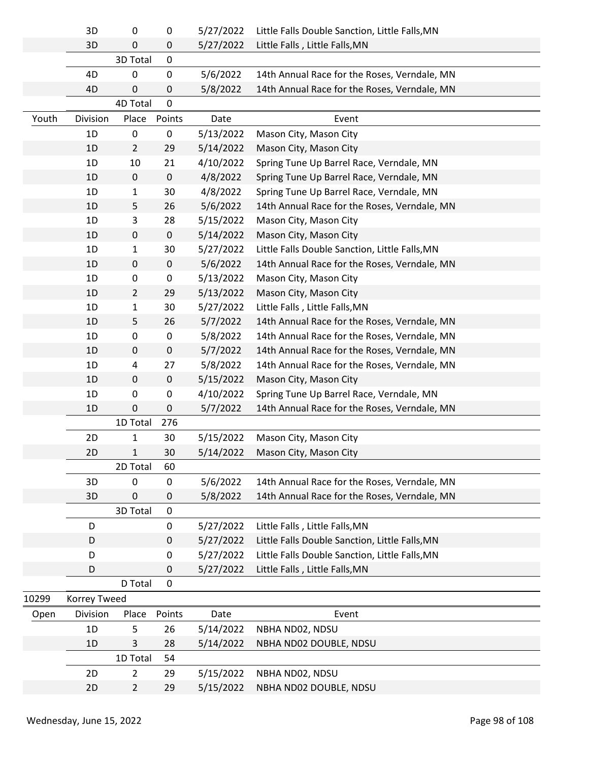|       | 3D             | 0              | 0           | 5/27/2022 | Little Falls Double Sanction, Little Falls, MN |
|-------|----------------|----------------|-------------|-----------|------------------------------------------------|
|       | 3D             | 0              | $\pmb{0}$   | 5/27/2022 | Little Falls, Little Falls, MN                 |
|       |                | 3D Total       | 0           |           |                                                |
|       | 4D             | 0              | $\pmb{0}$   | 5/6/2022  | 14th Annual Race for the Roses, Verndale, MN   |
|       | 4D             | 0              | 0           | 5/8/2022  | 14th Annual Race for the Roses, Verndale, MN   |
|       |                | 4D Total       | 0           |           |                                                |
| Youth | Division       | Place          | Points      | Date      | Event                                          |
|       | 1 <sub>D</sub> | 0              | 0           | 5/13/2022 | Mason City, Mason City                         |
|       | 1D             | $\overline{2}$ | 29          | 5/14/2022 | Mason City, Mason City                         |
|       | 1D             | 10             | 21          | 4/10/2022 | Spring Tune Up Barrel Race, Verndale, MN       |
|       | 1D             | $\mathbf 0$    | $\pmb{0}$   | 4/8/2022  | Spring Tune Up Barrel Race, Verndale, MN       |
|       | 1D             | 1              | 30          | 4/8/2022  | Spring Tune Up Barrel Race, Verndale, MN       |
|       | 1D             | 5              | 26          | 5/6/2022  | 14th Annual Race for the Roses, Verndale, MN   |
|       | 1D             | 3              | 28          | 5/15/2022 | Mason City, Mason City                         |
|       | 1D             | $\mathbf 0$    | $\pmb{0}$   | 5/14/2022 | Mason City, Mason City                         |
|       | 1D             | 1              | 30          | 5/27/2022 | Little Falls Double Sanction, Little Falls, MN |
|       | 1D             | 0              | $\pmb{0}$   | 5/6/2022  | 14th Annual Race for the Roses, Verndale, MN   |
|       | 1D             | 0              | 0           | 5/13/2022 | Mason City, Mason City                         |
|       | 1D             | $\overline{2}$ | 29          | 5/13/2022 | Mason City, Mason City                         |
|       | 1D             | 1              | 30          | 5/27/2022 | Little Falls, Little Falls, MN                 |
|       | 1D             | 5              | 26          | 5/7/2022  | 14th Annual Race for the Roses, Verndale, MN   |
|       | 1D             | 0              | 0           | 5/8/2022  | 14th Annual Race for the Roses, Verndale, MN   |
|       | 1D             | 0              | $\pmb{0}$   | 5/7/2022  | 14th Annual Race for the Roses, Verndale, MN   |
|       | 1D             | 4              | 27          | 5/8/2022  | 14th Annual Race for the Roses, Verndale, MN   |
|       | 1D             | 0              | $\pmb{0}$   | 5/15/2022 | Mason City, Mason City                         |
|       | 1D             | 0              | 0           | 4/10/2022 | Spring Tune Up Barrel Race, Verndale, MN       |
|       | 1D             | 0              | $\pmb{0}$   | 5/7/2022  | 14th Annual Race for the Roses, Verndale, MN   |
|       |                | 1D Total       | 276         |           |                                                |
|       | 2D             | 1              | 30          | 5/15/2022 | Mason City, Mason City                         |
|       | 2D             | 1              | 30          | 5/14/2022 | Mason City, Mason City                         |
|       |                | 2D Total       | 60          |           |                                                |
|       | 3D             | 0              | $\mathbf 0$ | 5/6/2022  | 14th Annual Race for the Roses, Verndale, MN   |
|       | 3D             | 0              | 0           | 5/8/2022  | 14th Annual Race for the Roses, Verndale, MN   |
|       |                | 3D Total       | 0           |           |                                                |
|       | D              |                | 0           | 5/27/2022 | Little Falls, Little Falls, MN                 |
|       | D              |                | 0           | 5/27/2022 | Little Falls Double Sanction, Little Falls, MN |
|       | D              |                | 0           | 5/27/2022 | Little Falls Double Sanction, Little Falls, MN |
|       | D              |                | 0           | 5/27/2022 | Little Falls, Little Falls, MN                 |
|       |                | D Total        | $\pmb{0}$   |           |                                                |
| 10299 | Korrey Tweed   |                |             |           |                                                |
| Open  | Division       | Place          | Points      | Date      | Event                                          |
|       | 1D             | 5              | 26          | 5/14/2022 | NBHA ND02, NDSU                                |
|       | 1D             | 3              | 28          | 5/14/2022 | NBHA ND02 DOUBLE, NDSU                         |
|       |                | 1D Total       | 54          |           |                                                |
|       | 2D             | $\overline{2}$ | 29          | 5/15/2022 | NBHA ND02, NDSU                                |
|       | 2D             | $\overline{2}$ | 29          | 5/15/2022 | NBHA ND02 DOUBLE, NDSU                         |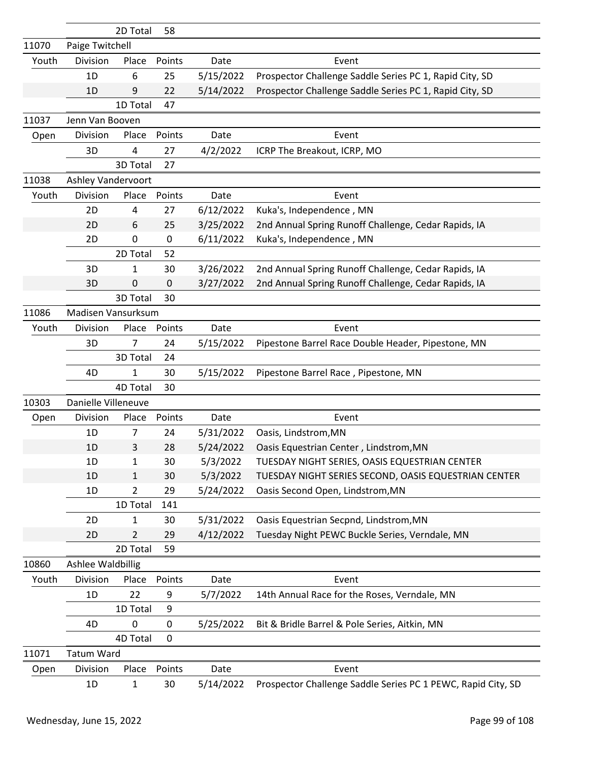|       |                     | 2D Total     | 58          |           |                                                              |
|-------|---------------------|--------------|-------------|-----------|--------------------------------------------------------------|
| 11070 | Paige Twitchell     |              |             |           |                                                              |
| Youth | Division            | Place        | Points      | Date      | Event                                                        |
|       | 1D                  | 6            | 25          | 5/15/2022 | Prospector Challenge Saddle Series PC 1, Rapid City, SD      |
|       | 1D                  | 9            | 22          | 5/14/2022 | Prospector Challenge Saddle Series PC 1, Rapid City, SD      |
|       |                     | 1D Total     | 47          |           |                                                              |
| 11037 | Jenn Van Booven     |              |             |           |                                                              |
| Open  | Division            | Place        | Points      | Date      | Event                                                        |
|       | 3D                  | 4            | 27          | 4/2/2022  | ICRP The Breakout, ICRP, MO                                  |
|       |                     | 3D Total     | 27          |           |                                                              |
| 11038 | Ashley Vandervoort  |              |             |           |                                                              |
| Youth | Division            | Place        | Points      | Date      | Event                                                        |
|       | 2D                  | 4            | 27          | 6/12/2022 | Kuka's, Independence, MN                                     |
|       | 2D                  | 6            | 25          | 3/25/2022 | 2nd Annual Spring Runoff Challenge, Cedar Rapids, IA         |
|       | 2D                  | 0            | 0           | 6/11/2022 | Kuka's, Independence, MN                                     |
|       |                     | 2D Total     | 52          |           |                                                              |
|       | 3D                  | 1            | 30          | 3/26/2022 | 2nd Annual Spring Runoff Challenge, Cedar Rapids, IA         |
|       | 3D                  | 0            | $\mathbf 0$ | 3/27/2022 | 2nd Annual Spring Runoff Challenge, Cedar Rapids, IA         |
|       |                     | 3D Total     | 30          |           |                                                              |
| 11086 | Madisen Vansurksum  |              |             |           |                                                              |
| Youth | Division            | Place        | Points      | Date      | Event                                                        |
|       | 3D                  | 7            | 24          | 5/15/2022 | Pipestone Barrel Race Double Header, Pipestone, MN           |
|       |                     | 3D Total     | 24          |           |                                                              |
|       | 4D                  | 1            | 30          | 5/15/2022 | Pipestone Barrel Race, Pipestone, MN                         |
|       |                     | 4D Total     | 30          |           |                                                              |
| 10303 | Danielle Villeneuve |              |             |           |                                                              |
| Open  | Division            | Place        | Points      | Date      | Event                                                        |
|       | 1D                  | 7            | 24          | 5/31/2022 | Oasis, Lindstrom, MN                                         |
|       | 1D                  | 3            | 28          | 5/24/2022 | Oasis Equestrian Center, Lindstrom, MN                       |
|       | 1D                  | $\mathbf{1}$ | 30          | 5/3/2022  | TUESDAY NIGHT SERIES, OASIS EQUESTRIAN CENTER                |
|       | 1D                  | 1            | 30          | 5/3/2022  | TUESDAY NIGHT SERIES SECOND, OASIS EQUESTRIAN CENTER         |
|       | 1D                  | 2            | 29          | 5/24/2022 | Oasis Second Open, Lindstrom, MN                             |
|       |                     | 1D Total     | 141         |           |                                                              |
|       | 2D                  | 1            | 30          | 5/31/2022 | Oasis Equestrian Secpnd, Lindstrom, MN                       |
|       | 2D                  | 2            | 29          | 4/12/2022 | Tuesday Night PEWC Buckle Series, Verndale, MN               |
|       |                     | 2D Total     | 59          |           |                                                              |
| 10860 | Ashlee Waldbillig   |              |             |           |                                                              |
| Youth | Division            | Place        | Points      | Date      | Event                                                        |
|       | 1D                  | 22           | 9           | 5/7/2022  | 14th Annual Race for the Roses, Verndale, MN                 |
|       |                     | 1D Total     | 9           |           |                                                              |
|       | 4D                  | 0            | 0           | 5/25/2022 | Bit & Bridle Barrel & Pole Series, Aitkin, MN                |
|       |                     | 4D Total     | 0           |           |                                                              |
| 11071 | <b>Tatum Ward</b>   |              |             |           |                                                              |
| Open  | Division            | Place        | Points      | Date      | Event                                                        |
|       | 1D                  | $\mathbf{1}$ | 30          | 5/14/2022 | Prospector Challenge Saddle Series PC 1 PEWC, Rapid City, SD |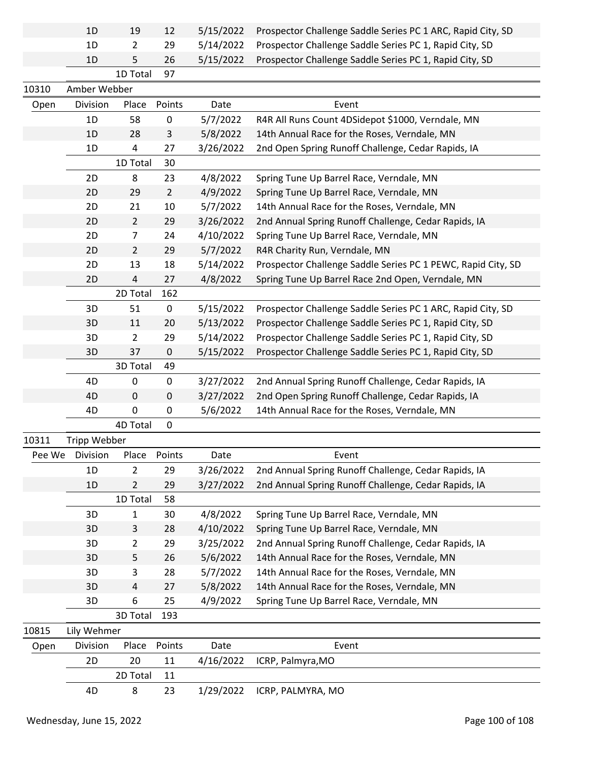|        | 1D           | 19                       | 12             | 5/15/2022 | Prospector Challenge Saddle Series PC 1 ARC, Rapid City, SD  |
|--------|--------------|--------------------------|----------------|-----------|--------------------------------------------------------------|
|        | 1D           | 2                        | 29             | 5/14/2022 | Prospector Challenge Saddle Series PC 1, Rapid City, SD      |
|        | 1D           | 5                        | 26             | 5/15/2022 | Prospector Challenge Saddle Series PC 1, Rapid City, SD      |
|        |              | 1D Total                 | 97             |           |                                                              |
| 10310  | Amber Webber |                          |                |           |                                                              |
| Open   | Division     | Place                    | Points         | Date      | Event                                                        |
|        | 1D           | 58                       | $\pmb{0}$      | 5/7/2022  | R4R All Runs Count 4DSidepot \$1000, Verndale, MN            |
|        | 1D           | 28                       | 3              | 5/8/2022  | 14th Annual Race for the Roses, Verndale, MN                 |
|        | 1D           | 4                        | 27             | 3/26/2022 | 2nd Open Spring Runoff Challenge, Cedar Rapids, IA           |
|        |              | 1D Total                 | 30             |           |                                                              |
|        | 2D           | 8                        | 23             | 4/8/2022  | Spring Tune Up Barrel Race, Verndale, MN                     |
|        | 2D           | 29                       | $\overline{2}$ | 4/9/2022  | Spring Tune Up Barrel Race, Verndale, MN                     |
|        | 2D           | 21                       | 10             | 5/7/2022  | 14th Annual Race for the Roses, Verndale, MN                 |
|        | 2D           | $\overline{2}$           | 29             | 3/26/2022 | 2nd Annual Spring Runoff Challenge, Cedar Rapids, IA         |
|        | 2D           | $\overline{7}$           | 24             | 4/10/2022 | Spring Tune Up Barrel Race, Verndale, MN                     |
|        | 2D           | $\overline{2}$           | 29             | 5/7/2022  | R4R Charity Run, Verndale, MN                                |
|        | 2D           | 13                       | 18             | 5/14/2022 | Prospector Challenge Saddle Series PC 1 PEWC, Rapid City, SD |
|        | 2D           | $\overline{\mathcal{L}}$ | 27             | 4/8/2022  | Spring Tune Up Barrel Race 2nd Open, Verndale, MN            |
|        |              | 2D Total                 | 162            |           |                                                              |
|        | 3D           | 51                       | $\pmb{0}$      | 5/15/2022 | Prospector Challenge Saddle Series PC 1 ARC, Rapid City, SD  |
|        | 3D           | 11                       | 20             | 5/13/2022 | Prospector Challenge Saddle Series PC 1, Rapid City, SD      |
|        | 3D           | $\overline{2}$           | 29             | 5/14/2022 | Prospector Challenge Saddle Series PC 1, Rapid City, SD      |
|        | 3D           | 37                       | $\mathbf 0$    | 5/15/2022 | Prospector Challenge Saddle Series PC 1, Rapid City, SD      |
|        |              | 3D Total                 | 49             |           |                                                              |
|        | 4D           | 0                        | $\pmb{0}$      | 3/27/2022 | 2nd Annual Spring Runoff Challenge, Cedar Rapids, IA         |
|        | 4D           | $\mathbf 0$              | $\pmb{0}$      | 3/27/2022 | 2nd Open Spring Runoff Challenge, Cedar Rapids, IA           |
|        | 4D           | 0                        | $\pmb{0}$      | 5/6/2022  | 14th Annual Race for the Roses, Verndale, MN                 |
|        |              | 4D Total                 | $\mathbf 0$    |           |                                                              |
| 10311  | Tripp Webber |                          |                |           |                                                              |
| Pee We | Division     | Place                    | Points         | Date      | Event                                                        |
|        | 1D           | $\overline{2}$           | 29             | 3/26/2022 | 2nd Annual Spring Runoff Challenge, Cedar Rapids, IA         |
|        | 1D           | 2                        | 29             | 3/27/2022 | 2nd Annual Spring Runoff Challenge, Cedar Rapids, IA         |
|        |              | 1D Total                 | 58             |           |                                                              |
|        | 3D           | 1                        | 30             | 4/8/2022  | Spring Tune Up Barrel Race, Verndale, MN                     |
|        | 3D           | 3                        | 28             | 4/10/2022 | Spring Tune Up Barrel Race, Verndale, MN                     |
|        | 3D           | $\overline{2}$           | 29             | 3/25/2022 | 2nd Annual Spring Runoff Challenge, Cedar Rapids, IA         |
|        | 3D           | 5                        | 26             | 5/6/2022  | 14th Annual Race for the Roses, Verndale, MN                 |
|        | 3D           | 3                        | 28             | 5/7/2022  | 14th Annual Race for the Roses, Verndale, MN                 |
|        | 3D           | 4                        | 27             | 5/8/2022  | 14th Annual Race for the Roses, Verndale, MN                 |
|        | 3D           | 6                        | 25             | 4/9/2022  | Spring Tune Up Barrel Race, Verndale, MN                     |
|        |              | 3D Total                 | 193            |           |                                                              |
| 10815  | Lily Wehmer  |                          |                |           |                                                              |
| Open   | Division     | Place                    | Points         | Date      | Event                                                        |
|        | 2D           | 20                       | 11             | 4/16/2022 | ICRP, Palmyra, MO                                            |
|        |              | 2D Total                 | 11             |           |                                                              |
|        | 4D           | 8                        | 23             | 1/29/2022 | ICRP, PALMYRA, MO                                            |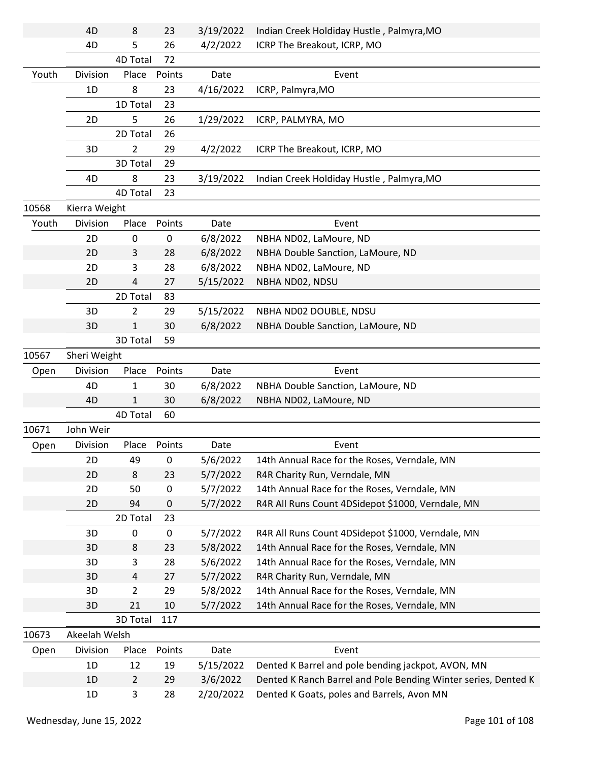|       | 4D            | 8                   | 23       | 3/19/2022             | Indian Creek Holdiday Hustle, Palmyra, MO                                                                    |
|-------|---------------|---------------------|----------|-----------------------|--------------------------------------------------------------------------------------------------------------|
|       | 4D            | 5                   | 26       | 4/2/2022              | ICRP The Breakout, ICRP, MO                                                                                  |
|       |               | 4D Total            | 72       |                       |                                                                                                              |
| Youth | Division      | Place               | Points   | Date                  | Event                                                                                                        |
|       | 1D            | 8                   | 23       | 4/16/2022             | ICRP, Palmyra, MO                                                                                            |
|       |               | 1D Total            | 23       |                       |                                                                                                              |
|       | 2D            | 5                   | 26       | 1/29/2022             | ICRP, PALMYRA, MO                                                                                            |
|       |               | 2D Total            | 26       |                       |                                                                                                              |
|       | 3D            | $\overline{2}$      | 29       | 4/2/2022              | ICRP The Breakout, ICRP, MO                                                                                  |
|       |               | 3D Total            | 29       |                       |                                                                                                              |
|       | 4D            | 8                   | 23       | 3/19/2022             | Indian Creek Holdiday Hustle, Palmyra, MO                                                                    |
|       |               | 4D Total            | 23       |                       |                                                                                                              |
| 10568 | Kierra Weight |                     |          |                       |                                                                                                              |
| Youth | Division      | Place               | Points   | Date                  | Event                                                                                                        |
|       | 2D            | 0                   | 0        | 6/8/2022              | NBHA ND02, LaMoure, ND                                                                                       |
|       | 2D            | 3                   | 28       | 6/8/2022              | NBHA Double Sanction, LaMoure, ND                                                                            |
|       | 2D            | 3                   | 28       | 6/8/2022              | NBHA ND02, LaMoure, ND                                                                                       |
|       | 2D            | $\overline{4}$      | 27       | 5/15/2022             | NBHA ND02, NDSU                                                                                              |
|       |               | 2D Total            | 83       |                       |                                                                                                              |
|       | 3D            | $\overline{2}$      | 29       | 5/15/2022             | NBHA ND02 DOUBLE, NDSU                                                                                       |
|       | 3D            | $\mathbf{1}$        | 30       | 6/8/2022              | NBHA Double Sanction, LaMoure, ND                                                                            |
|       |               | 3D Total            | 59       |                       |                                                                                                              |
| 10567 | Sheri Weight  |                     |          |                       |                                                                                                              |
|       |               |                     |          |                       |                                                                                                              |
| Open  | Division      | Place               | Points   | Date                  | Event                                                                                                        |
|       | 4D            | 1                   | 30       | 6/8/2022              | NBHA Double Sanction, LaMoure, ND                                                                            |
|       | 4D            | 1                   | 30       | 6/8/2022              | NBHA ND02, LaMoure, ND                                                                                       |
|       |               | 4D Total            | 60       |                       |                                                                                                              |
| 10671 | John Weir     |                     |          |                       |                                                                                                              |
| Open  | Division      | Place               | Points   | Date                  | Event                                                                                                        |
|       | 2D            | 49                  | 0        | 5/6/2022              | 14th Annual Race for the Roses, Verndale, MN                                                                 |
|       | 2D            | 8                   | 23       | 5/7/2022              | R4R Charity Run, Verndale, MN                                                                                |
|       | 2D            | 50                  | 0        | 5/7/2022              | 14th Annual Race for the Roses, Verndale, MN                                                                 |
|       | 2D            | 94                  | 0        | 5/7/2022              | R4R All Runs Count 4DSidepot \$1000, Verndale, MN                                                            |
|       |               | 2D Total            | 23       |                       |                                                                                                              |
|       | 3D            | 0                   | 0        | 5/7/2022              | R4R All Runs Count 4DSidepot \$1000, Verndale, MN                                                            |
|       | 3D            | 8                   | 23       | 5/8/2022              | 14th Annual Race for the Roses, Verndale, MN                                                                 |
|       | 3D            | 3                   | 28       | 5/6/2022              | 14th Annual Race for the Roses, Verndale, MN                                                                 |
|       | 3D            | $\overline{4}$      | 27       | 5/7/2022              | R4R Charity Run, Verndale, MN                                                                                |
|       | 3D            | $\overline{2}$      | 29       | 5/8/2022              | 14th Annual Race for the Roses, Verndale, MN                                                                 |
|       | 3D            | 21                  | $10\,$   | 5/7/2022              | 14th Annual Race for the Roses, Verndale, MN                                                                 |
|       |               | 3D Total            | 117      |                       |                                                                                                              |
| 10673 | Akeelah Welsh |                     |          |                       |                                                                                                              |
| Open  | Division      | Place               | Points   | Date                  | Event                                                                                                        |
|       | 1D            | 12                  | 19       | 5/15/2022             | Dented K Barrel and pole bending jackpot, AVON, MN                                                           |
|       | 1D<br>1D      | $\overline{2}$<br>3 | 29<br>28 | 3/6/2022<br>2/20/2022 | Dented K Ranch Barrel and Pole Bending Winter series, Dented K<br>Dented K Goats, poles and Barrels, Avon MN |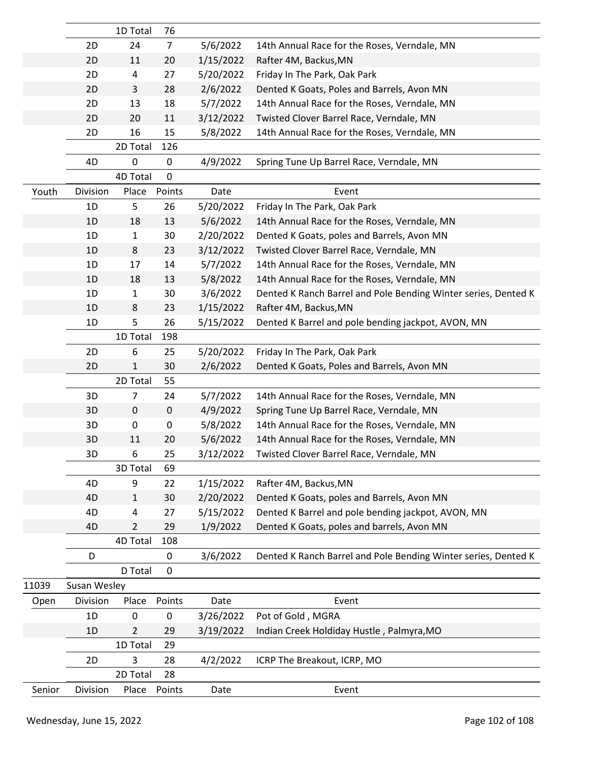|        |              | 1D Total       | 76             |           |                                                                |
|--------|--------------|----------------|----------------|-----------|----------------------------------------------------------------|
|        | 2D           | 24             | $\overline{7}$ | 5/6/2022  | 14th Annual Race for the Roses, Verndale, MN                   |
|        | 2D           | 11             | 20             | 1/15/2022 | Rafter 4M, Backus, MN                                          |
|        | 2D           | 4              | 27             | 5/20/2022 | Friday In The Park, Oak Park                                   |
|        | 2D           | 3              | 28             | 2/6/2022  | Dented K Goats, Poles and Barrels, Avon MN                     |
|        | 2D           | 13             | 18             | 5/7/2022  | 14th Annual Race for the Roses, Verndale, MN                   |
|        | 2D           | 20             | 11             | 3/12/2022 | Twisted Clover Barrel Race, Verndale, MN                       |
|        | 2D           | 16             | 15             | 5/8/2022  | 14th Annual Race for the Roses, Verndale, MN                   |
|        |              | 2D Total       | 126            |           |                                                                |
|        | 4D           | 0              | 0              | 4/9/2022  | Spring Tune Up Barrel Race, Verndale, MN                       |
|        |              | 4D Total       | 0              |           |                                                                |
| Youth  | Division     | Place          | Points         | Date      | Event                                                          |
|        | 1D           | 5              | 26             | 5/20/2022 | Friday In The Park, Oak Park                                   |
|        | 1D           | 18             | 13             | 5/6/2022  | 14th Annual Race for the Roses, Verndale, MN                   |
|        | 1D           | $\mathbf{1}$   | 30             | 2/20/2022 | Dented K Goats, poles and Barrels, Avon MN                     |
|        | 1D           | 8              | 23             | 3/12/2022 | Twisted Clover Barrel Race, Verndale, MN                       |
|        | 1D           | 17             | 14             | 5/7/2022  | 14th Annual Race for the Roses, Verndale, MN                   |
|        | 1D           | 18             | 13             | 5/8/2022  | 14th Annual Race for the Roses, Verndale, MN                   |
|        | 1D           | $\mathbf{1}$   | 30             | 3/6/2022  | Dented K Ranch Barrel and Pole Bending Winter series, Dented K |
|        | 1D           | 8              | 23             | 1/15/2022 | Rafter 4M, Backus, MN                                          |
|        | 1D           | 5              | 26             | 5/15/2022 | Dented K Barrel and pole bending jackpot, AVON, MN             |
|        |              | 1D Total       | 198            |           |                                                                |
|        | 2D           | 6              | 25             | 5/20/2022 | Friday In The Park, Oak Park                                   |
|        | 2D           | 1              | 30             | 2/6/2022  | Dented K Goats, Poles and Barrels, Avon MN                     |
|        |              | 2D Total       | 55             |           |                                                                |
|        | 3D           | $\overline{7}$ | 24             | 5/7/2022  | 14th Annual Race for the Roses, Verndale, MN                   |
|        | 3D           | 0              | 0              | 4/9/2022  | Spring Tune Up Barrel Race, Verndale, MN                       |
|        | 3D           | 0              | 0              | 5/8/2022  | 14th Annual Race for the Roses, Verndale, MN                   |
|        | 3D           | 11             | 20             | 5/6/2022  | 14th Annual Race for the Roses, Verndale, MN                   |
|        | 3D           | 6              | 25             | 3/12/2022 | Twisted Clover Barrel Race, Verndale, MN                       |
|        |              | 3D Total       | 69             |           |                                                                |
|        | 4D           | 9              | 22             | 1/15/2022 | Rafter 4M, Backus, MN                                          |
|        | 4D           | 1              | 30             | 2/20/2022 | Dented K Goats, poles and Barrels, Avon MN                     |
|        | 4D           | 4              | 27             | 5/15/2022 | Dented K Barrel and pole bending jackpot, AVON, MN             |
|        | 4D           | $\overline{2}$ | 29             | 1/9/2022  | Dented K Goats, poles and barrels, Avon MN                     |
|        |              | 4D Total       | 108            |           |                                                                |
|        | D            |                | 0              | 3/6/2022  | Dented K Ranch Barrel and Pole Bending Winter series, Dented K |
|        |              | D Total        | 0              |           |                                                                |
| 11039  | Susan Wesley |                |                |           |                                                                |
| Open   | Division     | Place          | Points         | Date      | Event                                                          |
|        | 1D           | 0              | 0              | 3/26/2022 | Pot of Gold, MGRA                                              |
|        | 1D           | $\overline{2}$ | 29             | 3/19/2022 | Indian Creek Holdiday Hustle, Palmyra, MO                      |
|        |              | 1D Total       | 29             |           |                                                                |
|        | 2D           | 3              | 28             | 4/2/2022  | ICRP The Breakout, ICRP, MO                                    |
|        |              | 2D Total       | 28             |           |                                                                |
| Senior | Division     | Place          | Points         | Date      | Event                                                          |
|        |              |                |                |           |                                                                |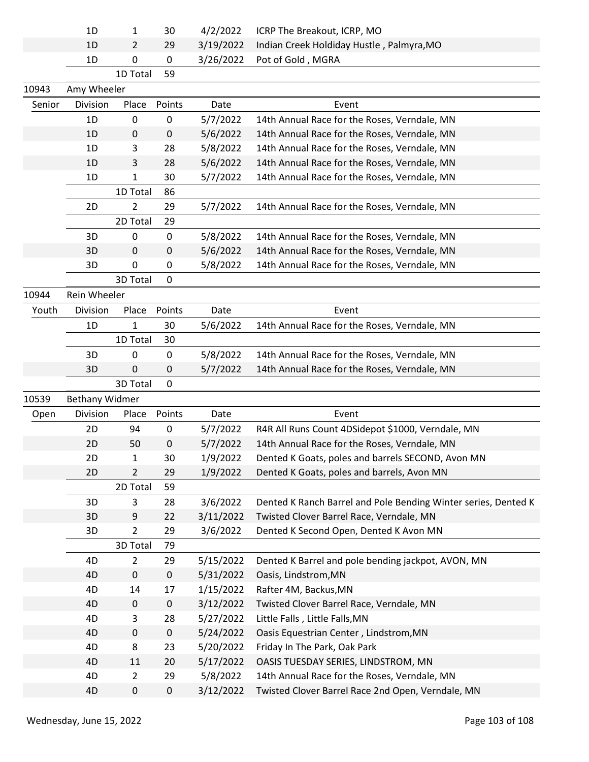|        | 1D                    | 1              | 30        | 4/2/2022  | ICRP The Breakout, ICRP, MO                                    |
|--------|-----------------------|----------------|-----------|-----------|----------------------------------------------------------------|
|        | 1D                    | 2              | 29        | 3/19/2022 | Indian Creek Holdiday Hustle, Palmyra, MO                      |
|        | 1D                    | $\pmb{0}$      | $\pmb{0}$ | 3/26/2022 | Pot of Gold, MGRA                                              |
|        |                       | 1D Total       | 59        |           |                                                                |
| 10943  | Amy Wheeler           |                |           |           |                                                                |
| Senior | Division              | Place          | Points    | Date      | Event                                                          |
|        | 1D                    | 0              | 0         | 5/7/2022  | 14th Annual Race for the Roses, Verndale, MN                   |
|        | 1D                    | 0              | 0         | 5/6/2022  | 14th Annual Race for the Roses, Verndale, MN                   |
|        | 1D                    | 3              | 28        | 5/8/2022  | 14th Annual Race for the Roses, Verndale, MN                   |
|        | 1D                    | 3              | 28        | 5/6/2022  | 14th Annual Race for the Roses, Verndale, MN                   |
|        | 1D                    | 1              | 30        | 5/7/2022  | 14th Annual Race for the Roses, Verndale, MN                   |
|        |                       | 1D Total       | 86        |           |                                                                |
|        | 2D                    | 2              | 29        | 5/7/2022  | 14th Annual Race for the Roses, Verndale, MN                   |
|        |                       | 2D Total       | 29        |           |                                                                |
|        | 3D                    | 0              | 0         | 5/8/2022  | 14th Annual Race for the Roses, Verndale, MN                   |
|        | 3D                    | 0              | 0         | 5/6/2022  | 14th Annual Race for the Roses, Verndale, MN                   |
|        | 3D                    | 0              | 0         | 5/8/2022  | 14th Annual Race for the Roses, Verndale, MN                   |
|        |                       | 3D Total       | 0         |           |                                                                |
| 10944  | Rein Wheeler          |                |           |           |                                                                |
| Youth  | Division              | Place          | Points    | Date      | Event                                                          |
|        | 1D                    | 1              | 30        | 5/6/2022  | 14th Annual Race for the Roses, Verndale, MN                   |
|        |                       | 1D Total       | 30        |           |                                                                |
|        | 3D                    | 0              | 0         | 5/8/2022  | 14th Annual Race for the Roses, Verndale, MN                   |
|        | 3D                    | 0              | 0         | 5/7/2022  | 14th Annual Race for the Roses, Verndale, MN                   |
|        |                       | 3D Total       | 0         |           |                                                                |
| 10539  | <b>Bethany Widmer</b> |                |           |           |                                                                |
| Open   | Division              | Place          | Points    | Date      | Event                                                          |
|        | 2D                    | 94             | $\pmb{0}$ | 5/7/2022  | R4R All Runs Count 4DSidepot \$1000, Verndale, MN              |
|        | 2D                    | 50             | 0         | 5/7/2022  | 14th Annual Race for the Roses, Verndale, MN                   |
|        | 2D                    | 1              | 30        | 1/9/2022  | Dented K Goats, poles and barrels SECOND, Avon MN              |
|        | 2D                    | 2              | 29        | 1/9/2022  | Dented K Goats, poles and barrels, Avon MN                     |
|        |                       | 2D Total       | 59        |           |                                                                |
|        | 3D                    | 3              | 28        | 3/6/2022  | Dented K Ranch Barrel and Pole Bending Winter series, Dented K |
|        | 3D                    | 9              | 22        | 3/11/2022 | Twisted Clover Barrel Race, Verndale, MN                       |
|        | 3D                    | $\overline{2}$ | 29        | 3/6/2022  | Dented K Second Open, Dented K Avon MN                         |
|        |                       | 3D Total       | 79        |           |                                                                |
|        | 4D                    | 2              | 29        | 5/15/2022 | Dented K Barrel and pole bending jackpot, AVON, MN             |
|        | 4D                    | $\mathbf 0$    | $\pmb{0}$ | 5/31/2022 | Oasis, Lindstrom, MN                                           |
|        | 4D                    | 14             | 17        | 1/15/2022 | Rafter 4M, Backus, MN                                          |
|        | 4D                    | $\pmb{0}$      | $\pmb{0}$ | 3/12/2022 | Twisted Clover Barrel Race, Verndale, MN                       |
|        | 4D                    | 3              | 28        | 5/27/2022 | Little Falls, Little Falls, MN                                 |
|        | 4D                    | $\pmb{0}$      | $\pmb{0}$ | 5/24/2022 | Oasis Equestrian Center, Lindstrom, MN                         |
|        | 4D                    | 8              | 23        | 5/20/2022 | Friday In The Park, Oak Park                                   |
|        | 4D                    | 11             | 20        | 5/17/2022 | OASIS TUESDAY SERIES, LINDSTROM, MN                            |
|        | 4D                    | $\overline{2}$ | 29        | 5/8/2022  | 14th Annual Race for the Roses, Verndale, MN                   |
|        | 4D                    | $\pmb{0}$      | $\pmb{0}$ | 3/12/2022 | Twisted Clover Barrel Race 2nd Open, Verndale, MN              |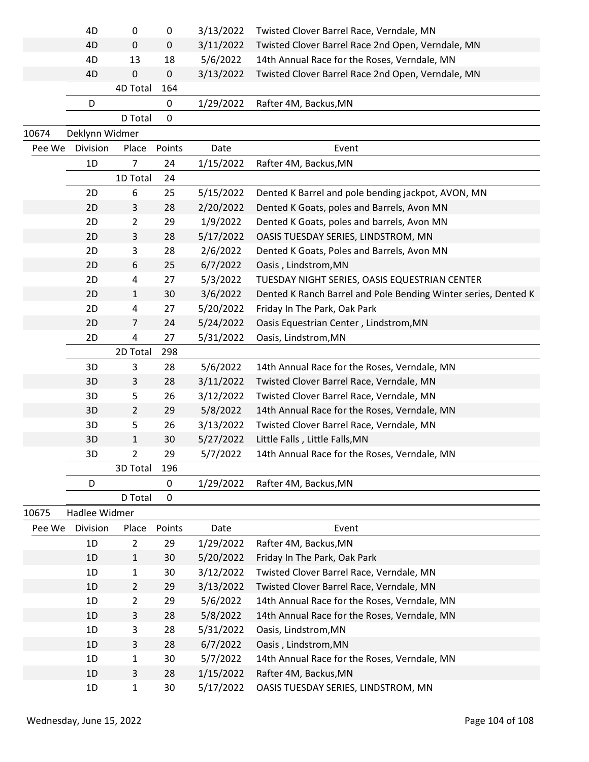|        | 4D             | 0              | 0           | 3/13/2022 | Twisted Clover Barrel Race, Verndale, MN                       |
|--------|----------------|----------------|-------------|-----------|----------------------------------------------------------------|
|        | 4D             | $\mathbf 0$    | $\pmb{0}$   | 3/11/2022 | Twisted Clover Barrel Race 2nd Open, Verndale, MN              |
|        | 4D             | 13             | 18          | 5/6/2022  | 14th Annual Race for the Roses, Verndale, MN                   |
|        | 4D             | 0              | $\pmb{0}$   | 3/13/2022 | Twisted Clover Barrel Race 2nd Open, Verndale, MN              |
|        |                | 4D Total       | 164         |           |                                                                |
|        | D              |                | 0           | 1/29/2022 | Rafter 4M, Backus, MN                                          |
|        |                | D Total        | $\pmb{0}$   |           |                                                                |
| 10674  | Deklynn Widmer |                |             |           |                                                                |
| Pee We | Division       | Place          | Points      | Date      | Event                                                          |
|        | 1D             | 7              | 24          | 1/15/2022 | Rafter 4M, Backus, MN                                          |
|        |                | 1D Total       | 24          |           |                                                                |
|        | 2D             | 6              | 25          | 5/15/2022 | Dented K Barrel and pole bending jackpot, AVON, MN             |
|        | 2D             | 3              | 28          | 2/20/2022 | Dented K Goats, poles and Barrels, Avon MN                     |
|        | 2D             | $\overline{2}$ | 29          | 1/9/2022  | Dented K Goats, poles and barrels, Avon MN                     |
|        | 2D             | 3              | 28          | 5/17/2022 | OASIS TUESDAY SERIES, LINDSTROM, MN                            |
|        | 2D             | 3              | 28          | 2/6/2022  | Dented K Goats, Poles and Barrels, Avon MN                     |
|        | 2D             | 6              | 25          | 6/7/2022  | Oasis, Lindstrom, MN                                           |
|        | 2D             | 4              | 27          | 5/3/2022  | TUESDAY NIGHT SERIES, OASIS EQUESTRIAN CENTER                  |
|        | 2D             | 1              | 30          | 3/6/2022  | Dented K Ranch Barrel and Pole Bending Winter series, Dented K |
|        | 2D             | 4              | 27          | 5/20/2022 | Friday In The Park, Oak Park                                   |
|        | 2D             | 7              | 24          | 5/24/2022 | Oasis Equestrian Center, Lindstrom, MN                         |
|        | 2D             | 4              | 27          | 5/31/2022 | Oasis, Lindstrom, MN                                           |
|        |                | 2D Total       | 298         |           |                                                                |
|        | 3D             | 3              | 28          | 5/6/2022  | 14th Annual Race for the Roses, Verndale, MN                   |
|        | 3D             | 3              | 28          | 3/11/2022 | Twisted Clover Barrel Race, Verndale, MN                       |
|        | 3D             | 5              | 26          | 3/12/2022 | Twisted Clover Barrel Race, Verndale, MN                       |
|        | 3D             | $\overline{2}$ | 29          | 5/8/2022  | 14th Annual Race for the Roses, Verndale, MN                   |
|        | 3D             | 5              | 26          | 3/13/2022 | Twisted Clover Barrel Race, Verndale, MN                       |
|        | 3D             | 1              | 30          | 5/27/2022 | Little Falls, Little Falls, MN                                 |
|        | 3D             | 2              | 29          | 5/7/2022  | 14th Annual Race for the Roses, Verndale, MN                   |
|        |                | 3D Total       | 196         |           |                                                                |
|        | D              |                | $\mathbf 0$ | 1/29/2022 | Rafter 4M, Backus, MN                                          |
|        |                | D Total        | 0           |           |                                                                |
| 10675  | Hadlee Widmer  |                |             |           |                                                                |
| Pee We | Division       | Place          | Points      | Date      | Event                                                          |
|        | 1D             | $\overline{2}$ | 29          | 1/29/2022 | Rafter 4M, Backus, MN                                          |
|        | 1D             | $\mathbf{1}$   | 30          | 5/20/2022 | Friday In The Park, Oak Park                                   |
|        | 1D             | $\mathbf{1}$   | 30          | 3/12/2022 | Twisted Clover Barrel Race, Verndale, MN                       |
|        | 1D             | $\overline{2}$ | 29          | 3/13/2022 | Twisted Clover Barrel Race, Verndale, MN                       |
|        | 1D             | $\overline{2}$ | 29          | 5/6/2022  | 14th Annual Race for the Roses, Verndale, MN                   |
|        | 1D             | 3              | 28          | 5/8/2022  | 14th Annual Race for the Roses, Verndale, MN                   |
|        | 1D             | 3              | 28          | 5/31/2022 | Oasis, Lindstrom, MN                                           |
|        | 1D             | 3              | 28          | 6/7/2022  | Oasis, Lindstrom, MN                                           |
|        | 1D             | 1              | 30          | 5/7/2022  | 14th Annual Race for the Roses, Verndale, MN                   |
|        | 1D             | 3              | 28          | 1/15/2022 | Rafter 4M, Backus, MN                                          |
|        | 1D             | 1              | 30          | 5/17/2022 | OASIS TUESDAY SERIES, LINDSTROM, MN                            |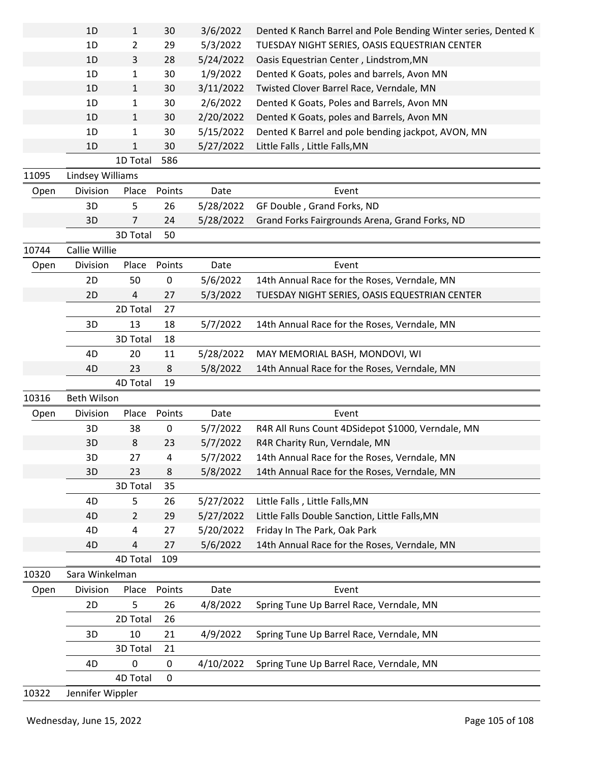|       | 1D               | 1              | 30          | 3/6/2022  | Dented K Ranch Barrel and Pole Bending Winter series, Dented K |
|-------|------------------|----------------|-------------|-----------|----------------------------------------------------------------|
|       | 1D               | 2              | 29          | 5/3/2022  | TUESDAY NIGHT SERIES, OASIS EQUESTRIAN CENTER                  |
|       | 1D               | 3              | 28          | 5/24/2022 | Oasis Equestrian Center, Lindstrom, MN                         |
|       | 1D               | 1              | 30          | 1/9/2022  | Dented K Goats, poles and barrels, Avon MN                     |
|       | 1D               | 1              | 30          | 3/11/2022 | Twisted Clover Barrel Race, Verndale, MN                       |
|       | 1D               | 1              | 30          | 2/6/2022  | Dented K Goats, Poles and Barrels, Avon MN                     |
|       | 1D               | $\mathbf{1}$   | 30          | 2/20/2022 | Dented K Goats, poles and Barrels, Avon MN                     |
|       | 1D               | 1              | 30          | 5/15/2022 | Dented K Barrel and pole bending jackpot, AVON, MN             |
|       | 1 <sub>D</sub>   | 1              | 30          | 5/27/2022 | Little Falls, Little Falls, MN                                 |
|       |                  | 1D Total       | 586         |           |                                                                |
| 11095 | Lindsey Williams |                |             |           |                                                                |
| Open  | Division         | Place          | Points      | Date      | Event                                                          |
|       | 3D               | 5              | 26          | 5/28/2022 | GF Double, Grand Forks, ND                                     |
|       | 3D               | 7              | 24          | 5/28/2022 | Grand Forks Fairgrounds Arena, Grand Forks, ND                 |
|       |                  | 3D Total       | 50          |           |                                                                |
| 10744 | Callie Willie    |                |             |           |                                                                |
| Open  | Division         | Place          | Points      | Date      | Event                                                          |
|       | 2D               | 50             | 0           | 5/6/2022  | 14th Annual Race for the Roses, Verndale, MN                   |
|       | 2D               | 4              | 27          | 5/3/2022  | TUESDAY NIGHT SERIES, OASIS EQUESTRIAN CENTER                  |
|       |                  | 2D Total       | 27          |           |                                                                |
|       | 3D               | 13             | 18          | 5/7/2022  | 14th Annual Race for the Roses, Verndale, MN                   |
|       |                  | 3D Total       | 18          |           |                                                                |
|       | 4D               | 20             | 11          | 5/28/2022 | MAY MEMORIAL BASH, MONDOVI, WI                                 |
|       | 4D               | 23             | 8           | 5/8/2022  | 14th Annual Race for the Roses, Verndale, MN                   |
|       |                  | 4D Total       | 19          |           |                                                                |
| 10316 | Beth Wilson      |                |             |           |                                                                |
| Open  | Division         | Place          | Points      | Date      | Event                                                          |
|       | 3D               | 38             | 0           | 5/7/2022  | R4R All Runs Count 4DSidepot \$1000, Verndale, MN              |
|       | 3D               | 8              | 23          | 5/7/2022  | R4R Charity Run, Verndale, MN                                  |
|       | 3D               |                |             |           |                                                                |
|       |                  | 27             | 4           | 5/7/2022  | 14th Annual Race for the Roses, Verndale, MN                   |
|       | 3D               | 23             | 8           | 5/8/2022  | 14th Annual Race for the Roses, Verndale, MN                   |
|       |                  | 3D Total       | 35          |           |                                                                |
|       | 4D               | 5              | 26          | 5/27/2022 | Little Falls, Little Falls, MN                                 |
|       | 4D               | $\overline{2}$ | 29          | 5/27/2022 | Little Falls Double Sanction, Little Falls, MN                 |
|       | 4D               | 4              | 27          | 5/20/2022 | Friday In The Park, Oak Park                                   |
|       | 4D               | 4              | 27          | 5/6/2022  | 14th Annual Race for the Roses, Verndale, MN                   |
|       |                  | 4D Total       | 109         |           |                                                                |
| 10320 | Sara Winkelman   |                |             |           |                                                                |
| Open  | Division         | Place          | Points      | Date      | Event                                                          |
|       | 2D               | 5              | 26          | 4/8/2022  | Spring Tune Up Barrel Race, Verndale, MN                       |
|       |                  | 2D Total       | 26          |           |                                                                |
|       | 3D               | 10             | 21          | 4/9/2022  | Spring Tune Up Barrel Race, Verndale, MN                       |
|       |                  | 3D Total       | 21          |           |                                                                |
|       | 4D               | 0              | 0           | 4/10/2022 | Spring Tune Up Barrel Race, Verndale, MN                       |
|       |                  | 4D Total       | $\mathbf 0$ |           |                                                                |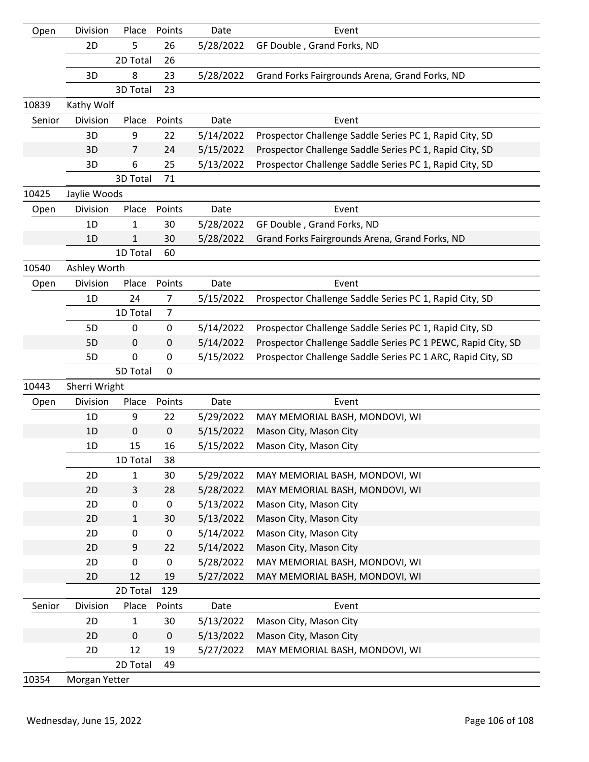| Open   | Division      | Place          | Points         | Date      | Event                                                        |
|--------|---------------|----------------|----------------|-----------|--------------------------------------------------------------|
|        | 2D            | 5              | 26             | 5/28/2022 | GF Double, Grand Forks, ND                                   |
|        |               | 2D Total       | 26             |           |                                                              |
|        | 3D            | 8              | 23             | 5/28/2022 | Grand Forks Fairgrounds Arena, Grand Forks, ND               |
|        |               | 3D Total       | 23             |           |                                                              |
| 10839  | Kathy Wolf    |                |                |           |                                                              |
| Senior | Division      | Place          | Points         | Date      | Event                                                        |
|        | 3D            | 9              | 22             | 5/14/2022 | Prospector Challenge Saddle Series PC 1, Rapid City, SD      |
|        | 3D            | $\overline{7}$ | 24             | 5/15/2022 | Prospector Challenge Saddle Series PC 1, Rapid City, SD      |
|        | 3D            | 6              | 25             | 5/13/2022 | Prospector Challenge Saddle Series PC 1, Rapid City, SD      |
|        |               | 3D Total       | 71             |           |                                                              |
| 10425  | Jaylie Woods  |                |                |           |                                                              |
| Open   | Division      | Place          | Points         | Date      | Event                                                        |
|        | 1D            | 1              | 30             | 5/28/2022 | GF Double, Grand Forks, ND                                   |
|        | 1D            | 1              | 30             | 5/28/2022 | Grand Forks Fairgrounds Arena, Grand Forks, ND               |
|        |               | 1D Total       | 60             |           |                                                              |
| 10540  | Ashley Worth  |                |                |           |                                                              |
| Open   | Division      | Place          | Points         | Date      | Event                                                        |
|        | 1D            | 24             | 7              | 5/15/2022 | Prospector Challenge Saddle Series PC 1, Rapid City, SD      |
|        |               | 1D Total       | $\overline{7}$ |           |                                                              |
|        | 5D            | 0              | 0              | 5/14/2022 | Prospector Challenge Saddle Series PC 1, Rapid City, SD      |
|        | 5D            | 0              | 0              | 5/14/2022 | Prospector Challenge Saddle Series PC 1 PEWC, Rapid City, SD |
|        | 5D            | $\mathbf 0$    | 0              | 5/15/2022 | Prospector Challenge Saddle Series PC 1 ARC, Rapid City, SD  |
|        |               | 5D Total       | 0              |           |                                                              |
| 10443  | Sherri Wright |                |                |           |                                                              |
| Open   | Division      | Place          | Points         | Date      | Event                                                        |
|        | 1D            | 9              | 22             | 5/29/2022 | MAY MEMORIAL BASH, MONDOVI, WI                               |
|        | 1D            | $\pmb{0}$      | 0              | 5/15/2022 | Mason City, Mason City                                       |
|        | 1D            | 15             | 16             | 5/15/2022 | Mason City, Mason City                                       |
|        |               | 1D Total       | 38             |           |                                                              |
|        | 2D            | 1              | 30             | 5/29/2022 | MAY MEMORIAL BASH, MONDOVI, WI                               |
|        | 2D            | 3              | 28             | 5/28/2022 | MAY MEMORIAL BASH, MONDOVI, WI                               |
|        | 2D            | 0              | $\pmb{0}$      | 5/13/2022 | Mason City, Mason City                                       |
|        | 2D            | $\mathbf{1}$   | 30             | 5/13/2022 | Mason City, Mason City                                       |
|        | 2D            | 0              | $\pmb{0}$      | 5/14/2022 | Mason City, Mason City                                       |
|        | 2D            | 9              | 22             | 5/14/2022 | Mason City, Mason City                                       |
|        | 2D            | $\mathbf 0$    | 0              | 5/28/2022 | MAY MEMORIAL BASH, MONDOVI, WI                               |
|        | 2D            | 12             | 19             | 5/27/2022 | MAY MEMORIAL BASH, MONDOVI, WI                               |
|        |               | 2D Total       | 129            |           |                                                              |
| Senior | Division      | Place          | Points         | Date      | Event                                                        |
|        | 2D            | $\mathbf{1}$   | 30             | 5/13/2022 | Mason City, Mason City                                       |
|        | 2D            | $\pmb{0}$      | 0              | 5/13/2022 | Mason City, Mason City                                       |
|        | 2D            | 12             | 19             | 5/27/2022 | MAY MEMORIAL BASH, MONDOVI, WI                               |
|        |               | 2D Total       | 49             |           |                                                              |
| 10354  | Morgan Yetter |                |                |           |                                                              |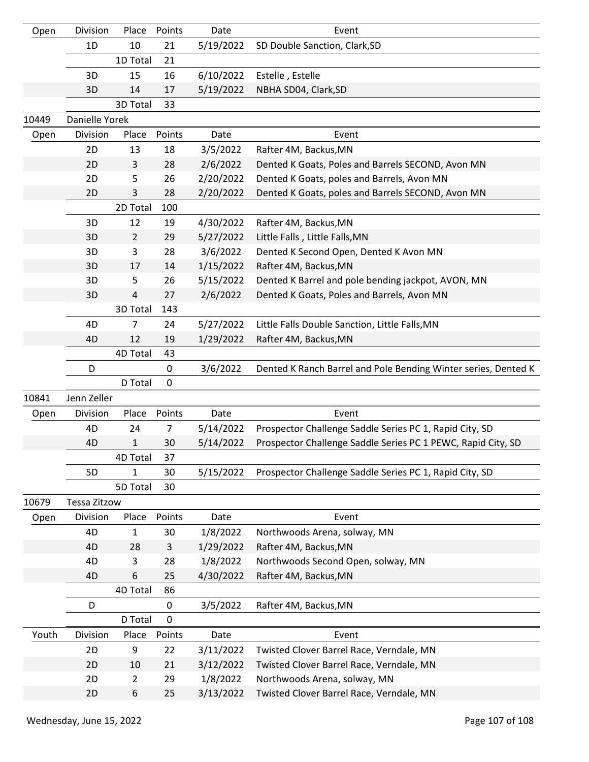| Open  | Division       | Place          | Points       | Date      | Event                                                          |
|-------|----------------|----------------|--------------|-----------|----------------------------------------------------------------|
|       | 1D             | 10             | 21           | 5/19/2022 | SD Double Sanction, Clark, SD                                  |
|       |                | 1D Total       | 21           |           |                                                                |
|       | 3D             | 15             | 16           | 6/10/2022 | Estelle, Estelle                                               |
|       | 3D             | 14             | 17           | 5/19/2022 | NBHA SD04, Clark, SD                                           |
|       |                | 3D Total       | 33           |           |                                                                |
| 10449 | Danielle Yorek |                |              |           |                                                                |
| Open  | Division       | Place          | Points       | Date      | Event                                                          |
|       | 2D             | 13             | 18           | 3/5/2022  | Rafter 4M, Backus, MN                                          |
|       | 2D             | 3              | 28           | 2/6/2022  | Dented K Goats, Poles and Barrels SECOND, Avon MN              |
|       | 2D             | 5              | 26           | 2/20/2022 | Dented K Goats, poles and Barrels, Avon MN                     |
|       | 2D             | 3              | 28           | 2/20/2022 | Dented K Goats, poles and Barrels SECOND, Avon MN              |
|       |                | 2D Total       | 100          |           |                                                                |
|       | 3D             | 12             | 19           | 4/30/2022 | Rafter 4M, Backus, MN                                          |
|       | 3D             | $\overline{2}$ | 29           | 5/27/2022 | Little Falls, Little Falls, MN                                 |
|       | 3D             | 3              | 28           | 3/6/2022  | Dented K Second Open, Dented K Avon MN                         |
|       | 3D             | 17             | 14           | 1/15/2022 | Rafter 4M, Backus, MN                                          |
|       | 3D             | 5              | 26           | 5/15/2022 | Dented K Barrel and pole bending jackpot, AVON, MN             |
|       | 3D             | 4              | 27           | 2/6/2022  | Dented K Goats, Poles and Barrels, Avon MN                     |
|       |                | 3D Total       | 143          |           |                                                                |
|       | 4D             | 7              | 24           | 5/27/2022 | Little Falls Double Sanction, Little Falls, MN                 |
|       | 4D             | 12             | 19           | 1/29/2022 | Rafter 4M, Backus, MN                                          |
|       |                | 4D Total       | 43           |           |                                                                |
|       | D              |                | 0            | 3/6/2022  | Dented K Ranch Barrel and Pole Bending Winter series, Dented K |
|       |                | D Total        | 0            |           |                                                                |
| 10841 | Jenn Zeller    |                |              |           |                                                                |
| Open  | Division       | Place          | Points       | Date      | Event                                                          |
|       | 4D             | 24             | 7            | 5/14/2022 | Prospector Challenge Saddle Series PC 1, Rapid City, SD        |
|       | 4D             | $\mathbf{1}$   | 30           | 5/14/2022 | Prospector Challenge Saddle Series PC 1 PEWC, Rapid City, SD   |
|       |                | 4D Total       | 37           |           |                                                                |
|       | 5D             | 1              | 30           | 5/15/2022 | Prospector Challenge Saddle Series PC 1, Rapid City, SD        |
|       |                | 5D Total       | 30           |           |                                                                |
| 10679 | Tessa Zitzow   |                |              |           |                                                                |
| Open  | Division       | Place          | Points       | Date      | Event                                                          |
|       | 4D             | 1              | 30           | 1/8/2022  | Northwoods Arena, solway, MN                                   |
|       | 4D             | 28             | $\mathsf{3}$ | 1/29/2022 | Rafter 4M, Backus, MN                                          |
|       | 4D             | 3              | 28           | 1/8/2022  | Northwoods Second Open, solway, MN                             |
|       | 4D             | 6              | 25           | 4/30/2022 | Rafter 4M, Backus, MN                                          |
|       |                | 4D Total       | 86           |           |                                                                |
|       | D              |                | 0            | 3/5/2022  | Rafter 4M, Backus, MN                                          |
|       |                | D Total        | 0            |           |                                                                |
| Youth | Division       | Place          | Points       | Date      | Event                                                          |
|       | 2D             | 9              | 22           | 3/11/2022 | Twisted Clover Barrel Race, Verndale, MN                       |
|       | 2D             | 10             | 21           | 3/12/2022 | Twisted Clover Barrel Race, Verndale, MN                       |
|       | 2D             | $\overline{2}$ | 29           | 1/8/2022  | Northwoods Arena, solway, MN                                   |
|       | 2D             | 6              | 25           | 3/13/2022 | Twisted Clover Barrel Race, Verndale, MN                       |